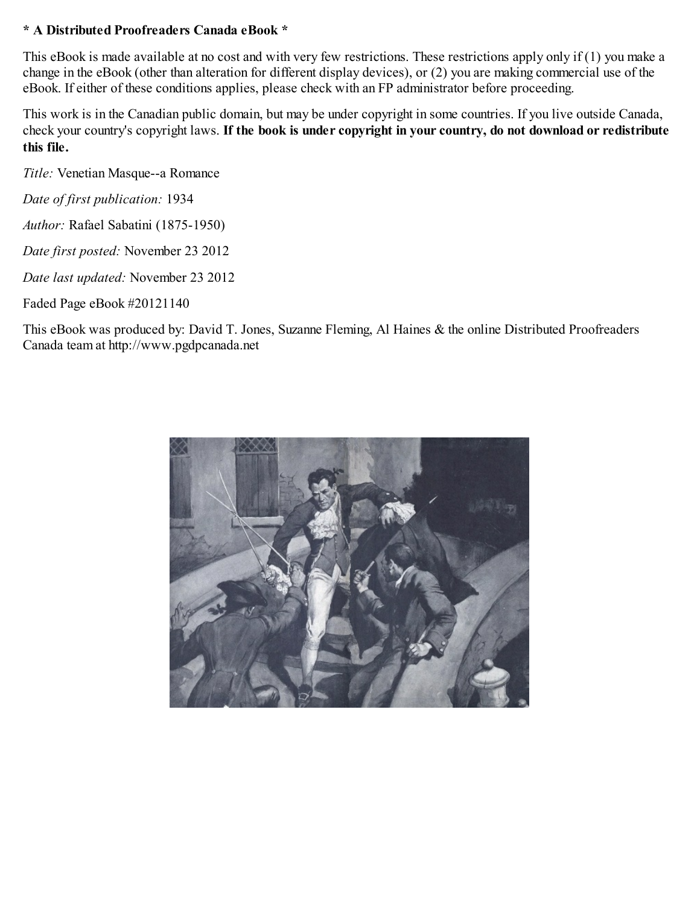#### **\* A Distributed Proofreaders Canada eBook \***

This eBook is made available at no cost and with very few restrictions. These restrictions apply only if (1) you make a change in the eBook (other than alteration for different display devices), or (2) you are making commercial use of the eBook. If either of these conditions applies, please check with an FP administrator before proceeding.

This work is in the Canadian public domain, but may be under copyright in some countries. If you live outside Canada, check your country's copyright laws. **If the book is under copyright in your country, do not download or redistribute this file.**

*Title:* Venetian Masque--a Romance

*Date of first publication:* 1934

*Author:* Rafael Sabatini (1875-1950)

*Date first posted:* November 23 2012

*Date last updated:* November 23 2012

Faded Page eBook #20121140

This eBook was produced by: David T. Jones, Suzanne Fleming, Al Haines & the online Distributed Proofreaders Canada team at http://www.pgdpcanada.net

<span id="page-0-38"></span><span id="page-0-37"></span><span id="page-0-36"></span><span id="page-0-35"></span><span id="page-0-34"></span><span id="page-0-33"></span><span id="page-0-32"></span><span id="page-0-31"></span><span id="page-0-30"></span><span id="page-0-29"></span><span id="page-0-28"></span><span id="page-0-27"></span><span id="page-0-26"></span><span id="page-0-25"></span><span id="page-0-24"></span><span id="page-0-23"></span><span id="page-0-22"></span><span id="page-0-21"></span><span id="page-0-20"></span><span id="page-0-19"></span><span id="page-0-18"></span><span id="page-0-17"></span><span id="page-0-16"></span><span id="page-0-15"></span><span id="page-0-14"></span><span id="page-0-13"></span><span id="page-0-12"></span><span id="page-0-11"></span><span id="page-0-10"></span><span id="page-0-9"></span><span id="page-0-8"></span><span id="page-0-7"></span><span id="page-0-6"></span><span id="page-0-5"></span><span id="page-0-4"></span><span id="page-0-3"></span><span id="page-0-2"></span><span id="page-0-1"></span><span id="page-0-0"></span>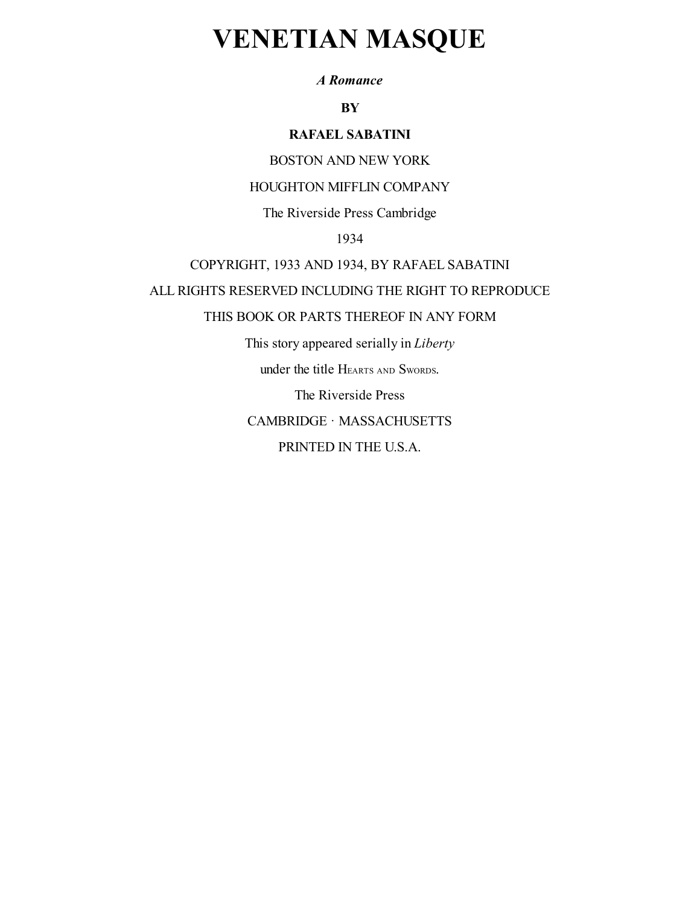# **VENETIAN MASQUE**

#### *A Romance*

#### **BY**

#### **RAFAEL SABATINI**

BOSTON AND NEW YORK

#### HOUGHTON MIFFLIN COMPANY

The Riverside Press Cambridge

1934

#### COPYRIGHT, 1933 AND 1934, BY RAFAEL SABATINI

ALL RIGHTS RESERVED INCLUDING THE RIGHT TO REPRODUCE

#### THIS BOOK OR PARTS THEREOF IN ANY FORM

This story appeared serially in *Liberty*

under the title HEARTS AND SWORDS.

The Riverside Press

CAMBRIDGE · MASSACHUSETTS

PRINTED IN THE U.S.A.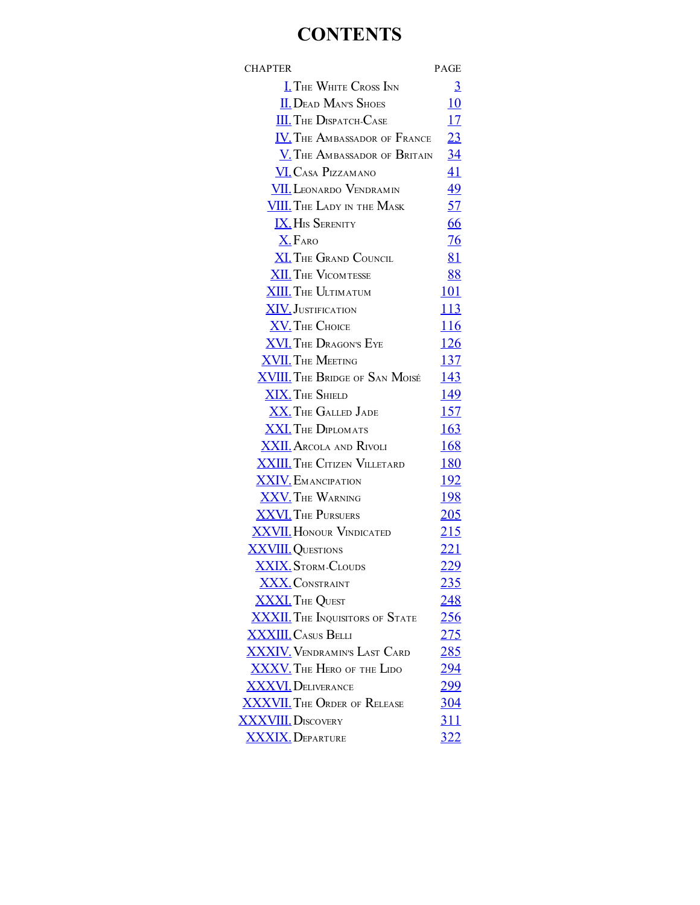## **CONTENTS**

| <b>CHAPTER</b>                         | PAGE        |
|----------------------------------------|-------------|
| <b>I.</b> THE WHITE CROSS INN          | <u>3</u>    |
| <b>II. DEAD MAN'S SHOES</b>            | <b>10</b>   |
| <b>III.</b> THE DISPATCH-CASE          | 17          |
| IV. THE AMBASSADOR OF FRANCE           | 23          |
| V. THE AMBASSADOR OF BRITAIN           | <u>34</u>   |
| <b>VI.</b> CASA PIZZAMANO              | 41          |
| <b>VII.</b> LEONARDO VENDRAMIN         | <u>49</u>   |
| <b>VIII.</b> THE LADY IN THE MASK      | <u>57</u>   |
| IX. HIS SERENITY                       | 66          |
| X. FARO                                | <u>76</u>   |
| <b>XI. THE GRAND COUNCIL</b>           | 81          |
| <b>XII.</b> THE VICOMTESSE             | 88          |
| <b>XIII.</b> THE ULTIMATUM             | <b>101</b>  |
| <b>XIV.</b> JUSTIFICATION              | <u> 113</u> |
| <b>XV. THE CHOICE</b>                  | <u> 116</u> |
| <b>XVI. THE DRAGON'S EYE</b>           | <u>126</u>  |
| <b>XVII. THE MEETING</b>               | <u>137</u>  |
| <b>XVIII.</b> THE BRIDGE OF SAN MOISÉ  | <u> 143</u> |
| <b>XIX. THE SHIELD</b>                 | <u> 149</u> |
| <b>XX.</b> THE GALLED JADE             | <u>157</u>  |
| <b>XXI.</b> THE DIPLOMATS              | <u>163</u>  |
| <b>XXII. ARCOLA AND RIVOLI</b>         | <u>168</u>  |
| <b>XXIII.</b> THE CITIZEN VILLETARD    | <u>180</u>  |
| <b>XXIV.</b> EMANCIPATION              | <u> 192</u> |
| <b>XXV. THE WARNING</b>                | <u> 198</u> |
| <b>XXVI.</b> THE PURSUERS              | <u> 205</u> |
| <b>XXVII. HONOUR VINDICATED</b>        | 215         |
| <b>XXVIII.</b> QUESTIONS               | <u> 221</u> |
| <b>XXIX.</b> Storm-Clouds              | <u> 229</u> |
| <b>XXX. CONSTRAINT</b>                 | <u> 235</u> |
| <b>XXXI.</b> THE QUEST                 | 248         |
| <b>XXXII.</b> THE INQUISITORS OF STATE | <u>256</u>  |
| <b>XXXIII. CASUS BELLI</b>             | 275         |
| <b>XXXIV.</b> VENDRAMIN'S LAST CARD    | <u> 285</u> |
| <b>XXXV.</b> THE HERO OF THE LIDO      | 294         |
| <b>XXXVI, DELIVERANCE</b>              | <u> 299</u> |
| <b>XXXVII.</b> THE ORDER OF RELEASE    | <u>304</u>  |
| <b>XXXVIII.</b> DISCOVERY              | <u>311</u>  |
| <b>XXXIX.</b> DEPARTURE                | 322         |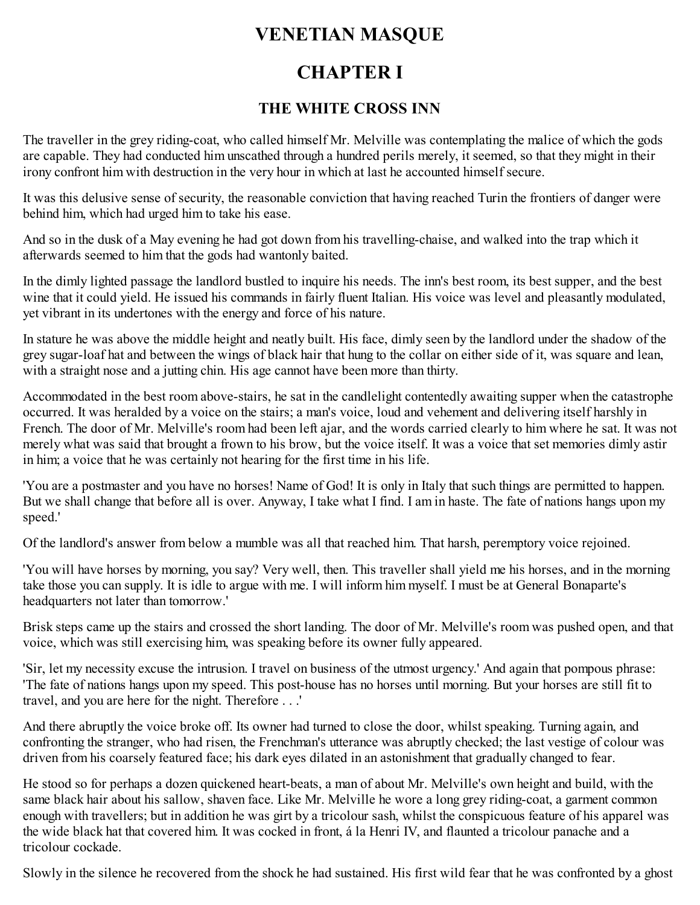## **VENETIAN MASQUE**

## **CHAPTER I**

### **THE WHITE CROSS INN**

<span id="page-3-0"></span>The traveller in the grey riding-coat, who called himself Mr. Melville was contemplating the malice of which the gods are capable. They had conducted him unscathed through a hundred perils merely, it seemed, so that they might in their irony confront him with destruction in the very hour in which at last he accounted himself secure.

It was this delusive sense of security, the reasonable conviction that having reached Turin the frontiers of danger were behind him, which had urged him to take his ease.

And so in the dusk of a May evening he had got down from his travelling-chaise, and walked into the trap which it afterwards seemed to him that the gods had wantonly baited.

In the dimly lighted passage the landlord bustled to inquire his needs. The inn's best room, its best supper, and the best wine that it could yield. He issued his commands in fairly fluent Italian. His voice was level and pleasantly modulated, yet vibrant in its undertones with the energy and force of his nature.

In stature he was above the middle height and neatly built. His face, dimly seen by the landlord under the shadow of the grey sugar-loaf hat and between the wings of black hair that hung to the collar on either side of it, was square and lean, with a straight nose and a jutting chin. His age cannot have been more than thirty.

Accommodated in the best room above-stairs, he sat in the candlelight contentedly awaiting supper when the catastrophe occurred. It was heralded by a voice on the stairs; a man's voice, loud and vehement and delivering itself harshly in French. The door of Mr. Melville's room had been left ajar, and the words carried clearly to him where he sat. It was not merely what was said that brought a frown to his brow, but the voice itself. It was a voice that set memories dimly astir in him; a voice that he was certainly not hearing for the first time in his life.

'You are a postmaster and you have no horses! Name of God! It is only in Italy that such things are permitted to happen. But we shall change that before all is over. Anyway, I take what I find. I am in haste. The fate of nations hangs upon my speed.'

Of the landlord's answer from below a mumble was all that reached him. That harsh, peremptory voice rejoined.

'You will have horses by morning, you say? Very well, then. This traveller shall yield me his horses, and in the morning take those you can supply. It is idle to argue with me. I will inform him myself. I must be at General Bonaparte's headquarters not later than tomorrow.'

Brisk steps came up the stairs and crossed the short landing. The door of Mr. Melville's room was pushed open, and that voice, which was still exercising him, was speaking before its owner fully appeared.

'Sir, let my necessity excuse the intrusion. I travel on business of the utmost urgency.' And again that pompous phrase: 'The fate of nations hangs upon my speed. This post-house has no horses until morning. But your horses are still fit to travel, and you are here for the night. Therefore . . .'

And there abruptly the voice broke off. Its owner had turned to close the door, whilst speaking. Turning again, and confronting the stranger, who had risen, the Frenchman's utterance was abruptly checked; the last vestige of colour was driven from his coarsely featured face; his dark eyes dilated in an astonishment that gradually changed to fear.

He stood so for perhaps a dozen quickened heart-beats, a man of about Mr. Melville's own height and build, with the same black hair about his sallow, shaven face. Like Mr. Melville he wore a long grey riding-coat, a garment common enough with travellers; but in addition he was girt by a tricolour sash, whilst the conspicuous feature of his apparel was the wide black hat that covered him. It was cocked in front, á la Henri IV, and flaunted a tricolour panache and a tricolour cockade.

Slowly in the silence he recovered from the shock he had sustained. His first wild fear that he was confronted by a ghost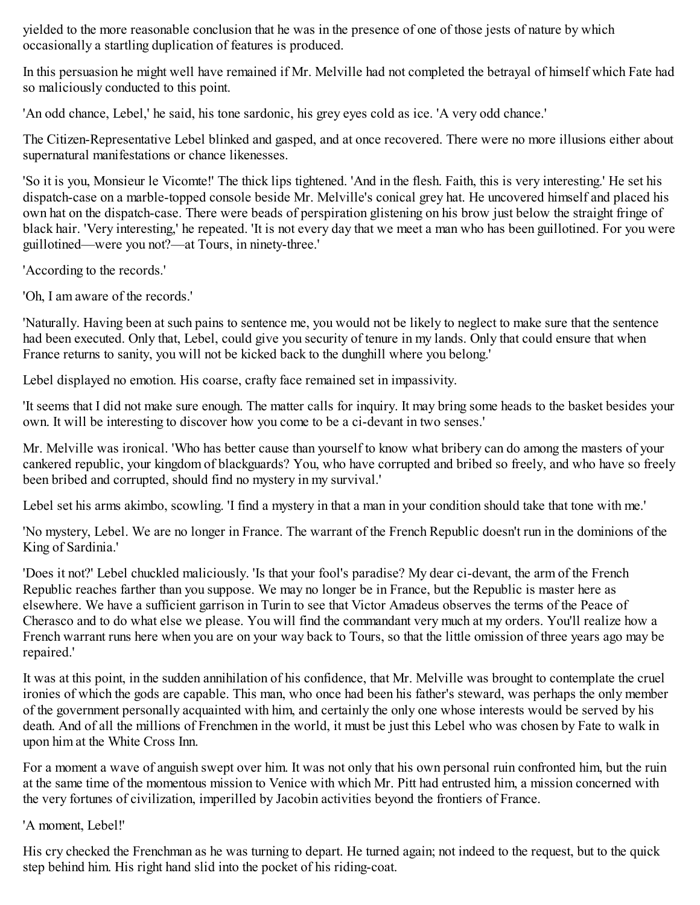yielded to the more reasonable conclusion that he was in the presence of one of those jests of nature by which occasionally a startling duplication of features is produced.

In this persuasion he might well have remained if Mr. Melville had not completed the betrayal of himself which Fate had so maliciously conducted to this point.

'An odd chance, Lebel,' he said, his tone sardonic, his grey eyes cold as ice. 'A very odd chance.'

The Citizen-Representative Lebel blinked and gasped, and at once recovered. There were no more illusions either about supernatural manifestations or chance likenesses.

'So it is you, Monsieur le Vicomte!' The thick lips tightened. 'And in the flesh. Faith, this is very interesting.' He set his dispatch-case on a marble-topped console beside Mr. Melville's conical grey hat. He uncovered himself and placed his own hat on the dispatch-case. There were beads of perspiration glistening on his brow just below the straight fringe of black hair. 'Very interesting,' he repeated. 'It is not every day that we meet a man who has been guillotined. For you were guillotined—were you not?—at Tours, in ninety-three.'

'According to the records.'

'Oh, I am aware of the records.'

'Naturally. Having been at such pains to sentence me, you would not be likely to neglect to make sure that the sentence had been executed. Only that, Lebel, could give you security of tenure in my lands. Only that could ensure that when France returns to sanity, you will not be kicked back to the dunghill where you belong.'

Lebel displayed no emotion. His coarse, crafty face remained set in impassivity.

'It seems that I did not make sure enough. The matter calls for inquiry. It may bring some heads to the basket besides your own. It will be interesting to discover how you come to be a ci-devant in two senses.'

Mr. Melville was ironical. 'Who has better cause than yourself to know what bribery can do among the masters of your cankered republic, your kingdom of blackguards? You, who have corrupted and bribed so freely, and who have so freely been bribed and corrupted, should find no mystery in my survival.'

Lebel set his arms akimbo, scowling. 'I find a mystery in that a man in your condition should take that tone with me.'

'No mystery, Lebel. We are no longer in France. The warrant of the French Republic doesn't run in the dominions of the King of Sardinia.'

'Does it not?' Lebel chuckled maliciously. 'Is that your fool's paradise? My dear ci-devant, the arm of the French Republic reaches farther than you suppose. We may no longer be in France, but the Republic is master here as elsewhere. We have a sufficient garrison in Turin to see that Victor Amadeus observes the terms of the Peace of Cherasco and to do what else we please. You will find the commandant very much at my orders. You'll realize how a French warrant runs here when you are on your way back to Tours, so that the little omission of three years ago may be repaired.'

It was at this point, in the sudden annihilation of his confidence, that Mr. Melville was brought to contemplate the cruel ironies of which the gods are capable. This man, who once had been his father's steward, was perhaps the only member of the government personally acquainted with him, and certainly the only one whose interests would be served by his death. And of all the millions of Frenchmen in the world, it must be just this Lebel who was chosen by Fate to walk in upon him at the White Cross Inn.

For a moment a wave of anguish swept over him. It was not only that his own personal ruin confronted him, but the ruin at the same time of the momentous mission to Venice with which Mr. Pitt had entrusted him, a mission concerned with the very fortunes of civilization, imperilled by Jacobin activities beyond the frontiers of France.

'A moment, Lebel!'

His cry checked the Frenchman as he was turning to depart. He turned again; not indeed to the request, but to the quick step behind him. His right hand slid into the pocket of his riding-coat.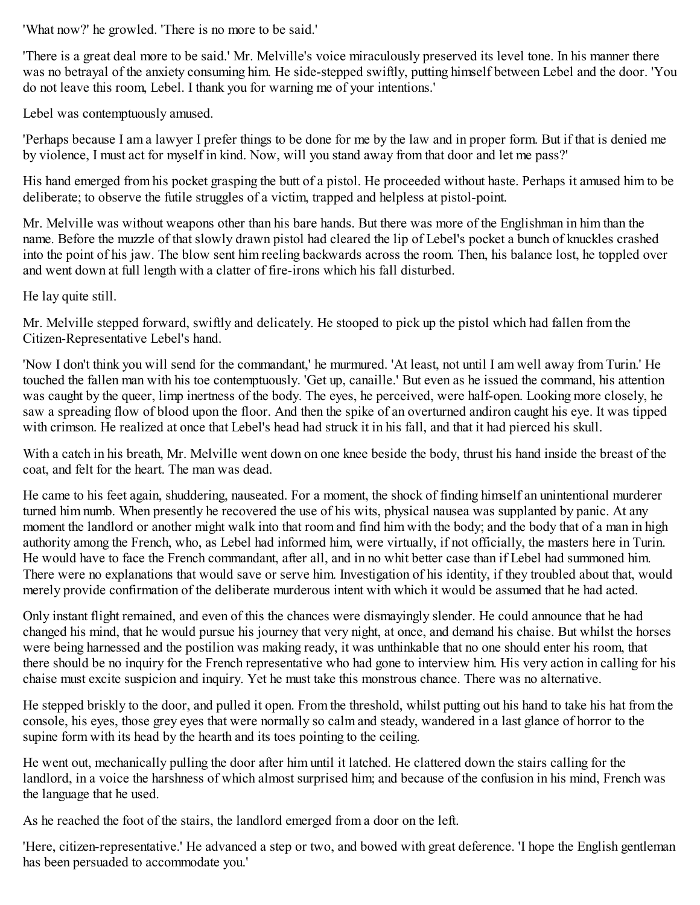'What now?' he growled. 'There is no more to be said.'

'There is a great deal more to be said.' Mr. Melville's voice miraculously preserved its level tone. In his manner there was no betrayal of the anxiety consuming him. He side-stepped swiftly, putting himself between Lebel and the door. 'You do not leave this room, Lebel. I thank you for warning me of your intentions.'

Lebel was contemptuously amused.

'Perhaps because I am a lawyer I prefer things to be done for me by the law and in proper form. But if that is denied me by violence, I must act for myself in kind. Now, will you stand away from that door and let me pass?'

His hand emerged from his pocket grasping the butt of a pistol. He proceeded without haste. Perhaps it amused him to be deliberate; to observe the futile struggles of a victim, trapped and helpless at pistol-point.

Mr. Melville was without weapons other than his bare hands. But there was more of the Englishman in him than the name. Before the muzzle of that slowly drawn pistol had cleared the lip of Lebel's pocket a bunch of knuckles crashed into the point of his jaw. The blow sent him reeling backwards across the room. Then, his balance lost, he toppled over and went down at full length with a clatter of fire-irons which his fall disturbed.

He lay quite still.

Mr. Melville stepped forward, swiftly and delicately. He stooped to pick up the pistol which had fallen from the Citizen-Representative Lebel's hand.

'Now I don't think you will send for the commandant,' he murmured. 'At least, not until I am well away from Turin.' He touched the fallen man with his toe contemptuously. 'Get up, canaille.' But even as he issued the command, his attention was caught by the queer, limp inertness of the body. The eyes, he perceived, were half-open. Looking more closely, he saw a spreading flow of blood upon the floor. And then the spike of an overturned andiron caught his eye. It was tipped with crimson. He realized at once that Lebel's head had struck it in his fall, and that it had pierced his skull.

With a catch in his breath, Mr. Melville went down on one knee beside the body, thrust his hand inside the breast of the coat, and felt for the heart. The man was dead.

He came to his feet again, shuddering, nauseated. For a moment, the shock of finding himself an unintentional murderer turned him numb. When presently he recovered the use of his wits, physical nausea was supplanted by panic. At any moment the landlord or another might walk into that room and find him with the body; and the body that of a man in high authority among the French, who, as Lebel had informed him, were virtually, if not officially, the masters here in Turin. He would have to face the French commandant, after all, and in no whit better case than if Lebel had summoned him. There were no explanations that would save or serve him. Investigation of his identity, if they troubled about that, would merely provide confirmation of the deliberate murderous intent with which it would be assumed that he had acted.

Only instant flight remained, and even of this the chances were dismayingly slender. He could announce that he had changed his mind, that he would pursue his journey that very night, at once, and demand his chaise. But whilst the horses were being harnessed and the postilion was making ready, it was unthinkable that no one should enter his room, that there should be no inquiry for the French representative who had gone to interview him. His very action in calling for his chaise must excite suspicion and inquiry. Yet he must take this monstrous chance. There was no alternative.

He stepped briskly to the door, and pulled it open. From the threshold, whilst putting out his hand to take his hat from the console, his eyes, those grey eyes that were normally so calm and steady, wandered in a last glance of horror to the supine form with its head by the hearth and its toes pointing to the ceiling.

He went out, mechanically pulling the door after him until it latched. He clattered down the stairs calling for the landlord, in a voice the harshness of which almost surprised him; and because of the confusion in his mind, French was the language that he used.

As he reached the foot of the stairs, the landlord emerged from a door on the left.

'Here, citizen-representative.' He advanced a step or two, and bowed with great deference. 'I hope the English gentleman has been persuaded to accommodate you.'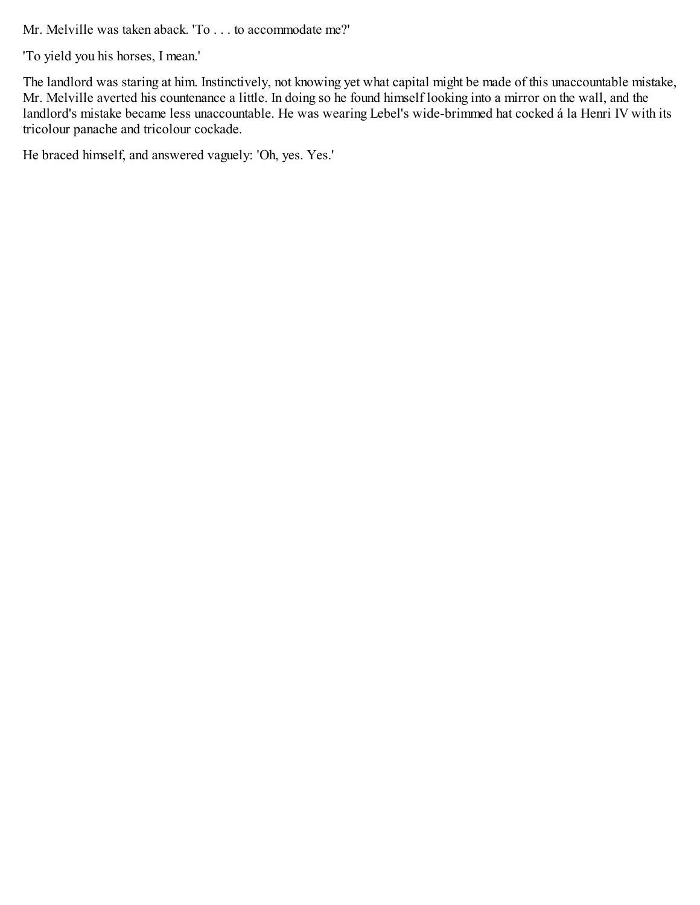Mr. Melville was taken aback. 'To . . . to accommodate me?'

'To yield you his horses, I mean.'

The landlord was staring at him. Instinctively, not knowing yet what capital might be made of this unaccountable mistake, Mr. Melville averted his countenance a little. In doing so he found himself looking into a mirror on the wall, and the landlord's mistake became less unaccountable. He was wearing Lebel's wide-brimmed hat cocked á la Henri IV with its tricolour panache and tricolour cockade.

He braced himself, and answered vaguely: 'Oh, yes. Yes.'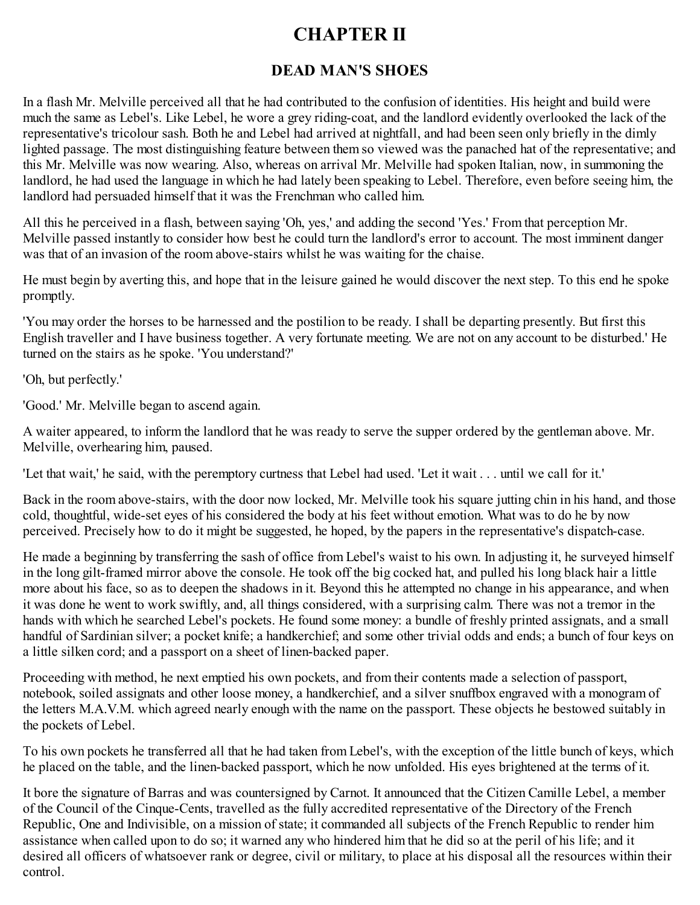## **CHAPTER II**

### **DEAD MAN'S SHOES**

<span id="page-7-0"></span>In a flash Mr. Melville perceived all that he had contributed to the confusion of identities. His height and build were much the same as Lebel's. Like Lebel, he wore a grey riding-coat, and the landlord evidently overlooked the lack of the representative's tricolour sash. Both he and Lebel had arrived at nightfall, and had been seen only briefly in the dimly lighted passage. The most distinguishing feature between them so viewed was the panached hat of the representative; and this Mr. Melville was now wearing. Also, whereas on arrival Mr. Melville had spoken Italian, now, in summoning the landlord, he had used the language in which he had lately been speaking to Lebel. Therefore, even before seeing him, the landlord had persuaded himself that it was the Frenchman who called him.

All this he perceived in a flash, between saying 'Oh, yes,' and adding the second 'Yes.' From that perception Mr. Melville passed instantly to consider how best he could turn the landlord's error to account. The most imminent danger was that of an invasion of the room above-stairs whilst he was waiting for the chaise.

He must begin by averting this, and hope that in the leisure gained he would discover the next step. To this end he spoke promptly.

'You may order the horses to be harnessed and the postilion to be ready. I shall be departing presently. But first this English traveller and I have business together. A very fortunate meeting. We are not on any account to be disturbed.' He turned on the stairs as he spoke. 'You understand?'

'Oh, but perfectly.'

'Good.' Mr. Melville began to ascend again.

A waiter appeared, to inform the landlord that he was ready to serve the supper ordered by the gentleman above. Mr. Melville, overhearing him, paused.

'Let that wait,' he said, with the peremptory curtness that Lebel had used. 'Let it wait . . . until we call for it.'

Back in the room above-stairs, with the door now locked, Mr. Melville took his square jutting chin in his hand, and those cold, thoughtful, wide-set eyes of his considered the body at his feet without emotion. What was to do he by now perceived. Precisely how to do it might be suggested, he hoped, by the papers in the representative's dispatch-case.

He made a beginning by transferring the sash of office from Lebel's waist to his own. In adjusting it, he surveyed himself in the long gilt-framed mirror above the console. He took off the big cocked hat, and pulled his long black hair a little more about his face, so as to deepen the shadows in it. Beyond this he attempted no change in his appearance, and when it was done he went to work swiftly, and, all things considered, with a surprising calm. There was not a tremor in the hands with which he searched Lebel's pockets. He found some money: a bundle of freshly printed assignats, and a small handful of Sardinian silver; a pocket knife; a handkerchief; and some other trivial odds and ends; a bunch of four keys on a little silken cord; and a passport on a sheet of linen-backed paper.

Proceeding with method, he next emptied his own pockets, and from their contents made a selection of passport, notebook, soiled assignats and other loose money, a handkerchief, and a silver snuffbox engraved with a monogram of the letters M.A.V.M. which agreed nearly enough with the name on the passport. These objects he bestowed suitably in the pockets of Lebel.

To his own pockets he transferred all that he had taken from Lebel's, with the exception of the little bunch of keys, which he placed on the table, and the linen-backed passport, which he now unfolded. His eyes brightened at the terms of it.

It bore the signature of Barras and was countersigned by Carnot. It announced that the Citizen Camille Lebel, a member of the Council of the Cinque-Cents, travelled as the fully accredited representative of the Directory of the French Republic, One and Indivisible, on a mission of state; it commanded all subjects of the French Republic to render him assistance when called upon to do so; it warned any who hindered him that he did so at the peril of his life; and it desired all officers of whatsoever rank or degree, civil or military, to place at his disposal all the resources within their control.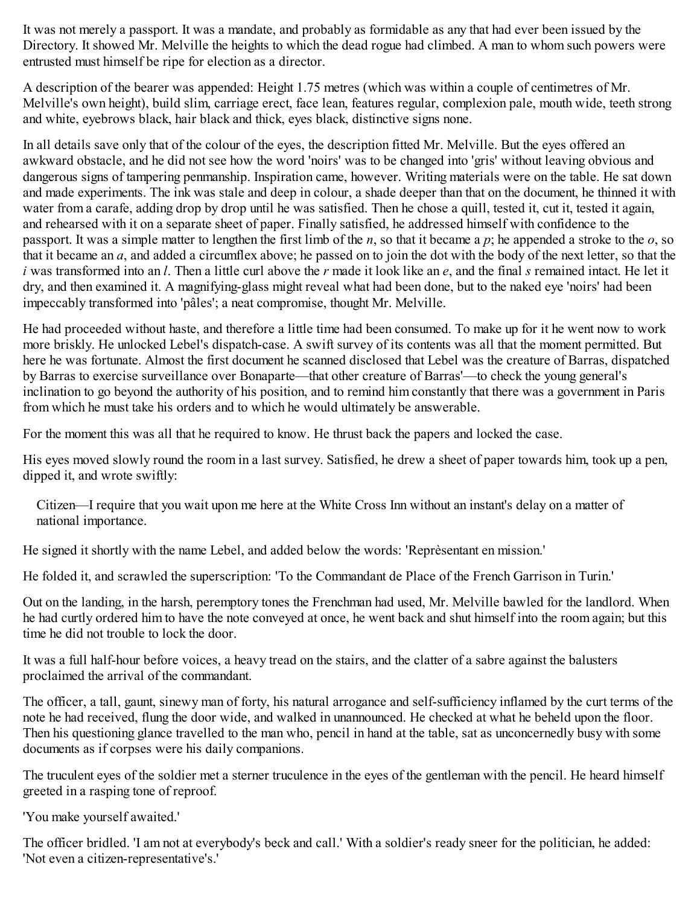It was not merely a passport. It was a mandate, and probably as formidable as any that had ever been issued by the Directory. It showed Mr. Melville the heights to which the dead rogue had climbed. A man to whom such powers were entrusted must himself be ripe for election as a director.

A description of the bearer was appended: Height 1.75 metres (which was within a couple of centimetres of Mr. Melville's own height), build slim, carriage erect, face lean, features regular, complexion pale, mouth wide, teeth strong and white, eyebrows black, hair black and thick, eyes black, distinctive signs none.

In all details save only that of the colour of the eyes, the description fitted Mr. Melville. But the eyes offered an awkward obstacle, and he did not see how the word 'noirs' was to be changed into 'gris' without leaving obvious and dangerous signs of tampering penmanship. Inspiration came, however. Writing materials were on the table. He sat down and made experiments. The ink was stale and deep in colour, a shade deeper than that on the document, he thinned it with water from a carafe, adding drop by drop until he was satisfied. Then he chose a quill, tested it, cut it, tested it again, and rehearsed with it on a separate sheet of paper. Finally satisfied, he addressed himself with confidence to the passport. It was a simple matter to lengthen the first limb of the *n*, so that it became a *p*; he appended a stroke to the *o*, so that it became an *a*, and added a circumflex above; he passed on to join the dot with the body of the next letter, so that the *i* was transformed into an *l*. Then a little curl above the *r* made it look like an *e*, and the final *s* remained intact. He let it dry, and then examined it. A magnifying-glass might reveal what had been done, but to the naked eye 'noirs' had been impeccably transformed into 'pâles'; a neat compromise, thought Mr. Melville.

He had proceeded without haste, and therefore a little time had been consumed. To make up for it he went now to work more briskly. He unlocked Lebel's dispatch-case. A swift survey of its contents was all that the moment permitted. But here he was fortunate. Almost the first document he scanned disclosed that Lebel was the creature of Barras, dispatched by Barras to exercise surveillance over Bonaparte—that other creature of Barras'—to check the young general's inclination to go beyond the authority of his position, and to remind him constantly that there was a government in Paris from which he must take his orders and to which he would ultimately be answerable.

For the moment this was all that he required to know. He thrust back the papers and locked the case.

His eyes moved slowly round the room in a last survey. Satisfied, he drew a sheet of paper towards him, took up a pen, dipped it, and wrote swiftly:

Citizen—I require that you wait upon me here at the White Cross Inn without an instant's delay on a matter of national importance.

He signed it shortly with the name Lebel, and added below the words: 'Reprèsentant en mission.'

He folded it, and scrawled the superscription: 'To the Commandant de Place of the French Garrison in Turin.'

Out on the landing, in the harsh, peremptory tones the Frenchman had used, Mr. Melville bawled for the landlord. When he had curtly ordered him to have the note conveyed at once, he went back and shut himself into the room again; but this time he did not trouble to lock the door.

It was a full half-hour before voices, a heavy tread on the stairs, and the clatter of a sabre against the balusters proclaimed the arrival of the commandant.

The officer, a tall, gaunt, sinewy man of forty, his natural arrogance and self-sufficiency inflamed by the curt terms of the note he had received, flung the door wide, and walked in unannounced. He checked at what he beheld upon the floor. Then his questioning glance travelled to the man who, pencil in hand at the table, sat as unconcernedly busy with some documents as if corpses were his daily companions.

The truculent eyes of the soldier met a sterner truculence in the eyes of the gentleman with the pencil. He heard himself greeted in a rasping tone of reproof.

'You make yourself awaited.'

The officer bridled. 'I am not at everybody's beck and call.' With a soldier's ready sneer for the politician, he added: 'Not even a citizen-representative's.'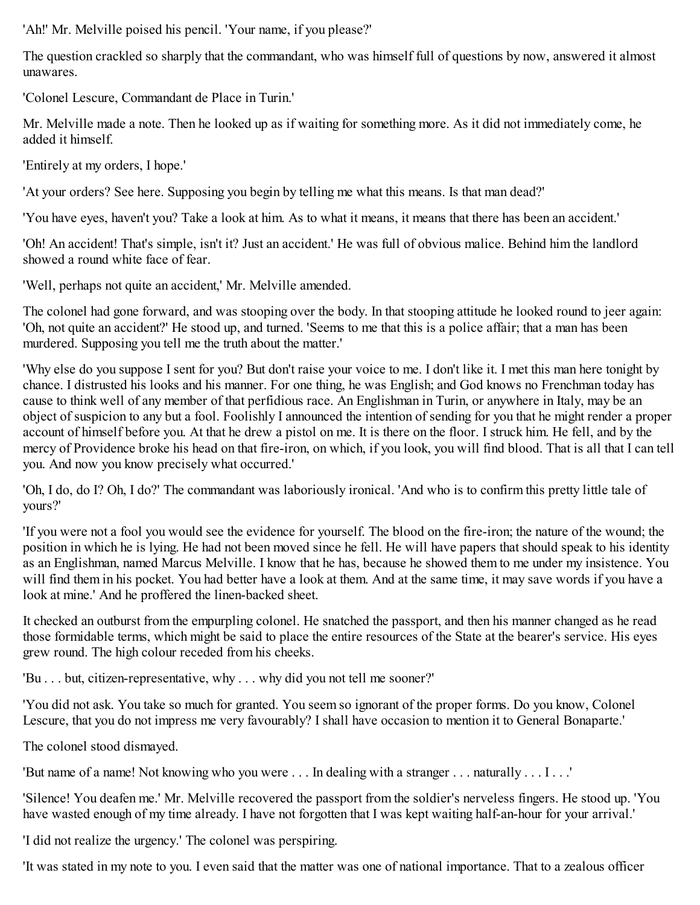'Ah!' Mr. Melville poised his pencil. 'Your name, if you please?'

The question crackled so sharply that the commandant, who was himself full of questions by now, answered it almost unawares.

'Colonel Lescure, Commandant de Place in Turin.'

Mr. Melville made a note. Then he looked up as if waiting for something more. As it did not immediately come, he added it himself.

'Entirely at my orders, I hope.'

'At your orders? See here. Supposing you begin by telling me what this means. Is that man dead?'

'You have eyes, haven't you? Take a look at him. As to what it means, it means that there has been an accident.'

'Oh! An accident! That's simple, isn't it? Just an accident.' He was full of obvious malice. Behind him the landlord showed a round white face of fear.

'Well, perhaps not quite an accident,' Mr. Melville amended.

The colonel had gone forward, and was stooping over the body. In that stooping attitude he looked round to jeer again: 'Oh, not quite an accident?' He stood up, and turned. 'Seems to me that this is a police affair; that a man has been murdered. Supposing you tell me the truth about the matter.'

'Why else do you suppose I sent for you? But don't raise your voice to me. I don't like it. I met this man here tonight by chance. I distrusted his looks and his manner. For one thing, he was English; and God knows no Frenchman today has cause to think well of any member of that perfidious race. An Englishman in Turin, or anywhere in Italy, may be an object of suspicion to any but a fool. Foolishly I announced the intention of sending for you that he might render a proper account of himself before you. At that he drew a pistol on me. It is there on the floor. I struck him. He fell, and by the mercy of Providence broke his head on that fire-iron, on which, if you look, you will find blood. That is all that I can tell you. And now you know precisely what occurred.'

'Oh, I do, do I? Oh, I do?' The commandant was laboriously ironical. 'And who is to confirm this pretty little tale of yours?'

'If you were not a fool you would see the evidence for yourself. The blood on the fire-iron; the nature of the wound; the position in which he is lying. He had not been moved since he fell. He will have papers that should speak to his identity as an Englishman, named Marcus Melville. I know that he has, because he showed them to me under my insistence. You will find them in his pocket. You had better have a look at them. And at the same time, it may save words if you have a look at mine.' And he proffered the linen-backed sheet.

It checked an outburst from the empurpling colonel. He snatched the passport, and then his manner changed as he read those formidable terms, which might be said to place the entire resources of the State at the bearer's service. His eyes grew round. The high colour receded from his cheeks.

'Bu . . . but, citizen-representative, why . . . why did you not tell me sooner?'

'You did not ask. You take so much for granted. You seem so ignorant of the proper forms. Do you know, Colonel Lescure, that you do not impress me very favourably? I shall have occasion to mention it to General Bonaparte.'

The colonel stood dismayed.

'But name of a name! Not knowing who you were . . . In dealing with a stranger . . . naturally . . . I . . .'

'Silence! You deafen me.' Mr. Melville recovered the passport from the soldier's nerveless fingers. He stood up. 'You have wasted enough of my time already. I have not forgotten that I was kept waiting half-an-hour for your arrival.'

'I did not realize the urgency.' The colonel was perspiring.

'It was stated in my note to you. I even said that the matter was one of national importance. That to a zealous officer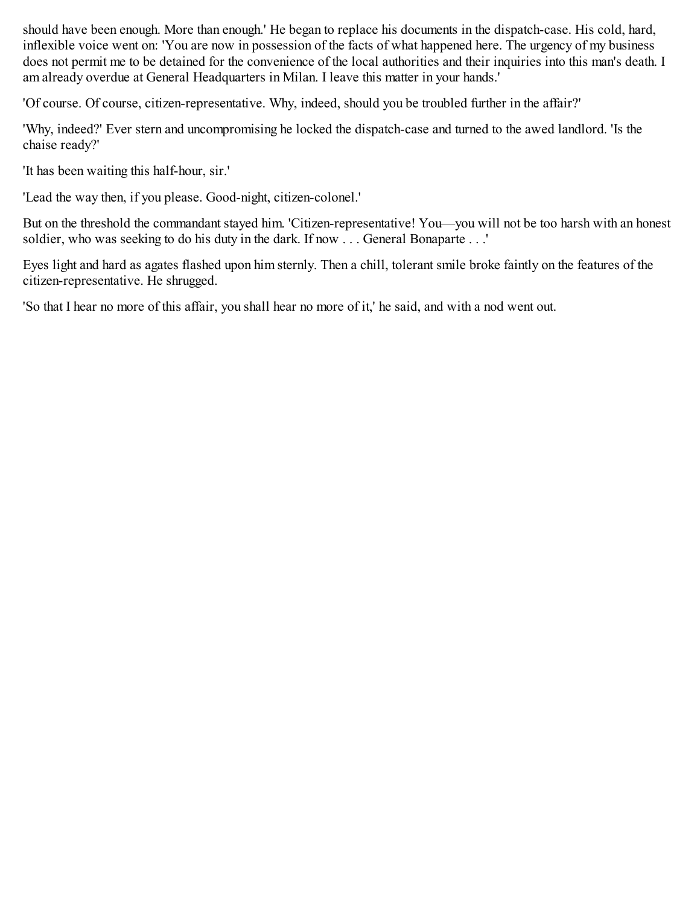should have been enough. More than enough.' He began to replace his documents in the dispatch-case. His cold, hard, inflexible voice went on: 'You are now in possession of the facts of what happened here. The urgency of my business does not permit me to be detained for the convenience of the local authorities and their inquiries into this man's death. I am already overdue at General Headquarters in Milan. I leave this matter in your hands.'

'Of course. Of course, citizen-representative. Why, indeed, should you be troubled further in the affair?'

'Why, indeed?' Ever stern and uncompromising he locked the dispatch-case and turned to the awed landlord. 'Is the chaise ready?'

'It has been waiting this half-hour, sir.'

'Lead the way then, if you please. Good-night, citizen-colonel.'

But on the threshold the commandant stayed him. 'Citizen-representative! You—you will not be too harsh with an honest soldier, who was seeking to do his duty in the dark. If now . . . General Bonaparte . . .'

Eyes light and hard as agates flashed upon him sternly. Then a chill, tolerant smile broke faintly on the features of the citizen-representative. He shrugged.

'So that I hear no more of this affair, you shall hear no more of it,' he said, and with a nod went out.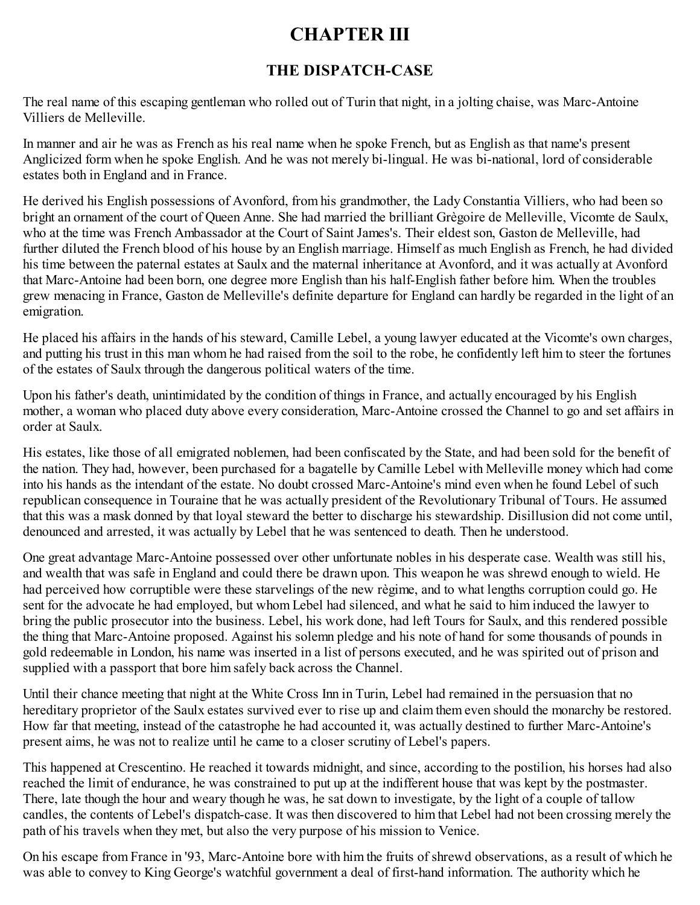## **CHAPTER III**

### **THE DISPATCH-CASE**

<span id="page-11-0"></span>The real name of this escaping gentleman who rolled out of Turin that night, in a jolting chaise, was Marc-Antoine Villiers de Melleville.

In manner and air he was as French as his real name when he spoke French, but as English as that name's present Anglicized form when he spoke English. And he was not merely bi-lingual. He was bi-national, lord of considerable estates both in England and in France.

He derived his English possessions of Avonford, from his grandmother, the Lady Constantia Villiers, who had been so bright an ornament of the court of Queen Anne. She had married the brilliant Grègoire de Melleville, Vicomte de Saulx, who at the time was French Ambassador at the Court of Saint James's. Their eldest son, Gaston de Melleville, had further diluted the French blood of his house by an English marriage. Himself as much English as French, he had divided his time between the paternal estates at Saulx and the maternal inheritance at Avonford, and it was actually at Avonford that Marc-Antoine had been born, one degree more English than his half-English father before him. When the troubles grew menacing in France, Gaston de Melleville's definite departure for England can hardly be regarded in the light of an emigration.

He placed his affairs in the hands of his steward, Camille Lebel, a young lawyer educated at the Vicomte's own charges, and putting his trust in this man whom he had raised from the soil to the robe, he confidently left him to steer the fortunes of the estates of Saulx through the dangerous political waters of the time.

Upon his father's death, unintimidated by the condition of things in France, and actually encouraged by his English mother, a woman who placed duty above every consideration, Marc-Antoine crossed the Channel to go and set affairs in order at Saulx.

His estates, like those of all emigrated noblemen, had been confiscated by the State, and had been sold for the benefit of the nation. They had, however, been purchased for a bagatelle by Camille Lebel with Melleville money which had come into his hands as the intendant of the estate. No doubt crossed Marc-Antoine's mind even when he found Lebel of such republican consequence in Touraine that he was actually president of the Revolutionary Tribunal of Tours. He assumed that this was a mask donned by that loyal steward the better to discharge his stewardship. Disillusion did not come until, denounced and arrested, it was actually by Lebel that he was sentenced to death. Then he understood.

One great advantage Marc-Antoine possessed over other unfortunate nobles in his desperate case. Wealth was still his, and wealth that was safe in England and could there be drawn upon. This weapon he was shrewd enough to wield. He had perceived how corruptible were these starvelings of the new règime, and to what lengths corruption could go. He sent for the advocate he had employed, but whom Lebel had silenced, and what he said to him induced the lawyer to bring the public prosecutor into the business. Lebel, his work done, had left Tours for Saulx, and this rendered possible the thing that Marc-Antoine proposed. Against his solemn pledge and his note of hand for some thousands of pounds in gold redeemable in London, his name was inserted in a list of persons executed, and he was spirited out of prison and supplied with a passport that bore him safely back across the Channel.

Until their chance meeting that night at the White Cross Inn in Turin, Lebel had remained in the persuasion that no hereditary proprietor of the Saulx estates survived ever to rise up and claim them even should the monarchy be restored. How far that meeting, instead of the catastrophe he had accounted it, was actually destined to further Marc-Antoine's present aims, he was not to realize until he came to a closer scrutiny of Lebel's papers.

This happened at Crescentino. He reached it towards midnight, and since, according to the postilion, his horses had also reached the limit of endurance, he was constrained to put up at the indifferent house that was kept by the postmaster. There, late though the hour and weary though he was, he sat down to investigate, by the light of a couple of tallow candles, the contents of Lebel's dispatch-case. It was then discovered to him that Lebel had not been crossing merely the path of his travels when they met, but also the very purpose of his mission to Venice.

On his escape from France in '93, Marc-Antoine bore with him the fruits of shrewd observations, as a result of which he was able to convey to King George's watchful government a deal of first-hand information. The authority which he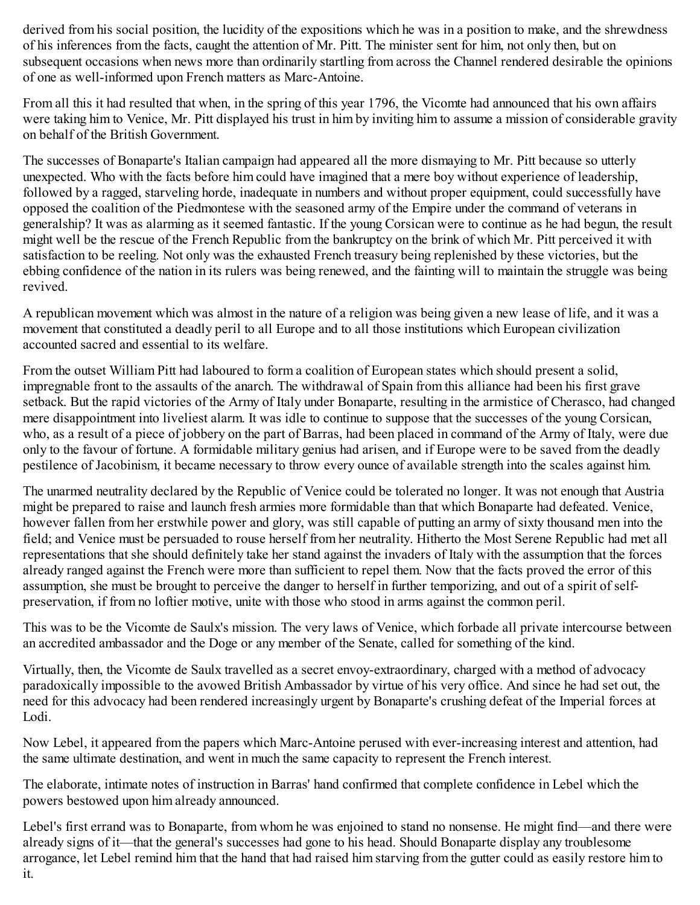derived from his social position, the lucidity of the expositions which he was in a position to make, and the shrewdness of his inferences from the facts, caught the attention of Mr. Pitt. The minister sent for him, not only then, but on subsequent occasions when news more than ordinarily startling from across the Channel rendered desirable the opinions of one as well-informed upon French matters as Marc-Antoine.

From all this it had resulted that when, in the spring of this year 1796, the Vicomte had announced that his own affairs were taking him to Venice, Mr. Pitt displayed his trust in him by inviting him to assume a mission of considerable gravity on behalf of the British Government.

The successes of Bonaparte's Italian campaign had appeared all the more dismaying to Mr. Pitt because so utterly unexpected. Who with the facts before him could have imagined that a mere boy without experience of leadership, followed by a ragged, starveling horde, inadequate in numbers and without proper equipment, could successfully have opposed the coalition of the Piedmontese with the seasoned army of the Empire under the command of veterans in generalship? It was as alarming as it seemed fantastic. If the young Corsican were to continue as he had begun, the result might well be the rescue of the French Republic from the bankruptcy on the brink of which Mr. Pitt perceived it with satisfaction to be reeling. Not only was the exhausted French treasury being replenished by these victories, but the ebbing confidence of the nation in its rulers was being renewed, and the fainting will to maintain the struggle was being revived.

A republican movement which was almost in the nature of a religion was being given a new lease of life, and it was a movement that constituted a deadly peril to all Europe and to all those institutions which European civilization accounted sacred and essential to its welfare.

From the outset William Pitt had laboured to form a coalition of European states which should present a solid, impregnable front to the assaults of the anarch. The withdrawal of Spain from this alliance had been his first grave setback. But the rapid victories of the Army of Italy under Bonaparte, resulting in the armistice of Cherasco, had changed mere disappointment into liveliest alarm. It was idle to continue to suppose that the successes of the young Corsican, who, as a result of a piece of jobbery on the part of Barras, had been placed in command of the Army of Italy, were due only to the favour of fortune. A formidable military genius had arisen, and if Europe were to be saved from the deadly pestilence of Jacobinism, it became necessary to throw every ounce of available strength into the scales against him.

The unarmed neutrality declared by the Republic of Venice could be tolerated no longer. It was not enough that Austria might be prepared to raise and launch fresh armies more formidable than that which Bonaparte had defeated. Venice, however fallen from her erstwhile power and glory, was still capable of putting an army of sixty thousand men into the field; and Venice must be persuaded to rouse herself from her neutrality. Hitherto the Most Serene Republic had met all representations that she should definitely take her stand against the invaders of Italy with the assumption that the forces already ranged against the French were more than sufficient to repel them. Now that the facts proved the error of this assumption, she must be brought to perceive the danger to herself in further temporizing, and out of a spirit of selfpreservation, if from no loftier motive, unite with those who stood in arms against the common peril.

This was to be the Vicomte de Saulx's mission. The very laws of Venice, which forbade all private intercourse between an accredited ambassador and the Doge or any member of the Senate, called for something of the kind.

Virtually, then, the Vicomte de Saulx travelled as a secret envoy-extraordinary, charged with a method of advocacy paradoxically impossible to the avowed British Ambassador by virtue of his very office. And since he had set out, the need for this advocacy had been rendered increasingly urgent by Bonaparte's crushing defeat of the Imperial forces at Lodi.

Now Lebel, it appeared from the papers which Marc-Antoine perused with ever-increasing interest and attention, had the same ultimate destination, and went in much the same capacity to represent the French interest.

The elaborate, intimate notes of instruction in Barras' hand confirmed that complete confidence in Lebel which the powers bestowed upon him already announced.

Lebel's first errand was to Bonaparte, from whom he was enjoined to stand no nonsense. He might find—and there were already signs of it—that the general's successes had gone to his head. Should Bonaparte display any troublesome arrogance, let Lebel remind him that the hand that had raised him starving from the gutter could as easily restore him to it.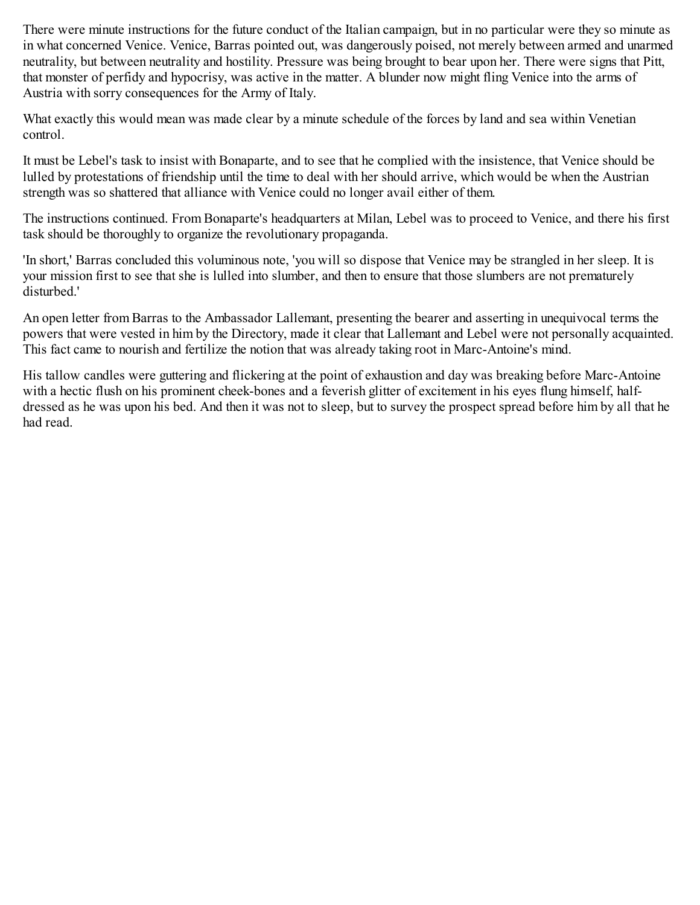There were minute instructions for the future conduct of the Italian campaign, but in no particular were they so minute as in what concerned Venice. Venice, Barras pointed out, was dangerously poised, not merely between armed and unarmed neutrality, but between neutrality and hostility. Pressure was being brought to bear upon her. There were signs that Pitt, that monster of perfidy and hypocrisy, was active in the matter. A blunder now might fling Venice into the arms of Austria with sorry consequences for the Army of Italy.

What exactly this would mean was made clear by a minute schedule of the forces by land and sea within Venetian control.

It must be Lebel's task to insist with Bonaparte, and to see that he complied with the insistence, that Venice should be lulled by protestations of friendship until the time to deal with her should arrive, which would be when the Austrian strength was so shattered that alliance with Venice could no longer avail either of them.

The instructions continued. From Bonaparte's headquarters at Milan, Lebel was to proceed to Venice, and there his first task should be thoroughly to organize the revolutionary propaganda.

'In short,' Barras concluded this voluminous note, 'you will so dispose that Venice may be strangled in her sleep. It is your mission first to see that she is lulled into slumber, and then to ensure that those slumbers are not prematurely disturbed.'

An open letter from Barras to the Ambassador Lallemant, presenting the bearer and asserting in unequivocal terms the powers that were vested in him by the Directory, made it clear that Lallemant and Lebel were not personally acquainted. This fact came to nourish and fertilize the notion that was already taking root in Marc-Antoine's mind.

His tallow candles were guttering and flickering at the point of exhaustion and day was breaking before Marc-Antoine with a hectic flush on his prominent cheek-bones and a feverish glitter of excitement in his eyes flung himself, halfdressed as he was upon his bed. And then it was not to sleep, but to survey the prospect spread before him by all that he had read.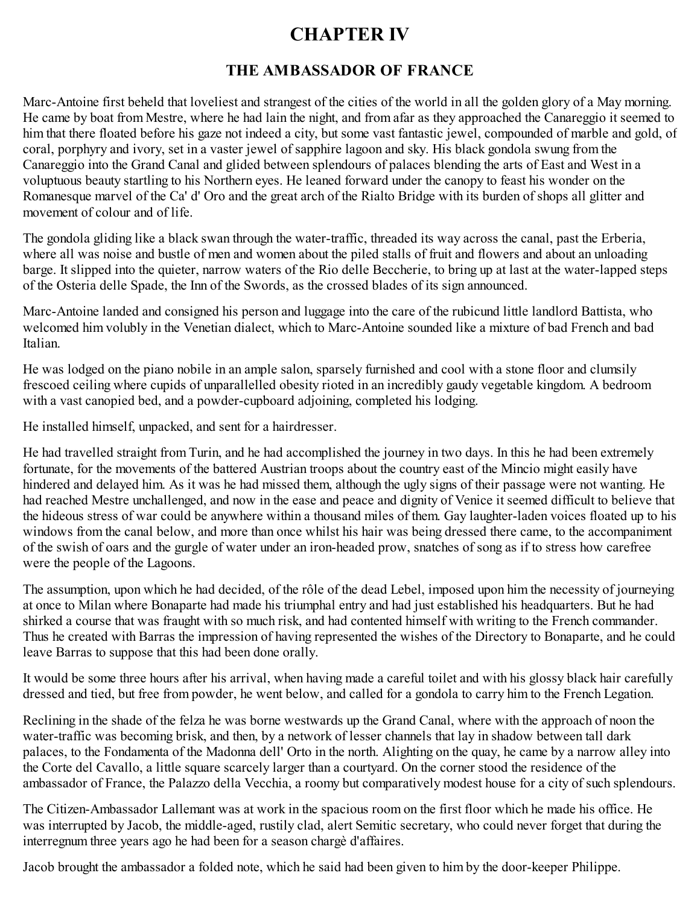## **CHAPTER IV**

### **THE AMBASSADOR OF FRANCE**

<span id="page-14-0"></span>Marc-Antoine first beheld that loveliest and strangest of the cities of the world in all the golden glory of a May morning. He came by boat from Mestre, where he had lain the night, and from afar as they approached the Canareggio it seemed to him that there floated before his gaze not indeed a city, but some vast fantastic jewel, compounded of marble and gold, of coral, porphyry and ivory, set in a vaster jewel of sapphire lagoon and sky. His black gondola swung from the Canareggio into the Grand Canal and glided between splendours of palaces blending the arts of East and West in a voluptuous beauty startling to his Northern eyes. He leaned forward under the canopy to feast his wonder on the Romanesque marvel of the Ca' d' Oro and the great arch of the Rialto Bridge with its burden of shops all glitter and movement of colour and of life.

The gondola gliding like a black swan through the water-traffic, threaded its way across the canal, past the Erberia, where all was noise and bustle of men and women about the piled stalls of fruit and flowers and about an unloading barge. It slipped into the quieter, narrow waters of the Rio delle Beccherie, to bring up at last at the water-lapped steps of the Osteria delle Spade, the Inn of the Swords, as the crossed blades of its sign announced.

Marc-Antoine landed and consigned his person and luggage into the care of the rubicund little landlord Battista, who welcomed him volubly in the Venetian dialect, which to Marc-Antoine sounded like a mixture of bad French and bad Italian.

He was lodged on the piano nobile in an ample salon, sparsely furnished and cool with a stone floor and clumsily frescoed ceiling where cupids of unparallelled obesity rioted in an incredibly gaudy vegetable kingdom. A bedroom with a vast canopied bed, and a powder-cupboard adjoining, completed his lodging.

He installed himself, unpacked, and sent for a hairdresser.

He had travelled straight from Turin, and he had accomplished the journey in two days. In this he had been extremely fortunate, for the movements of the battered Austrian troops about the country east of the Mincio might easily have hindered and delayed him. As it was he had missed them, although the ugly signs of their passage were not wanting. He had reached Mestre unchallenged, and now in the ease and peace and dignity of Venice it seemed difficult to believe that the hideous stress of war could be anywhere within a thousand miles of them. Gay laughter-laden voices floated up to his windows from the canal below, and more than once whilst his hair was being dressed there came, to the accompaniment of the swish of oars and the gurgle of water under an iron-headed prow, snatches of song as if to stress how carefree were the people of the Lagoons.

The assumption, upon which he had decided, of the rôle of the dead Lebel, imposed upon him the necessity of journeying at once to Milan where Bonaparte had made his triumphal entry and had just established his headquarters. But he had shirked a course that was fraught with so much risk, and had contented himself with writing to the French commander. Thus he created with Barras the impression of having represented the wishes of the Directory to Bonaparte, and he could leave Barras to suppose that this had been done orally.

It would be some three hours after his arrival, when having made a careful toilet and with his glossy black hair carefully dressed and tied, but free from powder, he went below, and called for a gondola to carry him to the French Legation.

Reclining in the shade of the felza he was borne westwards up the Grand Canal, where with the approach of noon the water-traffic was becoming brisk, and then, by a network of lesser channels that lay in shadow between tall dark palaces, to the Fondamenta of the Madonna dell' Orto in the north. Alighting on the quay, he came by a narrow alley into the Corte del Cavallo, a little square scarcely larger than a courtyard. On the corner stood the residence of the ambassador of France, the Palazzo della Vecchia, a roomy but comparatively modest house for a city of such splendours.

The Citizen-Ambassador Lallemant was at work in the spacious room on the first floor which he made his office. He was interrupted by Jacob, the middle-aged, rustily clad, alert Semitic secretary, who could never forget that during the interregnum three years ago he had been for a season chargè d'affaires.

Jacob brought the ambassador a folded note, which he said had been given to him by the door-keeper Philippe.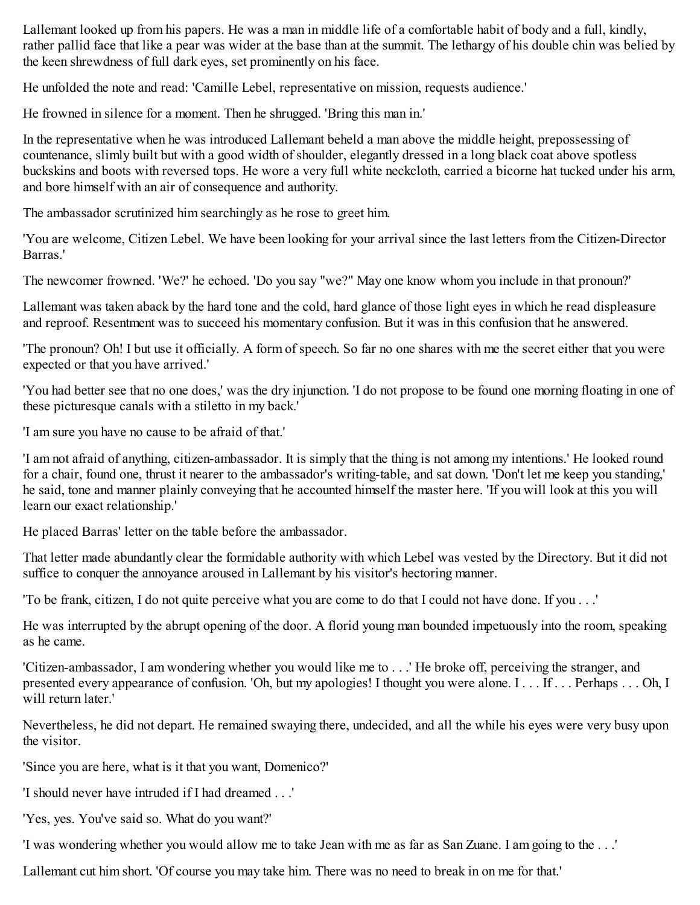Lallemant looked up from his papers. He was a man in middle life of a comfortable habit of body and a full, kindly, rather pallid face that like a pear was wider at the base than at the summit. The lethargy of his double chin was belied by the keen shrewdness of full dark eyes, set prominently on his face.

He unfolded the note and read: 'Camille Lebel, representative on mission, requests audience.'

He frowned in silence for a moment. Then he shrugged. 'Bring this man in.'

In the representative when he was introduced Lallemant beheld a man above the middle height, prepossessing of countenance, slimly built but with a good width of shoulder, elegantly dressed in a long black coat above spotless buckskins and boots with reversed tops. He wore a very full white neckcloth, carried a bicorne hat tucked under his arm, and bore himself with an air of consequence and authority.

The ambassador scrutinized him searchingly as he rose to greet him.

'You are welcome, Citizen Lebel. We have been looking for your arrival since the last letters from the Citizen-Director Barras.'

The newcomer frowned. 'We?' he echoed. 'Do you say "we?" May one know whom you include in that pronoun?'

Lallemant was taken aback by the hard tone and the cold, hard glance of those light eyes in which he read displeasure and reproof. Resentment was to succeed his momentary confusion. But it was in this confusion that he answered.

'The pronoun? Oh! I but use it officially. A form of speech. So far no one shares with me the secret either that you were expected or that you have arrived.'

'You had better see that no one does,' was the dry injunction. 'I do not propose to be found one morning floating in one of these picturesque canals with a stiletto in my back.'

'I am sure you have no cause to be afraid of that.'

'I am not afraid of anything, citizen-ambassador. It is simply that the thing is not among my intentions.' He looked round for a chair, found one, thrust it nearer to the ambassador's writing-table, and sat down. 'Don't let me keep you standing,' he said, tone and manner plainly conveying that he accounted himself the master here. 'If you will look at this you will learn our exact relationship.'

He placed Barras' letter on the table before the ambassador.

That letter made abundantly clear the formidable authority with which Lebel was vested by the Directory. But it did not suffice to conquer the annoyance aroused in Lallemant by his visitor's hectoring manner.

'To be frank, citizen, I do not quite perceive what you are come to do that I could not have done. If you . . .'

He was interrupted by the abrupt opening of the door. A florid young man bounded impetuously into the room, speaking as he came.

'Citizen-ambassador, I am wondering whether you would like me to . . .' He broke off, perceiving the stranger, and presented every appearance of confusion. 'Oh, but my apologies! I thought you were alone. I . . . If . . . Perhaps . . . Oh, I will return later.'

Nevertheless, he did not depart. He remained swaying there, undecided, and all the while his eyes were very busy upon the visitor.

'Since you are here, what is it that you want, Domenico?'

'I should never have intruded if I had dreamed . . .'

'Yes, yes. You've said so. What do you want?'

'I was wondering whether you would allow me to take Jean with me as far as San Zuane. I am going to the . . .'

Lallemant cut him short. 'Of course you may take him. There was no need to break in on me for that.'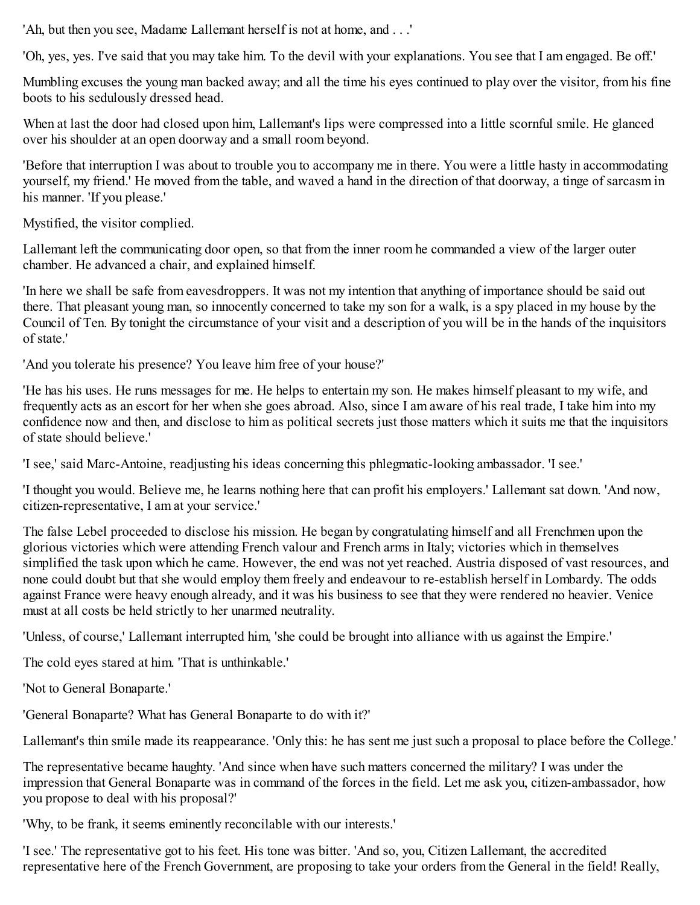'Ah, but then you see, Madame Lallemant herself is not at home, and . . .'

'Oh, yes, yes. I've said that you may take him. To the devil with your explanations. You see that I am engaged. Be off.'

Mumbling excuses the young man backed away; and all the time his eyes continued to play over the visitor, from his fine boots to his sedulously dressed head.

When at last the door had closed upon him, Lallemant's lips were compressed into a little scornful smile. He glanced over his shoulder at an open doorway and a small room beyond.

'Before that interruption I was about to trouble you to accompany me in there. You were a little hasty in accommodating yourself, my friend.' He moved from the table, and waved a hand in the direction of that doorway, a tinge of sarcasm in his manner. 'If you please.'

Mystified, the visitor complied.

Lallemant left the communicating door open, so that from the inner room he commanded a view of the larger outer chamber. He advanced a chair, and explained himself.

'In here we shall be safe from eavesdroppers. It was not my intention that anything of importance should be said out there. That pleasant young man, so innocently concerned to take my son for a walk, is a spy placed in my house by the Council of Ten. By tonight the circumstance of your visit and a description of you will be in the hands of the inquisitors of state.'

'And you tolerate his presence? You leave him free of your house?'

'He has his uses. He runs messages for me. He helps to entertain my son. He makes himself pleasant to my wife, and frequently acts as an escort for her when she goes abroad. Also, since I am aware of his real trade, I take him into my confidence now and then, and disclose to him as political secrets just those matters which it suits me that the inquisitors of state should believe.'

'I see,' said Marc-Antoine, readjusting his ideas concerning this phlegmatic-looking ambassador. 'I see.'

'I thought you would. Believe me, he learns nothing here that can profit his employers.' Lallemant sat down. 'And now, citizen-representative, I am at your service.'

The false Lebel proceeded to disclose his mission. He began by congratulating himself and all Frenchmen upon the glorious victories which were attending French valour and French arms in Italy; victories which in themselves simplified the task upon which he came. However, the end was not yet reached. Austria disposed of vast resources, and none could doubt but that she would employ them freely and endeavour to re-establish herself in Lombardy. The odds against France were heavy enough already, and it was his business to see that they were rendered no heavier. Venice must at all costs be held strictly to her unarmed neutrality.

'Unless, of course,' Lallemant interrupted him, 'she could be brought into alliance with us against the Empire.'

The cold eyes stared at him. 'That is unthinkable.'

'Not to General Bonaparte.'

'General Bonaparte? What has General Bonaparte to do with it?'

Lallemant's thin smile made its reappearance. 'Only this: he has sent me just such a proposal to place before the College.'

The representative became haughty. 'And since when have such matters concerned the military? I was under the impression that General Bonaparte was in command of the forces in the field. Let me ask you, citizen-ambassador, how you propose to deal with his proposal?'

'Why, to be frank, it seems eminently reconcilable with our interests.'

'I see.' The representative got to his feet. His tone was bitter. 'And so, you, Citizen Lallemant, the accredited representative here of the French Government, are proposing to take your orders from the General in the field! Really,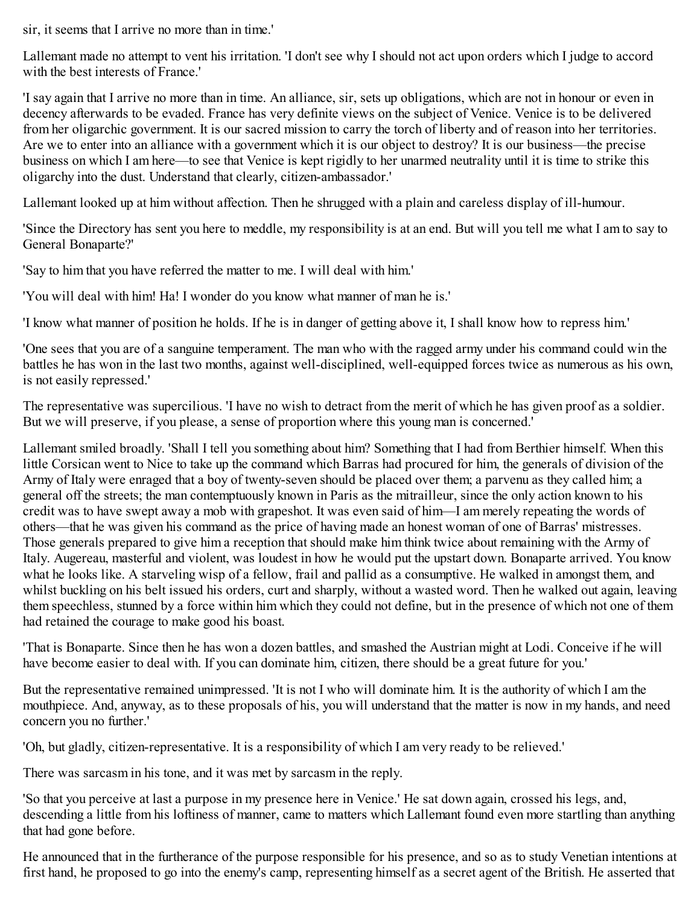sir, it seems that I arrive no more than in time.'

Lallemant made no attempt to vent his irritation. 'I don't see why I should not act upon orders which I judge to accord with the best interests of France.'

'I say again that I arrive no more than in time. An alliance, sir, sets up obligations, which are not in honour or even in decency afterwards to be evaded. France has very definite views on the subject of Venice. Venice is to be delivered from her oligarchic government. It is our sacred mission to carry the torch of liberty and of reason into her territories. Are we to enter into an alliance with a government which it is our object to destroy? It is our business—the precise business on which I am here—to see that Venice is kept rigidly to her unarmed neutrality until it is time to strike this oligarchy into the dust. Understand that clearly, citizen-ambassador.'

Lallemant looked up at him without affection. Then he shrugged with a plain and careless display of ill-humour.

'Since the Directory has sent you here to meddle, my responsibility is at an end. But will you tell me what I am to say to General Bonaparte?'

'Say to him that you have referred the matter to me. I will deal with him.'

'You will deal with him! Ha! I wonder do you know what manner of man he is.'

'I know what manner of position he holds. If he is in danger of getting above it, I shall know how to repress him.'

'One sees that you are of a sanguine temperament. The man who with the ragged army under his command could win the battles he has won in the last two months, against well-disciplined, well-equipped forces twice as numerous as his own, is not easily repressed.'

The representative was supercilious. 'I have no wish to detract from the merit of which he has given proof as a soldier. But we will preserve, if you please, a sense of proportion where this young man is concerned.'

Lallemant smiled broadly. 'Shall I tell you something about him? Something that I had from Berthier himself. When this little Corsican went to Nice to take up the command which Barras had procured for him, the generals of division of the Army of Italy were enraged that a boy of twenty-seven should be placed over them; a parvenu as they called him; a general off the streets; the man contemptuously known in Paris as the mitrailleur, since the only action known to his credit was to have swept away a mob with grapeshot. It was even said of him—I am merely repeating the words of others—that he was given his command as the price of having made an honest woman of one of Barras' mistresses. Those generals prepared to give him a reception that should make him think twice about remaining with the Army of Italy. Augereau, masterful and violent, was loudest in how he would put the upstart down. Bonaparte arrived. You know what he looks like. A starveling wisp of a fellow, frail and pallid as a consumptive. He walked in amongst them, and whilst buckling on his belt issued his orders, curt and sharply, without a wasted word. Then he walked out again, leaving them speechless, stunned by a force within him which they could not define, but in the presence of which not one of them had retained the courage to make good his boast.

'That is Bonaparte. Since then he has won a dozen battles, and smashed the Austrian might at Lodi. Conceive if he will have become easier to deal with. If you can dominate him, citizen, there should be a great future for you.'

But the representative remained unimpressed. 'It is not I who will dominate him. It is the authority of which I am the mouthpiece. And, anyway, as to these proposals of his, you will understand that the matter is now in my hands, and need concern you no further.'

'Oh, but gladly, citizen-representative. It is a responsibility of which I am very ready to be relieved.'

There was sarcasm in his tone, and it was met by sarcasm in the reply.

'So that you perceive at last a purpose in my presence here in Venice.' He sat down again, crossed his legs, and, descending a little from his loftiness of manner, came to matters which Lallemant found even more startling than anything that had gone before.

He announced that in the furtherance of the purpose responsible for his presence, and so as to study Venetian intentions at first hand, he proposed to go into the enemy's camp, representing himself as a secret agent of the British. He asserted that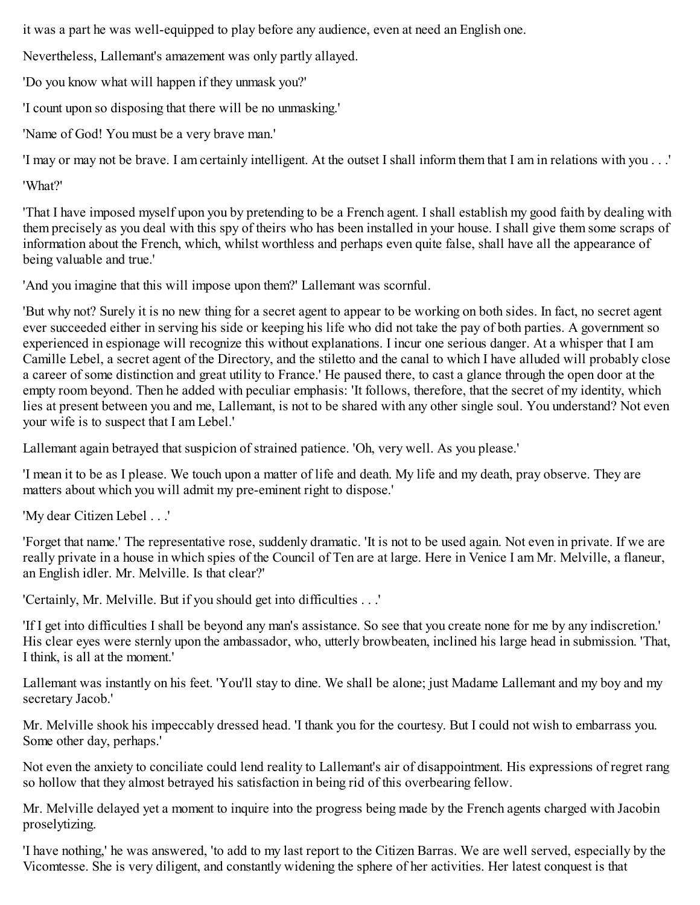it was a part he was well-equipped to play before any audience, even at need an English one.

Nevertheless, Lallemant's amazement was only partly allayed.

'Do you know what will happen if they unmask you?'

'I count upon so disposing that there will be no unmasking.'

'Name of God! You must be a very brave man.'

'I may or may not be brave. I am certainly intelligent. At the outset I shall inform them that I am in relations with you . . .'

'What?'

'That I have imposed myself upon you by pretending to be a French agent. I shall establish my good faith by dealing with them precisely as you deal with this spy of theirs who has been installed in your house. I shall give them some scraps of information about the French, which, whilst worthless and perhaps even quite false, shall have all the appearance of being valuable and true.'

'And you imagine that this will impose upon them?' Lallemant was scornful.

'But why not? Surely it is no new thing for a secret agent to appear to be working on both sides. In fact, no secret agent ever succeeded either in serving his side or keeping his life who did not take the pay of both parties. A government so experienced in espionage will recognize this without explanations. I incur one serious danger. At a whisper that I am Camille Lebel, a secret agent of the Directory, and the stiletto and the canal to which I have alluded will probably close a career of some distinction and great utility to France.' He paused there, to cast a glance through the open door at the empty room beyond. Then he added with peculiar emphasis: 'It follows, therefore, that the secret of my identity, which lies at present between you and me, Lallemant, is not to be shared with any other single soul. You understand? Not even your wife is to suspect that I am Lebel.'

Lallemant again betrayed that suspicion of strained patience. 'Oh, very well. As you please.'

'I mean it to be as I please. We touch upon a matter of life and death. My life and my death, pray observe. They are matters about which you will admit my pre-eminent right to dispose.'

'My dear Citizen Lebel . . .'

'Forget that name.' The representative rose, suddenly dramatic. 'It is not to be used again. Not even in private. If we are really private in a house in which spies of the Council of Ten are at large. Here in Venice I am Mr. Melville, a flaneur, an English idler. Mr. Melville. Is that clear?'

'Certainly, Mr. Melville. But if you should get into difficulties . . .'

'If I get into difficulties I shall be beyond any man's assistance. So see that you create none for me by any indiscretion.' His clear eyes were sternly upon the ambassador, who, utterly browbeaten, inclined his large head in submission. 'That, I think, is all at the moment.'

Lallemant was instantly on his feet. 'You'll stay to dine. We shall be alone; just Madame Lallemant and my boy and my secretary Jacob.'

Mr. Melville shook his impeccably dressed head. 'I thank you for the courtesy. But I could not wish to embarrass you. Some other day, perhaps.'

Not even the anxiety to conciliate could lend reality to Lallemant's air of disappointment. His expressions of regret rang so hollow that they almost betrayed his satisfaction in being rid of this overbearing fellow.

Mr. Melville delayed yet a moment to inquire into the progress being made by the French agents charged with Jacobin proselytizing.

'I have nothing,' he was answered, 'to add to my last report to the Citizen Barras. We are well served, especially by the Vicomtesse. She is very diligent, and constantly widening the sphere of her activities. Her latest conquest is that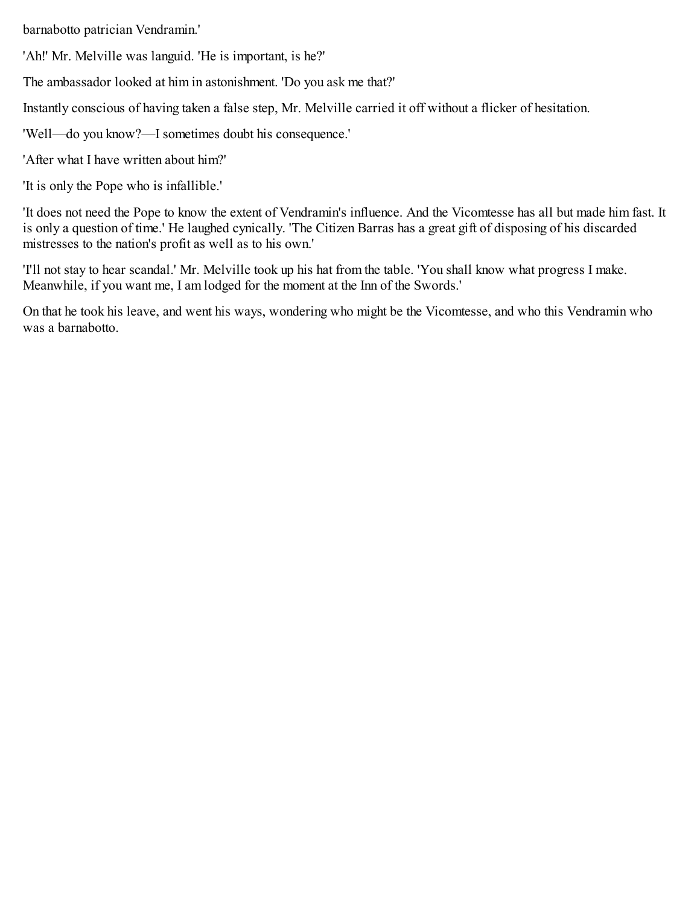barnabotto patrician Vendramin.'

'Ah!' Mr. Melville was languid. 'He is important, is he?'

The ambassador looked at him in astonishment. 'Do you ask me that?'

Instantly conscious of having taken a false step, Mr. Melville carried it off without a flicker of hesitation.

'Well—do you know?—I sometimes doubt his consequence.'

'After what I have written about him?'

'It is only the Pope who is infallible.'

'It does not need the Pope to know the extent of Vendramin's influence. And the Vicomtesse has all but made him fast. It is only a question of time.' He laughed cynically. 'The Citizen Barras has a great gift of disposing of his discarded mistresses to the nation's profit as well as to his own.'

'I'll not stay to hear scandal.' Mr. Melville took up his hat from the table. 'You shall know what progress I make. Meanwhile, if you want me, I am lodged for the moment at the Inn of the Swords.'

On that he took his leave, and went his ways, wondering who might be the Vicomtesse, and who this Vendramin who was a barnabotto.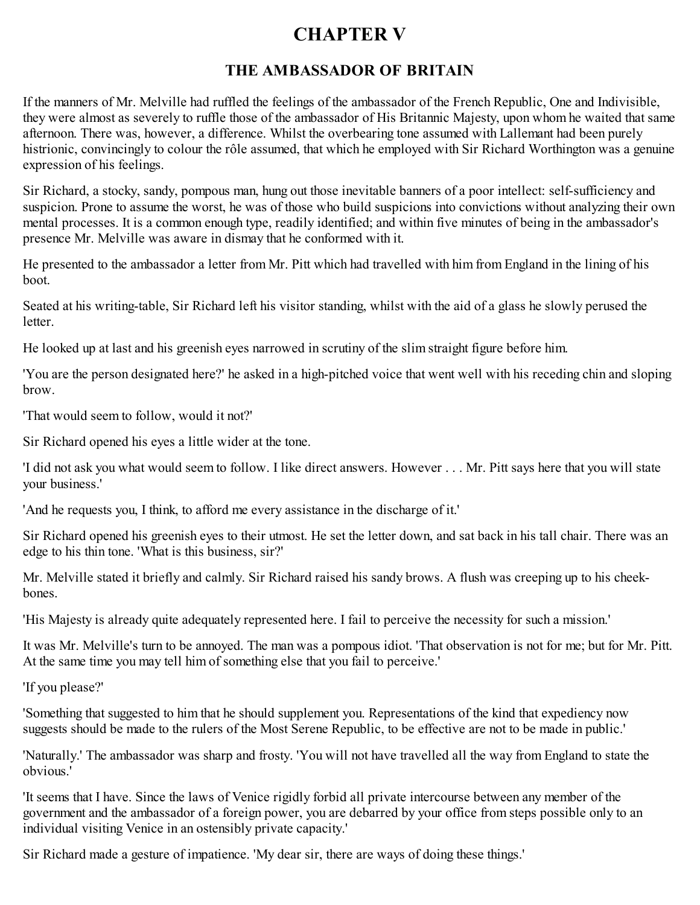## **CHAPTER V**

### **THE AMBASSADOR OF BRITAIN**

<span id="page-20-0"></span>If the manners of Mr. Melville had ruffled the feelings of the ambassador of the French Republic, One and Indivisible, they were almost as severely to ruffle those of the ambassador of His Britannic Majesty, upon whom he waited that same afternoon. There was, however, a difference. Whilst the overbearing tone assumed with Lallemant had been purely histrionic, convincingly to colour the rôle assumed, that which he employed with Sir Richard Worthington was a genuine expression of his feelings.

Sir Richard, a stocky, sandy, pompous man, hung out those inevitable banners of a poor intellect: self-sufficiency and suspicion. Prone to assume the worst, he was of those who build suspicions into convictions without analyzing their own mental processes. It is a common enough type, readily identified; and within five minutes of being in the ambassador's presence Mr. Melville was aware in dismay that he conformed with it.

He presented to the ambassador a letter from Mr. Pitt which had travelled with him from England in the lining of his boot.

Seated at his writing-table, Sir Richard left his visitor standing, whilst with the aid of a glass he slowly perused the letter.

He looked up at last and his greenish eyes narrowed in scrutiny of the slim straight figure before him.

'You are the person designated here?' he asked in a high-pitched voice that went well with his receding chin and sloping brow.

'That would seem to follow, would it not?'

Sir Richard opened his eyes a little wider at the tone.

'I did not ask you what would seem to follow. I like direct answers. However . . . Mr. Pitt says here that you will state your business.'

'And he requests you, I think, to afford me every assistance in the discharge of it.'

Sir Richard opened his greenish eyes to their utmost. He set the letter down, and sat back in his tall chair. There was an edge to his thin tone. 'What is this business, sir?'

Mr. Melville stated it briefly and calmly. Sir Richard raised his sandy brows. A flush was creeping up to his cheekbones.

'His Majesty is already quite adequately represented here. I fail to perceive the necessity for such a mission.'

It was Mr. Melville's turn to be annoyed. The man was a pompous idiot. 'That observation is not for me; but for Mr. Pitt. At the same time you may tell him of something else that you fail to perceive.'

'If you please?'

'Something that suggested to him that he should supplement you. Representations of the kind that expediency now suggests should be made to the rulers of the Most Serene Republic, to be effective are not to be made in public.'

'Naturally.' The ambassador was sharp and frosty. 'You will not have travelled all the way from England to state the obvious.'

'It seems that I have. Since the laws of Venice rigidly forbid all private intercourse between any member of the government and the ambassador of a foreign power, you are debarred by your office from steps possible only to an individual visiting Venice in an ostensibly private capacity.'

Sir Richard made a gesture of impatience. 'My dear sir, there are ways of doing these things.'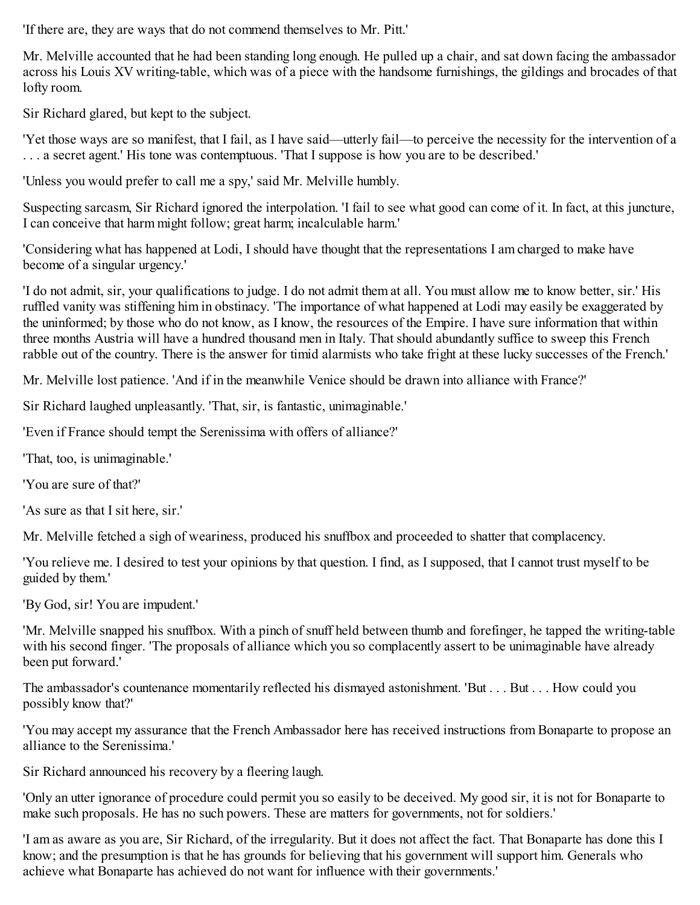'If there are, they are ways that do not commend themselves to Mr. Pitt.'

Mr. Melville accounted that he had been standing long enough. He pulled up a chair, and sat down facing the ambassador across his Louis XV writing-table, which was of a piece with the handsome furnishings, the gildings and brocades of that lofty room.

Sir Richard glared, but kept to the subject.

'Yet those ways are so manifest, that I fail, as I have said—utterly fail—to perceive the necessity for the intervention of a . . . a secret agent.' His tone was contemptuous. 'That I suppose is how you are to be described.'

'Unless you would prefer to call me a spy,' said Mr. Melville humbly.

Suspecting sarcasm, Sir Richard ignored the interpolation. 'I fail to see what good can come of it. In fact, at this juncture, I can conceive that harm might follow; great harm; incalculable harm.'

'Considering what has happened at Lodi, I should have thought that the representations I am charged to make have become of a singular urgency.'

'I do not admit, sir, your qualifications to judge. I do not admit them at all. You must allow me to know better, sir.' His ruffled vanity was stiffening him in obstinacy. 'The importance of what happened at Lodi may easily be exaggerated by the uninformed; by those who do not know, as I know, the resources of the Empire. I have sure information that within three months Austria will have a hundred thousand men in Italy. That should abundantly suffice to sweep this French rabble out of the country. There is the answer for timid alarmists who take fright at these lucky successes of the French.'

Mr. Melville lost patience. 'And if in the meanwhile Venice should be drawn into alliance with France?'

Sir Richard laughed unpleasantly. 'That, sir, is fantastic, unimaginable.'

'Even if France should tempt the Serenissima with offers of alliance?'

'That, too, is unimaginable.'

'You are sure of that?'

'As sure as that I sit here, sir.'

Mr. Melville fetched a sigh of weariness, produced his snuffbox and proceeded to shatter that complacency.

'You relieve me. I desired to test your opinions by that question. I find, as I supposed, that I cannot trust myself to be guided by them.'

'By God, sir! You are impudent.'

'Mr. Melville snapped his snuffbox. With a pinch of snuff held between thumb and forefinger, he tapped the writing-table with his second finger. 'The proposals of alliance which you so complacently assert to be unimaginable have already been put forward.'

The ambassador's countenance momentarily reflected his dismayed astonishment. 'But . . . But . . . How could you possibly know that?'

'You may accept my assurance that the French Ambassador here has received instructions from Bonaparte to propose an alliance to the Serenissima.'

Sir Richard announced his recovery by a fleering laugh.

'Only an utter ignorance of procedure could permit you so easily to be deceived. My good sir, it is not for Bonaparte to make such proposals. He has no such powers. These are matters for governments, not for soldiers.'

'I am as aware as you are, Sir Richard, of the irregularity. But it does not affect the fact. That Bonaparte has done this I know; and the presumption is that he has grounds for believing that his government will support him. Generals who achieve what Bonaparte has achieved do not want for influence with their governments.'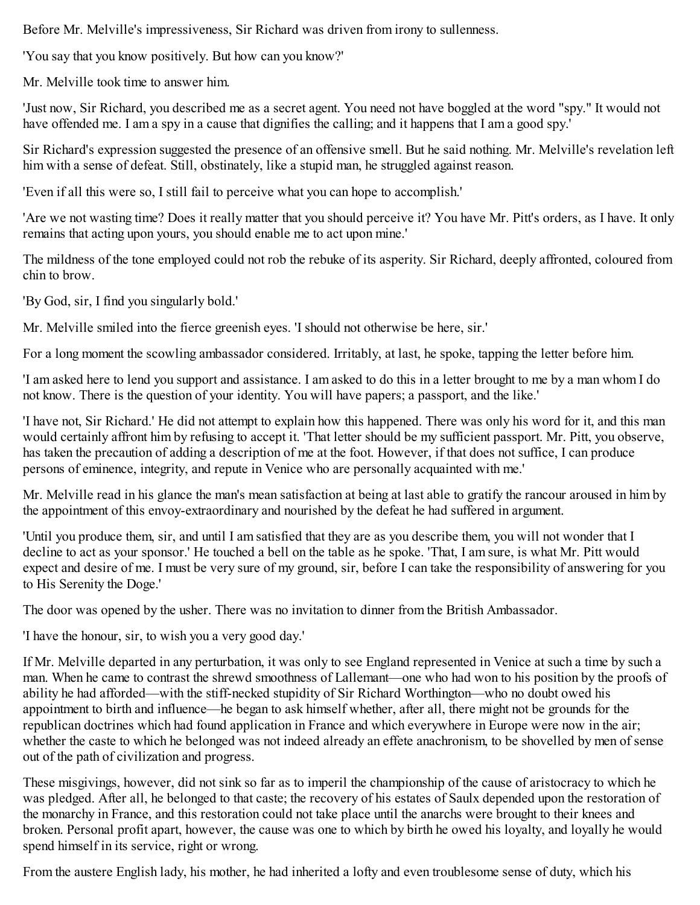Before Mr. Melville's impressiveness, Sir Richard was driven from irony to sullenness.

'You say that you know positively. But how can you know?'

Mr. Melville took time to answer him.

'Just now, Sir Richard, you described me as a secret agent. You need not have boggled at the word "spy." It would not have offended me. I am a spy in a cause that dignifies the calling; and it happens that I am a good spy.'

Sir Richard's expression suggested the presence of an offensive smell. But he said nothing. Mr. Melville's revelation left him with a sense of defeat. Still, obstinately, like a stupid man, he struggled against reason.

'Even if all this were so, I still fail to perceive what you can hope to accomplish.'

'Are we not wasting time? Does it really matter that you should perceive it? You have Mr. Pitt's orders, as I have. It only remains that acting upon yours, you should enable me to act upon mine.'

The mildness of the tone employed could not rob the rebuke of its asperity. Sir Richard, deeply affronted, coloured from chin to brow.

'By God, sir, I find you singularly bold.'

Mr. Melville smiled into the fierce greenish eyes. 'I should not otherwise be here, sir.'

For a long moment the scowling ambassador considered. Irritably, at last, he spoke, tapping the letter before him.

'I am asked here to lend you support and assistance. I am asked to do this in a letter brought to me by a man whom I do not know. There is the question of your identity. You will have papers; a passport, and the like.'

'I have not, Sir Richard.' He did not attempt to explain how this happened. There was only his word for it, and this man would certainly affront him by refusing to accept it. 'That letter should be my sufficient passport. Mr. Pitt, you observe, has taken the precaution of adding a description of me at the foot. However, if that does not suffice, I can produce persons of eminence, integrity, and repute in Venice who are personally acquainted with me.'

Mr. Melville read in his glance the man's mean satisfaction at being at last able to gratify the rancour aroused in him by the appointment of this envoy-extraordinary and nourished by the defeat he had suffered in argument.

'Until you produce them, sir, and until I am satisfied that they are as you describe them, you will not wonder that I decline to act as your sponsor.' He touched a bell on the table as he spoke. 'That, I am sure, is what Mr. Pitt would expect and desire of me. I must be very sure of my ground, sir, before I can take the responsibility of answering for you to His Serenity the Doge.'

The door was opened by the usher. There was no invitation to dinner from the British Ambassador.

'I have the honour, sir, to wish you a very good day.'

If Mr. Melville departed in any perturbation, it was only to see England represented in Venice at such a time by such a man. When he came to contrast the shrewd smoothness of Lallemant—one who had won to his position by the proofs of ability he had afforded—with the stiff-necked stupidity of Sir Richard Worthington—who no doubt owed his appointment to birth and influence—he began to ask himself whether, after all, there might not be grounds for the republican doctrines which had found application in France and which everywhere in Europe were now in the air; whether the caste to which he belonged was not indeed already an effete anachronism, to be shovelled by men of sense out of the path of civilization and progress.

These misgivings, however, did not sink so far as to imperil the championship of the cause of aristocracy to which he was pledged. After all, he belonged to that caste; the recovery of his estates of Saulx depended upon the restoration of the monarchy in France, and this restoration could not take place until the anarchs were brought to their knees and broken. Personal profit apart, however, the cause was one to which by birth he owed his loyalty, and loyally he would spend himself in its service, right or wrong.

From the austere English lady, his mother, he had inherited a lofty and even troublesome sense of duty, which his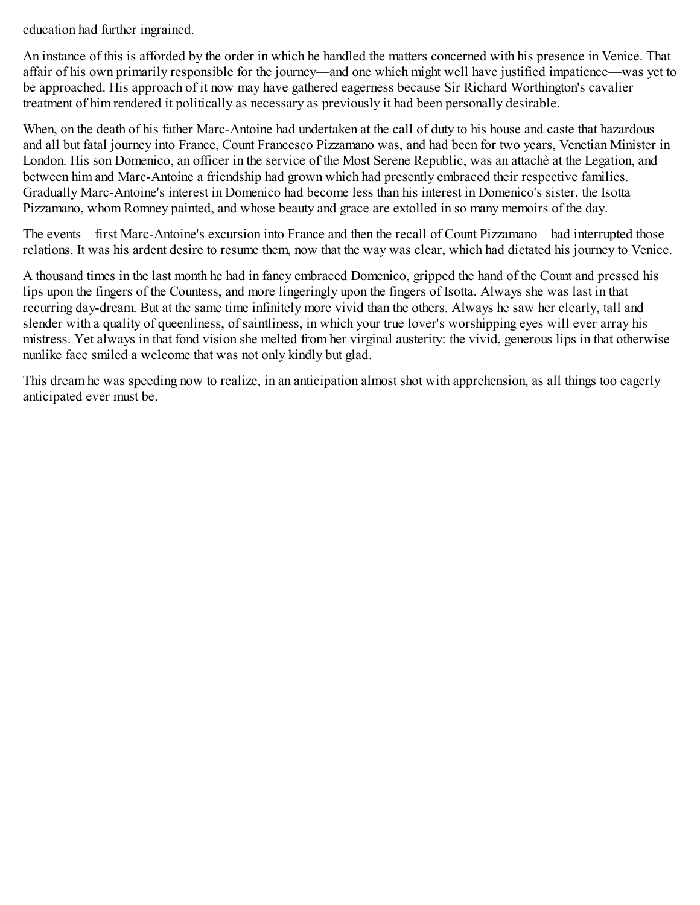education had further ingrained.

An instance of this is afforded by the order in which he handled the matters concerned with his presence in Venice. That affair of his own primarily responsible for the journey—and one which might well have justified impatience—was yet to be approached. His approach of it now may have gathered eagerness because Sir Richard Worthington's cavalier treatment of him rendered it politically as necessary as previously it had been personally desirable.

When, on the death of his father Marc-Antoine had undertaken at the call of duty to his house and caste that hazardous and all but fatal journey into France, Count Francesco Pizzamano was, and had been for two years, Venetian Minister in London. His son Domenico, an officer in the service of the Most Serene Republic, was an attachè at the Legation, and between him and Marc-Antoine a friendship had grown which had presently embraced their respective families. Gradually Marc-Antoine's interest in Domenico had become less than his interest in Domenico's sister, the Isotta Pizzamano, whom Romney painted, and whose beauty and grace are extolled in so many memoirs of the day.

The events—first Marc-Antoine's excursion into France and then the recall of Count Pizzamano—had interrupted those relations. It was his ardent desire to resume them, now that the way was clear, which had dictated his journey to Venice.

A thousand times in the last month he had in fancy embraced Domenico, gripped the hand of the Count and pressed his lips upon the fingers of the Countess, and more lingeringly upon the fingers of Isotta. Always she was last in that recurring day-dream. But at the same time infinitely more vivid than the others. Always he saw her clearly, tall and slender with a quality of queenliness, of saintliness, in which your true lover's worshipping eyes will ever array his mistress. Yet always in that fond vision she melted from her virginal austerity: the vivid, generous lips in that otherwise nunlike face smiled a welcome that was not only kindly but glad.

This dream he was speeding now to realize, in an anticipation almost shot with apprehension, as all things too eagerly anticipated ever must be.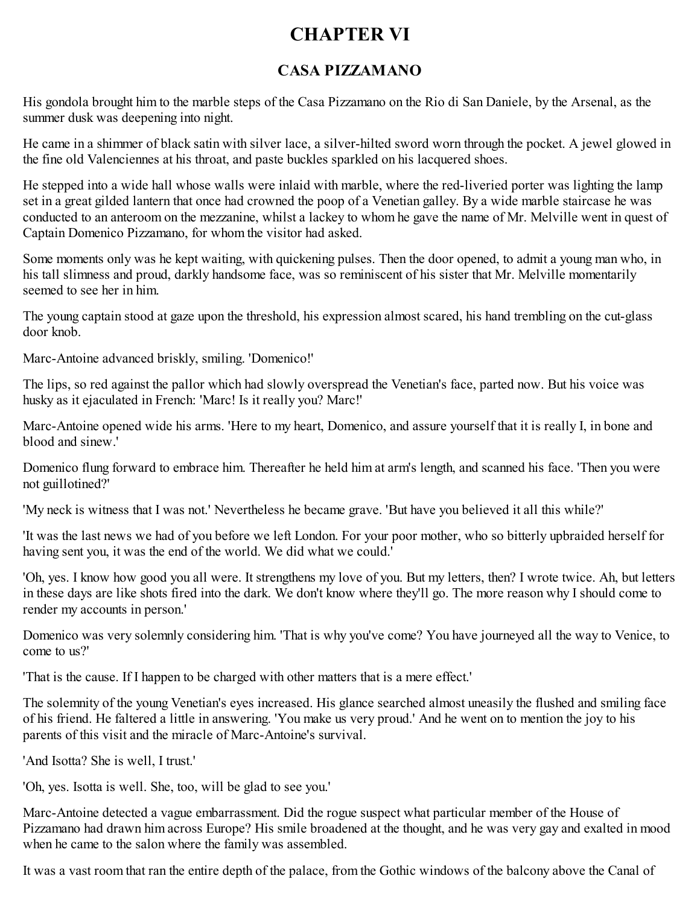## **CHAPTER VI**

### **CASA PIZZAMANO**

<span id="page-24-0"></span>His gondola brought him to the marble steps of the Casa Pizzamano on the Rio di San Daniele, by the Arsenal, as the summer dusk was deepening into night.

He came in a shimmer of black satin with silver lace, a silver-hilted sword worn through the pocket. A jewel glowed in the fine old Valenciennes at his throat, and paste buckles sparkled on his lacquered shoes.

He stepped into a wide hall whose walls were inlaid with marble, where the red-liveried porter was lighting the lamp set in a great gilded lantern that once had crowned the poop of a Venetian galley. By a wide marble staircase he was conducted to an anteroom on the mezzanine, whilst a lackey to whom he gave the name of Mr. Melville went in quest of Captain Domenico Pizzamano, for whom the visitor had asked.

Some moments only was he kept waiting, with quickening pulses. Then the door opened, to admit a young man who, in his tall slimness and proud, darkly handsome face, was so reminiscent of his sister that Mr. Melville momentarily seemed to see her in him.

The young captain stood at gaze upon the threshold, his expression almost scared, his hand trembling on the cut-glass door knob.

Marc-Antoine advanced briskly, smiling. 'Domenico!'

The lips, so red against the pallor which had slowly overspread the Venetian's face, parted now. But his voice was husky as it ejaculated in French: 'Marc! Is it really you? Marc!'

Marc-Antoine opened wide his arms. 'Here to my heart, Domenico, and assure yourself that it is really I, in bone and blood and sinew.'

Domenico flung forward to embrace him. Thereafter he held him at arm's length, and scanned his face. 'Then you were not guillotined?'

'My neck is witness that I was not.' Nevertheless he became grave. 'But have you believed it all this while?'

'It was the last news we had of you before we left London. For your poor mother, who so bitterly upbraided herself for having sent you, it was the end of the world. We did what we could.'

'Oh, yes. I know how good you all were. It strengthens my love of you. But my letters, then? I wrote twice. Ah, but letters in these days are like shots fired into the dark. We don't know where they'll go. The more reason why I should come to render my accounts in person.'

Domenico was very solemnly considering him. 'That is why you've come? You have journeyed all the way to Venice, to come to us?'

'That is the cause. If I happen to be charged with other matters that is a mere effect.'

The solemnity of the young Venetian's eyes increased. His glance searched almost uneasily the flushed and smiling face of his friend. He faltered a little in answering. 'You make us very proud.' And he went on to mention the joy to his parents of this visit and the miracle of Marc-Antoine's survival.

'And Isotta? She is well, I trust.'

'Oh, yes. Isotta is well. She, too, will be glad to see you.'

Marc-Antoine detected a vague embarrassment. Did the rogue suspect what particular member of the House of Pizzamano had drawn him across Europe? His smile broadened at the thought, and he was very gay and exalted in mood when he came to the salon where the family was assembled.

It was a vast room that ran the entire depth of the palace, from the Gothic windows of the balcony above the Canal of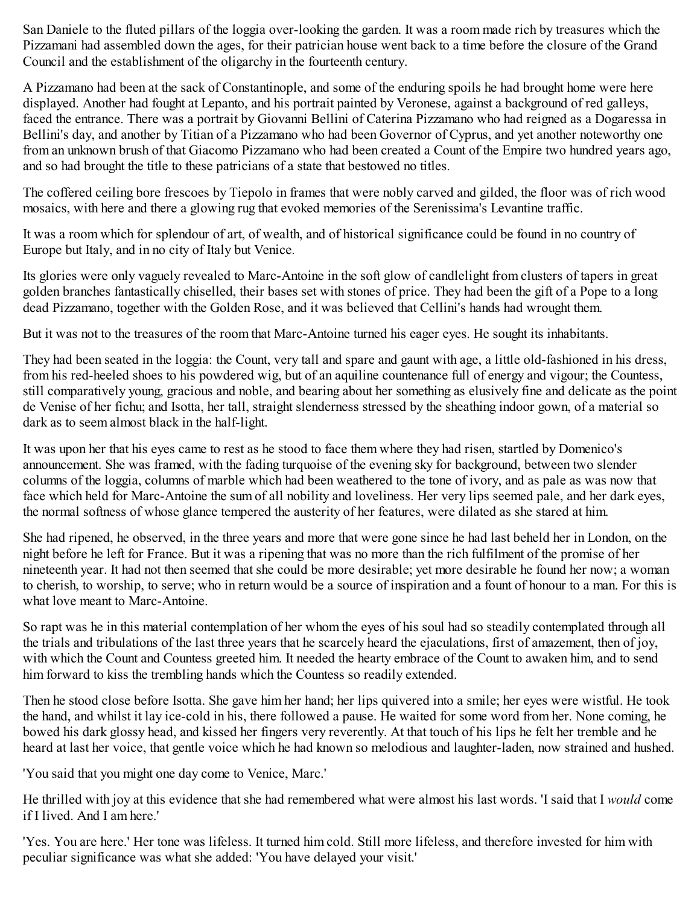San Daniele to the fluted pillars of the loggia over-looking the garden. It was a room made rich by treasures which the Pizzamani had assembled down the ages, for their patrician house went back to a time before the closure of the Grand Council and the establishment of the oligarchy in the fourteenth century.

A Pizzamano had been at the sack of Constantinople, and some of the enduring spoils he had brought home were here displayed. Another had fought at Lepanto, and his portrait painted by Veronese, against a background of red galleys, faced the entrance. There was a portrait by Giovanni Bellini of Caterina Pizzamano who had reigned as a Dogaressa in Bellini's day, and another by Titian of a Pizzamano who had been Governor of Cyprus, and yet another noteworthy one from an unknown brush of that Giacomo Pizzamano who had been created a Count of the Empire two hundred years ago, and so had brought the title to these patricians of a state that bestowed no titles.

The coffered ceiling bore frescoes by Tiepolo in frames that were nobly carved and gilded, the floor was of rich wood mosaics, with here and there a glowing rug that evoked memories of the Serenissima's Levantine traffic.

It was a room which for splendour of art, of wealth, and of historical significance could be found in no country of Europe but Italy, and in no city of Italy but Venice.

Its glories were only vaguely revealed to Marc-Antoine in the soft glow of candlelight from clusters of tapers in great golden branches fantastically chiselled, their bases set with stones of price. They had been the gift of a Pope to a long dead Pizzamano, together with the Golden Rose, and it was believed that Cellini's hands had wrought them.

But it was not to the treasures of the room that Marc-Antoine turned his eager eyes. He sought its inhabitants.

They had been seated in the loggia: the Count, very tall and spare and gaunt with age, a little old-fashioned in his dress, from his red-heeled shoes to his powdered wig, but of an aquiline countenance full of energy and vigour; the Countess, still comparatively young, gracious and noble, and bearing about her something as elusively fine and delicate as the point de Venise of her fichu; and Isotta, her tall, straight slenderness stressed by the sheathing indoor gown, of a material so dark as to seem almost black in the half-light.

It was upon her that his eyes came to rest as he stood to face them where they had risen, startled by Domenico's announcement. She was framed, with the fading turquoise of the evening sky for background, between two slender columns of the loggia, columns of marble which had been weathered to the tone of ivory, and as pale as was now that face which held for Marc-Antoine the sum of all nobility and loveliness. Her very lips seemed pale, and her dark eyes, the normal softness of whose glance tempered the austerity of her features, were dilated as she stared at him.

She had ripened, he observed, in the three years and more that were gone since he had last beheld her in London, on the night before he left for France. But it was a ripening that was no more than the rich fulfilment of the promise of her nineteenth year. It had not then seemed that she could be more desirable; yet more desirable he found her now; a woman to cherish, to worship, to serve; who in return would be a source of inspiration and a fount of honour to a man. For this is what love meant to Marc-Antoine

So rapt was he in this material contemplation of her whom the eyes of his soul had so steadily contemplated through all the trials and tribulations of the last three years that he scarcely heard the ejaculations, first of amazement, then of joy, with which the Count and Countess greeted him. It needed the hearty embrace of the Count to awaken him, and to send him forward to kiss the trembling hands which the Countess so readily extended.

Then he stood close before Isotta. She gave him her hand; her lips quivered into a smile; her eyes were wistful. He took the hand, and whilst it lay ice-cold in his, there followed a pause. He waited for some word from her. None coming, he bowed his dark glossy head, and kissed her fingers very reverently. At that touch of his lips he felt her tremble and he heard at last her voice, that gentle voice which he had known so melodious and laughter-laden, now strained and hushed.

'You said that you might one day come to Venice, Marc.'

He thrilled with joy at this evidence that she had remembered what were almost his last words. 'I said that I *would* come if I lived. And I am here.'

'Yes. You are here.' Her tone was lifeless. It turned him cold. Still more lifeless, and therefore invested for him with peculiar significance was what she added: 'You have delayed your visit.'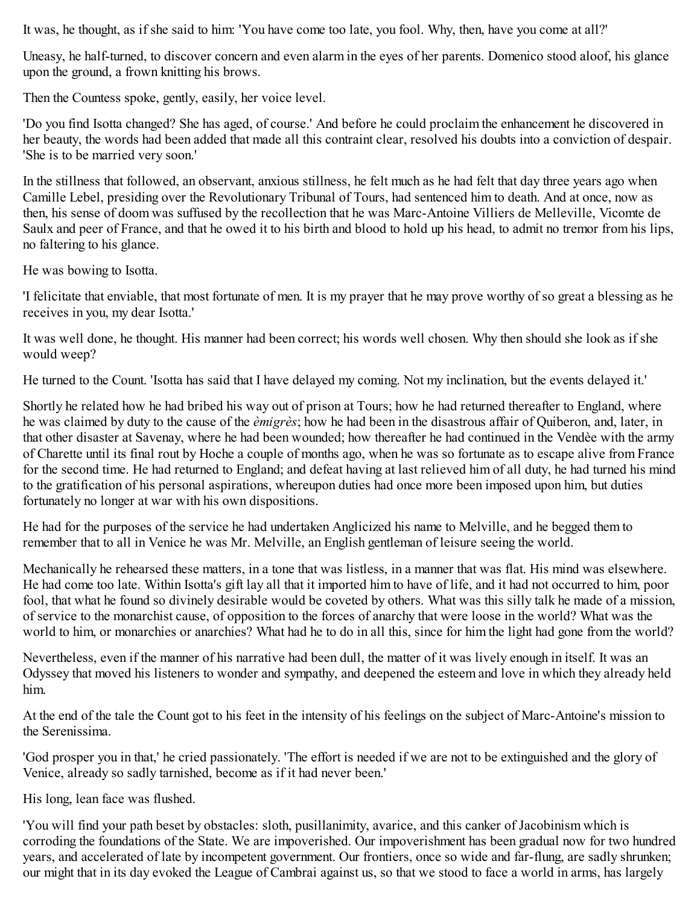It was, he thought, as if she said to him: 'You have come too late, you fool. Why, then, have you come at all?'

Uneasy, he half-turned, to discover concern and even alarm in the eyes of her parents. Domenico stood aloof, his glance upon the ground, a frown knitting his brows.

Then the Countess spoke, gently, easily, her voice level.

'Do you find Isotta changed? She has aged, of course.' And before he could proclaim the enhancement he discovered in her beauty, the words had been added that made all this contraint clear, resolved his doubts into a conviction of despair. 'She is to be married very soon.'

In the stillness that followed, an observant, anxious stillness, he felt much as he had felt that day three years ago when Camille Lebel, presiding over the Revolutionary Tribunal of Tours, had sentenced him to death. And at once, now as then, his sense of doom was suffused by the recollection that he was Marc-Antoine Villiers de Melleville, Vicomte de Saulx and peer of France, and that he owed it to his birth and blood to hold up his head, to admit no tremor from his lips, no faltering to his glance.

He was bowing to Isotta.

'I felicitate that enviable, that most fortunate of men. It is my prayer that he may prove worthy of so great a blessing as he receives in you, my dear Isotta.'

It was well done, he thought. His manner had been correct; his words well chosen. Why then should she look as if she would weep?

He turned to the Count. 'Isotta has said that I have delayed my coming. Not my inclination, but the events delayed it.'

Shortly he related how he had bribed his way out of prison at Tours; how he had returned thereafter to England, where he was claimed by duty to the cause of the *èmigrès*; how he had been in the disastrous affair of Quiberon, and, later, in that other disaster at Savenay, where he had been wounded; how thereafter he had continued in the Vendèe with the army of Charette until its final rout by Hoche a couple of months ago, when he was so fortunate as to escape alive from France for the second time. He had returned to England; and defeat having at last relieved him of all duty, he had turned his mind to the gratification of his personal aspirations, whereupon duties had once more been imposed upon him, but duties fortunately no longer at war with his own dispositions.

He had for the purposes of the service he had undertaken Anglicized his name to Melville, and he begged them to remember that to all in Venice he was Mr. Melville, an English gentleman of leisure seeing the world.

Mechanically he rehearsed these matters, in a tone that was listless, in a manner that was flat. His mind was elsewhere. He had come too late. Within Isotta's gift lay all that it imported him to have of life, and it had not occurred to him, poor fool, that what he found so divinely desirable would be coveted by others. What was this silly talk he made of a mission, of service to the monarchist cause, of opposition to the forces of anarchy that were loose in the world? What was the world to him, or monarchies or anarchies? What had he to do in all this, since for him the light had gone from the world?

Nevertheless, even if the manner of his narrative had been dull, the matter of it was lively enough in itself. It was an Odyssey that moved his listeners to wonder and sympathy, and deepened the esteem and love in which they already held him.

At the end of the tale the Count got to his feet in the intensity of his feelings on the subject of Marc-Antoine's mission to the Serenissima.

'God prosper you in that,' he cried passionately. 'The effort is needed if we are not to be extinguished and the glory of Venice, already so sadly tarnished, become as if it had never been.'

His long, lean face was flushed.

'You will find your path beset by obstacles: sloth, pusillanimity, avarice, and this canker of Jacobinism which is corroding the foundations of the State. We are impoverished. Our impoverishment has been gradual now for two hundred years, and accelerated of late by incompetent government. Our frontiers, once so wide and far-flung, are sadly shrunken; our might that in its day evoked the League of Cambrai against us, so that we stood to face a world in arms, has largely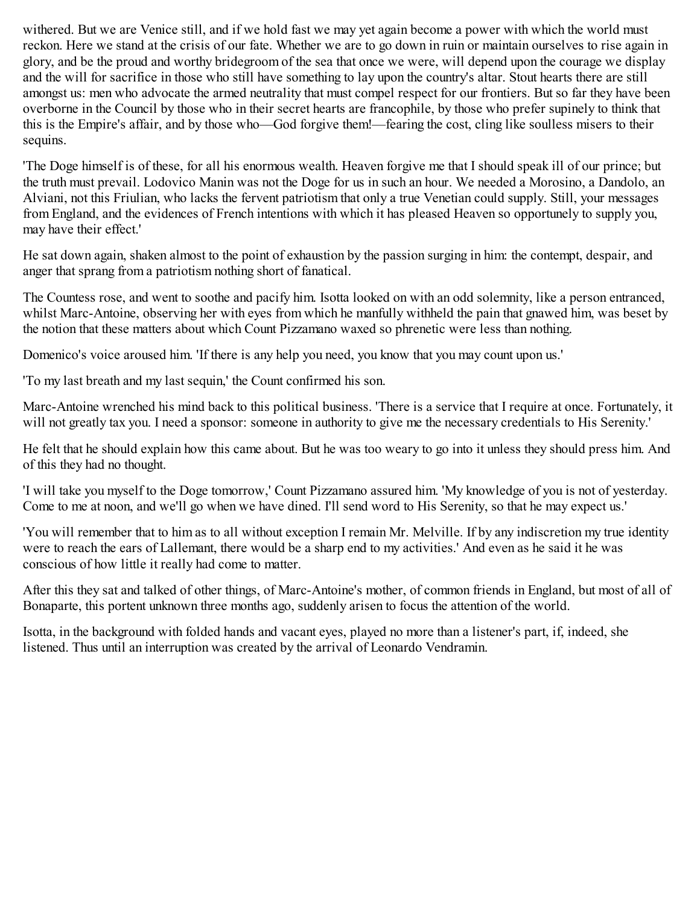withered. But we are Venice still, and if we hold fast we may yet again become a power with which the world must reckon. Here we stand at the crisis of our fate. Whether we are to go down in ruin or maintain ourselves to rise again in glory, and be the proud and worthy bridegroom of the sea that once we were, will depend upon the courage we display and the will for sacrifice in those who still have something to lay upon the country's altar. Stout hearts there are still amongst us: men who advocate the armed neutrality that must compel respect for our frontiers. But so far they have been overborne in the Council by those who in their secret hearts are francophile, by those who prefer supinely to think that this is the Empire's affair, and by those who—God forgive them!—fearing the cost, cling like soulless misers to their sequins.

'The Doge himself is of these, for all his enormous wealth. Heaven forgive me that I should speak ill of our prince; but the truth must prevail. Lodovico Manin was not the Doge for us in such an hour. We needed a Morosino, a Dandolo, an Alviani, not this Friulian, who lacks the fervent patriotism that only a true Venetian could supply. Still, your messages from England, and the evidences of French intentions with which it has pleased Heaven so opportunely to supply you, may have their effect.'

He sat down again, shaken almost to the point of exhaustion by the passion surging in him: the contempt, despair, and anger that sprang from a patriotism nothing short of fanatical.

The Countess rose, and went to soothe and pacify him. Isotta looked on with an odd solemnity, like a person entranced, whilst Marc-Antoine, observing her with eyes from which he manfully withheld the pain that gnawed him, was beset by the notion that these matters about which Count Pizzamano waxed so phrenetic were less than nothing.

Domenico's voice aroused him. 'If there is any help you need, you know that you may count upon us.'

'To my last breath and my last sequin,' the Count confirmed his son.

Marc-Antoine wrenched his mind back to this political business. 'There is a service that I require at once. Fortunately, it will not greatly tax you. I need a sponsor: someone in authority to give me the necessary credentials to His Serenity.'

He felt that he should explain how this came about. But he was too weary to go into it unless they should press him. And of this they had no thought.

'I will take you myself to the Doge tomorrow,' Count Pizzamano assured him. 'My knowledge of you is not of yesterday. Come to me at noon, and we'll go when we have dined. I'll send word to His Serenity, so that he may expect us.'

'You will remember that to him as to all without exception I remain Mr. Melville. If by any indiscretion my true identity were to reach the ears of Lallemant, there would be a sharp end to my activities.' And even as he said it he was conscious of how little it really had come to matter.

After this they sat and talked of other things, of Marc-Antoine's mother, of common friends in England, but most of all of Bonaparte, this portent unknown three months ago, suddenly arisen to focus the attention of the world.

Isotta, in the background with folded hands and vacant eyes, played no more than a listener's part, if, indeed, she listened. Thus until an interruption was created by the arrival of Leonardo Vendramin.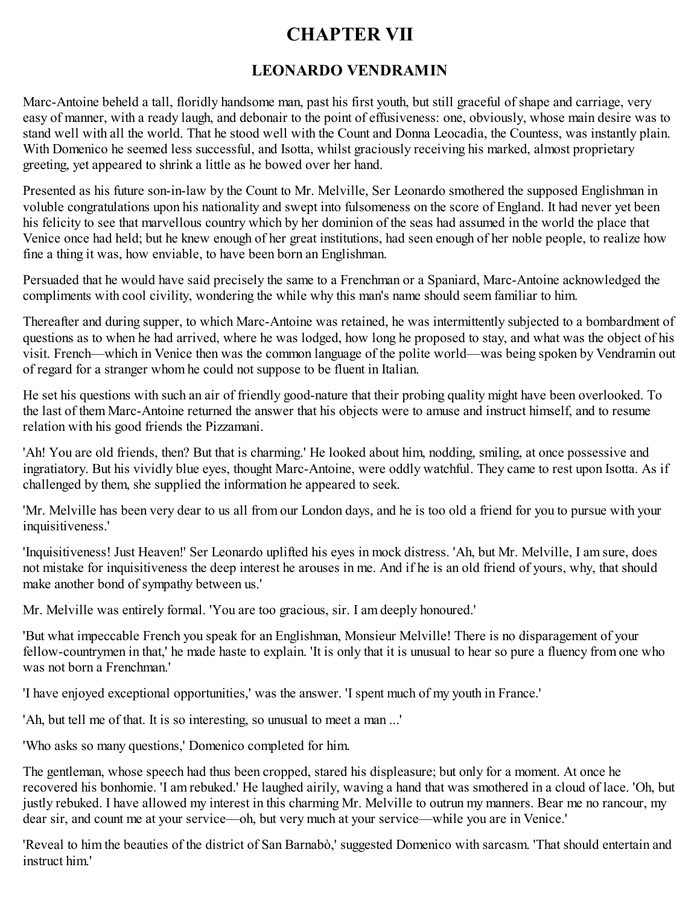## **CHAPTER VII**

### **LEONARDO VENDRAMIN**

<span id="page-28-0"></span>Marc-Antoine beheld a tall, floridly handsome man, past his first youth, but still graceful of shape and carriage, very easy of manner, with a ready laugh, and debonair to the point of effusiveness: one, obviously, whose main desire was to stand well with all the world. That he stood well with the Count and Donna Leocadia, the Countess, was instantly plain. With Domenico he seemed less successful, and Isotta, whilst graciously receiving his marked, almost proprietary greeting, yet appeared to shrink a little as he bowed over her hand.

Presented as his future son-in-law by the Count to Mr. Melville, Ser Leonardo smothered the supposed Englishman in voluble congratulations upon his nationality and swept into fulsomeness on the score of England. It had never yet been his felicity to see that marvellous country which by her dominion of the seas had assumed in the world the place that Venice once had held; but he knew enough of her great institutions, had seen enough of her noble people, to realize how fine a thing it was, how enviable, to have been born an Englishman.

Persuaded that he would have said precisely the same to a Frenchman or a Spaniard, Marc-Antoine acknowledged the compliments with cool civility, wondering the while why this man's name should seem familiar to him.

Thereafter and during supper, to which Marc-Antoine was retained, he was intermittently subjected to a bombardment of questions as to when he had arrived, where he was lodged, how long he proposed to stay, and what was the object of his visit. French—which in Venice then was the common language of the polite world—was being spoken by Vendramin out of regard for a stranger whom he could not suppose to be fluent in Italian.

He set his questions with such an air of friendly good-nature that their probing quality might have been overlooked. To the last of them Marc-Antoine returned the answer that his objects were to amuse and instruct himself, and to resume relation with his good friends the Pizzamani.

'Ah! You are old friends, then? But that is charming.' He looked about him, nodding, smiling, at once possessive and ingratiatory. But his vividly blue eyes, thought Marc-Antoine, were oddly watchful. They came to rest upon Isotta. As if challenged by them, she supplied the information he appeared to seek.

'Mr. Melville has been very dear to us all from our London days, and he is too old a friend for you to pursue with your inquisitiveness.'

'Inquisitiveness! Just Heaven!' Ser Leonardo uplifted his eyes in mock distress. 'Ah, but Mr. Melville, I am sure, does not mistake for inquisitiveness the deep interest he arouses in me. And if he is an old friend of yours, why, that should make another bond of sympathy between us.'

Mr. Melville was entirely formal. 'You are too gracious, sir. I am deeply honoured.'

'But what impeccable French you speak for an Englishman, Monsieur Melville! There is no disparagement of your fellow-countrymen in that,' he made haste to explain. 'It is only that it is unusual to hear so pure a fluency from one who was not born a Frenchman'

'I have enjoyed exceptional opportunities,' was the answer. 'I spent much of my youth in France.'

'Ah, but tell me of that. It is so interesting, so unusual to meet a man ...'

'Who asks so many questions,' Domenico completed for him.

The gentleman, whose speech had thus been cropped, stared his displeasure; but only for a moment. At once he recovered his bonhomie. 'I am rebuked.' He laughed airily, waving a hand that was smothered in a cloud of lace. 'Oh, but justly rebuked. I have allowed my interest in this charming Mr. Melville to outrun my manners. Bear me no rancour, my dear sir, and count me at your service—oh, but very much at your service—while you are in Venice.'

'Reveal to him the beauties of the district of San Barnabò,' suggested Domenico with sarcasm. 'That should entertain and instruct him.'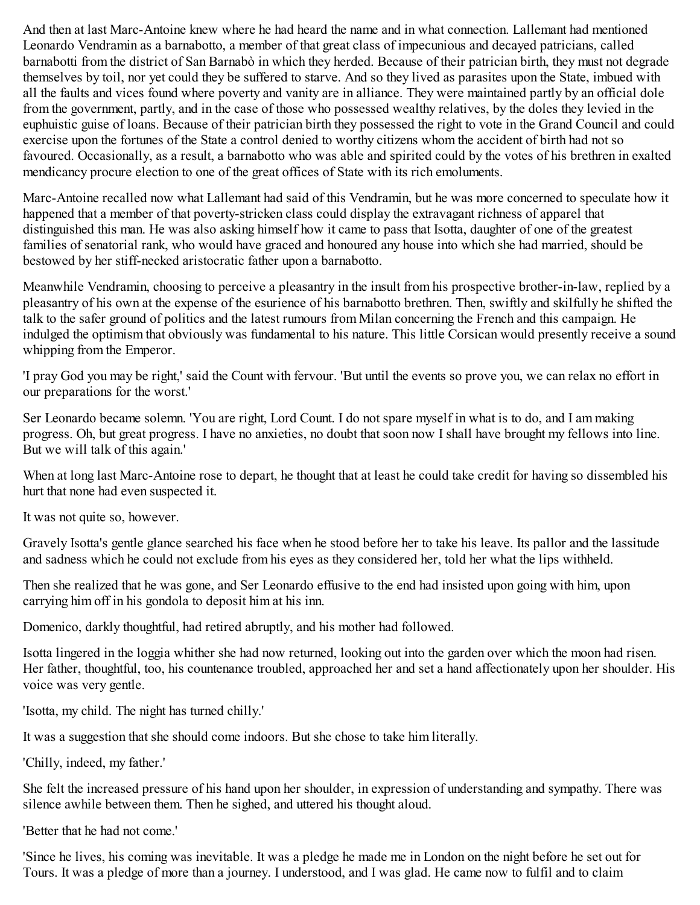And then at last Marc-Antoine knew where he had heard the name and in what connection. Lallemant had mentioned Leonardo Vendramin as a barnabotto, a member of that great class of impecunious and decayed patricians, called barnabotti from the district of San Barnabò in which they herded. Because of their patrician birth, they must not degrade themselves by toil, nor yet could they be suffered to starve. And so they lived as parasites upon the State, imbued with all the faults and vices found where poverty and vanity are in alliance. They were maintained partly by an official dole from the government, partly, and in the case of those who possessed wealthy relatives, by the doles they levied in the euphuistic guise of loans. Because of their patrician birth they possessed the right to vote in the Grand Council and could exercise upon the fortunes of the State a control denied to worthy citizens whom the accident of birth had not so favoured. Occasionally, as a result, a barnabotto who was able and spirited could by the votes of his brethren in exalted mendicancy procure election to one of the great offices of State with its rich emoluments.

Marc-Antoine recalled now what Lallemant had said of this Vendramin, but he was more concerned to speculate how it happened that a member of that poverty-stricken class could display the extravagant richness of apparel that distinguished this man. He was also asking himself how it came to pass that Isotta, daughter of one of the greatest families of senatorial rank, who would have graced and honoured any house into which she had married, should be bestowed by her stiff-necked aristocratic father upon a barnabotto.

Meanwhile Vendramin, choosing to perceive a pleasantry in the insult from his prospective brother-in-law, replied by a pleasantry of his own at the expense of the esurience of his barnabotto brethren. Then, swiftly and skilfully he shifted the talk to the safer ground of politics and the latest rumours from Milan concerning the French and this campaign. He indulged the optimism that obviously was fundamental to his nature. This little Corsican would presently receive a sound whipping from the Emperor.

'I pray God you may be right,' said the Count with fervour. 'But until the events so prove you, we can relax no effort in our preparations for the worst.'

Ser Leonardo became solemn. 'You are right, Lord Count. I do not spare myself in what is to do, and I am making progress. Oh, but great progress. I have no anxieties, no doubt that soon now I shall have brought my fellows into line. But we will talk of this again.'

When at long last Marc-Antoine rose to depart, he thought that at least he could take credit for having so dissembled his hurt that none had even suspected it.

It was not quite so, however.

Gravely Isotta's gentle glance searched his face when he stood before her to take his leave. Its pallor and the lassitude and sadness which he could not exclude from his eyes as they considered her, told her what the lips withheld.

Then she realized that he was gone, and Ser Leonardo effusive to the end had insisted upon going with him, upon carrying him off in his gondola to deposit him at his inn.

Domenico, darkly thoughtful, had retired abruptly, and his mother had followed.

Isotta lingered in the loggia whither she had now returned, looking out into the garden over which the moon had risen. Her father, thoughtful, too, his countenance troubled, approached her and set a hand affectionately upon her shoulder. His voice was very gentle.

'Isotta, my child. The night has turned chilly.'

It was a suggestion that she should come indoors. But she chose to take him literally.

'Chilly, indeed, my father.'

She felt the increased pressure of his hand upon her shoulder, in expression of understanding and sympathy. There was silence awhile between them. Then he sighed, and uttered his thought aloud.

'Better that he had not come.'

'Since he lives, his coming was inevitable. It was a pledge he made me in London on the night before he set out for Tours. It was a pledge of more than a journey. I understood, and I was glad. He came now to fulfil and to claim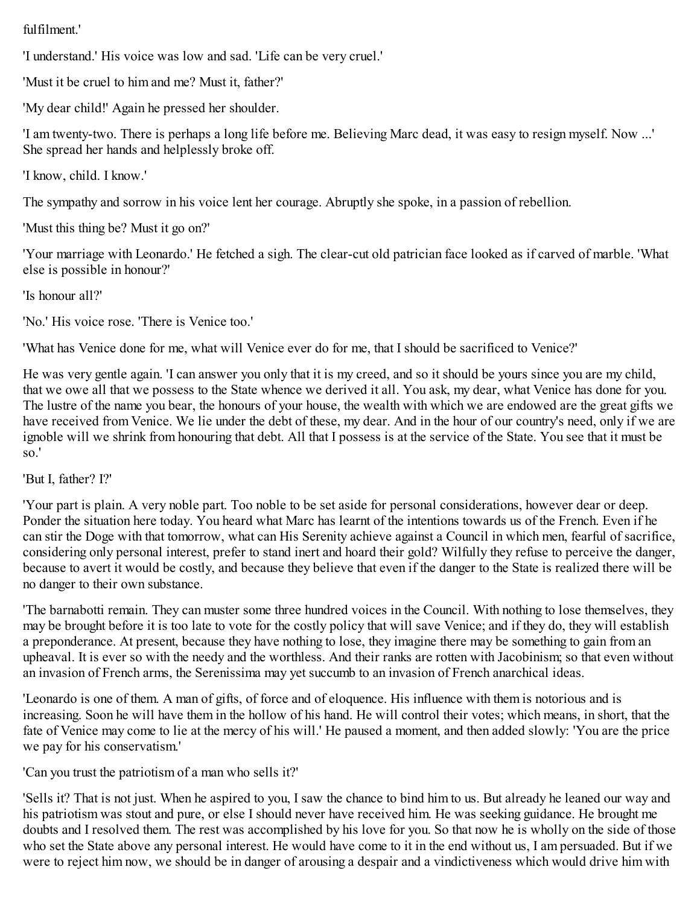fulfilment.'

'I understand.' His voice was low and sad. 'Life can be very cruel.'

'Must it be cruel to him and me? Must it, father?'

'My dear child!' Again he pressed her shoulder.

'I am twenty-two. There is perhaps a long life before me. Believing Marc dead, it was easy to resign myself. Now ...' She spread her hands and helplessly broke off.

'I know, child. I know.'

The sympathy and sorrow in his voice lent her courage. Abruptly she spoke, in a passion of rebellion.

'Must this thing be? Must it go on?'

'Your marriage with Leonardo.' He fetched a sigh. The clear-cut old patrician face looked as if carved of marble. 'What else is possible in honour?'

'Is honour all?'

'No.' His voice rose. 'There is Venice too.'

'What has Venice done for me, what will Venice ever do for me, that I should be sacrificed to Venice?'

He was very gentle again. 'I can answer you only that it is my creed, and so it should be yours since you are my child, that we owe all that we possess to the State whence we derived it all. You ask, my dear, what Venice has done for you. The lustre of the name you bear, the honours of your house, the wealth with which we are endowed are the great gifts we have received from Venice. We lie under the debt of these, my dear. And in the hour of our country's need, only if we are ignoble will we shrink from honouring that debt. All that I possess is at the service of the State. You see that it must be so.'

'But I, father? I?'

'Your part is plain. A very noble part. Too noble to be set aside for personal considerations, however dear or deep. Ponder the situation here today. You heard what Marc has learnt of the intentions towards us of the French. Even if he can stir the Doge with that tomorrow, what can His Serenity achieve against a Council in which men, fearful of sacrifice, considering only personal interest, prefer to stand inert and hoard their gold? Wilfully they refuse to perceive the danger, because to avert it would be costly, and because they believe that even if the danger to the State is realized there will be no danger to their own substance.

'The barnabotti remain. They can muster some three hundred voices in the Council. With nothing to lose themselves, they may be brought before it is too late to vote for the costly policy that will save Venice; and if they do, they will establish a preponderance. At present, because they have nothing to lose, they imagine there may be something to gain from an upheaval. It is ever so with the needy and the worthless. And their ranks are rotten with Jacobinism; so that even without an invasion of French arms, the Serenissima may yet succumb to an invasion of French anarchical ideas.

'Leonardo is one of them. A man of gifts, of force and of eloquence. His influence with them is notorious and is increasing. Soon he will have them in the hollow of his hand. He will control their votes; which means, in short, that the fate of Venice may come to lie at the mercy of his will.' He paused a moment, and then added slowly: 'You are the price we pay for his conservatism.'

'Can you trust the patriotism of a man who sells it?'

'Sells it? That is not just. When he aspired to you, I saw the chance to bind him to us. But already he leaned our way and his patriotism was stout and pure, or else I should never have received him. He was seeking guidance. He brought me doubts and I resolved them. The rest was accomplished by his love for you. So that now he is wholly on the side of those who set the State above any personal interest. He would have come to it in the end without us, I am persuaded. But if we were to reject him now, we should be in danger of arousing a despair and a vindictiveness which would drive him with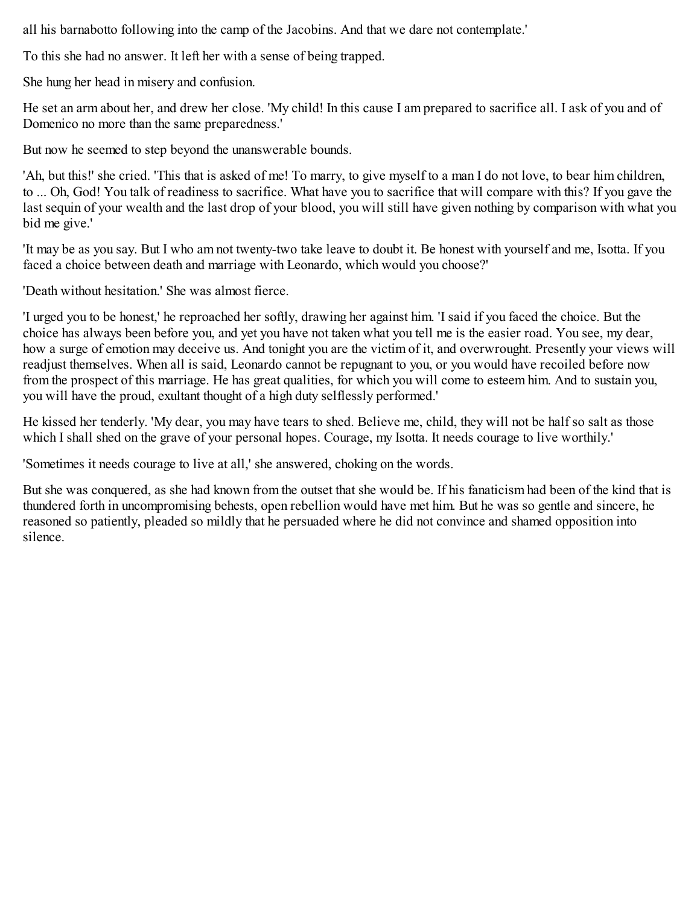all his barnabotto following into the camp of the Jacobins. And that we dare not contemplate.'

To this she had no answer. It left her with a sense of being trapped.

She hung her head in misery and confusion.

He set an arm about her, and drew her close. 'My child! In this cause I am prepared to sacrifice all. I ask of you and of Domenico no more than the same preparedness.'

But now he seemed to step beyond the unanswerable bounds.

'Ah, but this!' she cried. 'This that is asked of me! To marry, to give myself to a man I do not love, to bear him children, to ... Oh, God! You talk of readiness to sacrifice. What have you to sacrifice that will compare with this? If you gave the last sequin of your wealth and the last drop of your blood, you will still have given nothing by comparison with what you bid me give.'

'It may be as you say. But I who am not twenty-two take leave to doubt it. Be honest with yourself and me, Isotta. If you faced a choice between death and marriage with Leonardo, which would you choose?'

'Death without hesitation.' She was almost fierce.

'I urged you to be honest,' he reproached her softly, drawing her against him. 'I said if you faced the choice. But the choice has always been before you, and yet you have not taken what you tell me is the easier road. You see, my dear, how a surge of emotion may deceive us. And tonight you are the victim of it, and overwrought. Presently your views will readjust themselves. When all is said, Leonardo cannot be repugnant to you, or you would have recoiled before now from the prospect of this marriage. He has great qualities, for which you will come to esteem him. And to sustain you, you will have the proud, exultant thought of a high duty selflessly performed.'

He kissed her tenderly. 'My dear, you may have tears to shed. Believe me, child, they will not be half so salt as those which I shall shed on the grave of your personal hopes. Courage, my Isotta. It needs courage to live worthily.'

'Sometimes it needs courage to live at all,' she answered, choking on the words.

But she was conquered, as she had known from the outset that she would be. If his fanaticism had been of the kind that is thundered forth in uncompromising behests, open rebellion would have met him. But he was so gentle and sincere, he reasoned so patiently, pleaded so mildly that he persuaded where he did not convince and shamed opposition into silence.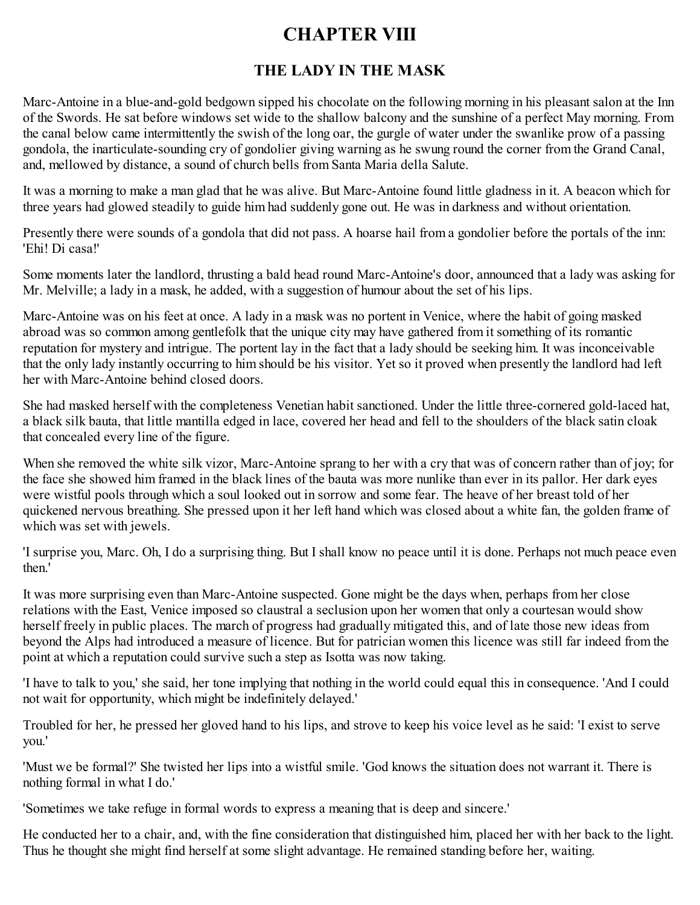## **CHAPTER VIII**

### **THE LADY IN THE MASK**

<span id="page-32-0"></span>Marc-Antoine in a blue-and-gold bedgown sipped his chocolate on the following morning in his pleasant salon at the Inn of the Swords. He sat before windows set wide to the shallow balcony and the sunshine of a perfect May morning. From the canal below came intermittently the swish of the long oar, the gurgle of water under the swanlike prow of a passing gondola, the inarticulate-sounding cry of gondolier giving warning as he swung round the corner from the Grand Canal, and, mellowed by distance, a sound of church bells from Santa Maria della Salute.

It was a morning to make a man glad that he was alive. But Marc-Antoine found little gladness in it. A beacon which for three years had glowed steadily to guide him had suddenly gone out. He was in darkness and without orientation.

Presently there were sounds of a gondola that did not pass. A hoarse hail from a gondolier before the portals of the inn: 'Ehi! Di casa!'

Some moments later the landlord, thrusting a bald head round Marc-Antoine's door, announced that a lady was asking for Mr. Melville; a lady in a mask, he added, with a suggestion of humour about the set of his lips.

Marc-Antoine was on his feet at once. A lady in a mask was no portent in Venice, where the habit of going masked abroad was so common among gentlefolk that the unique city may have gathered from it something of its romantic reputation for mystery and intrigue. The portent lay in the fact that a lady should be seeking him. It was inconceivable that the only lady instantly occurring to him should be his visitor. Yet so it proved when presently the landlord had left her with Marc-Antoine behind closed doors.

She had masked herself with the completeness Venetian habit sanctioned. Under the little three-cornered gold-laced hat, a black silk bauta, that little mantilla edged in lace, covered her head and fell to the shoulders of the black satin cloak that concealed every line of the figure.

When she removed the white silk vizor, Marc-Antoine sprang to her with a cry that was of concern rather than of joy; for the face she showed him framed in the black lines of the bauta was more nunlike than ever in its pallor. Her dark eyes were wistful pools through which a soul looked out in sorrow and some fear. The heave of her breast told of her quickened nervous breathing. She pressed upon it her left hand which was closed about a white fan, the golden frame of which was set with jewels.

'I surprise you, Marc. Oh, I do a surprising thing. But I shall know no peace until it is done. Perhaps not much peace even then'

It was more surprising even than Marc-Antoine suspected. Gone might be the days when, perhaps from her close relations with the East, Venice imposed so claustral a seclusion upon her women that only a courtesan would show herself freely in public places. The march of progress had gradually mitigated this, and of late those new ideas from beyond the Alps had introduced a measure of licence. But for patrician women this licence was still far indeed from the point at which a reputation could survive such a step as Isotta was now taking.

'I have to talk to you,' she said, her tone implying that nothing in the world could equal this in consequence. 'And I could not wait for opportunity, which might be indefinitely delayed.'

Troubled for her, he pressed her gloved hand to his lips, and strove to keep his voice level as he said: 'I exist to serve you.'

'Must we be formal?' She twisted her lips into a wistful smile. 'God knows the situation does not warrant it. There is nothing formal in what I do.'

'Sometimes we take refuge in formal words to express a meaning that is deep and sincere.'

He conducted her to a chair, and, with the fine consideration that distinguished him, placed her with her back to the light. Thus he thought she might find herself at some slight advantage. He remained standing before her, waiting.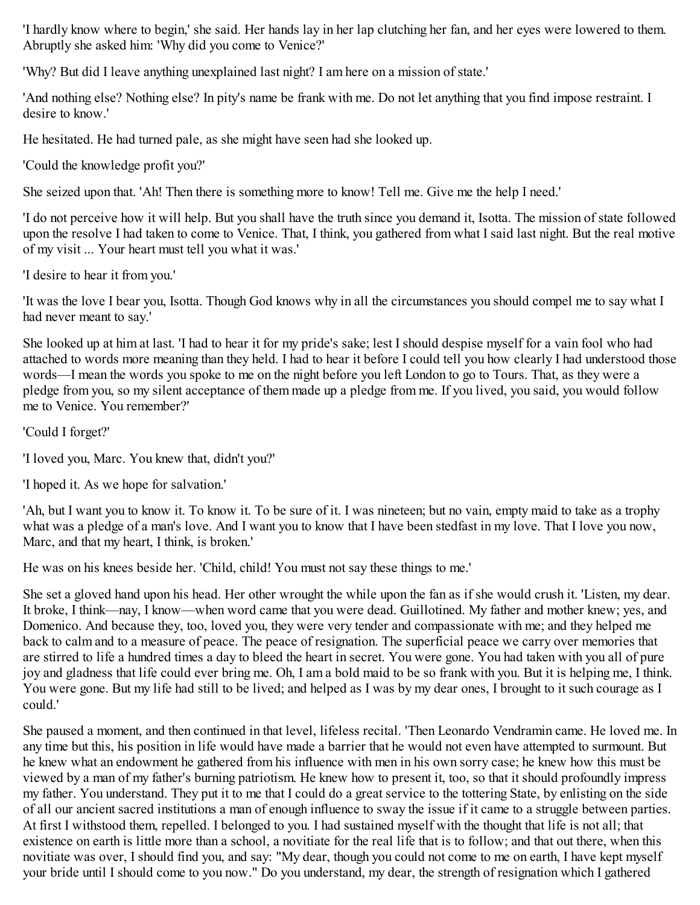'I hardly know where to begin,' she said. Her hands lay in her lap clutching her fan, and her eyes were lowered to them. Abruptly she asked him: 'Why did you come to Venice?'

'Why? But did I leave anything unexplained last night? I am here on a mission of state.'

'And nothing else? Nothing else? In pity's name be frank with me. Do not let anything that you find impose restraint. I desire to know.'

He hesitated. He had turned pale, as she might have seen had she looked up.

'Could the knowledge profit you?'

She seized upon that. 'Ah! Then there is something more to know! Tell me. Give me the help I need.'

'I do not perceive how it will help. But you shall have the truth since you demand it, Isotta. The mission of state followed upon the resolve I had taken to come to Venice. That, I think, you gathered from what I said last night. But the real motive of my visit ... Your heart must tell you what it was.'

'I desire to hear it from you.'

'It was the love I bear you, Isotta. Though God knows why in all the circumstances you should compel me to say what I had never meant to say.'

She looked up at him at last. 'I had to hear it for my pride's sake; lest I should despise myself for a vain fool who had attached to words more meaning than they held. I had to hear it before I could tell you how clearly I had understood those words—I mean the words you spoke to me on the night before you left London to go to Tours. That, as they were a pledge from you, so my silent acceptance of them made up a pledge from me. If you lived, you said, you would follow me to Venice. You remember?'

'Could I forget?'

'I loved you, Marc. You knew that, didn't you?'

'I hoped it. As we hope for salvation.'

'Ah, but I want you to know it. To know it. To be sure of it. I was nineteen; but no vain, empty maid to take as a trophy what was a pledge of a man's love. And I want you to know that I have been stedfast in my love. That I love you now, Marc, and that my heart, I think, is broken.'

He was on his knees beside her. 'Child, child! You must not say these things to me.'

She set a gloved hand upon his head. Her other wrought the while upon the fan as if she would crush it. 'Listen, my dear. It broke, I think—nay, I know—when word came that you were dead. Guillotined. My father and mother knew; yes, and Domenico. And because they, too, loved you, they were very tender and compassionate with me; and they helped me back to calm and to a measure of peace. The peace of resignation. The superficial peace we carry over memories that are stirred to life a hundred times a day to bleed the heart in secret. You were gone. You had taken with you all of pure joy and gladness that life could ever bring me. Oh, I am a bold maid to be so frank with you. But it is helping me, I think. You were gone. But my life had still to be lived; and helped as I was by my dear ones, I brought to it such courage as I could.'

She paused a moment, and then continued in that level, lifeless recital. 'Then Leonardo Vendramin came. He loved me. In any time but this, his position in life would have made a barrier that he would not even have attempted to surmount. But he knew what an endowment he gathered from his influence with men in his own sorry case; he knew how this must be viewed by a man of my father's burning patriotism. He knew how to present it, too, so that it should profoundly impress my father. You understand. They put it to me that I could do a great service to the tottering State, by enlisting on the side of all our ancient sacred institutions a man of enough influence to sway the issue if it came to a struggle between parties. At first I withstood them, repelled. I belonged to you. I had sustained myself with the thought that life is not all; that existence on earth is little more than a school, a novitiate for the real life that is to follow; and that out there, when this novitiate was over, I should find you, and say: "My dear, though you could not come to me on earth, I have kept myself your bride until I should come to you now." Do you understand, my dear, the strength of resignation which I gathered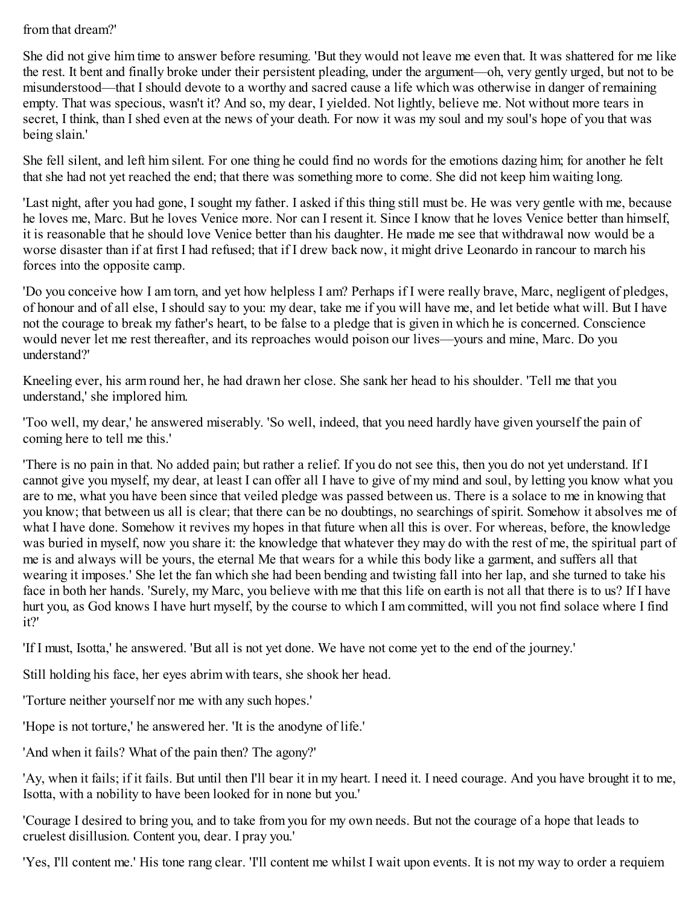#### from that dream?'

She did not give him time to answer before resuming. 'But they would not leave me even that. It was shattered for me like the rest. It bent and finally broke under their persistent pleading, under the argument—oh, very gently urged, but not to be misunderstood—that I should devote to a worthy and sacred cause a life which was otherwise in danger of remaining empty. That was specious, wasn't it? And so, my dear, I yielded. Not lightly, believe me. Not without more tears in secret, I think, than I shed even at the news of your death. For now it was my soul and my soul's hope of you that was being slain.'

She fell silent, and left him silent. For one thing he could find no words for the emotions dazing him; for another he felt that she had not yet reached the end; that there was something more to come. She did not keep him waiting long.

'Last night, after you had gone, I sought my father. I asked if this thing still must be. He was very gentle with me, because he loves me, Marc. But he loves Venice more. Nor can I resent it. Since I know that he loves Venice better than himself, it is reasonable that he should love Venice better than his daughter. He made me see that withdrawal now would be a worse disaster than if at first I had refused; that if I drew back now, it might drive Leonardo in rancour to march his forces into the opposite camp.

'Do you conceive how I am torn, and yet how helpless I am? Perhaps if I were really brave, Marc, negligent of pledges, of honour and of all else, I should say to you: my dear, take me if you will have me, and let betide what will. But I have not the courage to break my father's heart, to be false to a pledge that is given in which he is concerned. Conscience would never let me rest thereafter, and its reproaches would poison our lives—yours and mine, Marc. Do you understand?'

Kneeling ever, his arm round her, he had drawn her close. She sank her head to his shoulder. 'Tell me that you understand,' she implored him.

'Too well, my dear,' he answered miserably. 'So well, indeed, that you need hardly have given yourself the pain of coming here to tell me this.'

'There is no pain in that. No added pain; but rather a relief. If you do not see this, then you do not yet understand. If I cannot give you myself, my dear, at least I can offer all I have to give of my mind and soul, by letting you know what you are to me, what you have been since that veiled pledge was passed between us. There is a solace to me in knowing that you know; that between us all is clear; that there can be no doubtings, no searchings of spirit. Somehow it absolves me of what I have done. Somehow it revives my hopes in that future when all this is over. For whereas, before, the knowledge was buried in myself, now you share it: the knowledge that whatever they may do with the rest of me, the spiritual part of me is and always will be yours, the eternal Me that wears for a while this body like a garment, and suffers all that wearing it imposes.' She let the fan which she had been bending and twisting fall into her lap, and she turned to take his face in both her hands. 'Surely, my Marc, you believe with me that this life on earth is not all that there is to us? If I have hurt you, as God knows I have hurt myself, by the course to which I am committed, will you not find solace where I find it?'

'If I must, Isotta,' he answered. 'But all is not yet done. We have not come yet to the end of the journey.'

Still holding his face, her eyes abrim with tears, she shook her head.

'Torture neither yourself nor me with any such hopes.'

'Hope is not torture,' he answered her. 'It is the anodyne of life.'

'And when it fails? What of the pain then? The agony?'

'Ay, when it fails; if it fails. But until then I'll bear it in my heart. I need it. I need courage. And you have brought it to me, Isotta, with a nobility to have been looked for in none but you.'

'Courage I desired to bring you, and to take from you for my own needs. But not the courage of a hope that leads to cruelest disillusion. Content you, dear. I pray you.'

'Yes, I'll content me.' His tone rang clear. 'I'll content me whilst I wait upon events. It is not my way to order a requiem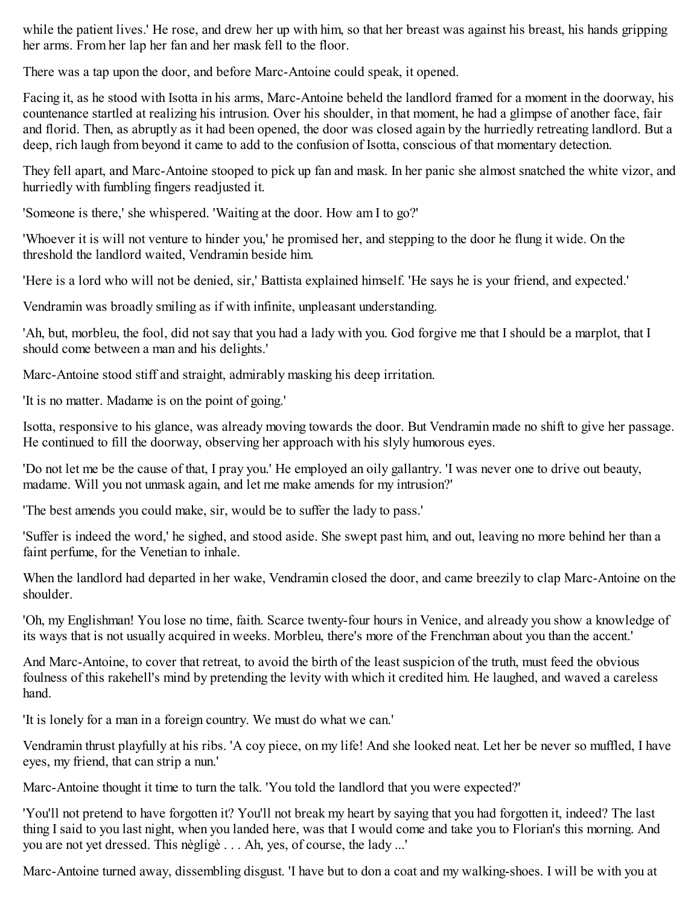while the patient lives.' He rose, and drew her up with him, so that her breast was against his breast, his hands gripping her arms. From her lap her fan and her mask fell to the floor.

There was a tap upon the door, and before Marc-Antoine could speak, it opened.

Facing it, as he stood with Isotta in his arms, Marc-Antoine beheld the landlord framed for a moment in the doorway, his countenance startled at realizing his intrusion. Over his shoulder, in that moment, he had a glimpse of another face, fair and florid. Then, as abruptly as it had been opened, the door was closed again by the hurriedly retreating landlord. But a deep, rich laugh from beyond it came to add to the confusion of Isotta, conscious of that momentary detection.

They fell apart, and Marc-Antoine stooped to pick up fan and mask. In her panic she almost snatched the white vizor, and hurriedly with fumbling fingers readjusted it.

'Someone is there,' she whispered. 'Waiting at the door. How am I to go?'

'Whoever it is will not venture to hinder you,' he promised her, and stepping to the door he flung it wide. On the threshold the landlord waited, Vendramin beside him.

'Here is a lord who will not be denied, sir,' Battista explained himself. 'He says he is your friend, and expected.'

Vendramin was broadly smiling as if with infinite, unpleasant understanding.

'Ah, but, morbleu, the fool, did not say that you had a lady with you. God forgive me that I should be a marplot, that I should come between a man and his delights.'

Marc-Antoine stood stiff and straight, admirably masking his deep irritation.

'It is no matter. Madame is on the point of going.'

Isotta, responsive to his glance, was already moving towards the door. But Vendramin made no shift to give her passage. He continued to fill the doorway, observing her approach with his slyly humorous eyes.

'Do not let me be the cause of that, I pray you.' He employed an oily gallantry. 'I was never one to drive out beauty, madame. Will you not unmask again, and let me make amends for my intrusion?'

'The best amends you could make, sir, would be to suffer the lady to pass.'

'Suffer is indeed the word,' he sighed, and stood aside. She swept past him, and out, leaving no more behind her than a faint perfume, for the Venetian to inhale.

When the landlord had departed in her wake, Vendramin closed the door, and came breezily to clap Marc-Antoine on the shoulder.

'Oh, my Englishman! You lose no time, faith. Scarce twenty-four hours in Venice, and already you show a knowledge of its ways that is not usually acquired in weeks. Morbleu, there's more of the Frenchman about you than the accent.'

And Marc-Antoine, to cover that retreat, to avoid the birth of the least suspicion of the truth, must feed the obvious foulness of this rakehell's mind by pretending the levity with which it credited him. He laughed, and waved a careless hand.

'It is lonely for a man in a foreign country. We must do what we can.'

Vendramin thrust playfully at his ribs. 'A coy piece, on my life! And she looked neat. Let her be never so muffled, I have eyes, my friend, that can strip a nun.'

Marc-Antoine thought it time to turn the talk. 'You told the landlord that you were expected?'

'You'll not pretend to have forgotten it? You'll not break my heart by saying that you had forgotten it, indeed? The last thing I said to you last night, when you landed here, was that I would come and take you to Florian's this morning. And you are not yet dressed. This nègligè . . . Ah, yes, of course, the lady ...'

Marc-Antoine turned away, dissembling disgust. 'I have but to don a coat and my walking-shoes. I will be with you at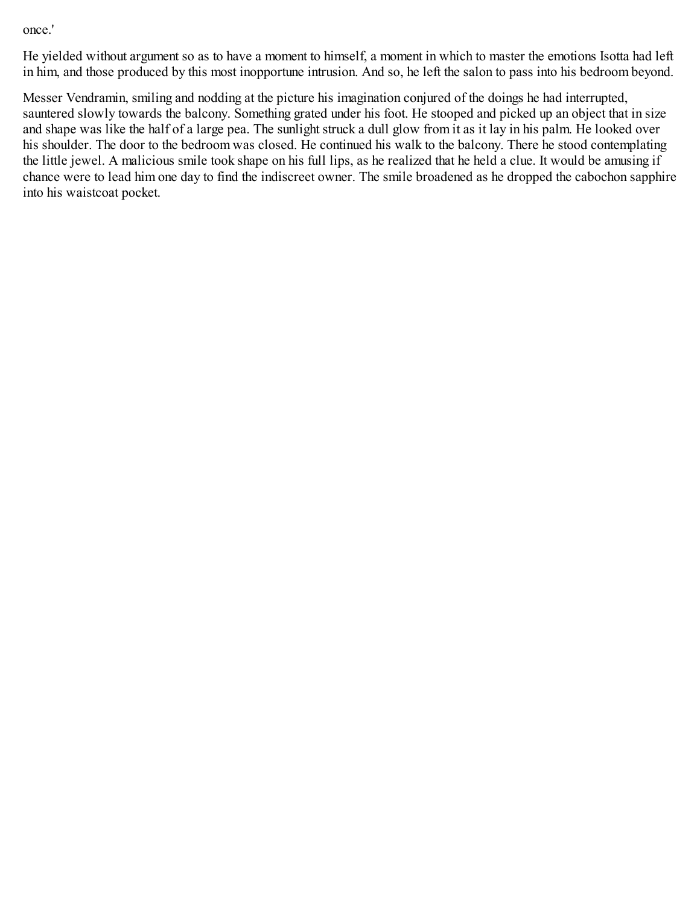#### once.'

He yielded without argument so as to have a moment to himself, a moment in which to master the emotions Isotta had left in him, and those produced by this most inopportune intrusion. And so, he left the salon to pass into his bedroom beyond.

Messer Vendramin, smiling and nodding at the picture his imagination conjured of the doings he had interrupted, sauntered slowly towards the balcony. Something grated under his foot. He stooped and picked up an object that in size and shape was like the half of a large pea. The sunlight struck a dull glow from it as it lay in his palm. He looked over his shoulder. The door to the bedroom was closed. He continued his walk to the balcony. There he stood contemplating the little jewel. A malicious smile took shape on his full lips, as he realized that he held a clue. It would be amusing if chance were to lead him one day to find the indiscreet owner. The smile broadened as he dropped the cabochon sapphire into his waistcoat pocket.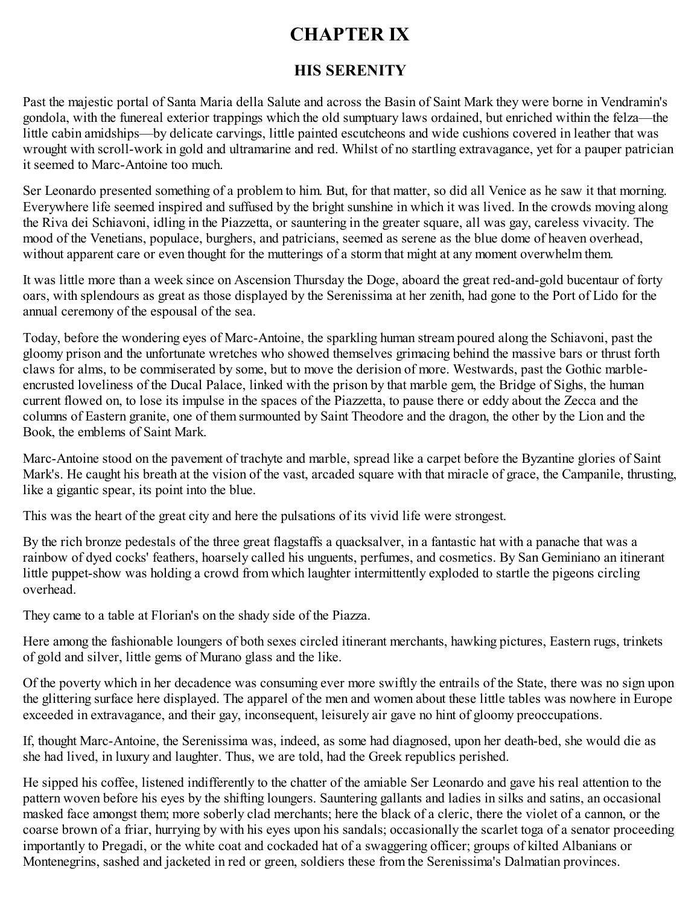# **CHAPTER IX**

#### **HIS SERENITY**

Past the majestic portal of Santa Maria della Salute and across the Basin of Saint Mark they were borne in Vendramin's gondola, with the funereal exterior trappings which the old sumptuary laws ordained, but enriched within the felza—the little cabin amidships—by delicate carvings, little painted escutcheons and wide cushions covered in leather that was wrought with scroll-work in gold and ultramarine and red. Whilst of no startling extravagance, yet for a pauper patrician it seemed to Marc-Antoine too much.

Ser Leonardo presented something of a problem to him. But, for that matter, so did all Venice as he saw it that morning. Everywhere life seemed inspired and suffused by the bright sunshine in which it was lived. In the crowds moving along the Riva dei Schiavoni, idling in the Piazzetta, or sauntering in the greater square, all was gay, careless vivacity. The mood of the Venetians, populace, burghers, and patricians, seemed as serene as the blue dome of heaven overhead, without apparent care or even thought for the mutterings of a storm that might at any moment overwhelm them.

It was little more than a week since on Ascension Thursday the Doge, aboard the great red-and-gold bucentaur of forty oars, with splendours as great as those displayed by the Serenissima at her zenith, had gone to the Port of Lido for the annual ceremony of the espousal of the sea.

Today, before the wondering eyes of Marc-Antoine, the sparkling human stream poured along the Schiavoni, past the gloomy prison and the unfortunate wretches who showed themselves grimacing behind the massive bars or thrust forth claws for alms, to be commiserated by some, but to move the derision of more. Westwards, past the Gothic marbleencrusted loveliness of the Ducal Palace, linked with the prison by that marble gem, the Bridge of Sighs, the human current flowed on, to lose its impulse in the spaces of the Piazzetta, to pause there or eddy about the Zecca and the columns of Eastern granite, one of them surmounted by Saint Theodore and the dragon, the other by the Lion and the Book, the emblems of Saint Mark.

Marc-Antoine stood on the pavement of trachyte and marble, spread like a carpet before the Byzantine glories of Saint Mark's. He caught his breath at the vision of the vast, arcaded square with that miracle of grace, the Campanile, thrusting, like a gigantic spear, its point into the blue.

This was the heart of the great city and here the pulsations of its vivid life were strongest.

By the rich bronze pedestals of the three great flagstaffs a quacksalver, in a fantastic hat with a panache that was a rainbow of dyed cocks' feathers, hoarsely called his unguents, perfumes, and cosmetics. By San Geminiano an itinerant little puppet-show was holding a crowd from which laughter intermittently exploded to startle the pigeons circling overhead.

They came to a table at Florian's on the shady side of the Piazza.

Here among the fashionable loungers of both sexes circled itinerant merchants, hawking pictures, Eastern rugs, trinkets of gold and silver, little gems of Murano glass and the like.

Of the poverty which in her decadence was consuming ever more swiftly the entrails of the State, there was no sign upon the glittering surface here displayed. The apparel of the men and women about these little tables was nowhere in Europe exceeded in extravagance, and their gay, inconsequent, leisurely air gave no hint of gloomy preoccupations.

If, thought Marc-Antoine, the Serenissima was, indeed, as some had diagnosed, upon her death-bed, she would die as she had lived, in luxury and laughter. Thus, we are told, had the Greek republics perished.

He sipped his coffee, listened indifferently to the chatter of the amiable Ser Leonardo and gave his real attention to the pattern woven before his eyes by the shifting loungers. Sauntering gallants and ladies in silks and satins, an occasional masked face amongst them; more soberly clad merchants; here the black of a cleric, there the violet of a cannon, or the coarse brown of a friar, hurrying by with his eyes upon his sandals; occasionally the scarlet toga of a senator proceeding importantly to Pregadi, or the white coat and cockaded hat of a swaggering officer; groups of kilted Albanians or Montenegrins, sashed and jacketed in red or green, soldiers these from the Serenissima's Dalmatian provinces.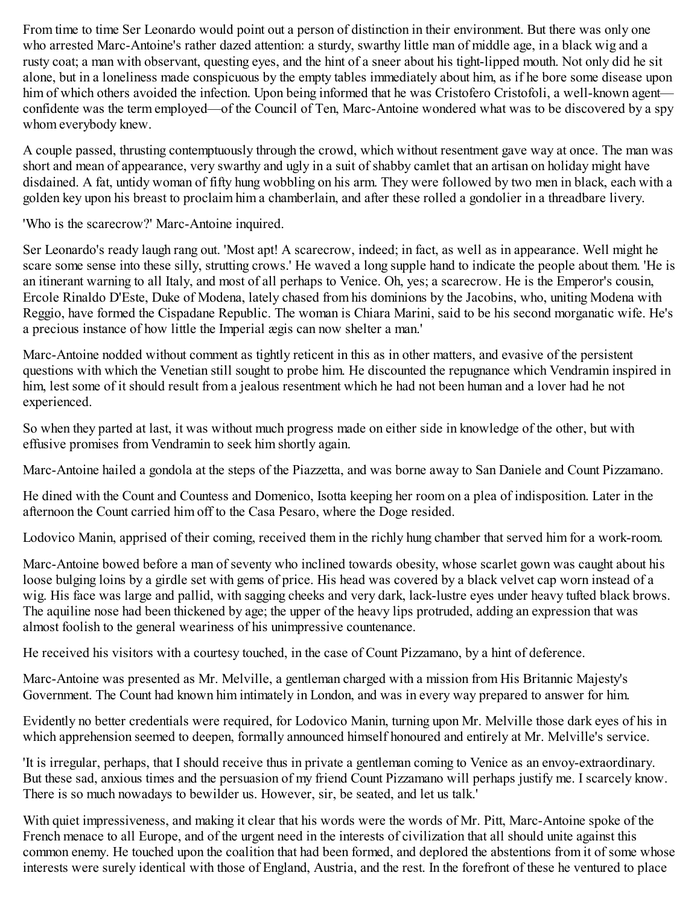From time to time Ser Leonardo would point out a person of distinction in their environment. But there was only one who arrested Marc-Antoine's rather dazed attention: a sturdy, swarthy little man of middle age, in a black wig and a rusty coat; a man with observant, questing eyes, and the hint of a sneer about his tight-lipped mouth. Not only did he sit alone, but in a loneliness made conspicuous by the empty tables immediately about him, as if he bore some disease upon him of which others avoided the infection. Upon being informed that he was Cristofero Cristofoli, a well-known agent confidente was the term employed—of the Council of Ten, Marc-Antoine wondered what was to be discovered by a spy whom everybody knew.

A couple passed, thrusting contemptuously through the crowd, which without resentment gave way at once. The man was short and mean of appearance, very swarthy and ugly in a suit of shabby camlet that an artisan on holiday might have disdained. A fat, untidy woman of fifty hung wobbling on his arm. They were followed by two men in black, each with a golden key upon his breast to proclaim him a chamberlain, and after these rolled a gondolier in a threadbare livery.

'Who is the scarecrow?' Marc-Antoine inquired.

Ser Leonardo's ready laugh rang out. 'Most apt! A scarecrow, indeed; in fact, as well as in appearance. Well might he scare some sense into these silly, strutting crows.' He waved a long supple hand to indicate the people about them. 'He is an itinerant warning to all Italy, and most of all perhaps to Venice. Oh, yes; a scarecrow. He is the Emperor's cousin, Ercole Rinaldo D'Este, Duke of Modena, lately chased from his dominions by the Jacobins, who, uniting Modena with Reggio, have formed the Cispadane Republic. The woman is Chiara Marini, said to be his second morganatic wife. He's a precious instance of how little the Imperial ægis can now shelter a man.'

Marc-Antoine nodded without comment as tightly reticent in this as in other matters, and evasive of the persistent questions with which the Venetian still sought to probe him. He discounted the repugnance which Vendramin inspired in him, lest some of it should result from a jealous resentment which he had not been human and a lover had he not experienced.

So when they parted at last, it was without much progress made on either side in knowledge of the other, but with effusive promises from Vendramin to seek him shortly again.

Marc-Antoine hailed a gondola at the steps of the Piazzetta, and was borne away to San Daniele and Count Pizzamano.

He dined with the Count and Countess and Domenico, Isotta keeping her room on a plea of indisposition. Later in the afternoon the Count carried him off to the Casa Pesaro, where the Doge resided.

Lodovico Manin, apprised of their coming, received them in the richly hung chamber that served him for a work-room.

Marc-Antoine bowed before a man of seventy who inclined towards obesity, whose scarlet gown was caught about his loose bulging loins by a girdle set with gems of price. His head was covered by a black velvet cap worn instead of a wig. His face was large and pallid, with sagging cheeks and very dark, lack-lustre eyes under heavy tufted black brows. The aquiline nose had been thickened by age; the upper of the heavy lips protruded, adding an expression that was almost foolish to the general weariness of his unimpressive countenance.

He received his visitors with a courtesy touched, in the case of Count Pizzamano, by a hint of deference.

Marc-Antoine was presented as Mr. Melville, a gentleman charged with a mission from His Britannic Majesty's Government. The Count had known him intimately in London, and was in every way prepared to answer for him.

Evidently no better credentials were required, for Lodovico Manin, turning upon Mr. Melville those dark eyes of his in which apprehension seemed to deepen, formally announced himself honoured and entirely at Mr. Melville's service.

'It is irregular, perhaps, that I should receive thus in private a gentleman coming to Venice as an envoy-extraordinary. But these sad, anxious times and the persuasion of my friend Count Pizzamano will perhaps justify me. I scarcely know. There is so much nowadays to bewilder us. However, sir, be seated, and let us talk.'

With quiet impressiveness, and making it clear that his words were the words of Mr. Pitt, Marc-Antoine spoke of the French menace to all Europe, and of the urgent need in the interests of civilization that all should unite against this common enemy. He touched upon the coalition that had been formed, and deplored the abstentions from it of some whose interests were surely identical with those of England, Austria, and the rest. In the forefront of these he ventured to place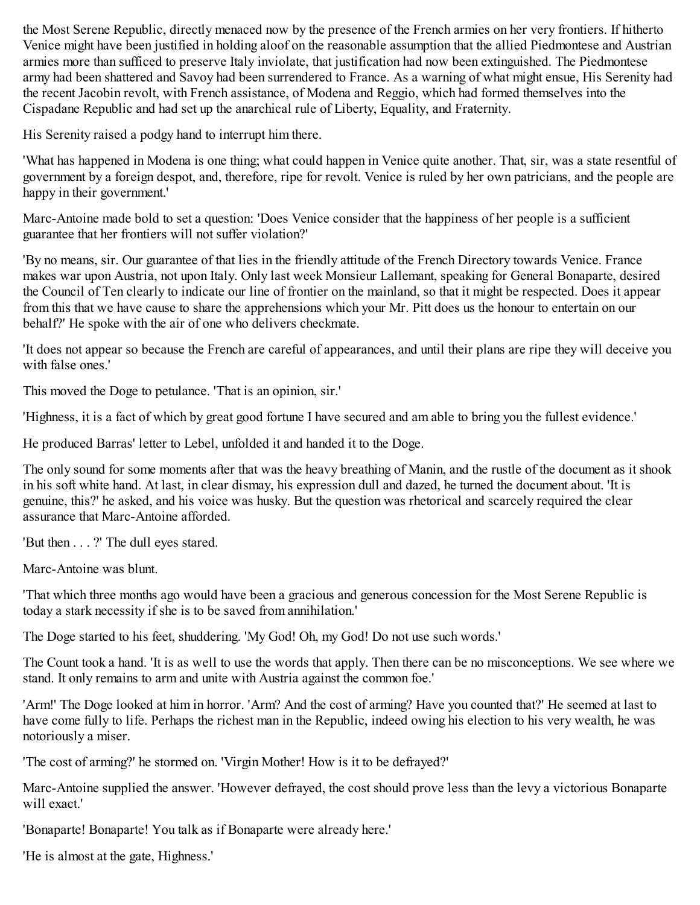the Most Serene Republic, directly menaced now by the presence of the French armies on her very frontiers. If hitherto Venice might have been justified in holding aloof on the reasonable assumption that the allied Piedmontese and Austrian armies more than sufficed to preserve Italy inviolate, that justification had now been extinguished. The Piedmontese army had been shattered and Savoy had been surrendered to France. As a warning of what might ensue, His Serenity had the recent Jacobin revolt, with French assistance, of Modena and Reggio, which had formed themselves into the Cispadane Republic and had set up the anarchical rule of Liberty, Equality, and Fraternity.

His Serenity raised a podgy hand to interrupt him there.

'What has happened in Modena is one thing; what could happen in Venice quite another. That, sir, was a state resentful of government by a foreign despot, and, therefore, ripe for revolt. Venice is ruled by her own patricians, and the people are happy in their government.'

Marc-Antoine made bold to set a question: 'Does Venice consider that the happiness of her people is a sufficient guarantee that her frontiers will not suffer violation?'

'By no means, sir. Our guarantee of that lies in the friendly attitude of the French Directory towards Venice. France makes war upon Austria, not upon Italy. Only last week Monsieur Lallemant, speaking for General Bonaparte, desired the Council of Ten clearly to indicate our line of frontier on the mainland, so that it might be respected. Does it appear from this that we have cause to share the apprehensions which your Mr. Pitt does us the honour to entertain on our behalf?' He spoke with the air of one who delivers checkmate.

'It does not appear so because the French are careful of appearances, and until their plans are ripe they will deceive you with false ones.'

This moved the Doge to petulance. 'That is an opinion, sir.'

'Highness, it is a fact of which by great good fortune I have secured and am able to bring you the fullest evidence.'

He produced Barras' letter to Lebel, unfolded it and handed it to the Doge.

The only sound for some moments after that was the heavy breathing of Manin, and the rustle of the document as it shook in his soft white hand. At last, in clear dismay, his expression dull and dazed, he turned the document about. 'It is genuine, this?' he asked, and his voice was husky. But the question was rhetorical and scarcely required the clear assurance that Marc-Antoine afforded.

'But then . . . ?' The dull eyes stared.

Marc-Antoine was blunt.

'That which three months ago would have been a gracious and generous concession for the Most Serene Republic is today a stark necessity if she is to be saved from annihilation.'

The Doge started to his feet, shuddering. 'My God! Oh, my God! Do not use such words.'

The Count took a hand. 'It is as well to use the words that apply. Then there can be no misconceptions. We see where we stand. It only remains to arm and unite with Austria against the common foe.'

'Arm!' The Doge looked at him in horror. 'Arm? And the cost of arming? Have you counted that?' He seemed at last to have come fully to life. Perhaps the richest man in the Republic, indeed owing his election to his very wealth, he was notoriously a miser.

'The cost of arming?' he stormed on. 'Virgin Mother! How is it to be defrayed?'

Marc-Antoine supplied the answer. 'However defrayed, the cost should prove less than the levy a victorious Bonaparte will exact.'

'Bonaparte! Bonaparte! You talk as if Bonaparte were already here.'

'He is almost at the gate, Highness.'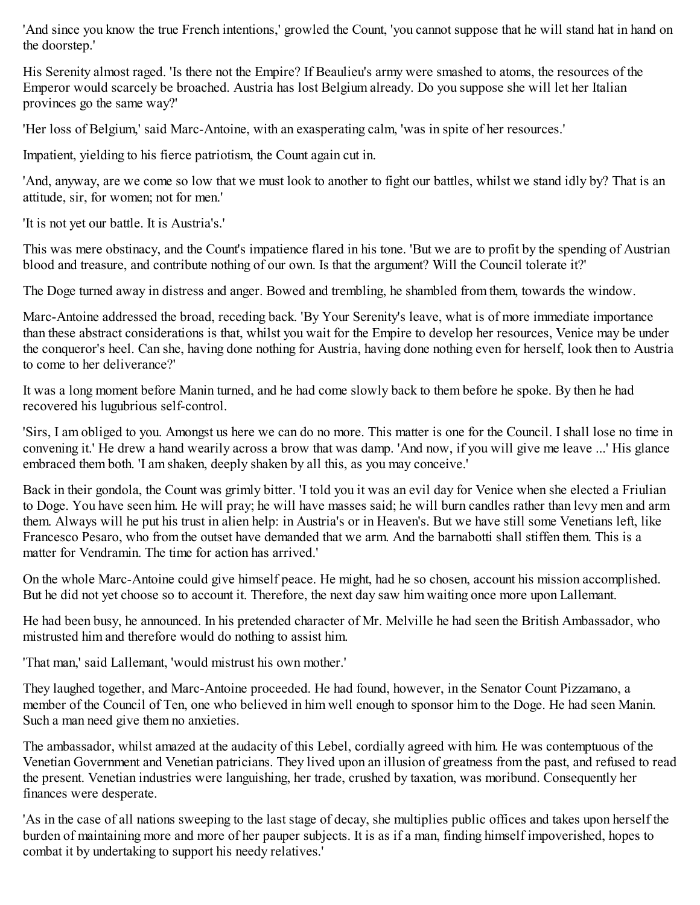'And since you know the true French intentions,' growled the Count, 'you cannot suppose that he will stand hat in hand on the doorstep.'

His Serenity almost raged. 'Is there not the Empire? If Beaulieu's army were smashed to atoms, the resources of the Emperor would scarcely be broached. Austria has lost Belgium already. Do you suppose she will let her Italian provinces go the same way?'

'Her loss of Belgium,' said Marc-Antoine, with an exasperating calm, 'was in spite of her resources.'

Impatient, yielding to his fierce patriotism, the Count again cut in.

'And, anyway, are we come so low that we must look to another to fight our battles, whilst we stand idly by? That is an attitude, sir, for women; not for men.'

'It is not yet our battle. It is Austria's.'

This was mere obstinacy, and the Count's impatience flared in his tone. 'But we are to profit by the spending of Austrian blood and treasure, and contribute nothing of our own. Is that the argument? Will the Council tolerate it?'

The Doge turned away in distress and anger. Bowed and trembling, he shambled from them, towards the window.

Marc-Antoine addressed the broad, receding back. 'By Your Serenity's leave, what is of more immediate importance than these abstract considerations is that, whilst you wait for the Empire to develop her resources, Venice may be under the conqueror's heel. Can she, having done nothing for Austria, having done nothing even for herself, look then to Austria to come to her deliverance?'

It was a long moment before Manin turned, and he had come slowly back to them before he spoke. By then he had recovered his lugubrious self-control.

'Sirs, I am obliged to you. Amongst us here we can do no more. This matter is one for the Council. I shall lose no time in convening it.' He drew a hand wearily across a brow that was damp. 'And now, if you will give me leave ...' His glance embraced them both. 'I am shaken, deeply shaken by all this, as you may conceive.'

Back in their gondola, the Count was grimly bitter. 'I told you it was an evil day for Venice when she elected a Friulian to Doge. You have seen him. He will pray; he will have masses said; he will burn candles rather than levy men and arm them. Always will he put his trust in alien help: in Austria's or in Heaven's. But we have still some Venetians left, like Francesco Pesaro, who from the outset have demanded that we arm. And the barnabotti shall stiffen them. This is a matter for Vendramin. The time for action has arrived.'

On the whole Marc-Antoine could give himself peace. He might, had he so chosen, account his mission accomplished. But he did not yet choose so to account it. Therefore, the next day saw him waiting once more upon Lallemant.

He had been busy, he announced. In his pretended character of Mr. Melville he had seen the British Ambassador, who mistrusted him and therefore would do nothing to assist him.

'That man,' said Lallemant, 'would mistrust his own mother.'

They laughed together, and Marc-Antoine proceeded. He had found, however, in the Senator Count Pizzamano, a member of the Council of Ten, one who believed in him well enough to sponsor him to the Doge. He had seen Manin. Such a man need give them no anxieties.

The ambassador, whilst amazed at the audacity of this Lebel, cordially agreed with him. He was contemptuous of the Venetian Government and Venetian patricians. They lived upon an illusion of greatness from the past, and refused to read the present. Venetian industries were languishing, her trade, crushed by taxation, was moribund. Consequently her finances were desperate.

'As in the case of all nations sweeping to the last stage of decay, she multiplies public offices and takes upon herself the burden of maintaining more and more of her pauper subjects. It is as if a man, finding himself impoverished, hopes to combat it by undertaking to support his needy relatives.'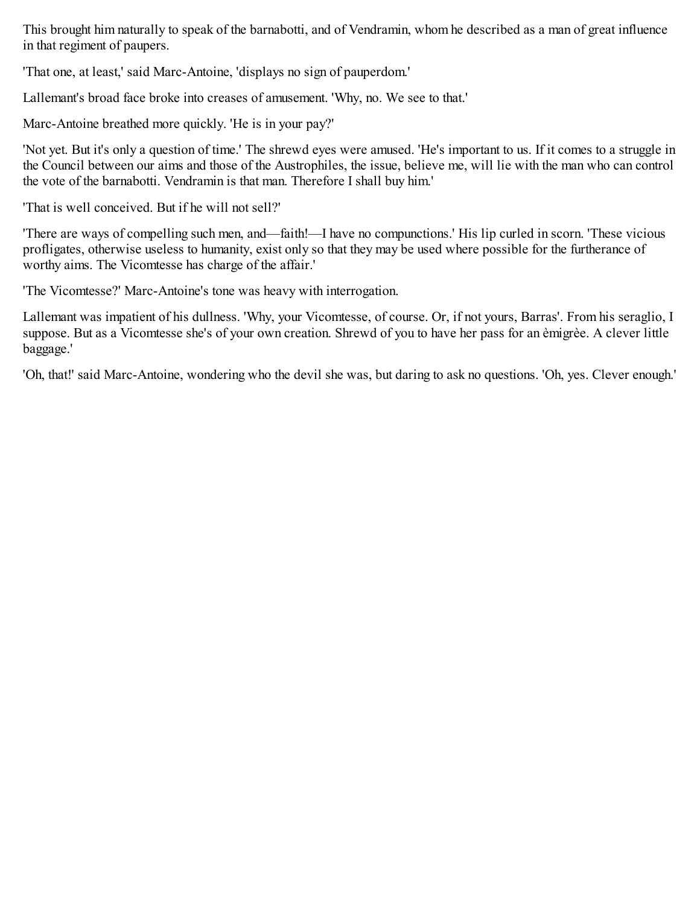This brought him naturally to speak of the barnabotti, and of Vendramin, whom he described as a man of great influence in that regiment of paupers.

'That one, at least,' said Marc-Antoine, 'displays no sign of pauperdom.'

Lallemant's broad face broke into creases of amusement. 'Why, no. We see to that.'

Marc-Antoine breathed more quickly. 'He is in your pay?'

'Not yet. But it's only a question of time.' The shrewd eyes were amused. 'He's important to us. If it comes to a struggle in the Council between our aims and those of the Austrophiles, the issue, believe me, will lie with the man who can control the vote of the barnabotti. Vendramin is that man. Therefore I shall buy him.'

'That is well conceived. But if he will not sell?'

'There are ways of compelling such men, and—faith!—I have no compunctions.' His lip curled in scorn. 'These vicious profligates, otherwise useless to humanity, exist only so that they may be used where possible for the furtherance of worthy aims. The Vicomtesse has charge of the affair.'

'The Vicomtesse?' Marc-Antoine's tone was heavy with interrogation.

Lallemant was impatient of his dullness. 'Why, your Vicomtesse, of course. Or, if not yours, Barras'. From his seraglio, I suppose. But as a Vicomtesse she's of your own creation. Shrewd of you to have her pass for an èmigrèe. A clever little baggage.'

'Oh, that!' said Marc-Antoine, wondering who the devil she was, but daring to ask no questions. 'Oh, yes. Clever enough.'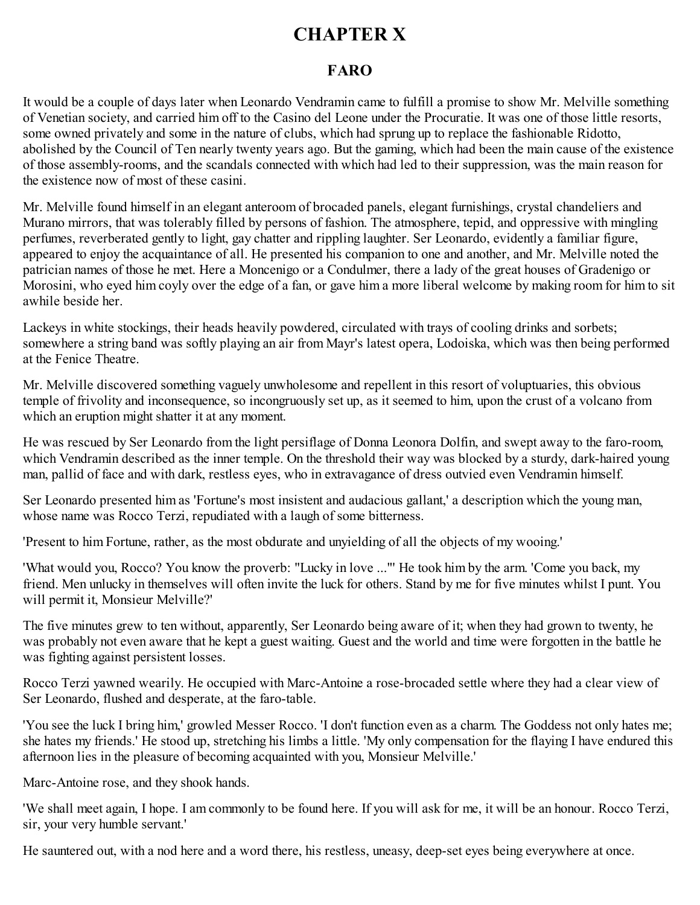# **CHAPTER X**

#### **FARO**

It would be a couple of days later when Leonardo Vendramin came to fulfill a promise to show Mr. Melville something of Venetian society, and carried him off to the Casino del Leone under the Procuratie. It was one of those little resorts, some owned privately and some in the nature of clubs, which had sprung up to replace the fashionable Ridotto, abolished by the Council of Ten nearly twenty years ago. But the gaming, which had been the main cause of the existence of those assembly-rooms, and the scandals connected with which had led to their suppression, was the main reason for the existence now of most of these casini.

Mr. Melville found himself in an elegant anteroom of brocaded panels, elegant furnishings, crystal chandeliers and Murano mirrors, that was tolerably filled by persons of fashion. The atmosphere, tepid, and oppressive with mingling perfumes, reverberated gently to light, gay chatter and rippling laughter. Ser Leonardo, evidently a familiar figure, appeared to enjoy the acquaintance of all. He presented his companion to one and another, and Mr. Melville noted the patrician names of those he met. Here a Moncenigo or a Condulmer, there a lady of the great houses of Gradenigo or Morosini, who eyed him coyly over the edge of a fan, or gave him a more liberal welcome by making room for him to sit awhile beside her.

Lackeys in white stockings, their heads heavily powdered, circulated with trays of cooling drinks and sorbets; somewhere a string band was softly playing an air from Mayr's latest opera, Lodoiska, which was then being performed at the Fenice Theatre.

Mr. Melville discovered something vaguely unwholesome and repellent in this resort of voluptuaries, this obvious temple of frivolity and inconsequence, so incongruously set up, as it seemed to him, upon the crust of a volcano from which an eruption might shatter it at any moment.

He was rescued by Ser Leonardo from the light persiflage of Donna Leonora Dolfin, and swept away to the faro-room, which Vendramin described as the inner temple. On the threshold their way was blocked by a sturdy, dark-haired young man, pallid of face and with dark, restless eyes, who in extravagance of dress outvied even Vendramin himself.

Ser Leonardo presented him as 'Fortune's most insistent and audacious gallant,' a description which the young man, whose name was Rocco Terzi, repudiated with a laugh of some bitterness.

'Present to him Fortune, rather, as the most obdurate and unyielding of all the objects of my wooing.'

'What would you, Rocco? You know the proverb: "Lucky in love ..."' He took him by the arm. 'Come you back, my friend. Men unlucky in themselves will often invite the luck for others. Stand by me for five minutes whilst I punt. You will permit it, Monsieur Melville?'

The five minutes grew to ten without, apparently, Ser Leonardo being aware of it; when they had grown to twenty, he was probably not even aware that he kept a guest waiting. Guest and the world and time were forgotten in the battle he was fighting against persistent losses.

Rocco Terzi yawned wearily. He occupied with Marc-Antoine a rose-brocaded settle where they had a clear view of Ser Leonardo, flushed and desperate, at the faro-table.

'You see the luck I bring him,' growled Messer Rocco. 'I don't function even as a charm. The Goddess not only hates me; she hates my friends.' He stood up, stretching his limbs a little. 'My only compensation for the flaying I have endured this afternoon lies in the pleasure of becoming acquainted with you, Monsieur Melville.'

Marc-Antoine rose, and they shook hands.

'We shall meet again, I hope. I am commonly to be found here. If you will ask for me, it will be an honour. Rocco Terzi, sir, your very humble servant.'

He sauntered out, with a nod here and a word there, his restless, uneasy, deep-set eyes being everywhere at once.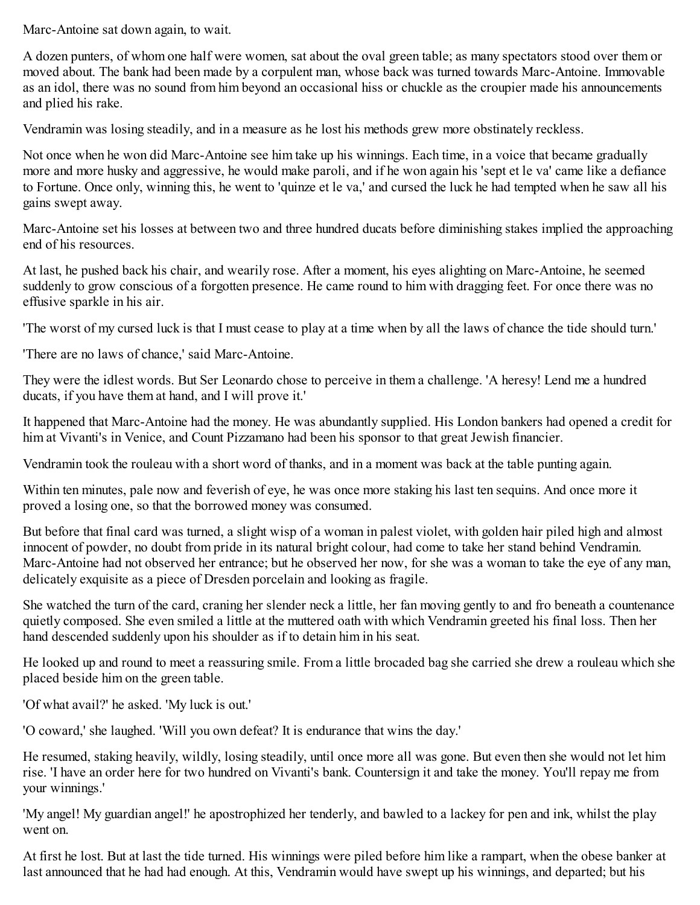Marc-Antoine sat down again, to wait.

A dozen punters, of whom one half were women, sat about the oval green table; as many spectators stood over them or moved about. The bank had been made by a corpulent man, whose back was turned towards Marc-Antoine. Immovable as an idol, there was no sound from him beyond an occasional hiss or chuckle as the croupier made his announcements and plied his rake.

Vendramin was losing steadily, and in a measure as he lost his methods grew more obstinately reckless.

Not once when he won did Marc-Antoine see him take up his winnings. Each time, in a voice that became gradually more and more husky and aggressive, he would make paroli, and if he won again his 'sept et le va' came like a defiance to Fortune. Once only, winning this, he went to 'quinze et le va,' and cursed the luck he had tempted when he saw all his gains swept away.

Marc-Antoine set his losses at between two and three hundred ducats before diminishing stakes implied the approaching end of his resources.

At last, he pushed back his chair, and wearily rose. After a moment, his eyes alighting on Marc-Antoine, he seemed suddenly to grow conscious of a forgotten presence. He came round to him with dragging feet. For once there was no effusive sparkle in his air.

'The worst of my cursed luck is that I must cease to play at a time when by all the laws of chance the tide should turn.'

'There are no laws of chance,' said Marc-Antoine.

They were the idlest words. But Ser Leonardo chose to perceive in them a challenge. 'A heresy! Lend me a hundred ducats, if you have them at hand, and I will prove it.'

It happened that Marc-Antoine had the money. He was abundantly supplied. His London bankers had opened a credit for him at Vivanti's in Venice, and Count Pizzamano had been his sponsor to that great Jewish financier.

Vendramin took the rouleau with a short word of thanks, and in a moment was back at the table punting again.

Within ten minutes, pale now and feverish of eye, he was once more staking his last ten sequins. And once more it proved a losing one, so that the borrowed money was consumed.

But before that final card was turned, a slight wisp of a woman in palest violet, with golden hair piled high and almost innocent of powder, no doubt from pride in its natural bright colour, had come to take her stand behind Vendramin. Marc-Antoine had not observed her entrance; but he observed her now, for she was a woman to take the eye of any man, delicately exquisite as a piece of Dresden porcelain and looking as fragile.

She watched the turn of the card, craning her slender neck a little, her fan moving gently to and fro beneath a countenance quietly composed. She even smiled a little at the muttered oath with which Vendramin greeted his final loss. Then her hand descended suddenly upon his shoulder as if to detain him in his seat.

He looked up and round to meet a reassuring smile. From a little brocaded bag she carried she drew a rouleau which she placed beside him on the green table.

'Of what avail?' he asked. 'My luck is out.'

'O coward,' she laughed. 'Will you own defeat? It is endurance that wins the day.'

He resumed, staking heavily, wildly, losing steadily, until once more all was gone. But even then she would not let him rise. 'I have an order here for two hundred on Vivanti's bank. Countersign it and take the money. You'll repay me from your winnings.'

'My angel! My guardian angel!' he apostrophized her tenderly, and bawled to a lackey for pen and ink, whilst the play went on.

At first he lost. But at last the tide turned. His winnings were piled before him like a rampart, when the obese banker at last announced that he had had enough. At this, Vendramin would have swept up his winnings, and departed; but his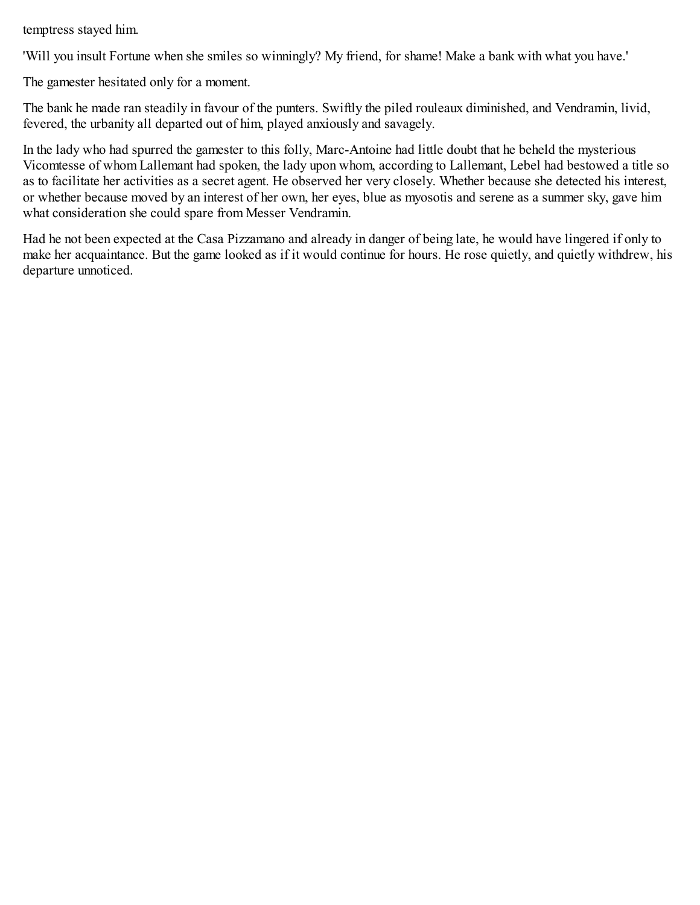temptress stayed him.

'Will you insult Fortune when she smiles so winningly? My friend, for shame! Make a bank with what you have.'

The gamester hesitated only for a moment.

The bank he made ran steadily in favour of the punters. Swiftly the piled rouleaux diminished, and Vendramin, livid, fevered, the urbanity all departed out of him, played anxiously and savagely.

In the lady who had spurred the gamester to this folly, Marc-Antoine had little doubt that he beheld the mysterious Vicomtesse of whom Lallemant had spoken, the lady upon whom, according to Lallemant, Lebel had bestowed a title so as to facilitate her activities as a secret agent. He observed her very closely. Whether because she detected his interest, or whether because moved by an interest of her own, her eyes, blue as myosotis and serene as a summer sky, gave him what consideration she could spare from Messer Vendramin.

Had he not been expected at the Casa Pizzamano and already in danger of being late, he would have lingered if only to make her acquaintance. But the game looked as if it would continue for hours. He rose quietly, and quietly withdrew, his departure unnoticed.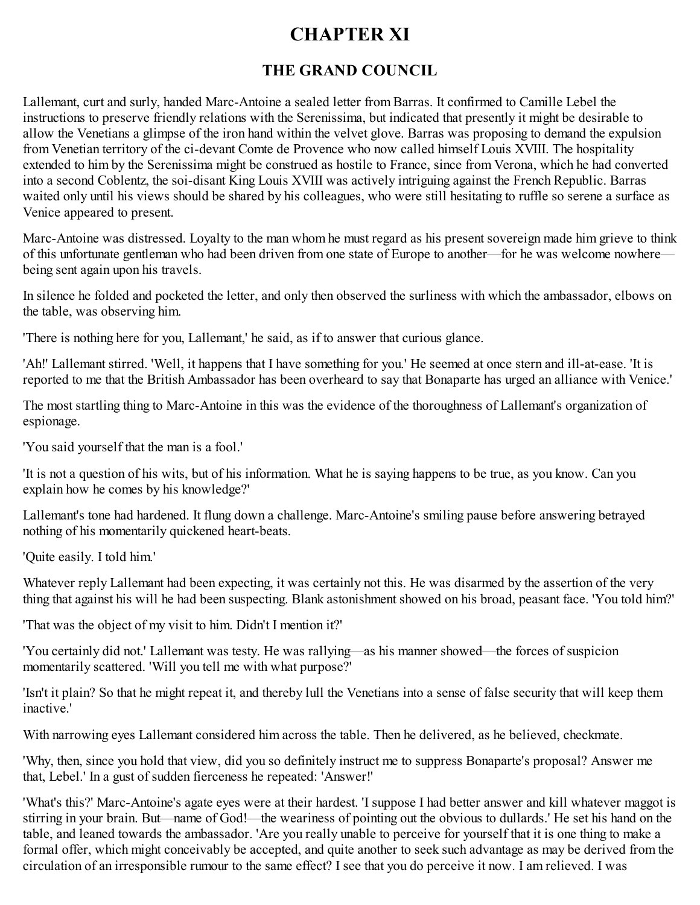# **CHAPTER XI**

#### **THE GRAND COUNCIL**

Lallemant, curt and surly, handed Marc-Antoine a sealed letter from Barras. It confirmed to Camille Lebel the instructions to preserve friendly relations with the Serenissima, but indicated that presently it might be desirable to allow the Venetians a glimpse of the iron hand within the velvet glove. Barras was proposing to demand the expulsion from Venetian territory of the ci-devant Comte de Provence who now called himself Louis XVIII. The hospitality extended to him by the Serenissima might be construed as hostile to France, since from Verona, which he had converted into a second Coblentz, the soi-disant King Louis XVIII was actively intriguing against the French Republic. Barras waited only until his views should be shared by his colleagues, who were still hesitating to ruffle so serene a surface as Venice appeared to present.

Marc-Antoine was distressed. Loyalty to the man whom he must regard as his present sovereign made him grieve to think of this unfortunate gentleman who had been driven from one state of Europe to another—for he was welcome nowhere being sent again upon his travels.

In silence he folded and pocketed the letter, and only then observed the surliness with which the ambassador, elbows on the table, was observing him.

'There is nothing here for you, Lallemant,' he said, as if to answer that curious glance.

'Ah!' Lallemant stirred. 'Well, it happens that I have something for you.' He seemed at once stern and ill-at-ease. 'It is reported to me that the British Ambassador has been overheard to say that Bonaparte has urged an alliance with Venice.'

The most startling thing to Marc-Antoine in this was the evidence of the thoroughness of Lallemant's organization of espionage.

'You said yourself that the man is a fool.'

'It is not a question of his wits, but of his information. What he is saying happens to be true, as you know. Can you explain how he comes by his knowledge?'

Lallemant's tone had hardened. It flung down a challenge. Marc-Antoine's smiling pause before answering betrayed nothing of his momentarily quickened heart-beats.

'Quite easily. I told him.'

Whatever reply Lallemant had been expecting, it was certainly not this. He was disarmed by the assertion of the very thing that against his will he had been suspecting. Blank astonishment showed on his broad, peasant face. 'You told him?'

'That was the object of my visit to him. Didn't I mention it?'

'You certainly did not.' Lallemant was testy. He was rallying—as his manner showed—the forces of suspicion momentarily scattered. 'Will you tell me with what purpose?'

'Isn't it plain? So that he might repeat it, and thereby lull the Venetians into a sense of false security that will keep them inactive.'

With narrowing eyes Lallemant considered him across the table. Then he delivered, as he believed, checkmate.

'Why, then, since you hold that view, did you so definitely instruct me to suppress Bonaparte's proposal? Answer me that, Lebel.' In a gust of sudden fierceness he repeated: 'Answer!'

'What's this?' Marc-Antoine's agate eyes were at their hardest. 'I suppose I had better answer and kill whatever maggot is stirring in your brain. But—name of God!—the weariness of pointing out the obvious to dullards.' He set his hand on the table, and leaned towards the ambassador. 'Are you really unable to perceive for yourself that it is one thing to make a formal offer, which might conceivably be accepted, and quite another to seek such advantage as may be derived from the circulation of an irresponsible rumour to the same effect? I see that you do perceive it now. I am relieved. I was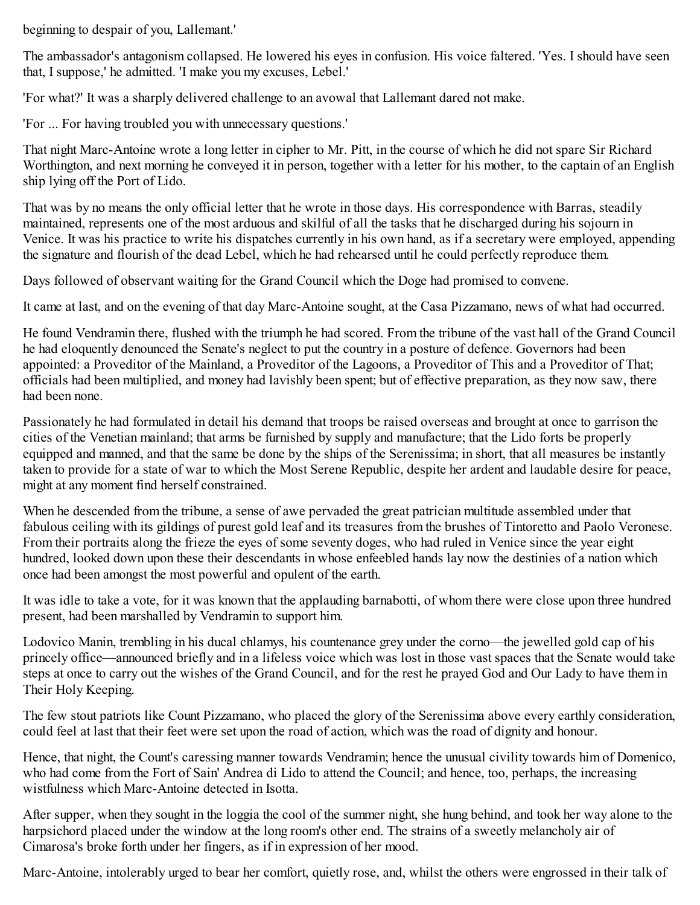beginning to despair of you, Lallemant.'

The ambassador's antagonism collapsed. He lowered his eyes in confusion. His voice faltered. 'Yes. I should have seen that, I suppose,' he admitted. 'I make you my excuses, Lebel.'

'For what?' It was a sharply delivered challenge to an avowal that Lallemant dared not make.

'For ... For having troubled you with unnecessary questions.'

That night Marc-Antoine wrote a long letter in cipher to Mr. Pitt, in the course of which he did not spare Sir Richard Worthington, and next morning he conveyed it in person, together with a letter for his mother, to the captain of an English ship lying off the Port of Lido.

That was by no means the only official letter that he wrote in those days. His correspondence with Barras, steadily maintained, represents one of the most arduous and skilful of all the tasks that he discharged during his sojourn in Venice. It was his practice to write his dispatches currently in his own hand, as if a secretary were employed, appending the signature and flourish of the dead Lebel, which he had rehearsed until he could perfectly reproduce them.

Days followed of observant waiting for the Grand Council which the Doge had promised to convene.

It came at last, and on the evening of that day Marc-Antoine sought, at the Casa Pizzamano, news of what had occurred.

He found Vendramin there, flushed with the triumph he had scored. From the tribune of the vast hall of the Grand Council he had eloquently denounced the Senate's neglect to put the country in a posture of defence. Governors had been appointed: a Proveditor of the Mainland, a Proveditor of the Lagoons, a Proveditor of This and a Proveditor of That; officials had been multiplied, and money had lavishly been spent; but of effective preparation, as they now saw, there had been none.

Passionately he had formulated in detail his demand that troops be raised overseas and brought at once to garrison the cities of the Venetian mainland; that arms be furnished by supply and manufacture; that the Lido forts be properly equipped and manned, and that the same be done by the ships of the Serenissima; in short, that all measures be instantly taken to provide for a state of war to which the Most Serene Republic, despite her ardent and laudable desire for peace, might at any moment find herself constrained.

When he descended from the tribune, a sense of awe pervaded the great patrician multitude assembled under that fabulous ceiling with its gildings of purest gold leaf and its treasures from the brushes of Tintoretto and Paolo Veronese. From their portraits along the frieze the eyes of some seventy doges, who had ruled in Venice since the year eight hundred, looked down upon these their descendants in whose enfeebled hands lay now the destinies of a nation which once had been amongst the most powerful and opulent of the earth.

It was idle to take a vote, for it was known that the applauding barnabotti, of whom there were close upon three hundred present, had been marshalled by Vendramin to support him.

Lodovico Manin, trembling in his ducal chlamys, his countenance grey under the corno—the jewelled gold cap of his princely office—announced briefly and in a lifeless voice which was lost in those vast spaces that the Senate would take steps at once to carry out the wishes of the Grand Council, and for the rest he prayed God and Our Lady to have them in Their Holy Keeping.

The few stout patriots like Count Pizzamano, who placed the glory of the Serenissima above every earthly consideration, could feel at last that their feet were set upon the road of action, which was the road of dignity and honour.

Hence, that night, the Count's caressing manner towards Vendramin; hence the unusual civility towards him of Domenico, who had come from the Fort of Sain' Andrea di Lido to attend the Council; and hence, too, perhaps, the increasing wistfulness which Marc-Antoine detected in Isotta.

After supper, when they sought in the loggia the cool of the summer night, she hung behind, and took her way alone to the harpsichord placed under the window at the long room's other end. The strains of a sweetly melancholy air of Cimarosa's broke forth under her fingers, as if in expression of her mood.

Marc-Antoine, intolerably urged to bear her comfort, quietly rose, and, whilst the others were engrossed in their talk of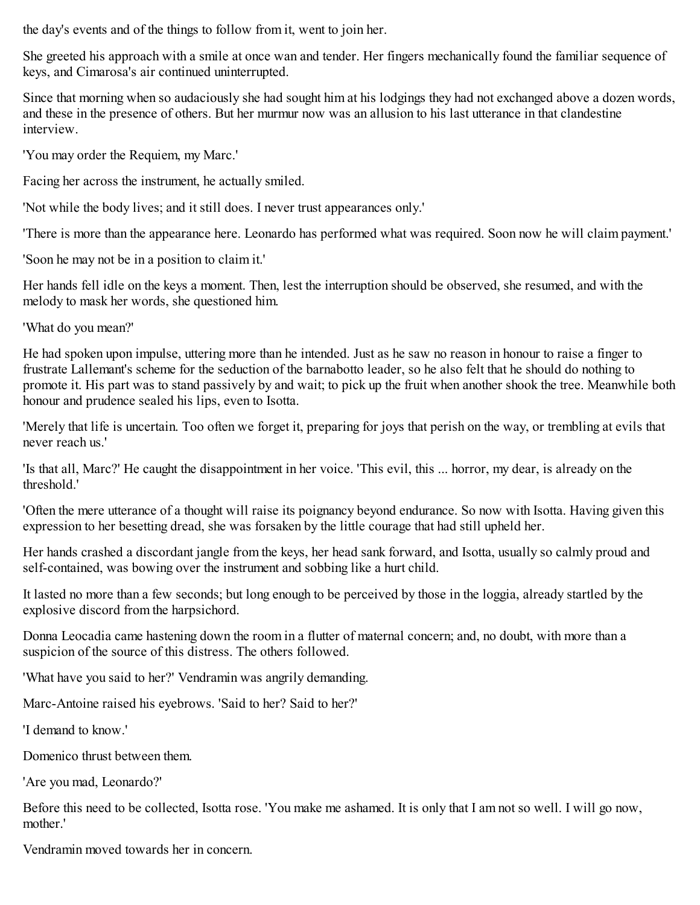the day's events and of the things to follow from it, went to join her.

She greeted his approach with a smile at once wan and tender. Her fingers mechanically found the familiar sequence of keys, and Cimarosa's air continued uninterrupted.

Since that morning when so audaciously she had sought him at his lodgings they had not exchanged above a dozen words, and these in the presence of others. But her murmur now was an allusion to his last utterance in that clandestine interview.

'You may order the Requiem, my Marc.'

Facing her across the instrument, he actually smiled.

'Not while the body lives; and it still does. I never trust appearances only.'

'There is more than the appearance here. Leonardo has performed what was required. Soon now he will claim payment.'

'Soon he may not be in a position to claim it.'

Her hands fell idle on the keys a moment. Then, lest the interruption should be observed, she resumed, and with the melody to mask her words, she questioned him.

'What do you mean?'

He had spoken upon impulse, uttering more than he intended. Just as he saw no reason in honour to raise a finger to frustrate Lallemant's scheme for the seduction of the barnabotto leader, so he also felt that he should do nothing to promote it. His part was to stand passively by and wait; to pick up the fruit when another shook the tree. Meanwhile both honour and prudence sealed his lips, even to Isotta.

'Merely that life is uncertain. Too often we forget it, preparing for joys that perish on the way, or trembling at evils that never reach us.'

'Is that all, Marc?' He caught the disappointment in her voice. 'This evil, this ... horror, my dear, is already on the threshold.'

'Often the mere utterance of a thought will raise its poignancy beyond endurance. So now with Isotta. Having given this expression to her besetting dread, she was forsaken by the little courage that had still upheld her.

Her hands crashed a discordant jangle from the keys, her head sank forward, and Isotta, usually so calmly proud and self-contained, was bowing over the instrument and sobbing like a hurt child.

It lasted no more than a few seconds; but long enough to be perceived by those in the loggia, already startled by the explosive discord from the harpsichord.

Donna Leocadia came hastening down the room in a flutter of maternal concern; and, no doubt, with more than a suspicion of the source of this distress. The others followed.

'What have you said to her?' Vendramin was angrily demanding.

Marc-Antoine raised his eyebrows. 'Said to her? Said to her?'

'I demand to know.'

Domenico thrust between them.

'Are you mad, Leonardo?'

Before this need to be collected, Isotta rose. 'You make me ashamed. It is only that I am not so well. I will go now, mother.'

Vendramin moved towards her in concern.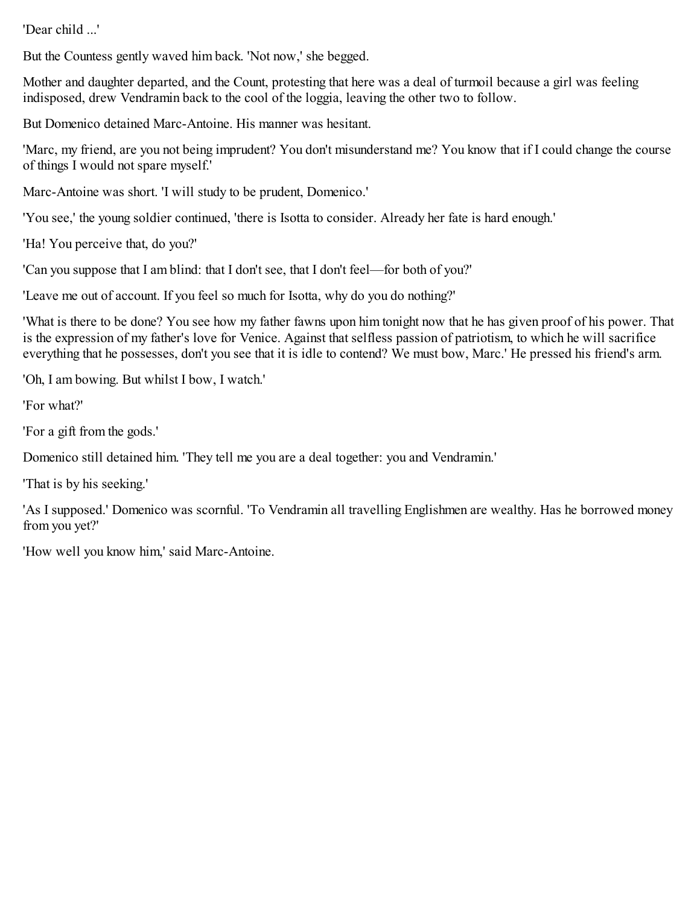'Dear child ...'

But the Countess gently waved him back. 'Not now,' she begged.

Mother and daughter departed, and the Count, protesting that here was a deal of turmoil because a girl was feeling indisposed, drew Vendramin back to the cool of the loggia, leaving the other two to follow.

But Domenico detained Marc-Antoine. His manner was hesitant.

'Marc, my friend, are you not being imprudent? You don't misunderstand me? You know that if I could change the course of things I would not spare myself.'

Marc-Antoine was short. 'I will study to be prudent, Domenico.'

'You see,' the young soldier continued, 'there is Isotta to consider. Already her fate is hard enough.'

'Ha! You perceive that, do you?'

'Can you suppose that I am blind: that I don't see, that I don't feel—for both of you?'

'Leave me out of account. If you feel so much for Isotta, why do you do nothing?'

'What is there to be done? You see how my father fawns upon him tonight now that he has given proof of his power. That is the expression of my father's love for Venice. Against that selfless passion of patriotism, to which he will sacrifice everything that he possesses, don't you see that it is idle to contend? We must bow, Marc.' He pressed his friend's arm.

'Oh, I am bowing. But whilst I bow, I watch.'

'For what?'

'For a gift from the gods.'

Domenico still detained him. 'They tell me you are a deal together: you and Vendramin.'

'That is by his seeking.'

'As I supposed.' Domenico was scornful. 'To Vendramin all travelling Englishmen are wealthy. Has he borrowed money from you yet?'

'How well you know him,' said Marc-Antoine.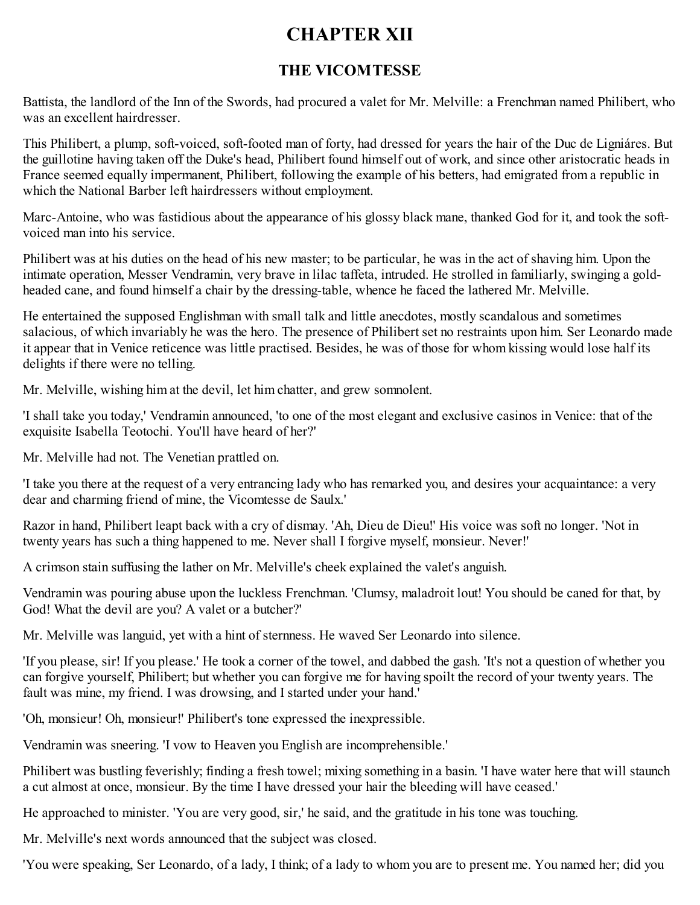# **CHAPTER XII**

#### **THE VICOMTESSE**

Battista, the landlord of the Inn of the Swords, had procured a valet for Mr. Melville: a Frenchman named Philibert, who was an excellent hairdresser.

This Philibert, a plump, soft-voiced, soft-footed man of forty, had dressed for years the hair of the Duc de Ligniáres. But the guillotine having taken off the Duke's head, Philibert found himself out of work, and since other aristocratic heads in France seemed equally impermanent, Philibert, following the example of his betters, had emigrated from a republic in which the National Barber left hairdressers without employment.

Marc-Antoine, who was fastidious about the appearance of his glossy black mane, thanked God for it, and took the softvoiced man into his service.

Philibert was at his duties on the head of his new master; to be particular, he was in the act of shaving him. Upon the intimate operation, Messer Vendramin, very brave in lilac taffeta, intruded. He strolled in familiarly, swinging a goldheaded cane, and found himself a chair by the dressing-table, whence he faced the lathered Mr. Melville.

He entertained the supposed Englishman with small talk and little anecdotes, mostly scandalous and sometimes salacious, of which invariably he was the hero. The presence of Philibert set no restraints upon him. Ser Leonardo made it appear that in Venice reticence was little practised. Besides, he was of those for whom kissing would lose half its delights if there were no telling.

Mr. Melville, wishing him at the devil, let him chatter, and grew somnolent.

'I shall take you today,' Vendramin announced, 'to one of the most elegant and exclusive casinos in Venice: that of the exquisite Isabella Teotochi. You'll have heard of her?'

Mr. Melville had not. The Venetian prattled on.

'I take you there at the request of a very entrancing lady who has remarked you, and desires your acquaintance: a very dear and charming friend of mine, the Vicomtesse de Saulx.'

Razor in hand, Philibert leapt back with a cry of dismay. 'Ah, Dieu de Dieu!' His voice was soft no longer. 'Not in twenty years has such a thing happened to me. Never shall I forgive myself, monsieur. Never!'

A crimson stain suffusing the lather on Mr. Melville's cheek explained the valet's anguish.

Vendramin was pouring abuse upon the luckless Frenchman. 'Clumsy, maladroit lout! You should be caned for that, by God! What the devil are you? A valet or a butcher?'

Mr. Melville was languid, yet with a hint of sternness. He waved Ser Leonardo into silence.

'If you please, sir! If you please.' He took a corner of the towel, and dabbed the gash. 'It's not a question of whether you can forgive yourself, Philibert; but whether you can forgive me for having spoilt the record of your twenty years. The fault was mine, my friend. I was drowsing, and I started under your hand.'

'Oh, monsieur! Oh, monsieur!' Philibert's tone expressed the inexpressible.

Vendramin was sneering. 'I vow to Heaven you English are incomprehensible.'

Philibert was bustling feverishly; finding a fresh towel; mixing something in a basin. 'I have water here that will staunch a cut almost at once, monsieur. By the time I have dressed your hair the bleeding will have ceased.'

He approached to minister. 'You are very good, sir,' he said, and the gratitude in his tone was touching.

Mr. Melville's next words announced that the subject was closed.

'You were speaking, Ser Leonardo, of a lady, I think; of a lady to whom you are to present me. You named her; did you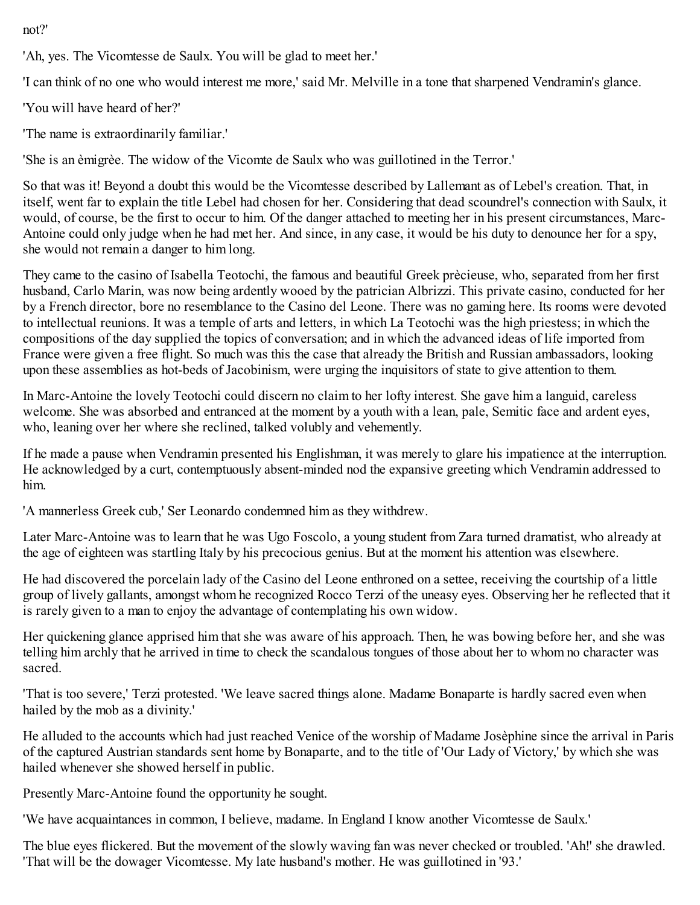not?'

'Ah, yes. The Vicomtesse de Saulx. You will be glad to meet her.'

'I can think of no one who would interest me more,' said Mr. Melville in a tone that sharpened Vendramin's glance.

'You will have heard of her?'

'The name is extraordinarily familiar.'

'She is an èmigrèe. The widow of the Vicomte de Saulx who was guillotined in the Terror.'

So that was it! Beyond a doubt this would be the Vicomtesse described by Lallemant as of Lebel's creation. That, in itself, went far to explain the title Lebel had chosen for her. Considering that dead scoundrel's connection with Saulx, it would, of course, be the first to occur to him. Of the danger attached to meeting her in his present circumstances, Marc-Antoine could only judge when he had met her. And since, in any case, it would be his duty to denounce her for a spy, she would not remain a danger to him long.

They came to the casino of Isabella Teotochi, the famous and beautiful Greek prècieuse, who, separated from her first husband, Carlo Marin, was now being ardently wooed by the patrician Albrizzi. This private casino, conducted for her by a French director, bore no resemblance to the Casino del Leone. There was no gaming here. Its rooms were devoted to intellectual reunions. It was a temple of arts and letters, in which La Teotochi was the high priestess; in which the compositions of the day supplied the topics of conversation; and in which the advanced ideas of life imported from France were given a free flight. So much was this the case that already the British and Russian ambassadors, looking upon these assemblies as hot-beds of Jacobinism, were urging the inquisitors of state to give attention to them.

In Marc-Antoine the lovely Teotochi could discern no claim to her lofty interest. She gave him a languid, careless welcome. She was absorbed and entranced at the moment by a youth with a lean, pale, Semitic face and ardent eyes, who, leaning over her where she reclined, talked volubly and vehemently.

If he made a pause when Vendramin presented his Englishman, it was merely to glare his impatience at the interruption. He acknowledged by a curt, contemptuously absent-minded nod the expansive greeting which Vendramin addressed to him.

'A mannerless Greek cub,' Ser Leonardo condemned him as they withdrew.

Later Marc-Antoine was to learn that he was Ugo Foscolo, a young student from Zara turned dramatist, who already at the age of eighteen was startling Italy by his precocious genius. But at the moment his attention was elsewhere.

He had discovered the porcelain lady of the Casino del Leone enthroned on a settee, receiving the courtship of a little group of lively gallants, amongst whom he recognized Rocco Terzi of the uneasy eyes. Observing her he reflected that it is rarely given to a man to enjoy the advantage of contemplating his own widow.

Her quickening glance apprised him that she was aware of his approach. Then, he was bowing before her, and she was telling him archly that he arrived in time to check the scandalous tongues of those about her to whom no character was sacred.

'That is too severe,' Terzi protested. 'We leave sacred things alone. Madame Bonaparte is hardly sacred even when hailed by the mob as a divinity.'

He alluded to the accounts which had just reached Venice of the worship of Madame Josèphine since the arrival in Paris of the captured Austrian standards sent home by Bonaparte, and to the title of 'Our Lady of Victory,' by which she was hailed whenever she showed herself in public.

Presently Marc-Antoine found the opportunity he sought.

'We have acquaintances in common, I believe, madame. In England I know another Vicomtesse de Saulx.'

The blue eyes flickered. But the movement of the slowly waving fan was never checked or troubled. 'Ah!' she drawled. 'That will be the dowager Vicomtesse. My late husband's mother. He was guillotined in '93.'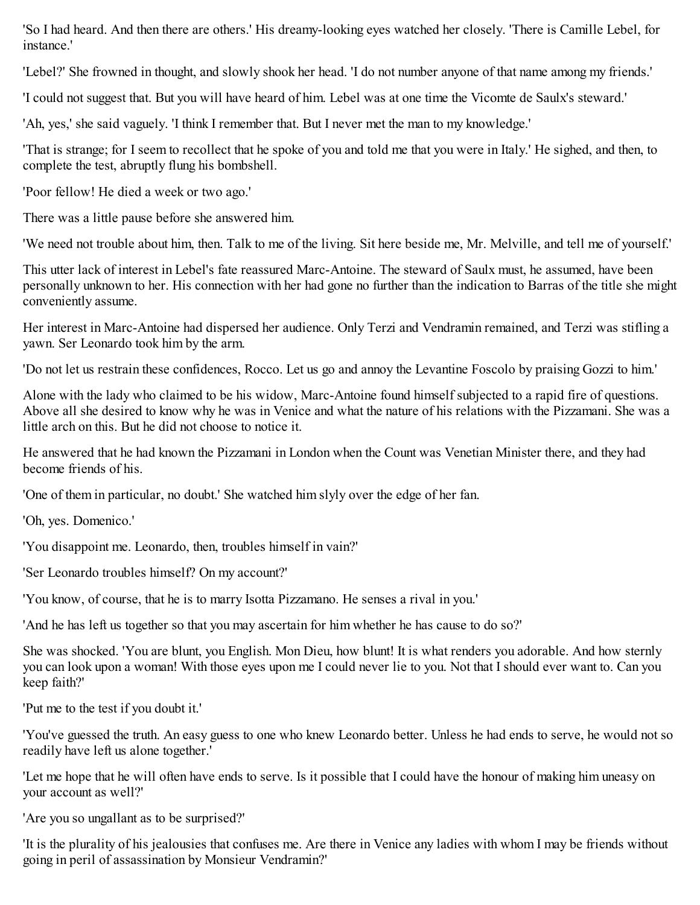'So I had heard. And then there are others.' His dreamy-looking eyes watched her closely. 'There is Camille Lebel, for instance.'

'Lebel?' She frowned in thought, and slowly shook her head. 'I do not number anyone of that name among my friends.'

'I could not suggest that. But you will have heard of him. Lebel was at one time the Vicomte de Saulx's steward.'

'Ah, yes,' she said vaguely. 'I think I remember that. But I never met the man to my knowledge.'

'That is strange; for I seem to recollect that he spoke of you and told me that you were in Italy.' He sighed, and then, to complete the test, abruptly flung his bombshell.

'Poor fellow! He died a week or two ago.'

There was a little pause before she answered him.

'We need not trouble about him, then. Talk to me of the living. Sit here beside me, Mr. Melville, and tell me of yourself.'

This utter lack of interest in Lebel's fate reassured Marc-Antoine. The steward of Saulx must, he assumed, have been personally unknown to her. His connection with her had gone no further than the indication to Barras of the title she might conveniently assume.

Her interest in Marc-Antoine had dispersed her audience. Only Terzi and Vendramin remained, and Terzi was stifling a yawn. Ser Leonardo took him by the arm.

'Do not let us restrain these confidences, Rocco. Let us go and annoy the Levantine Foscolo by praising Gozzi to him.'

Alone with the lady who claimed to be his widow, Marc-Antoine found himself subjected to a rapid fire of questions. Above all she desired to know why he was in Venice and what the nature of his relations with the Pizzamani. She was a little arch on this. But he did not choose to notice it.

He answered that he had known the Pizzamani in London when the Count was Venetian Minister there, and they had become friends of his.

'One of them in particular, no doubt.' She watched him slyly over the edge of her fan.

'Oh, yes. Domenico.'

'You disappoint me. Leonardo, then, troubles himself in vain?'

'Ser Leonardo troubles himself? On my account?'

'You know, of course, that he is to marry Isotta Pizzamano. He senses a rival in you.'

'And he has left us together so that you may ascertain for him whether he has cause to do so?'

She was shocked. 'You are blunt, you English. Mon Dieu, how blunt! It is what renders you adorable. And how sternly you can look upon a woman! With those eyes upon me I could never lie to you. Not that I should ever want to. Can you keep faith?'

'Put me to the test if you doubt it.'

'You've guessed the truth. An easy guess to one who knew Leonardo better. Unless he had ends to serve, he would not so readily have left us alone together.'

'Let me hope that he will often have ends to serve. Is it possible that I could have the honour of making him uneasy on your account as well?'

'Are you so ungallant as to be surprised?'

'It is the plurality of his jealousies that confuses me. Are there in Venice any ladies with whom I may be friends without going in peril of assassination by Monsieur Vendramin?'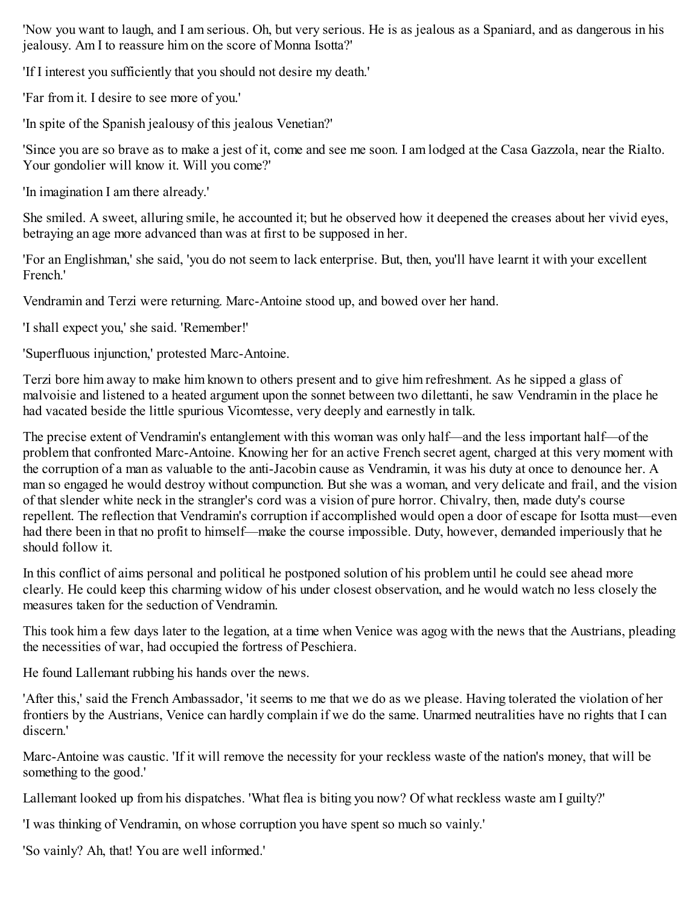'Now you want to laugh, and I am serious. Oh, but very serious. He is as jealous as a Spaniard, and as dangerous in his jealousy. Am I to reassure him on the score of Monna Isotta?'

'If I interest you sufficiently that you should not desire my death.'

'Far from it. I desire to see more of you.'

'In spite of the Spanish jealousy of this jealous Venetian?'

'Since you are so brave as to make a jest of it, come and see me soon. I am lodged at the Casa Gazzola, near the Rialto. Your gondolier will know it. Will you come?'

'In imagination I am there already.'

She smiled. A sweet, alluring smile, he accounted it; but he observed how it deepened the creases about her vivid eyes, betraying an age more advanced than was at first to be supposed in her.

'For an Englishman,' she said, 'you do not seem to lack enterprise. But, then, you'll have learnt it with your excellent French.'

Vendramin and Terzi were returning. Marc-Antoine stood up, and bowed over her hand.

'I shall expect you,' she said. 'Remember!'

'Superfluous injunction,' protested Marc-Antoine.

Terzi bore him away to make him known to others present and to give him refreshment. As he sipped a glass of malvoisie and listened to a heated argument upon the sonnet between two dilettanti, he saw Vendramin in the place he had vacated beside the little spurious Vicomtesse, very deeply and earnestly in talk.

The precise extent of Vendramin's entanglement with this woman was only half—and the less important half—of the problem that confronted Marc-Antoine. Knowing her for an active French secret agent, charged at this very moment with the corruption of a man as valuable to the anti-Jacobin cause as Vendramin, it was his duty at once to denounce her. A man so engaged he would destroy without compunction. But she was a woman, and very delicate and frail, and the vision of that slender white neck in the strangler's cord was a vision of pure horror. Chivalry, then, made duty's course repellent. The reflection that Vendramin's corruption if accomplished would open a door of escape for Isotta must—even had there been in that no profit to himself—make the course impossible. Duty, however, demanded imperiously that he should follow it.

In this conflict of aims personal and political he postponed solution of his problem until he could see ahead more clearly. He could keep this charming widow of his under closest observation, and he would watch no less closely the measures taken for the seduction of Vendramin.

This took him a few days later to the legation, at a time when Venice was agog with the news that the Austrians, pleading the necessities of war, had occupied the fortress of Peschiera.

He found Lallemant rubbing his hands over the news.

'After this,' said the French Ambassador, 'it seems to me that we do as we please. Having tolerated the violation of her frontiers by the Austrians, Venice can hardly complain if we do the same. Unarmed neutralities have no rights that I can discern.'

Marc-Antoine was caustic. 'If it will remove the necessity for your reckless waste of the nation's money, that will be something to the good.'

Lallemant looked up from his dispatches. 'What flea is biting you now? Of what reckless waste am I guilty?'

'I was thinking of Vendramin, on whose corruption you have spent so much so vainly.'

'So vainly? Ah, that! You are well informed.'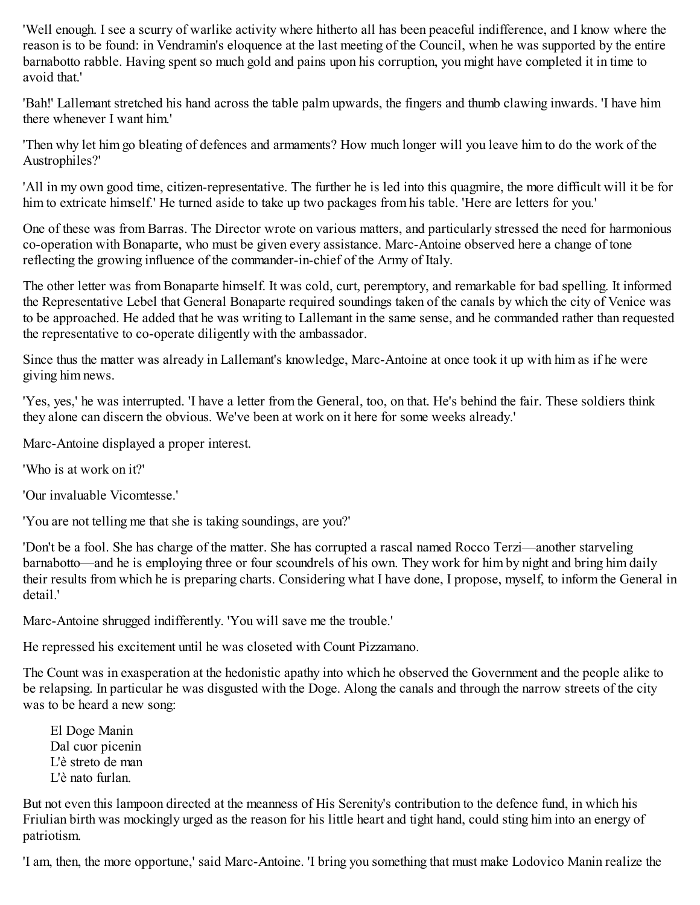'Well enough. I see a scurry of warlike activity where hitherto all has been peaceful indifference, and I know where the reason is to be found: in Vendramin's eloquence at the last meeting of the Council, when he was supported by the entire barnabotto rabble. Having spent so much gold and pains upon his corruption, you might have completed it in time to avoid that.'

'Bah!' Lallemant stretched his hand across the table palm upwards, the fingers and thumb clawing inwards. 'I have him there whenever I want him.'

'Then why let him go bleating of defences and armaments? How much longer will you leave him to do the work of the Austrophiles?'

'All in my own good time, citizen-representative. The further he is led into this quagmire, the more difficult will it be for him to extricate himself.' He turned aside to take up two packages from his table. 'Here are letters for you.'

One of these was from Barras. The Director wrote on various matters, and particularly stressed the need for harmonious co-operation with Bonaparte, who must be given every assistance. Marc-Antoine observed here a change of tone reflecting the growing influence of the commander-in-chief of the Army of Italy.

The other letter was from Bonaparte himself. It was cold, curt, peremptory, and remarkable for bad spelling. It informed the Representative Lebel that General Bonaparte required soundings taken of the canals by which the city of Venice was to be approached. He added that he was writing to Lallemant in the same sense, and he commanded rather than requested the representative to co-operate diligently with the ambassador.

Since thus the matter was already in Lallemant's knowledge, Marc-Antoine at once took it up with him as if he were giving him news.

'Yes, yes,' he was interrupted. 'I have a letter from the General, too, on that. He's behind the fair. These soldiers think they alone can discern the obvious. We've been at work on it here for some weeks already.'

Marc-Antoine displayed a proper interest.

'Who is at work on it?'

'Our invaluable Vicomtesse.'

'You are not telling me that she is taking soundings, are you?'

'Don't be a fool. She has charge of the matter. She has corrupted a rascal named Rocco Terzi—another starveling barnabotto—and he is employing three or four scoundrels of his own. They work for him by night and bring him daily their results from which he is preparing charts. Considering what I have done, I propose, myself, to inform the General in detail<sup>'</sup>

Marc-Antoine shrugged indifferently. 'You will save me the trouble.'

He repressed his excitement until he was closeted with Count Pizzamano.

The Count was in exasperation at the hedonistic apathy into which he observed the Government and the people alike to be relapsing. In particular he was disgusted with the Doge. Along the canals and through the narrow streets of the city was to be heard a new song:

El Doge Manin Dal cuor picenin L'è streto de man L'è nato furlan.

But not even this lampoon directed at the meanness of His Serenity's contribution to the defence fund, in which his Friulian birth was mockingly urged as the reason for his little heart and tight hand, could sting him into an energy of patriotism.

'I am, then, the more opportune,' said Marc-Antoine. 'I bring you something that must make Lodovico Manin realize the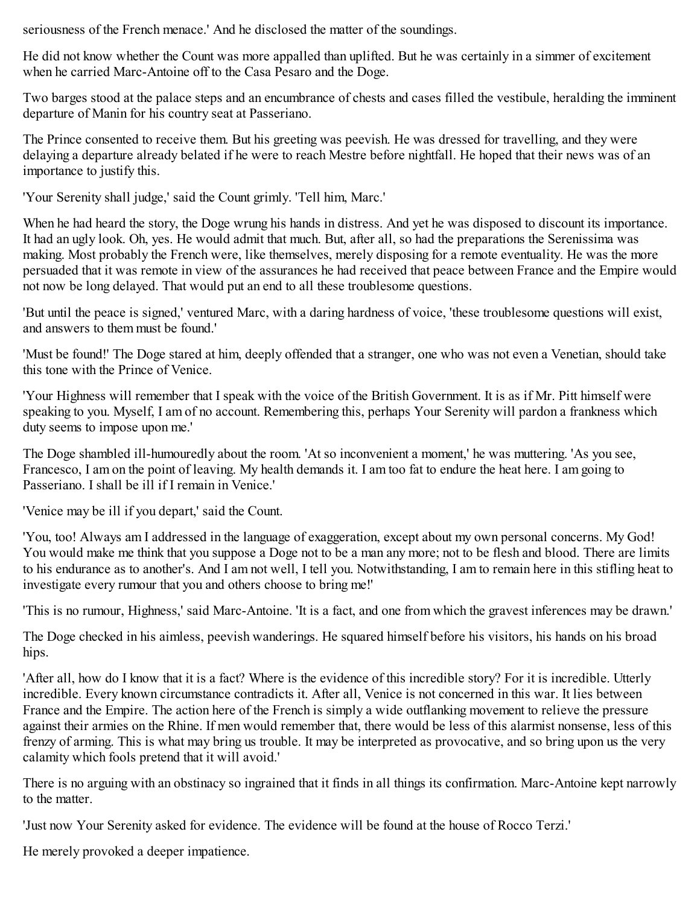seriousness of the French menace.' And he disclosed the matter of the soundings.

He did not know whether the Count was more appalled than uplifted. But he was certainly in a simmer of excitement when he carried Marc-Antoine off to the Casa Pesaro and the Doge.

Two barges stood at the palace steps and an encumbrance of chests and cases filled the vestibule, heralding the imminent departure of Manin for his country seat at Passeriano.

The Prince consented to receive them. But his greeting was peevish. He was dressed for travelling, and they were delaying a departure already belated if he were to reach Mestre before nightfall. He hoped that their news was of an importance to justify this.

'Your Serenity shall judge,' said the Count grimly. 'Tell him, Marc.'

When he had heard the story, the Doge wrung his hands in distress. And yet he was disposed to discount its importance. It had an ugly look. Oh, yes. He would admit that much. But, after all, so had the preparations the Serenissima was making. Most probably the French were, like themselves, merely disposing for a remote eventuality. He was the more persuaded that it was remote in view of the assurances he had received that peace between France and the Empire would not now be long delayed. That would put an end to all these troublesome questions.

'But until the peace is signed,' ventured Marc, with a daring hardness of voice, 'these troublesome questions will exist, and answers to them must be found.'

'Must be found!' The Doge stared at him, deeply offended that a stranger, one who was not even a Venetian, should take this tone with the Prince of Venice.

'Your Highness will remember that I speak with the voice of the British Government. It is as if Mr. Pitt himself were speaking to you. Myself, I am of no account. Remembering this, perhaps Your Serenity will pardon a frankness which duty seems to impose upon me.'

The Doge shambled ill-humouredly about the room. 'At so inconvenient a moment,' he was muttering. 'As you see, Francesco, I am on the point of leaving. My health demands it. I am too fat to endure the heat here. I am going to Passeriano. I shall be ill if I remain in Venice.'

'Venice may be ill if you depart,' said the Count.

'You, too! Always am I addressed in the language of exaggeration, except about my own personal concerns. My God! You would make me think that you suppose a Doge not to be a man any more; not to be flesh and blood. There are limits to his endurance as to another's. And I am not well, I tell you. Notwithstanding, I am to remain here in this stifling heat to investigate every rumour that you and others choose to bring me!'

'This is no rumour, Highness,' said Marc-Antoine. 'It is a fact, and one from which the gravest inferences may be drawn.'

The Doge checked in his aimless, peevish wanderings. He squared himself before his visitors, his hands on his broad hips.

'After all, how do I know that it is a fact? Where is the evidence of this incredible story? For it is incredible. Utterly incredible. Every known circumstance contradicts it. After all, Venice is not concerned in this war. It lies between France and the Empire. The action here of the French is simply a wide outflanking movement to relieve the pressure against their armies on the Rhine. If men would remember that, there would be less of this alarmist nonsense, less of this frenzy of arming. This is what may bring us trouble. It may be interpreted as provocative, and so bring upon us the very calamity which fools pretend that it will avoid.'

There is no arguing with an obstinacy so ingrained that it finds in all things its confirmation. Marc-Antoine kept narrowly to the matter.

'Just now Your Serenity asked for evidence. The evidence will be found at the house of Rocco Terzi.'

He merely provoked a deeper impatience.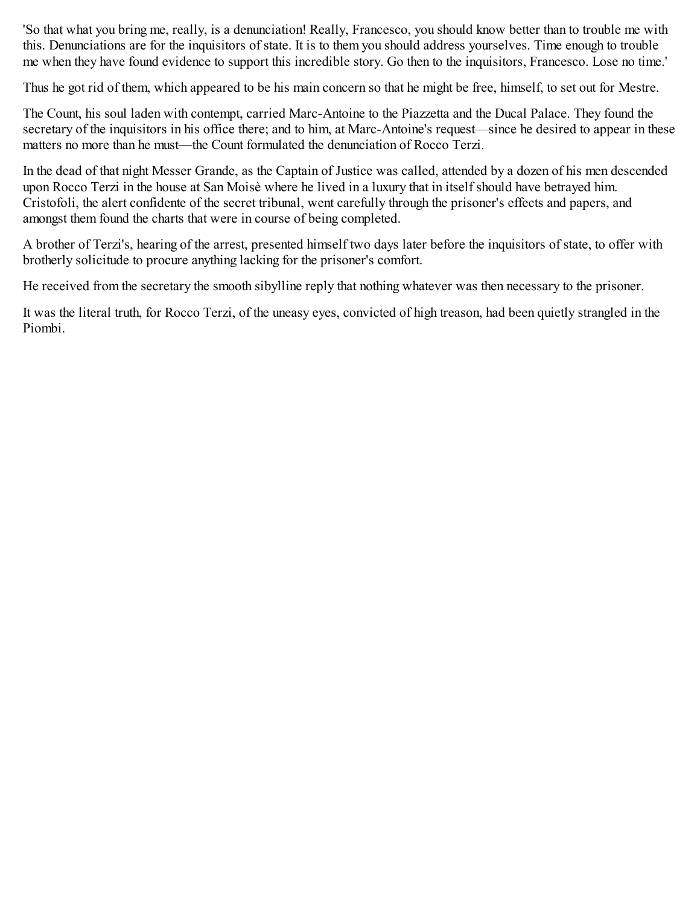'So that what you bring me, really, is a denunciation! Really, Francesco, you should know better than to trouble me with this. Denunciations are for the inquisitors of state. It is to them you should address yourselves. Time enough to trouble me when they have found evidence to support this incredible story. Go then to the inquisitors, Francesco. Lose no time.'

Thus he got rid of them, which appeared to be his main concern so that he might be free, himself, to set out for Mestre.

The Count, his soul laden with contempt, carried Marc-Antoine to the Piazzetta and the Ducal Palace. They found the secretary of the inquisitors in his office there; and to him, at Marc-Antoine's request—since he desired to appear in these matters no more than he must—the Count formulated the denunciation of Rocco Terzi.

In the dead of that night Messer Grande, as the Captain of Justice was called, attended by a dozen of his men descended upon Rocco Terzi in the house at San Moisè where he lived in a luxury that in itself should have betrayed him. Cristofoli, the alert confidente of the secret tribunal, went carefully through the prisoner's effects and papers, and amongst them found the charts that were in course of being completed.

A brother of Terzi's, hearing of the arrest, presented himself two days later before the inquisitors of state, to offer with brotherly solicitude to procure anything lacking for the prisoner's comfort.

He received from the secretary the smooth sibylline reply that nothing whatever was then necessary to the prisoner.

It was the literal truth, for Rocco Terzi, of the uneasy eyes, convicted of high treason, had been quietly strangled in the Piombi.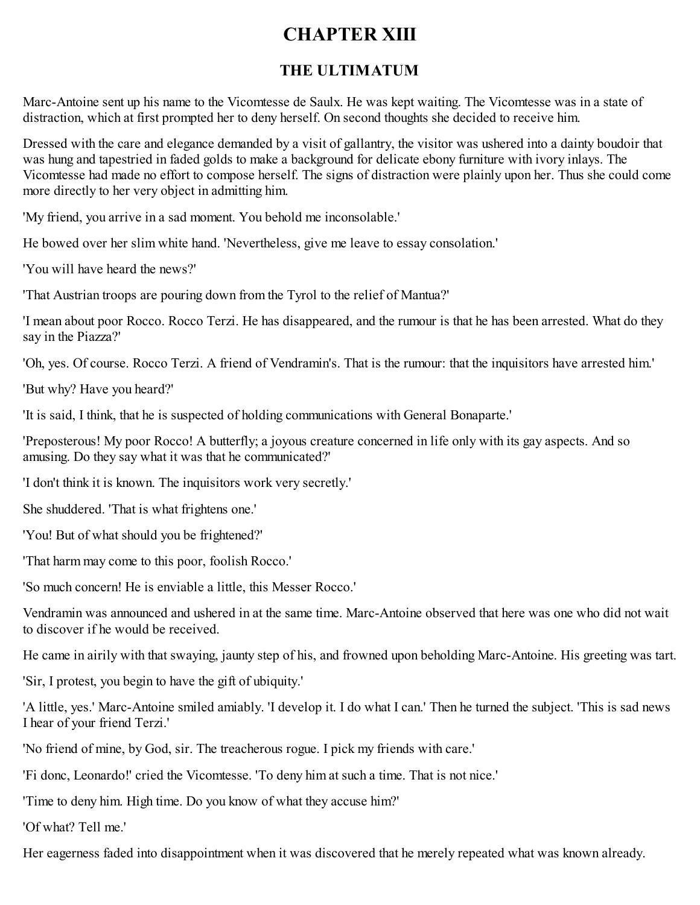# **CHAPTER XIII**

### **THE ULTIMATUM**

Marc-Antoine sent up his name to the Vicomtesse de Saulx. He was kept waiting. The Vicomtesse was in a state of distraction, which at first prompted her to deny herself. On second thoughts she decided to receive him.

Dressed with the care and elegance demanded by a visit of gallantry, the visitor was ushered into a dainty boudoir that was hung and tapestried in faded golds to make a background for delicate ebony furniture with ivory inlays. The Vicomtesse had made no effort to compose herself. The signs of distraction were plainly upon her. Thus she could come more directly to her very object in admitting him.

'My friend, you arrive in a sad moment. You behold me inconsolable.'

He bowed over her slim white hand. 'Nevertheless, give me leave to essay consolation.'

'You will have heard the news?'

'That Austrian troops are pouring down from the Tyrol to the relief of Mantua?'

'I mean about poor Rocco. Rocco Terzi. He has disappeared, and the rumour is that he has been arrested. What do they say in the Piazza?'

'Oh, yes. Of course. Rocco Terzi. A friend of Vendramin's. That is the rumour: that the inquisitors have arrested him.'

'But why? Have you heard?'

'It is said, I think, that he is suspected of holding communications with General Bonaparte.'

'Preposterous! My poor Rocco! A butterfly; a joyous creature concerned in life only with its gay aspects. And so amusing. Do they say what it was that he communicated?'

'I don't think it is known. The inquisitors work very secretly.'

She shuddered. 'That is what frightens one.'

'You! But of what should you be frightened?'

'That harm may come to this poor, foolish Rocco.'

'So much concern! He is enviable a little, this Messer Rocco.'

Vendramin was announced and ushered in at the same time. Marc-Antoine observed that here was one who did not wait to discover if he would be received.

He came in airily with that swaying, jaunty step of his, and frowned upon beholding Marc-Antoine. His greeting was tart.

'Sir, I protest, you begin to have the gift of ubiquity.'

'A little, yes.' Marc-Antoine smiled amiably. 'I develop it. I do what I can.' Then he turned the subject. 'This is sad news I hear of your friend Terzi.'

'No friend of mine, by God, sir. The treacherous rogue. I pick my friends with care.'

'Fi donc, Leonardo!' cried the Vicomtesse. 'To deny him at such a time. That is not nice.'

'Time to deny him. High time. Do you know of what they accuse him?'

'Of what? Tell me.'

Her eagerness faded into disappointment when it was discovered that he merely repeated what was known already.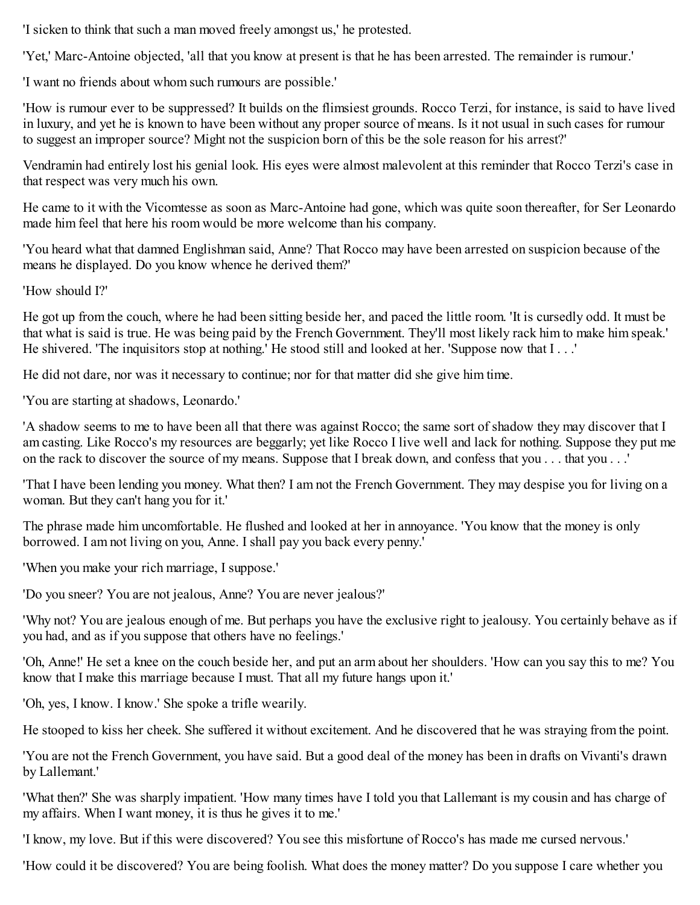'I sicken to think that such a man moved freely amongst us,' he protested.

'Yet,' Marc-Antoine objected, 'all that you know at present is that he has been arrested. The remainder is rumour.'

'I want no friends about whom such rumours are possible.'

'How is rumour ever to be suppressed? It builds on the flimsiest grounds. Rocco Terzi, for instance, is said to have lived in luxury, and yet he is known to have been without any proper source of means. Is it not usual in such cases for rumour to suggest an improper source? Might not the suspicion born of this be the sole reason for his arrest?'

Vendramin had entirely lost his genial look. His eyes were almost malevolent at this reminder that Rocco Terzi's case in that respect was very much his own.

He came to it with the Vicomtesse as soon as Marc-Antoine had gone, which was quite soon thereafter, for Ser Leonardo made him feel that here his room would be more welcome than his company.

'You heard what that damned Englishman said, Anne? That Rocco may have been arrested on suspicion because of the means he displayed. Do you know whence he derived them?'

'How should I?'

He got up from the couch, where he had been sitting beside her, and paced the little room. 'It is cursedly odd. It must be that what is said is true. He was being paid by the French Government. They'll most likely rack him to make him speak.' He shivered. 'The inquisitors stop at nothing.' He stood still and looked at her. 'Suppose now that I . . .'

He did not dare, nor was it necessary to continue; nor for that matter did she give him time.

'You are starting at shadows, Leonardo.'

'A shadow seems to me to have been all that there was against Rocco; the same sort of shadow they may discover that I am casting. Like Rocco's my resources are beggarly; yet like Rocco I live well and lack for nothing. Suppose they put me on the rack to discover the source of my means. Suppose that I break down, and confess that you . . . that you . . .'

'That I have been lending you money. What then? I am not the French Government. They may despise you for living on a woman. But they can't hang you for it.'

The phrase made him uncomfortable. He flushed and looked at her in annoyance. 'You know that the money is only borrowed. I am not living on you, Anne. I shall pay you back every penny.'

'When you make your rich marriage, I suppose.'

'Do you sneer? You are not jealous, Anne? You are never jealous?'

'Why not? You are jealous enough of me. But perhaps you have the exclusive right to jealousy. You certainly behave as if you had, and as if you suppose that others have no feelings.'

'Oh, Anne!' He set a knee on the couch beside her, and put an arm about her shoulders. 'How can you say this to me? You know that I make this marriage because I must. That all my future hangs upon it.'

'Oh, yes, I know. I know.' She spoke a trifle wearily.

He stooped to kiss her cheek. She suffered it without excitement. And he discovered that he was straying from the point.

'You are not the French Government, you have said. But a good deal of the money has been in drafts on Vivanti's drawn by Lallemant.'

'What then?' She was sharply impatient. 'How many times have I told you that Lallemant is my cousin and has charge of my affairs. When I want money, it is thus he gives it to me.'

'I know, my love. But if this were discovered? You see this misfortune of Rocco's has made me cursed nervous.'

'How could it be discovered? You are being foolish. What does the money matter? Do you suppose I care whether you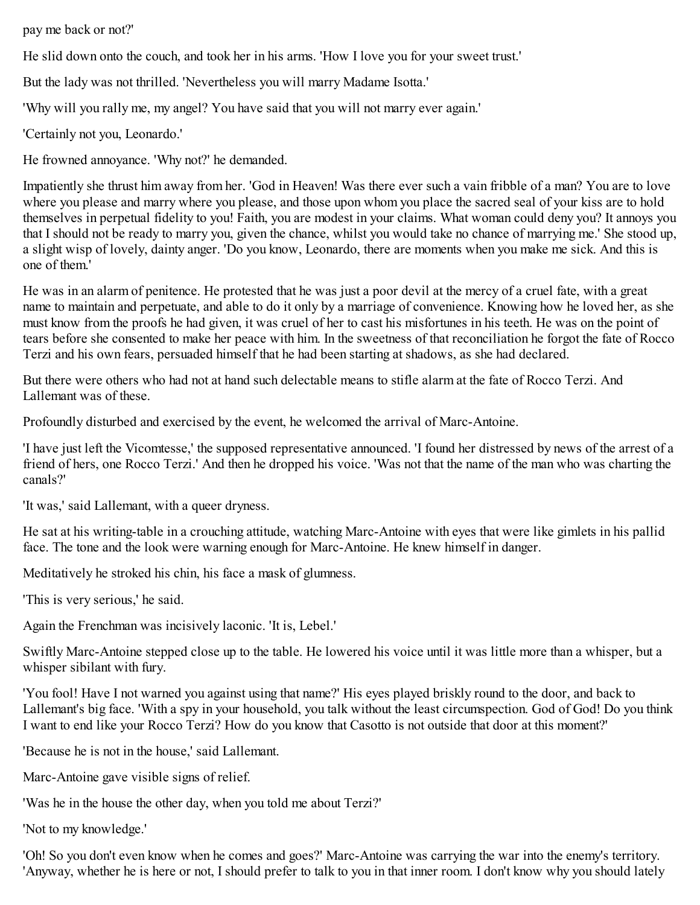pay me back or not?'

He slid down onto the couch, and took her in his arms. 'How I love you for your sweet trust.'

But the lady was not thrilled. 'Nevertheless you will marry Madame Isotta.'

'Why will you rally me, my angel? You have said that you will not marry ever again.'

'Certainly not you, Leonardo.'

He frowned annoyance. 'Why not?' he demanded.

Impatiently she thrust him away from her. 'God in Heaven! Was there ever such a vain fribble of a man? You are to love where you please and marry where you please, and those upon whom you place the sacred seal of your kiss are to hold themselves in perpetual fidelity to you! Faith, you are modest in your claims. What woman could deny you? It annoys you that I should not be ready to marry you, given the chance, whilst you would take no chance of marrying me.' She stood up, a slight wisp of lovely, dainty anger. 'Do you know, Leonardo, there are moments when you make me sick. And this is one of them.'

He was in an alarm of penitence. He protested that he was just a poor devil at the mercy of a cruel fate, with a great name to maintain and perpetuate, and able to do it only by a marriage of convenience. Knowing how he loved her, as she must know from the proofs he had given, it was cruel of her to cast his misfortunes in his teeth. He was on the point of tears before she consented to make her peace with him. In the sweetness of that reconciliation he forgot the fate of Rocco Terzi and his own fears, persuaded himself that he had been starting at shadows, as she had declared.

But there were others who had not at hand such delectable means to stifle alarm at the fate of Rocco Terzi. And Lallemant was of these.

Profoundly disturbed and exercised by the event, he welcomed the arrival of Marc-Antoine.

'I have just left the Vicomtesse,' the supposed representative announced. 'I found her distressed by news of the arrest of a friend of hers, one Rocco Terzi.' And then he dropped his voice. 'Was not that the name of the man who was charting the canals?'

'It was,' said Lallemant, with a queer dryness.

He sat at his writing-table in a crouching attitude, watching Marc-Antoine with eyes that were like gimlets in his pallid face. The tone and the look were warning enough for Marc-Antoine. He knew himself in danger.

Meditatively he stroked his chin, his face a mask of glumness.

'This is very serious,' he said.

Again the Frenchman was incisively laconic. 'It is, Lebel.'

Swiftly Marc-Antoine stepped close up to the table. He lowered his voice until it was little more than a whisper, but a whisper sibilant with fury.

'You fool! Have I not warned you against using that name?' His eyes played briskly round to the door, and back to Lallemant's big face. 'With a spy in your household, you talk without the least circumspection. God of God! Do you think I want to end like your Rocco Terzi? How do you know that Casotto is not outside that door at this moment?'

'Because he is not in the house,' said Lallemant.

Marc-Antoine gave visible signs of relief.

'Was he in the house the other day, when you told me about Terzi?'

'Not to my knowledge.'

'Oh! So you don't even know when he comes and goes?' Marc-Antoine was carrying the war into the enemy's territory. 'Anyway, whether he is here or not, I should prefer to talk to you in that inner room. I don't know why you should lately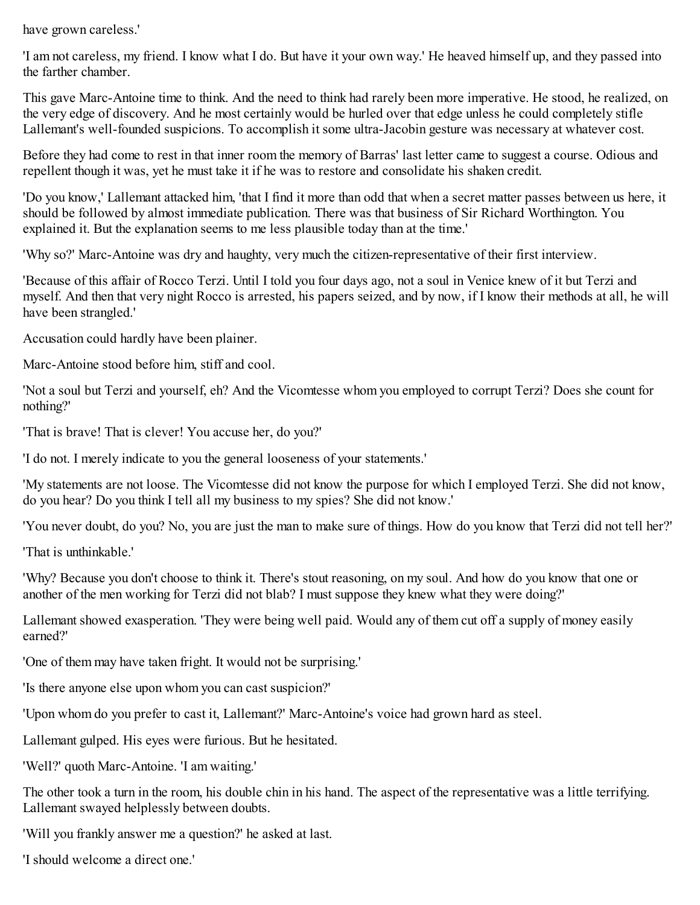have grown careless.'

'I am not careless, my friend. I know what I do. But have it your own way.' He heaved himself up, and they passed into the farther chamber.

This gave Marc-Antoine time to think. And the need to think had rarely been more imperative. He stood, he realized, on the very edge of discovery. And he most certainly would be hurled over that edge unless he could completely stifle Lallemant's well-founded suspicions. To accomplish it some ultra-Jacobin gesture was necessary at whatever cost.

Before they had come to rest in that inner room the memory of Barras' last letter came to suggest a course. Odious and repellent though it was, yet he must take it if he was to restore and consolidate his shaken credit.

'Do you know,' Lallemant attacked him, 'that I find it more than odd that when a secret matter passes between us here, it should be followed by almost immediate publication. There was that business of Sir Richard Worthington. You explained it. But the explanation seems to me less plausible today than at the time.'

'Why so?' Marc-Antoine was dry and haughty, very much the citizen-representative of their first interview.

'Because of this affair of Rocco Terzi. Until I told you four days ago, not a soul in Venice knew of it but Terzi and myself. And then that very night Rocco is arrested, his papers seized, and by now, if I know their methods at all, he will have been strangled.'

Accusation could hardly have been plainer.

Marc-Antoine stood before him, stiff and cool.

'Not a soul but Terzi and yourself, eh? And the Vicomtesse whom you employed to corrupt Terzi? Does she count for nothing?'

'That is brave! That is clever! You accuse her, do you?'

'I do not. I merely indicate to you the general looseness of your statements.'

'My statements are not loose. The Vicomtesse did not know the purpose for which I employed Terzi. She did not know, do you hear? Do you think I tell all my business to my spies? She did not know.'

'You never doubt, do you? No, you are just the man to make sure of things. How do you know that Terzi did not tell her?'

'That is unthinkable.'

'Why? Because you don't choose to think it. There's stout reasoning, on my soul. And how do you know that one or another of the men working for Terzi did not blab? I must suppose they knew what they were doing?'

Lallemant showed exasperation. 'They were being well paid. Would any of them cut off a supply of money easily earned?'

'One of them may have taken fright. It would not be surprising.'

'Is there anyone else upon whom you can cast suspicion?'

'Upon whom do you prefer to cast it, Lallemant?' Marc-Antoine's voice had grown hard as steel.

Lallemant gulped. His eyes were furious. But he hesitated.

'Well?' quoth Marc-Antoine. 'I am waiting.'

The other took a turn in the room, his double chin in his hand. The aspect of the representative was a little terrifying. Lallemant swayed helplessly between doubts.

'Will you frankly answer me a question?' he asked at last.

'I should welcome a direct one.'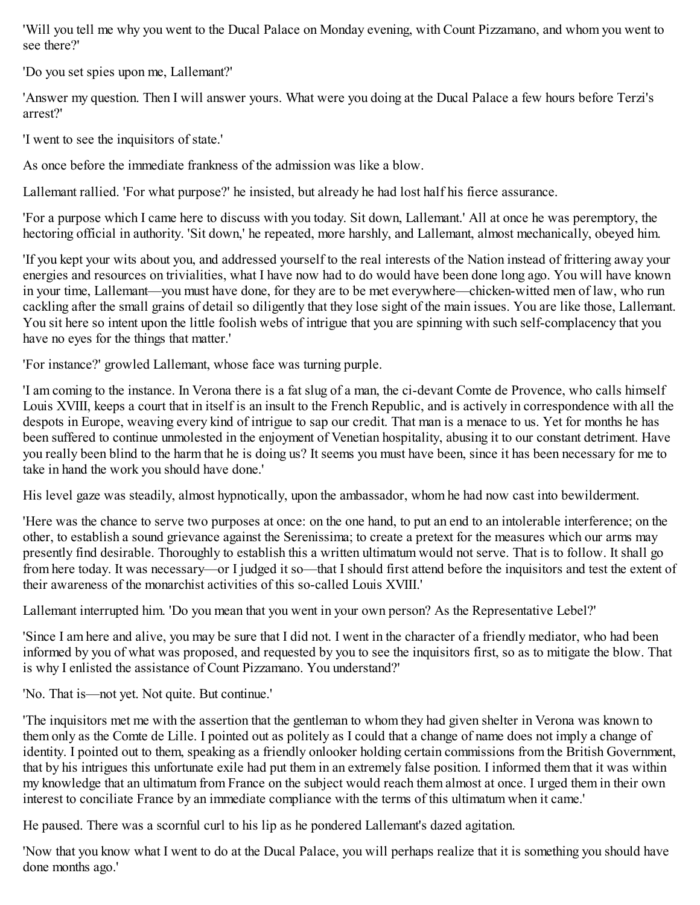'Will you tell me why you went to the Ducal Palace on Monday evening, with Count Pizzamano, and whom you went to see there?'

'Do you set spies upon me, Lallemant?'

'Answer my question. Then I will answer yours. What were you doing at the Ducal Palace a few hours before Terzi's arrest?'

'I went to see the inquisitors of state.'

As once before the immediate frankness of the admission was like a blow.

Lallemant rallied. 'For what purpose?' he insisted, but already he had lost half his fierce assurance.

'For a purpose which I came here to discuss with you today. Sit down, Lallemant.' All at once he was peremptory, the hectoring official in authority. 'Sit down,' he repeated, more harshly, and Lallemant, almost mechanically, obeyed him.

'If you kept your wits about you, and addressed yourself to the real interests of the Nation instead of frittering away your energies and resources on trivialities, what I have now had to do would have been done long ago. You will have known in your time, Lallemant—you must have done, for they are to be met everywhere—chicken-witted men of law, who run cackling after the small grains of detail so diligently that they lose sight of the main issues. You are like those, Lallemant. You sit here so intent upon the little foolish webs of intrigue that you are spinning with such self-complacency that you have no eyes for the things that matter.'

'For instance?' growled Lallemant, whose face was turning purple.

'I am coming to the instance. In Verona there is a fat slug of a man, the ci-devant Comte de Provence, who calls himself Louis XVIII, keeps a court that in itself is an insult to the French Republic, and is actively in correspondence with all the despots in Europe, weaving every kind of intrigue to sap our credit. That man is a menace to us. Yet for months he has been suffered to continue unmolested in the enjoyment of Venetian hospitality, abusing it to our constant detriment. Have you really been blind to the harm that he is doing us? It seems you must have been, since it has been necessary for me to take in hand the work you should have done.'

His level gaze was steadily, almost hypnotically, upon the ambassador, whom he had now cast into bewilderment.

'Here was the chance to serve two purposes at once: on the one hand, to put an end to an intolerable interference; on the other, to establish a sound grievance against the Serenissima; to create a pretext for the measures which our arms may presently find desirable. Thoroughly to establish this a written ultimatum would not serve. That is to follow. It shall go from here today. It was necessary—or I judged it so—that I should first attend before the inquisitors and test the extent of their awareness of the monarchist activities of this so-called Louis XVIII.'

Lallemant interrupted him. 'Do you mean that you went in your own person? As the Representative Lebel?'

'Since I am here and alive, you may be sure that I did not. I went in the character of a friendly mediator, who had been informed by you of what was proposed, and requested by you to see the inquisitors first, so as to mitigate the blow. That is why I enlisted the assistance of Count Pizzamano. You understand?'

'No. That is—not yet. Not quite. But continue.'

'The inquisitors met me with the assertion that the gentleman to whom they had given shelter in Verona was known to them only as the Comte de Lille. I pointed out as politely as I could that a change of name does not imply a change of identity. I pointed out to them, speaking as a friendly onlooker holding certain commissions from the British Government, that by his intrigues this unfortunate exile had put them in an extremely false position. I informed them that it was within my knowledge that an ultimatum from France on the subject would reach them almost at once. I urged them in their own interest to conciliate France by an immediate compliance with the terms of this ultimatum when it came.'

He paused. There was a scornful curl to his lip as he pondered Lallemant's dazed agitation.

'Now that you know what I went to do at the Ducal Palace, you will perhaps realize that it is something you should have done months ago.'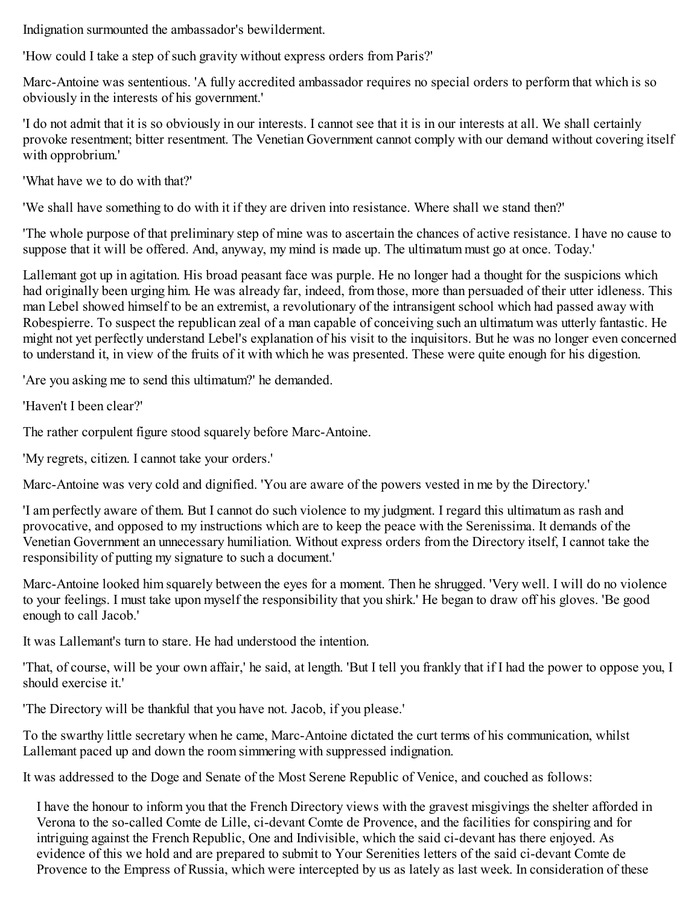Indignation surmounted the ambassador's bewilderment.

'How could I take a step of such gravity without express orders from Paris?'

Marc-Antoine was sententious. 'A fully accredited ambassador requires no special orders to perform that which is so obviously in the interests of his government.'

'I do not admit that it is so obviously in our interests. I cannot see that it is in our interests at all. We shall certainly provoke resentment; bitter resentment. The Venetian Government cannot comply with our demand without covering itself with opprobrium.'

'What have we to do with that?'

'We shall have something to do with it if they are driven into resistance. Where shall we stand then?'

'The whole purpose of that preliminary step of mine was to ascertain the chances of active resistance. I have no cause to suppose that it will be offered. And, anyway, my mind is made up. The ultimatum must go at once. Today.'

Lallemant got up in agitation. His broad peasant face was purple. He no longer had a thought for the suspicions which had originally been urging him. He was already far, indeed, from those, more than persuaded of their utter idleness. This man Lebel showed himself to be an extremist, a revolutionary of the intransigent school which had passed away with Robespierre. To suspect the republican zeal of a man capable of conceiving such an ultimatum was utterly fantastic. He might not yet perfectly understand Lebel's explanation of his visit to the inquisitors. But he was no longer even concerned to understand it, in view of the fruits of it with which he was presented. These were quite enough for his digestion.

'Are you asking me to send this ultimatum?' he demanded.

'Haven't I been clear?'

The rather corpulent figure stood squarely before Marc-Antoine.

'My regrets, citizen. I cannot take your orders.'

Marc-Antoine was very cold and dignified. 'You are aware of the powers vested in me by the Directory.'

'I am perfectly aware of them. But I cannot do such violence to my judgment. I regard this ultimatum as rash and provocative, and opposed to my instructions which are to keep the peace with the Serenissima. It demands of the Venetian Government an unnecessary humiliation. Without express orders from the Directory itself, I cannot take the responsibility of putting my signature to such a document.'

Marc-Antoine looked him squarely between the eyes for a moment. Then he shrugged. 'Very well. I will do no violence to your feelings. I must take upon myself the responsibility that you shirk.' He began to draw off his gloves. 'Be good enough to call Jacob.'

It was Lallemant's turn to stare. He had understood the intention.

'That, of course, will be your own affair,' he said, at length. 'But I tell you frankly that if I had the power to oppose you, I should exercise it.'

'The Directory will be thankful that you have not. Jacob, if you please.'

To the swarthy little secretary when he came, Marc-Antoine dictated the curt terms of his communication, whilst Lallemant paced up and down the room simmering with suppressed indignation.

It was addressed to the Doge and Senate of the Most Serene Republic of Venice, and couched as follows:

I have the honour to inform you that the French Directory views with the gravest misgivings the shelter afforded in Verona to the so-called Comte de Lille, ci-devant Comte de Provence, and the facilities for conspiring and for intriguing against the French Republic, One and Indivisible, which the said ci-devant has there enjoyed. As evidence of this we hold and are prepared to submit to Your Serenities letters of the said ci-devant Comte de Provence to the Empress of Russia, which were intercepted by us as lately as last week. In consideration of these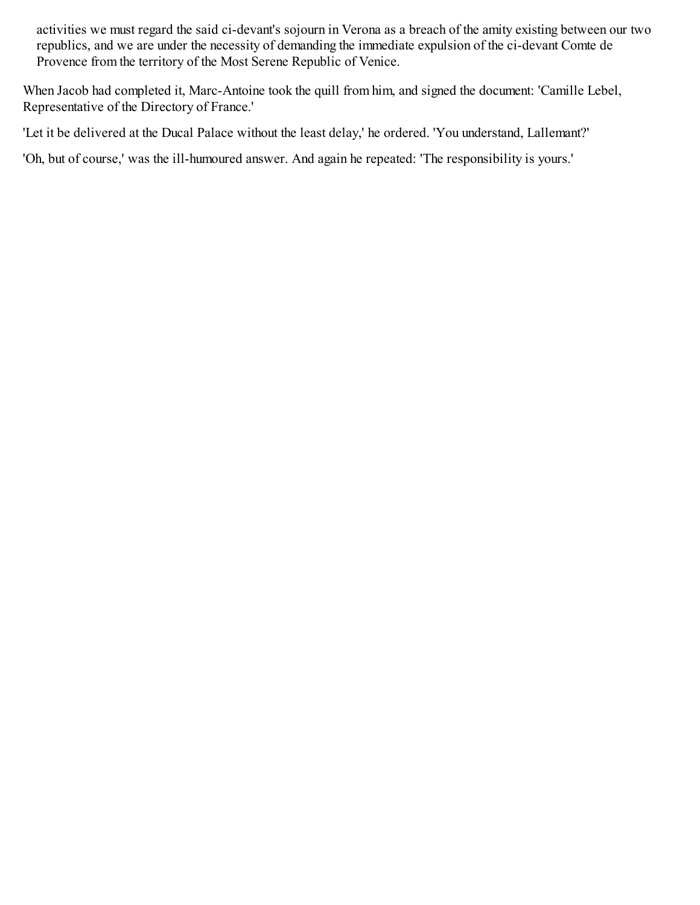activities we must regard the said ci-devant's sojourn in Verona as a breach of the amity existing between our two republics, and we are under the necessity of demanding the immediate expulsion of the ci-devant Comte de Provence from the territory of the Most Serene Republic of Venice.

When Jacob had completed it, Marc-Antoine took the quill from him, and signed the document: 'Camille Lebel, Representative of the Directory of France.'

'Let it be delivered at the Ducal Palace without the least delay,' he ordered. 'You understand, Lallemant?'

'Oh, but of course,' was the ill-humoured answer. And again he repeated: 'The responsibility is yours.'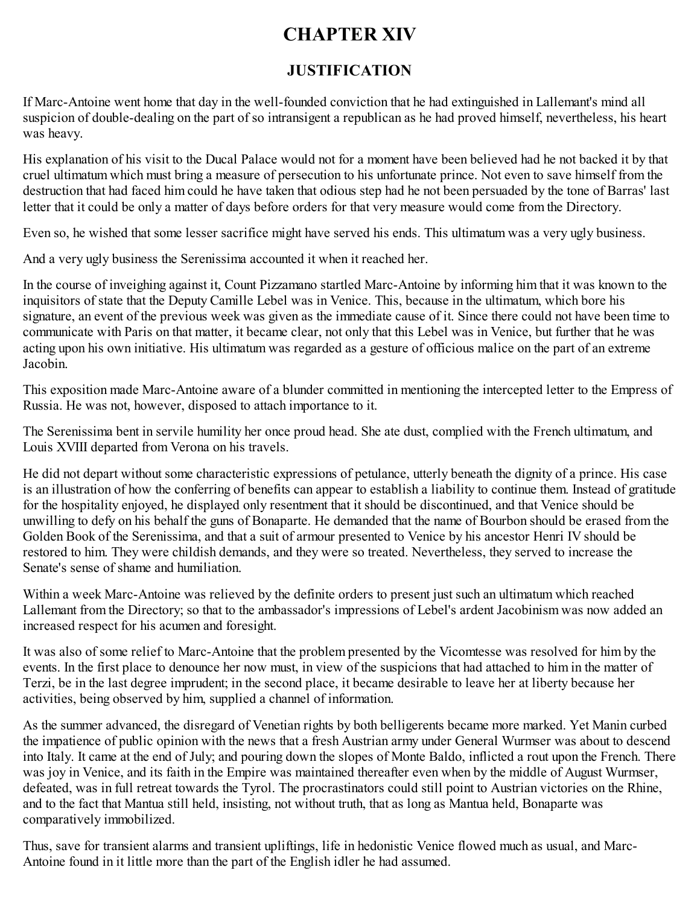# **CHAPTER XIV**

### **JUSTIFICATION**

If Marc-Antoine went home that day in the well-founded conviction that he had extinguished in Lallemant's mind all suspicion of double-dealing on the part of so intransigent a republican as he had proved himself, nevertheless, his heart was heavy.

His explanation of his visit to the Ducal Palace would not for a moment have been believed had he not backed it by that cruel ultimatum which must bring a measure of persecution to his unfortunate prince. Not even to save himself from the destruction that had faced him could he have taken that odious step had he not been persuaded by the tone of Barras' last letter that it could be only a matter of days before orders for that very measure would come from the Directory.

Even so, he wished that some lesser sacrifice might have served his ends. This ultimatum was a very ugly business.

And a very ugly business the Serenissima accounted it when it reached her.

In the course of inveighing against it, Count Pizzamano startled Marc-Antoine by informing him that it was known to the inquisitors of state that the Deputy Camille Lebel was in Venice. This, because in the ultimatum, which bore his signature, an event of the previous week was given as the immediate cause of it. Since there could not have been time to communicate with Paris on that matter, it became clear, not only that this Lebel was in Venice, but further that he was acting upon his own initiative. His ultimatum was regarded as a gesture of officious malice on the part of an extreme **Jacobin** 

This exposition made Marc-Antoine aware of a blunder committed in mentioning the intercepted letter to the Empress of Russia. He was not, however, disposed to attach importance to it.

The Serenissima bent in servile humility her once proud head. She ate dust, complied with the French ultimatum, and Louis XVIII departed from Verona on his travels.

He did not depart without some characteristic expressions of petulance, utterly beneath the dignity of a prince. His case is an illustration of how the conferring of benefits can appear to establish a liability to continue them. Instead of gratitude for the hospitality enjoyed, he displayed only resentment that it should be discontinued, and that Venice should be unwilling to defy on his behalf the guns of Bonaparte. He demanded that the name of Bourbon should be erased from the Golden Book of the Serenissima, and that a suit of armour presented to Venice by his ancestor Henri IV should be restored to him. They were childish demands, and they were so treated. Nevertheless, they served to increase the Senate's sense of shame and humiliation.

Within a week Marc-Antoine was relieved by the definite orders to present just such an ultimatum which reached Lallemant from the Directory; so that to the ambassador's impressions of Lebel's ardent Jacobinism was now added an increased respect for his acumen and foresight.

It was also of some relief to Marc-Antoine that the problem presented by the Vicomtesse was resolved for him by the events. In the first place to denounce her now must, in view of the suspicions that had attached to him in the matter of Terzi, be in the last degree imprudent; in the second place, it became desirable to leave her at liberty because her activities, being observed by him, supplied a channel of information.

As the summer advanced, the disregard of Venetian rights by both belligerents became more marked. Yet Manin curbed the impatience of public opinion with the news that a fresh Austrian army under General Wurmser was about to descend into Italy. It came at the end of July; and pouring down the slopes of Monte Baldo, inflicted a rout upon the French. There was joy in Venice, and its faith in the Empire was maintained thereafter even when by the middle of August Wurmser, defeated, was in full retreat towards the Tyrol. The procrastinators could still point to Austrian victories on the Rhine, and to the fact that Mantua still held, insisting, not without truth, that as long as Mantua held, Bonaparte was comparatively immobilized.

Thus, save for transient alarms and transient upliftings, life in hedonistic Venice flowed much as usual, and Marc-Antoine found in it little more than the part of the English idler he had assumed.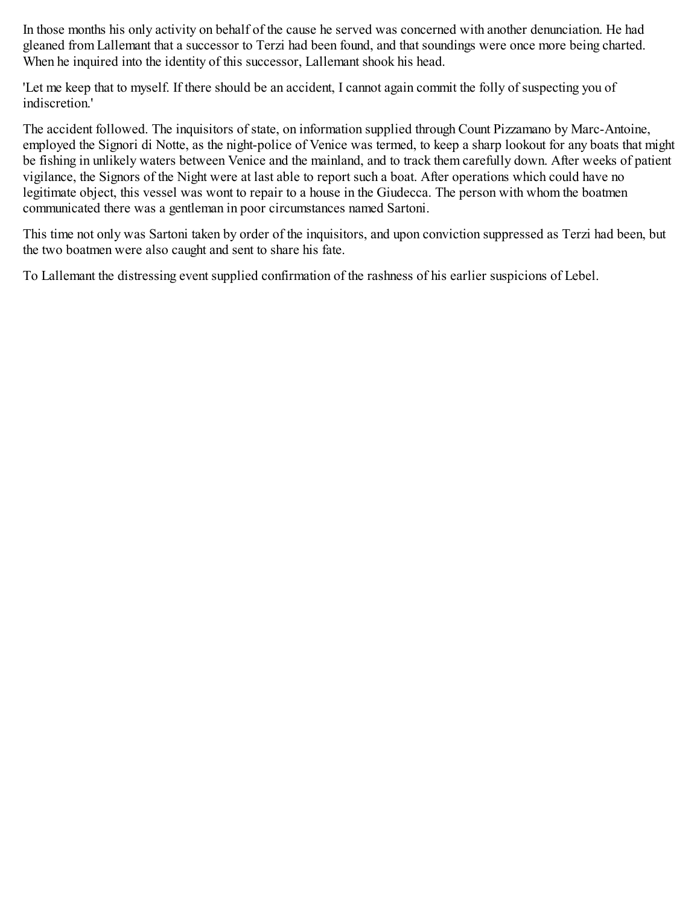In those months his only activity on behalf of the cause he served was concerned with another denunciation. He had gleaned from Lallemant that a successor to Terzi had been found, and that soundings were once more being charted. When he inquired into the identity of this successor, Lallemant shook his head.

'Let me keep that to myself. If there should be an accident, I cannot again commit the folly of suspecting you of indiscretion.'

The accident followed. The inquisitors of state, on information supplied through Count Pizzamano by Marc-Antoine, employed the Signori di Notte, as the night-police of Venice was termed, to keep a sharp lookout for any boats that might be fishing in unlikely waters between Venice and the mainland, and to track them carefully down. After weeks of patient vigilance, the Signors of the Night were at last able to report such a boat. After operations which could have no legitimate object, this vessel was wont to repair to a house in the Giudecca. The person with whom the boatmen communicated there was a gentleman in poor circumstances named Sartoni.

This time not only was Sartoni taken by order of the inquisitors, and upon conviction suppressed as Terzi had been, but the two boatmen were also caught and sent to share his fate.

To Lallemant the distressing event supplied confirmation of the rashness of his earlier suspicions of Lebel.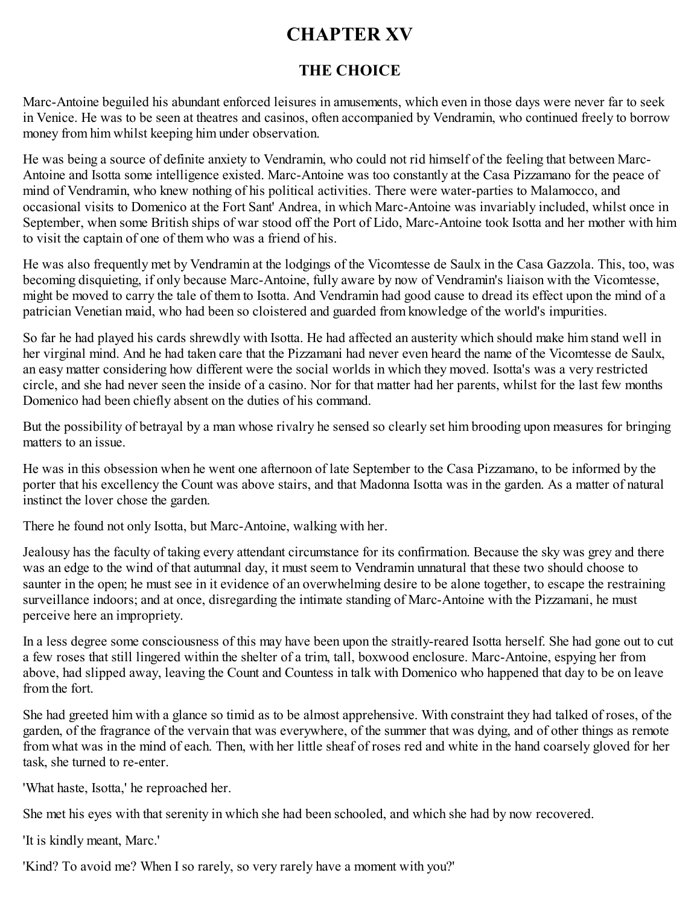### **CHAPTER XV**

#### **THE CHOICE**

Marc-Antoine beguiled his abundant enforced leisures in amusements, which even in those days were never far to seek in Venice. He was to be seen at theatres and casinos, often accompanied by Vendramin, who continued freely to borrow money from him whilst keeping him under observation.

He was being a source of definite anxiety to Vendramin, who could not rid himself of the feeling that between Marc-Antoine and Isotta some intelligence existed. Marc-Antoine was too constantly at the Casa Pizzamano for the peace of mind of Vendramin, who knew nothing of his political activities. There were water-parties to Malamocco, and occasional visits to Domenico at the Fort Sant' Andrea, in which Marc-Antoine was invariably included, whilst once in September, when some British ships of war stood off the Port of Lido, Marc-Antoine took Isotta and her mother with him to visit the captain of one of them who was a friend of his.

He was also frequently met by Vendramin at the lodgings of the Vicomtesse de Saulx in the Casa Gazzola. This, too, was becoming disquieting, if only because Marc-Antoine, fully aware by now of Vendramin's liaison with the Vicomtesse, might be moved to carry the tale of them to Isotta. And Vendramin had good cause to dread its effect upon the mind of a patrician Venetian maid, who had been so cloistered and guarded from knowledge of the world's impurities.

So far he had played his cards shrewdly with Isotta. He had affected an austerity which should make him stand well in her virginal mind. And he had taken care that the Pizzamani had never even heard the name of the Vicomtesse de Saulx, an easy matter considering how different were the social worlds in which they moved. Isotta's was a very restricted circle, and she had never seen the inside of a casino. Nor for that matter had her parents, whilst for the last few months Domenico had been chiefly absent on the duties of his command.

But the possibility of betrayal by a man whose rivalry he sensed so clearly set him brooding upon measures for bringing matters to an issue.

He was in this obsession when he went one afternoon of late September to the Casa Pizzamano, to be informed by the porter that his excellency the Count was above stairs, and that Madonna Isotta was in the garden. As a matter of natural instinct the lover chose the garden.

There he found not only Isotta, but Marc-Antoine, walking with her.

Jealousy has the faculty of taking every attendant circumstance for its confirmation. Because the sky was grey and there was an edge to the wind of that autumnal day, it must seem to Vendramin unnatural that these two should choose to saunter in the open; he must see in it evidence of an overwhelming desire to be alone together, to escape the restraining surveillance indoors; and at once, disregarding the intimate standing of Marc-Antoine with the Pizzamani, he must perceive here an impropriety.

In a less degree some consciousness of this may have been upon the straitly-reared Isotta herself. She had gone out to cut a few roses that still lingered within the shelter of a trim, tall, boxwood enclosure. Marc-Antoine, espying her from above, had slipped away, leaving the Count and Countess in talk with Domenico who happened that day to be on leave from the fort.

She had greeted him with a glance so timid as to be almost apprehensive. With constraint they had talked of roses, of the garden, of the fragrance of the vervain that was everywhere, of the summer that was dying, and of other things as remote from what was in the mind of each. Then, with her little sheaf of roses red and white in the hand coarsely gloved for her task, she turned to re-enter.

'What haste, Isotta,' he reproached her.

She met his eyes with that serenity in which she had been schooled, and which she had by now recovered.

'It is kindly meant, Marc.'

'Kind? To avoid me? When I so rarely, so very rarely have a moment with you?'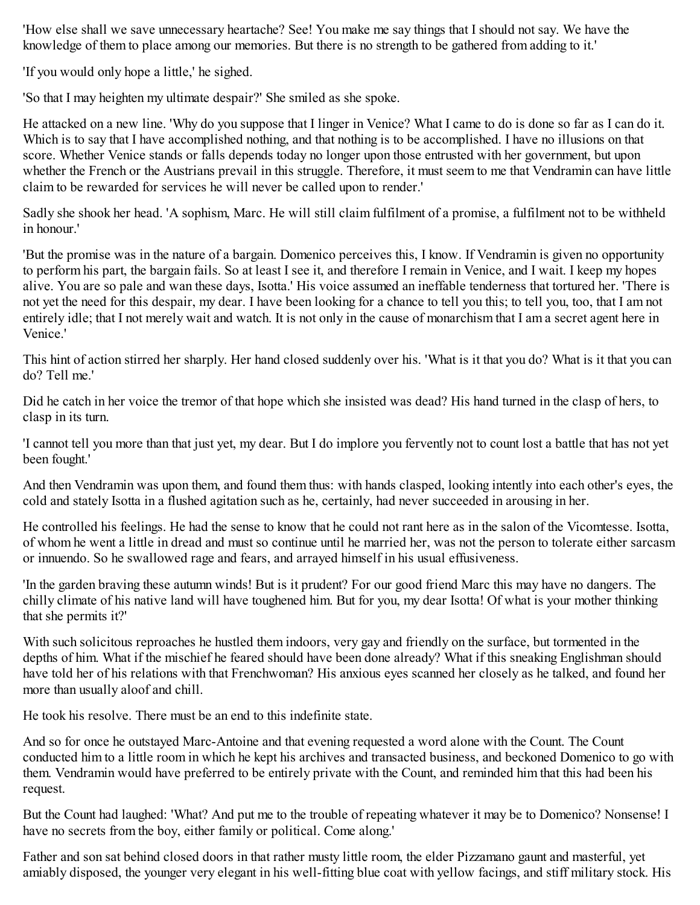'How else shall we save unnecessary heartache? See! You make me say things that I should not say. We have the knowledge of them to place among our memories. But there is no strength to be gathered from adding to it.'

'If you would only hope a little,' he sighed.

'So that I may heighten my ultimate despair?' She smiled as she spoke.

He attacked on a new line. 'Why do you suppose that I linger in Venice? What I came to do is done so far as I can do it. Which is to say that I have accomplished nothing, and that nothing is to be accomplished. I have no illusions on that score. Whether Venice stands or falls depends today no longer upon those entrusted with her government, but upon whether the French or the Austrians prevail in this struggle. Therefore, it must seem to me that Vendramin can have little claim to be rewarded for services he will never be called upon to render.'

Sadly she shook her head. 'A sophism, Marc. He will still claim fulfilment of a promise, a fulfilment not to be withheld in honour.'

'But the promise was in the nature of a bargain. Domenico perceives this, I know. If Vendramin is given no opportunity to perform his part, the bargain fails. So at least I see it, and therefore I remain in Venice, and I wait. I keep my hopes alive. You are so pale and wan these days, Isotta.' His voice assumed an ineffable tenderness that tortured her. 'There is not yet the need for this despair, my dear. I have been looking for a chance to tell you this; to tell you, too, that I am not entirely idle; that I not merely wait and watch. It is not only in the cause of monarchism that I am a secret agent here in Venice.'

This hint of action stirred her sharply. Her hand closed suddenly over his. 'What is it that you do? What is it that you can do? Tell me.'

Did he catch in her voice the tremor of that hope which she insisted was dead? His hand turned in the clasp of hers, to clasp in its turn.

'I cannot tell you more than that just yet, my dear. But I do implore you fervently not to count lost a battle that has not yet been fought.'

And then Vendramin was upon them, and found them thus: with hands clasped, looking intently into each other's eyes, the cold and stately Isotta in a flushed agitation such as he, certainly, had never succeeded in arousing in her.

He controlled his feelings. He had the sense to know that he could not rant here as in the salon of the Vicomtesse. Isotta, of whom he went a little in dread and must so continue until he married her, was not the person to tolerate either sarcasm or innuendo. So he swallowed rage and fears, and arrayed himself in his usual effusiveness.

'In the garden braving these autumn winds! But is it prudent? For our good friend Marc this may have no dangers. The chilly climate of his native land will have toughened him. But for you, my dear Isotta! Of what is your mother thinking that she permits it?'

With such solicitous reproaches he hustled them indoors, very gay and friendly on the surface, but tormented in the depths of him. What if the mischief he feared should have been done already? What if this sneaking Englishman should have told her of his relations with that Frenchwoman? His anxious eyes scanned her closely as he talked, and found her more than usually aloof and chill.

He took his resolve. There must be an end to this indefinite state.

And so for once he outstayed Marc-Antoine and that evening requested a word alone with the Count. The Count conducted him to a little room in which he kept his archives and transacted business, and beckoned Domenico to go with them. Vendramin would have preferred to be entirely private with the Count, and reminded him that this had been his request.

But the Count had laughed: 'What? And put me to the trouble of repeating whatever it may be to Domenico? Nonsense! I have no secrets from the boy, either family or political. Come along.'

Father and son sat behind closed doors in that rather musty little room, the elder Pizzamano gaunt and masterful, yet amiably disposed, the younger very elegant in his well-fitting blue coat with yellow facings, and stiff military stock. His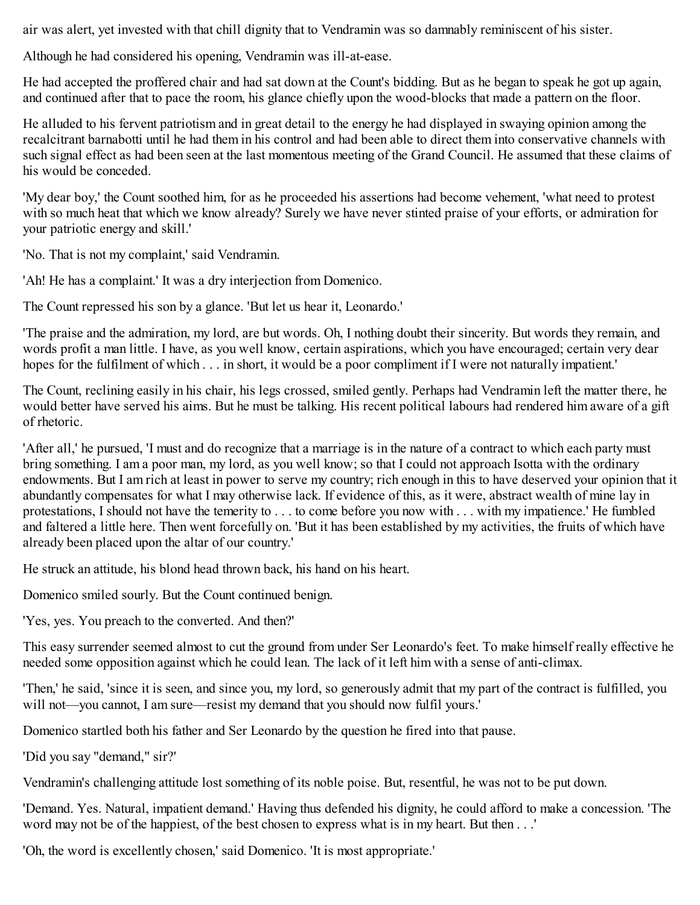air was alert, yet invested with that chill dignity that to Vendramin was so damnably reminiscent of his sister.

Although he had considered his opening, Vendramin was ill-at-ease.

He had accepted the proffered chair and had sat down at the Count's bidding. But as he began to speak he got up again, and continued after that to pace the room, his glance chiefly upon the wood-blocks that made a pattern on the floor.

He alluded to his fervent patriotism and in great detail to the energy he had displayed in swaying opinion among the recalcitrant barnabotti until he had them in his control and had been able to direct them into conservative channels with such signal effect as had been seen at the last momentous meeting of the Grand Council. He assumed that these claims of his would be conceded.

'My dear boy,' the Count soothed him, for as he proceeded his assertions had become vehement, 'what need to protest with so much heat that which we know already? Surely we have never stinted praise of your efforts, or admiration for your patriotic energy and skill.'

'No. That is not my complaint,' said Vendramin.

'Ah! He has a complaint.' It was a dry interjection from Domenico.

The Count repressed his son by a glance. 'But let us hear it, Leonardo.'

'The praise and the admiration, my lord, are but words. Oh, I nothing doubt their sincerity. But words they remain, and words profit a man little. I have, as you well know, certain aspirations, which you have encouraged; certain very dear hopes for the fulfilment of which . . . in short, it would be a poor compliment if I were not naturally impatient.'

The Count, reclining easily in his chair, his legs crossed, smiled gently. Perhaps had Vendramin left the matter there, he would better have served his aims. But he must be talking. His recent political labours had rendered him aware of a gift of rhetoric.

'After all,' he pursued, 'I must and do recognize that a marriage is in the nature of a contract to which each party must bring something. I am a poor man, my lord, as you well know; so that I could not approach Isotta with the ordinary endowments. But I am rich at least in power to serve my country; rich enough in this to have deserved your opinion that it abundantly compensates for what I may otherwise lack. If evidence of this, as it were, abstract wealth of mine lay in protestations, I should not have the temerity to . . . to come before you now with . . . with my impatience.' He fumbled and faltered a little here. Then went forcefully on. 'But it has been established by my activities, the fruits of which have already been placed upon the altar of our country.'

He struck an attitude, his blond head thrown back, his hand on his heart.

Domenico smiled sourly. But the Count continued benign.

'Yes, yes. You preach to the converted. And then?'

This easy surrender seemed almost to cut the ground from under Ser Leonardo's feet. To make himself really effective he needed some opposition against which he could lean. The lack of it left him with a sense of anti-climax.

'Then,' he said, 'since it is seen, and since you, my lord, so generously admit that my part of the contract is fulfilled, you will not—you cannot, I am sure—resist my demand that you should now fulfil yours.'

Domenico startled both his father and Ser Leonardo by the question he fired into that pause.

'Did you say "demand," sir?'

Vendramin's challenging attitude lost something of its noble poise. But, resentful, he was not to be put down.

'Demand. Yes. Natural, impatient demand.' Having thus defended his dignity, he could afford to make a concession. 'The word may not be of the happiest, of the best chosen to express what is in my heart. But then . . .'

'Oh, the word is excellently chosen,' said Domenico. 'It is most appropriate.'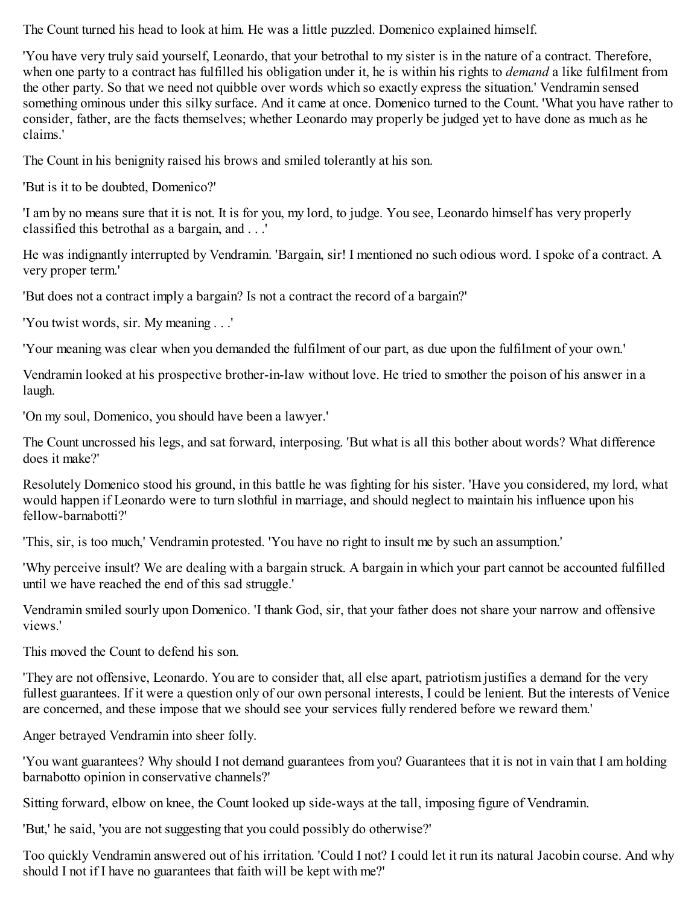The Count turned his head to look at him. He was a little puzzled. Domenico explained himself.

'You have very truly said yourself, Leonardo, that your betrothal to my sister is in the nature of a contract. Therefore, when one party to a contract has fulfilled his obligation under it, he is within his rights to *demand* a like fulfilment from the other party. So that we need not quibble over words which so exactly express the situation.' Vendramin sensed something ominous under this silky surface. And it came at once. Domenico turned to the Count. 'What you have rather to consider, father, are the facts themselves; whether Leonardo may properly be judged yet to have done as much as he claims.'

The Count in his benignity raised his brows and smiled tolerantly at his son.

'But is it to be doubted, Domenico?'

'I am by no means sure that it is not. It is for you, my lord, to judge. You see, Leonardo himself has very properly classified this betrothal as a bargain, and . . .'

He was indignantly interrupted by Vendramin. 'Bargain, sir! I mentioned no such odious word. I spoke of a contract. A very proper term.'

'But does not a contract imply a bargain? Is not a contract the record of a bargain?'

'You twist words, sir. My meaning . . .'

'Your meaning was clear when you demanded the fulfilment of our part, as due upon the fulfilment of your own.'

Vendramin looked at his prospective brother-in-law without love. He tried to smother the poison of his answer in a laugh.

'On my soul, Domenico, you should have been a lawyer.'

The Count uncrossed his legs, and sat forward, interposing. 'But what is all this bother about words? What difference does it make?'

Resolutely Domenico stood his ground, in this battle he was fighting for his sister. 'Have you considered, my lord, what would happen if Leonardo were to turn slothful in marriage, and should neglect to maintain his influence upon his fellow-barnabotti?'

'This, sir, is too much,' Vendramin protested. 'You have no right to insult me by such an assumption.'

'Why perceive insult? We are dealing with a bargain struck. A bargain in which your part cannot be accounted fulfilled until we have reached the end of this sad struggle.'

Vendramin smiled sourly upon Domenico. 'I thank God, sir, that your father does not share your narrow and offensive views.'

This moved the Count to defend his son.

'They are not offensive, Leonardo. You are to consider that, all else apart, patriotism justifies a demand for the very fullest guarantees. If it were a question only of our own personal interests, I could be lenient. But the interests of Venice are concerned, and these impose that we should see your services fully rendered before we reward them.'

Anger betrayed Vendramin into sheer folly.

'You want guarantees? Why should I not demand guarantees from you? Guarantees that it is not in vain that I am holding barnabotto opinion in conservative channels?'

Sitting forward, elbow on knee, the Count looked up side-ways at the tall, imposing figure of Vendramin.

'But,' he said, 'you are not suggesting that you could possibly do otherwise?'

Too quickly Vendramin answered out of his irritation. 'Could I not? I could let it run its natural Jacobin course. And why should I not if I have no guarantees that faith will be kept with me?'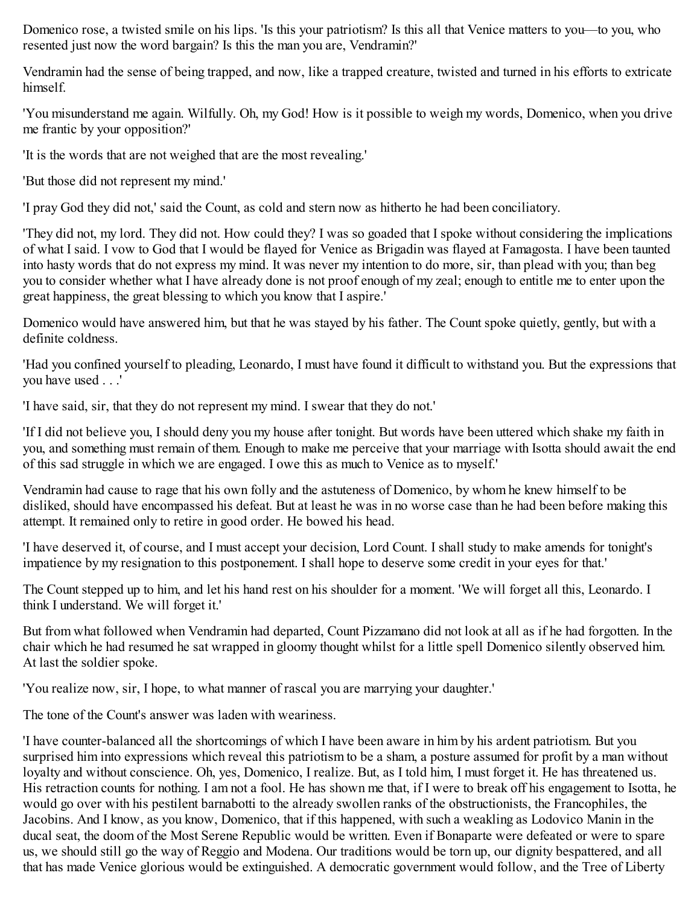Domenico rose, a twisted smile on his lips. 'Is this your patriotism? Is this all that Venice matters to you—to you, who resented just now the word bargain? Is this the man you are, Vendramin?'

Vendramin had the sense of being trapped, and now, like a trapped creature, twisted and turned in his efforts to extricate himself.

'You misunderstand me again. Wilfully. Oh, my God! How is it possible to weigh my words, Domenico, when you drive me frantic by your opposition?'

'It is the words that are not weighed that are the most revealing.'

'But those did not represent my mind.'

'I pray God they did not,' said the Count, as cold and stern now as hitherto he had been conciliatory.

'They did not, my lord. They did not. How could they? I was so goaded that I spoke without considering the implications of what I said. I vow to God that I would be flayed for Venice as Brigadin was flayed at Famagosta. I have been taunted into hasty words that do not express my mind. It was never my intention to do more, sir, than plead with you; than beg you to consider whether what I have already done is not proof enough of my zeal; enough to entitle me to enter upon the great happiness, the great blessing to which you know that I aspire.'

Domenico would have answered him, but that he was stayed by his father. The Count spoke quietly, gently, but with a definite coldness.

'Had you confined yourself to pleading, Leonardo, I must have found it difficult to withstand you. But the expressions that you have used . . .'

'I have said, sir, that they do not represent my mind. I swear that they do not.'

'If I did not believe you, I should deny you my house after tonight. But words have been uttered which shake my faith in you, and something must remain of them. Enough to make me perceive that your marriage with Isotta should await the end of this sad struggle in which we are engaged. I owe this as much to Venice as to myself.'

Vendramin had cause to rage that his own folly and the astuteness of Domenico, by whom he knew himself to be disliked, should have encompassed his defeat. But at least he was in no worse case than he had been before making this attempt. It remained only to retire in good order. He bowed his head.

'I have deserved it, of course, and I must accept your decision, Lord Count. I shall study to make amends for tonight's impatience by my resignation to this postponement. I shall hope to deserve some credit in your eyes for that.'

The Count stepped up to him, and let his hand rest on his shoulder for a moment. 'We will forget all this, Leonardo. I think I understand. We will forget it.'

But from what followed when Vendramin had departed, Count Pizzamano did not look at all as if he had forgotten. In the chair which he had resumed he sat wrapped in gloomy thought whilst for a little spell Domenico silently observed him. At last the soldier spoke.

'You realize now, sir, I hope, to what manner of rascal you are marrying your daughter.'

The tone of the Count's answer was laden with weariness.

'I have counter-balanced all the shortcomings of which I have been aware in him by his ardent patriotism. But you surprised him into expressions which reveal this patriotism to be a sham, a posture assumed for profit by a man without loyalty and without conscience. Oh, yes, Domenico, I realize. But, as I told him, I must forget it. He has threatened us. His retraction counts for nothing. I am not a fool. He has shown me that, if I were to break off his engagement to Isotta, he would go over with his pestilent barnabotti to the already swollen ranks of the obstructionists, the Francophiles, the Jacobins. And I know, as you know, Domenico, that if this happened, with such a weakling as Lodovico Manin in the ducal seat, the doom of the Most Serene Republic would be written. Even if Bonaparte were defeated or were to spare us, we should still go the way of Reggio and Modena. Our traditions would be torn up, our dignity bespattered, and all that has made Venice glorious would be extinguished. A democratic government would follow, and the Tree of Liberty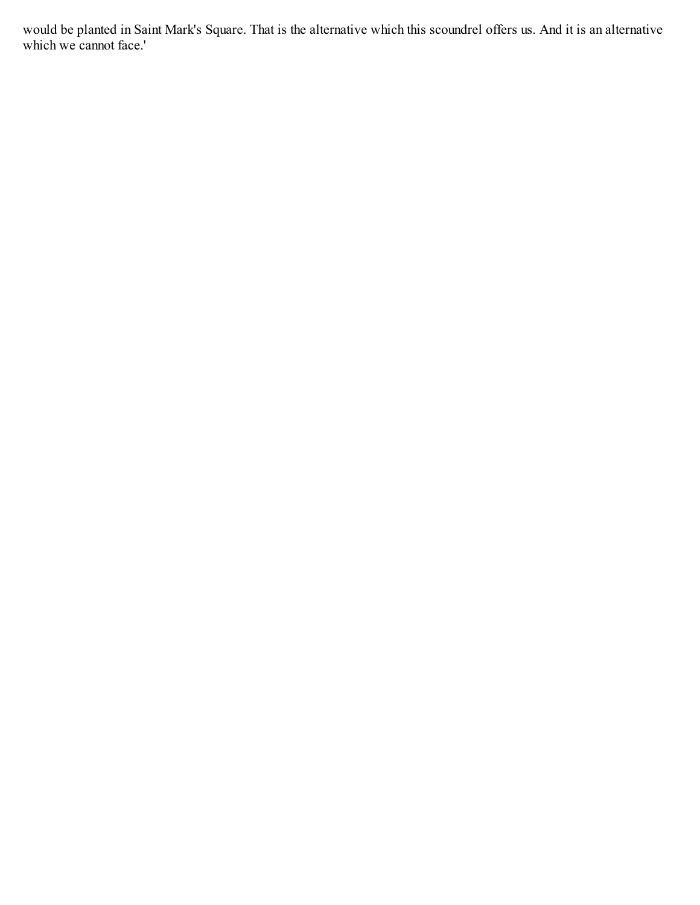would be planted in Saint Mark's Square. That is the alternative which this scoundrel offers us. And it is an alternative which we cannot face.'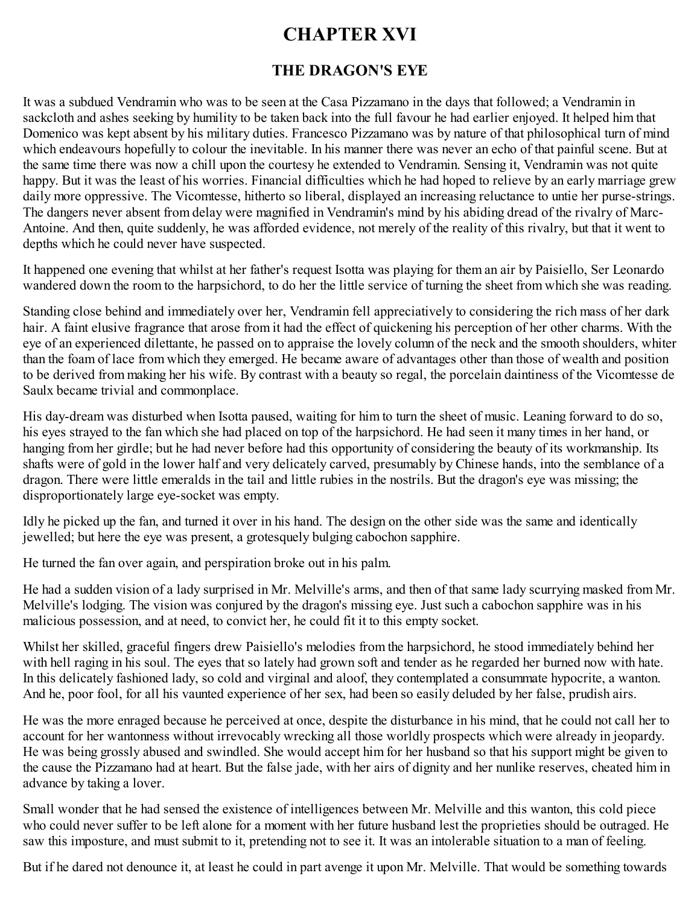# **CHAPTER XVI**

#### **THE DRAGON'S EYE**

It was a subdued Vendramin who was to be seen at the Casa Pizzamano in the days that followed; a Vendramin in sackcloth and ashes seeking by humility to be taken back into the full favour he had earlier enjoyed. It helped him that Domenico was kept absent by his military duties. Francesco Pizzamano was by nature of that philosophical turn of mind which endeavours hopefully to colour the inevitable. In his manner there was never an echo of that painful scene. But at the same time there was now a chill upon the courtesy he extended to Vendramin. Sensing it, Vendramin was not quite happy. But it was the least of his worries. Financial difficulties which he had hoped to relieve by an early marriage grew daily more oppressive. The Vicomtesse, hitherto so liberal, displayed an increasing reluctance to untie her purse-strings. The dangers never absent from delay were magnified in Vendramin's mind by his abiding dread of the rivalry of Marc-Antoine. And then, quite suddenly, he was afforded evidence, not merely of the reality of this rivalry, but that it went to depths which he could never have suspected.

It happened one evening that whilst at her father's request Isotta was playing for them an air by Paisiello, Ser Leonardo wandered down the room to the harpsichord, to do her the little service of turning the sheet from which she was reading.

Standing close behind and immediately over her, Vendramin fell appreciatively to considering the rich mass of her dark hair. A faint elusive fragrance that arose from it had the effect of quickening his perception of her other charms. With the eye of an experienced dilettante, he passed on to appraise the lovely column of the neck and the smooth shoulders, whiter than the foam of lace from which they emerged. He became aware of advantages other than those of wealth and position to be derived from making her his wife. By contrast with a beauty so regal, the porcelain daintiness of the Vicomtesse de Saulx became trivial and commonplace.

His day-dream was disturbed when Isotta paused, waiting for him to turn the sheet of music. Leaning forward to do so, his eyes strayed to the fan which she had placed on top of the harpsichord. He had seen it many times in her hand, or hanging from her girdle; but he had never before had this opportunity of considering the beauty of its workmanship. Its shafts were of gold in the lower half and very delicately carved, presumably by Chinese hands, into the semblance of a dragon. There were little emeralds in the tail and little rubies in the nostrils. But the dragon's eye was missing; the disproportionately large eye-socket was empty.

Idly he picked up the fan, and turned it over in his hand. The design on the other side was the same and identically jewelled; but here the eye was present, a grotesquely bulging cabochon sapphire.

He turned the fan over again, and perspiration broke out in his palm.

He had a sudden vision of a lady surprised in Mr. Melville's arms, and then of that same lady scurrying masked from Mr. Melville's lodging. The vision was conjured by the dragon's missing eye. Just such a cabochon sapphire was in his malicious possession, and at need, to convict her, he could fit it to this empty socket.

Whilst her skilled, graceful fingers drew Paisiello's melodies from the harpsichord, he stood immediately behind her with hell raging in his soul. The eyes that so lately had grown soft and tender as he regarded her burned now with hate. In this delicately fashioned lady, so cold and virginal and aloof, they contemplated a consummate hypocrite, a wanton. And he, poor fool, for all his vaunted experience of her sex, had been so easily deluded by her false, prudish airs.

He was the more enraged because he perceived at once, despite the disturbance in his mind, that he could not call her to account for her wantonness without irrevocably wrecking all those worldly prospects which were already in jeopardy. He was being grossly abused and swindled. She would accept him for her husband so that his support might be given to the cause the Pizzamano had at heart. But the false jade, with her airs of dignity and her nunlike reserves, cheated him in advance by taking a lover.

Small wonder that he had sensed the existence of intelligences between Mr. Melville and this wanton, this cold piece who could never suffer to be left alone for a moment with her future husband lest the proprieties should be outraged. He saw this imposture, and must submit to it, pretending not to see it. It was an intolerable situation to a man of feeling.

But if he dared not denounce it, at least he could in part avenge it upon Mr. Melville. That would be something towards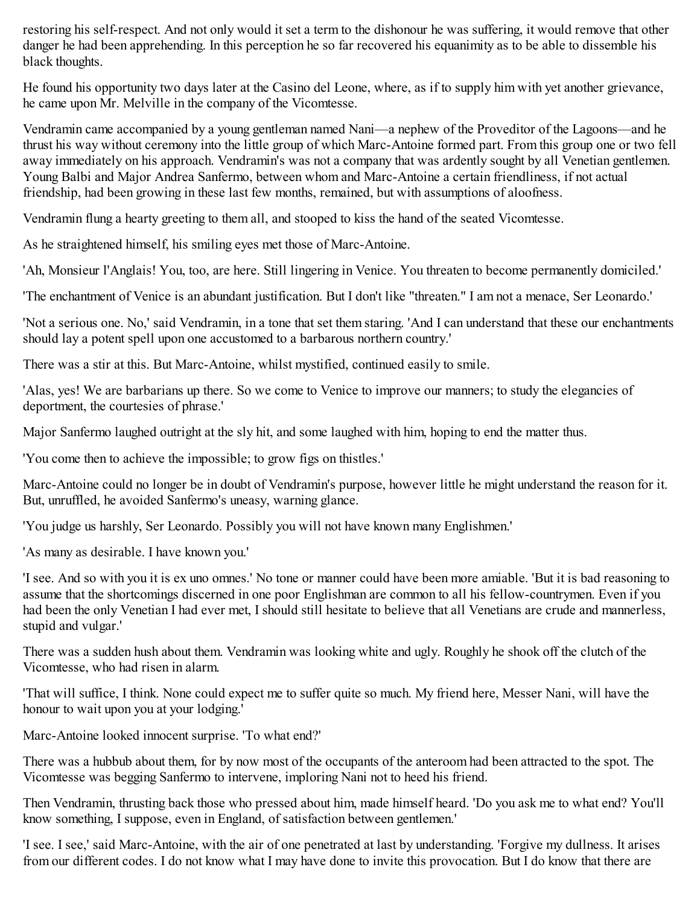restoring his self-respect. And not only would it set a term to the dishonour he was suffering, it would remove that other danger he had been apprehending. In this perception he so far recovered his equanimity as to be able to dissemble his black thoughts.

He found his opportunity two days later at the Casino del Leone, where, as if to supply him with yet another grievance, he came upon Mr. Melville in the company of the Vicomtesse.

Vendramin came accompanied by a young gentleman named Nani—a nephew of the Proveditor of the Lagoons—and he thrust his way without ceremony into the little group of which Marc-Antoine formed part. From this group one or two fell away immediately on his approach. Vendramin's was not a company that was ardently sought by all Venetian gentlemen. Young Balbi and Major Andrea Sanfermo, between whom and Marc-Antoine a certain friendliness, if not actual friendship, had been growing in these last few months, remained, but with assumptions of aloofness.

Vendramin flung a hearty greeting to them all, and stooped to kiss the hand of the seated Vicomtesse.

As he straightened himself, his smiling eyes met those of Marc-Antoine.

'Ah, Monsieur l'Anglais! You, too, are here. Still lingering in Venice. You threaten to become permanently domiciled.'

'The enchantment of Venice is an abundant justification. But I don't like "threaten." I am not a menace, Ser Leonardo.'

'Not a serious one. No,' said Vendramin, in a tone that set them staring. 'And I can understand that these our enchantments should lay a potent spell upon one accustomed to a barbarous northern country.'

There was a stir at this. But Marc-Antoine, whilst mystified, continued easily to smile.

'Alas, yes! We are barbarians up there. So we come to Venice to improve our manners; to study the elegancies of deportment, the courtesies of phrase.'

Major Sanfermo laughed outright at the sly hit, and some laughed with him, hoping to end the matter thus.

'You come then to achieve the impossible; to grow figs on thistles.'

Marc-Antoine could no longer be in doubt of Vendramin's purpose, however little he might understand the reason for it. But, unruffled, he avoided Sanfermo's uneasy, warning glance.

'You judge us harshly, Ser Leonardo. Possibly you will not have known many Englishmen.'

'As many as desirable. I have known you.'

'I see. And so with you it is ex uno omnes.' No tone or manner could have been more amiable. 'But it is bad reasoning to assume that the shortcomings discerned in one poor Englishman are common to all his fellow-countrymen. Even if you had been the only Venetian I had ever met, I should still hesitate to believe that all Venetians are crude and mannerless, stupid and vulgar.'

There was a sudden hush about them. Vendramin was looking white and ugly. Roughly he shook off the clutch of the Vicomtesse, who had risen in alarm.

'That will suffice, I think. None could expect me to suffer quite so much. My friend here, Messer Nani, will have the honour to wait upon you at your lodging.'

Marc-Antoine looked innocent surprise. 'To what end?'

There was a hubbub about them, for by now most of the occupants of the anteroom had been attracted to the spot. The Vicomtesse was begging Sanfermo to intervene, imploring Nani not to heed his friend.

Then Vendramin, thrusting back those who pressed about him, made himself heard. 'Do you ask me to what end? You'll know something, I suppose, even in England, of satisfaction between gentlemen.'

'I see. I see,' said Marc-Antoine, with the air of one penetrated at last by understanding. 'Forgive my dullness. It arises from our different codes. I do not know what I may have done to invite this provocation. But I do know that there are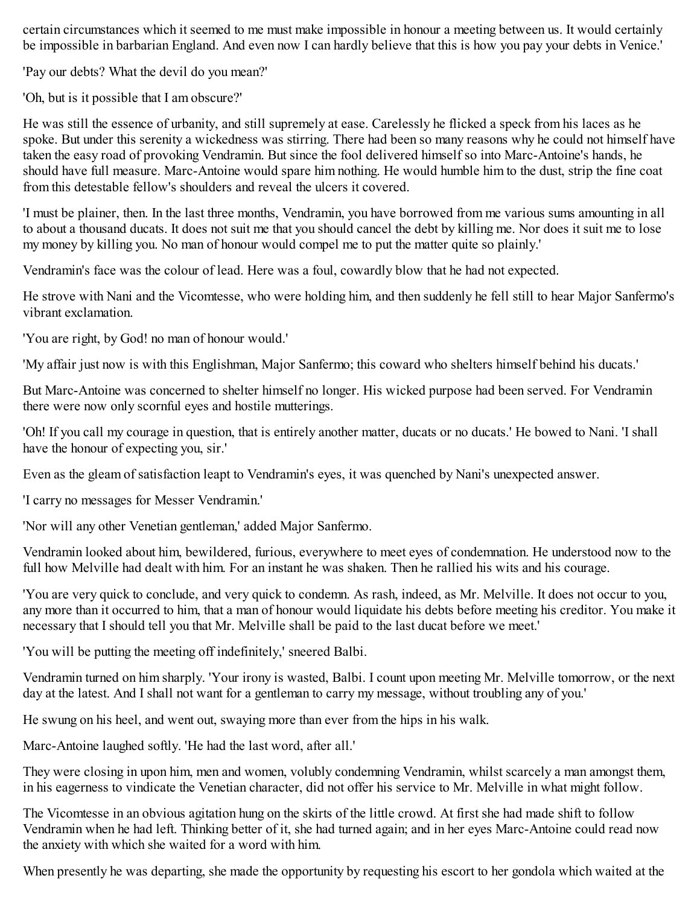certain circumstances which it seemed to me must make impossible in honour a meeting between us. It would certainly be impossible in barbarian England. And even now I can hardly believe that this is how you pay your debts in Venice.'

'Pay our debts? What the devil do you mean?'

'Oh, but is it possible that I am obscure?'

He was still the essence of urbanity, and still supremely at ease. Carelessly he flicked a speck from his laces as he spoke. But under this serenity a wickedness was stirring. There had been so many reasons why he could not himself have taken the easy road of provoking Vendramin. But since the fool delivered himself so into Marc-Antoine's hands, he should have full measure. Marc-Antoine would spare him nothing. He would humble him to the dust, strip the fine coat from this detestable fellow's shoulders and reveal the ulcers it covered.

'I must be plainer, then. In the last three months, Vendramin, you have borrowed from me various sums amounting in all to about a thousand ducats. It does not suit me that you should cancel the debt by killing me. Nor does it suit me to lose my money by killing you. No man of honour would compel me to put the matter quite so plainly.'

Vendramin's face was the colour of lead. Here was a foul, cowardly blow that he had not expected.

He strove with Nani and the Vicomtesse, who were holding him, and then suddenly he fell still to hear Major Sanfermo's vibrant exclamation.

'You are right, by God! no man of honour would.'

'My affair just now is with this Englishman, Major Sanfermo; this coward who shelters himself behind his ducats.'

But Marc-Antoine was concerned to shelter himself no longer. His wicked purpose had been served. For Vendramin there were now only scornful eyes and hostile mutterings.

'Oh! If you call my courage in question, that is entirely another matter, ducats or no ducats.' He bowed to Nani. 'I shall have the honour of expecting you, sir.'

Even as the gleam of satisfaction leapt to Vendramin's eyes, it was quenched by Nani's unexpected answer.

'I carry no messages for Messer Vendramin.'

'Nor will any other Venetian gentleman,' added Major Sanfermo.

Vendramin looked about him, bewildered, furious, everywhere to meet eyes of condemnation. He understood now to the full how Melville had dealt with him. For an instant he was shaken. Then he rallied his wits and his courage.

'You are very quick to conclude, and very quick to condemn. As rash, indeed, as Mr. Melville. It does not occur to you, any more than it occurred to him, that a man of honour would liquidate his debts before meeting his creditor. You make it necessary that I should tell you that Mr. Melville shall be paid to the last ducat before we meet.'

'You will be putting the meeting off indefinitely,' sneered Balbi.

Vendramin turned on him sharply. 'Your irony is wasted, Balbi. I count upon meeting Mr. Melville tomorrow, or the next day at the latest. And I shall not want for a gentleman to carry my message, without troubling any of you.'

He swung on his heel, and went out, swaying more than ever from the hips in his walk.

Marc-Antoine laughed softly. 'He had the last word, after all.'

They were closing in upon him, men and women, volubly condemning Vendramin, whilst scarcely a man amongst them, in his eagerness to vindicate the Venetian character, did not offer his service to Mr. Melville in what might follow.

The Vicomtesse in an obvious agitation hung on the skirts of the little crowd. At first she had made shift to follow Vendramin when he had left. Thinking better of it, she had turned again; and in her eyes Marc-Antoine could read now the anxiety with which she waited for a word with him.

When presently he was departing, she made the opportunity by requesting his escort to her gondola which waited at the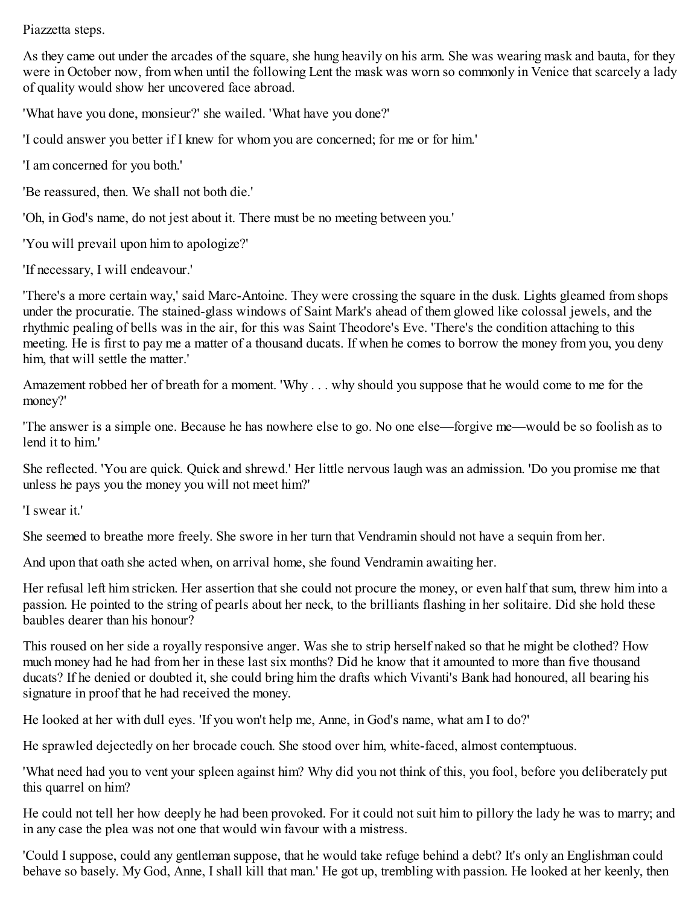Piazzetta steps.

As they came out under the arcades of the square, she hung heavily on his arm. She was wearing mask and bauta, for they were in October now, from when until the following Lent the mask was worn so commonly in Venice that scarcely a lady of quality would show her uncovered face abroad.

'What have you done, monsieur?' she wailed. 'What have you done?'

'I could answer you better if I knew for whom you are concerned; for me or for him.'

'I am concerned for you both.'

'Be reassured, then. We shall not both die.'

'Oh, in God's name, do not jest about it. There must be no meeting between you.'

'You will prevail upon him to apologize?'

'If necessary, I will endeavour.'

'There's a more certain way,' said Marc-Antoine. They were crossing the square in the dusk. Lights gleamed from shops under the procuratie. The stained-glass windows of Saint Mark's ahead of them glowed like colossal jewels, and the rhythmic pealing of bells was in the air, for this was Saint Theodore's Eve. 'There's the condition attaching to this meeting. He is first to pay me a matter of a thousand ducats. If when he comes to borrow the money from you, you deny him, that will settle the matter.'

Amazement robbed her of breath for a moment. 'Why . . . why should you suppose that he would come to me for the money?'

'The answer is a simple one. Because he has nowhere else to go. No one else—forgive me—would be so foolish as to lend it to him.'

She reflected. 'You are quick. Quick and shrewd.' Her little nervous laugh was an admission. 'Do you promise me that unless he pays you the money you will not meet him?'

'I swear it.'

She seemed to breathe more freely. She swore in her turn that Vendramin should not have a sequin from her.

And upon that oath she acted when, on arrival home, she found Vendramin awaiting her.

Her refusal left him stricken. Her assertion that she could not procure the money, or even half that sum, threw him into a passion. He pointed to the string of pearls about her neck, to the brilliants flashing in her solitaire. Did she hold these baubles dearer than his honour?

This roused on her side a royally responsive anger. Was she to strip herself naked so that he might be clothed? How much money had he had from her in these last six months? Did he know that it amounted to more than five thousand ducats? If he denied or doubted it, she could bring him the drafts which Vivanti's Bank had honoured, all bearing his signature in proof that he had received the money.

He looked at her with dull eyes. 'If you won't help me, Anne, in God's name, what am I to do?'

He sprawled dejectedly on her brocade couch. She stood over him, white-faced, almost contemptuous.

'What need had you to vent your spleen against him? Why did you not think of this, you fool, before you deliberately put this quarrel on him?

He could not tell her how deeply he had been provoked. For it could not suit him to pillory the lady he was to marry; and in any case the plea was not one that would win favour with a mistress.

'Could I suppose, could any gentleman suppose, that he would take refuge behind a debt? It's only an Englishman could behave so basely. My God, Anne, I shall kill that man.' He got up, trembling with passion. He looked at her keenly, then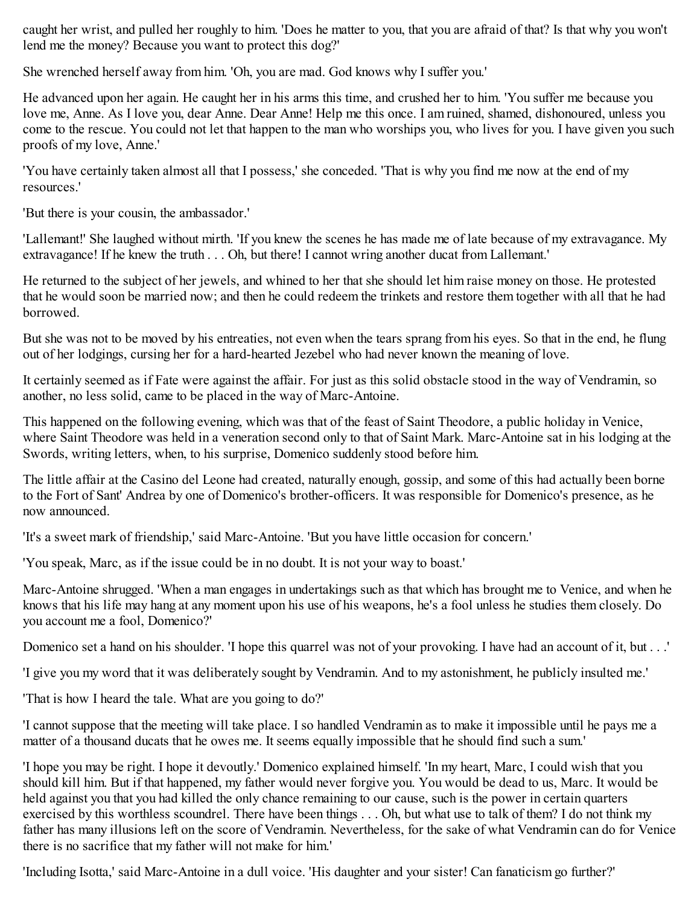caught her wrist, and pulled her roughly to him. 'Does he matter to you, that you are afraid of that? Is that why you won't lend me the money? Because you want to protect this dog?'

She wrenched herself away from him. 'Oh, you are mad. God knows why I suffer you.'

He advanced upon her again. He caught her in his arms this time, and crushed her to him. 'You suffer me because you love me, Anne. As I love you, dear Anne. Dear Anne! Help me this once. I am ruined, shamed, dishonoured, unless you come to the rescue. You could not let that happen to the man who worships you, who lives for you. I have given you such proofs of my love, Anne.'

'You have certainly taken almost all that I possess,' she conceded. 'That is why you find me now at the end of my resources.'

'But there is your cousin, the ambassador.'

'Lallemant!' She laughed without mirth. 'If you knew the scenes he has made me of late because of my extravagance. My extravagance! If he knew the truth . . . Oh, but there! I cannot wring another ducat from Lallemant.'

He returned to the subject of her jewels, and whined to her that she should let him raise money on those. He protested that he would soon be married now; and then he could redeem the trinkets and restore them together with all that he had borrowed.

But she was not to be moved by his entreaties, not even when the tears sprang from his eyes. So that in the end, he flung out of her lodgings, cursing her for a hard-hearted Jezebel who had never known the meaning of love.

It certainly seemed as if Fate were against the affair. For just as this solid obstacle stood in the way of Vendramin, so another, no less solid, came to be placed in the way of Marc-Antoine.

This happened on the following evening, which was that of the feast of Saint Theodore, a public holiday in Venice, where Saint Theodore was held in a veneration second only to that of Saint Mark. Marc-Antoine sat in his lodging at the Swords, writing letters, when, to his surprise, Domenico suddenly stood before him.

The little affair at the Casino del Leone had created, naturally enough, gossip, and some of this had actually been borne to the Fort of Sant' Andrea by one of Domenico's brother-officers. It was responsible for Domenico's presence, as he now announced.

'It's a sweet mark of friendship,' said Marc-Antoine. 'But you have little occasion for concern.'

'You speak, Marc, as if the issue could be in no doubt. It is not your way to boast.'

Marc-Antoine shrugged. 'When a man engages in undertakings such as that which has brought me to Venice, and when he knows that his life may hang at any moment upon his use of his weapons, he's a fool unless he studies them closely. Do you account me a fool, Domenico?'

Domenico set a hand on his shoulder. 'I hope this quarrel was not of your provoking. I have had an account of it, but . . .'

'I give you my word that it was deliberately sought by Vendramin. And to my astonishment, he publicly insulted me.'

'That is how I heard the tale. What are you going to do?'

'I cannot suppose that the meeting will take place. I so handled Vendramin as to make it impossible until he pays me a matter of a thousand ducats that he owes me. It seems equally impossible that he should find such a sum.'

'I hope you may be right. I hope it devoutly.' Domenico explained himself. 'In my heart, Marc, I could wish that you should kill him. But if that happened, my father would never forgive you. You would be dead to us, Marc. It would be held against you that you had killed the only chance remaining to our cause, such is the power in certain quarters exercised by this worthless scoundrel. There have been things . . . Oh, but what use to talk of them? I do not think my father has many illusions left on the score of Vendramin. Nevertheless, for the sake of what Vendramin can do for Venice there is no sacrifice that my father will not make for him.'

'Including Isotta,' said Marc-Antoine in a dull voice. 'His daughter and your sister! Can fanaticism go further?'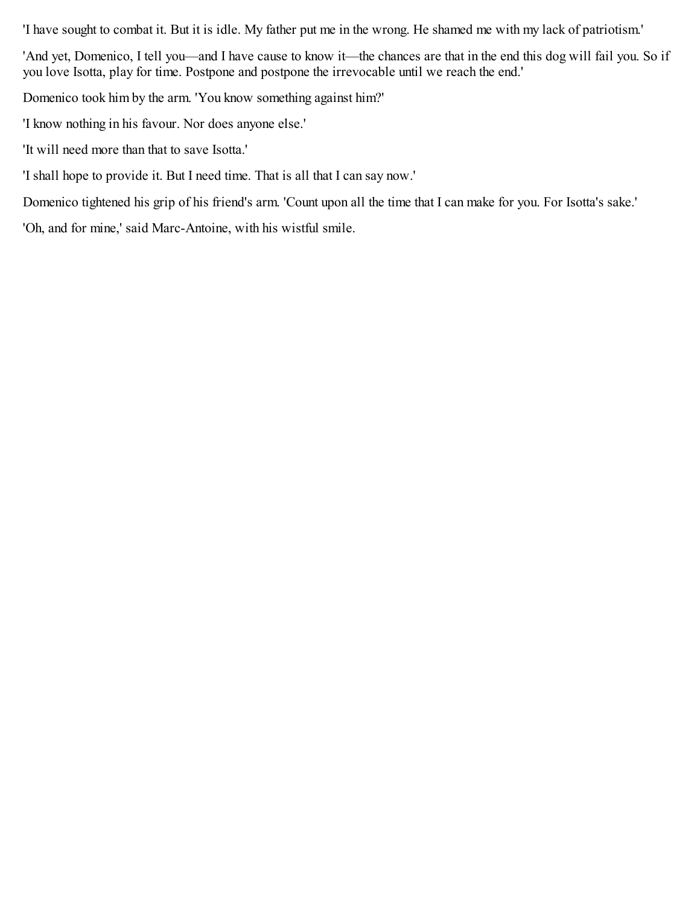'I have sought to combat it. But it is idle. My father put me in the wrong. He shamed me with my lack of patriotism.'

'And yet, Domenico, I tell you—and I have cause to know it—the chances are that in the end this dog will fail you. So if you love Isotta, play for time. Postpone and postpone the irrevocable until we reach the end.'

Domenico took him by the arm. 'You know something against him?'

'I know nothing in his favour. Nor does anyone else.'

'It will need more than that to save Isotta.'

'I shall hope to provide it. But I need time. That is all that I can say now.'

Domenico tightened his grip of his friend's arm. 'Count upon all the time that I can make for you. For Isotta's sake.'

'Oh, and for mine,' said Marc-Antoine, with his wistful smile.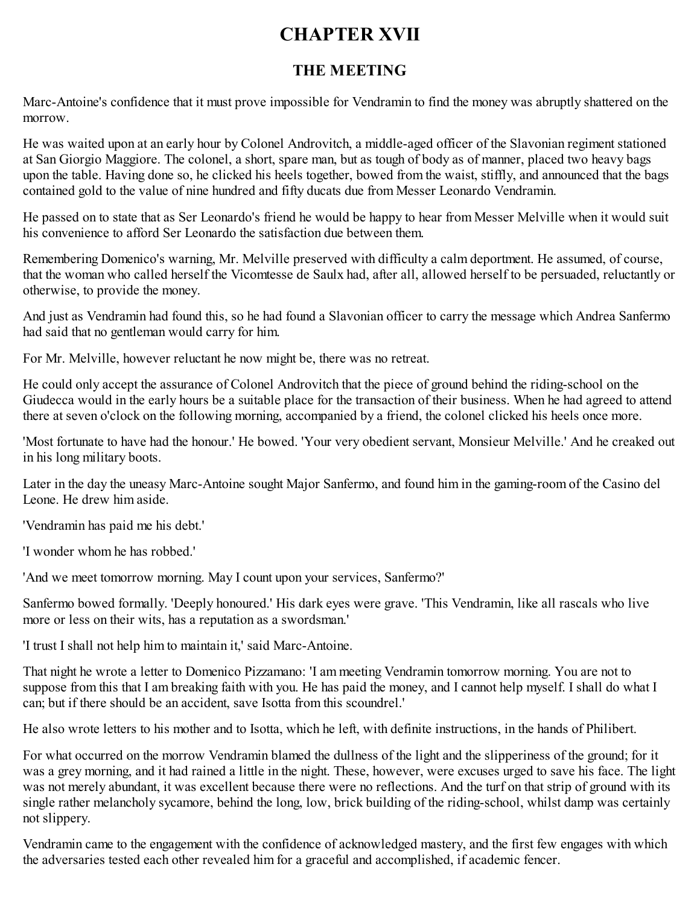# **CHAPTER XVII**

#### **THE MEETING**

Marc-Antoine's confidence that it must prove impossible for Vendramin to find the money was abruptly shattered on the morrow.

He was waited upon at an early hour by Colonel Androvitch, a middle-aged officer of the Slavonian regiment stationed at San Giorgio Maggiore. The colonel, a short, spare man, but as tough of body as of manner, placed two heavy bags upon the table. Having done so, he clicked his heels together, bowed from the waist, stiffly, and announced that the bags contained gold to the value of nine hundred and fifty ducats due from Messer Leonardo Vendramin.

He passed on to state that as Ser Leonardo's friend he would be happy to hear from Messer Melville when it would suit his convenience to afford Ser Leonardo the satisfaction due between them.

Remembering Domenico's warning, Mr. Melville preserved with difficulty a calm deportment. He assumed, of course, that the woman who called herself the Vicomtesse de Saulx had, after all, allowed herself to be persuaded, reluctantly or otherwise, to provide the money.

And just as Vendramin had found this, so he had found a Slavonian officer to carry the message which Andrea Sanfermo had said that no gentleman would carry for him.

For Mr. Melville, however reluctant he now might be, there was no retreat.

He could only accept the assurance of Colonel Androvitch that the piece of ground behind the riding-school on the Giudecca would in the early hours be a suitable place for the transaction of their business. When he had agreed to attend there at seven o'clock on the following morning, accompanied by a friend, the colonel clicked his heels once more.

'Most fortunate to have had the honour.' He bowed. 'Your very obedient servant, Monsieur Melville.' And he creaked out in his long military boots.

Later in the day the uneasy Marc-Antoine sought Major Sanfermo, and found him in the gaming-room of the Casino del Leone. He drew him aside.

'Vendramin has paid me his debt.'

'I wonder whom he has robbed.'

'And we meet tomorrow morning. May I count upon your services, Sanfermo?'

Sanfermo bowed formally. 'Deeply honoured.' His dark eyes were grave. 'This Vendramin, like all rascals who live more or less on their wits, has a reputation as a swordsman.'

'I trust I shall not help him to maintain it,' said Marc-Antoine.

That night he wrote a letter to Domenico Pizzamano: 'I am meeting Vendramin tomorrow morning. You are not to suppose from this that I am breaking faith with you. He has paid the money, and I cannot help myself. I shall do what I can; but if there should be an accident, save Isotta from this scoundrel.'

He also wrote letters to his mother and to Isotta, which he left, with definite instructions, in the hands of Philibert.

For what occurred on the morrow Vendramin blamed the dullness of the light and the slipperiness of the ground; for it was a grey morning, and it had rained a little in the night. These, however, were excuses urged to save his face. The light was not merely abundant, it was excellent because there were no reflections. And the turf on that strip of ground with its single rather melancholy sycamore, behind the long, low, brick building of the riding-school, whilst damp was certainly not slippery.

Vendramin came to the engagement with the confidence of acknowledged mastery, and the first few engages with which the adversaries tested each other revealed him for a graceful and accomplished, if academic fencer.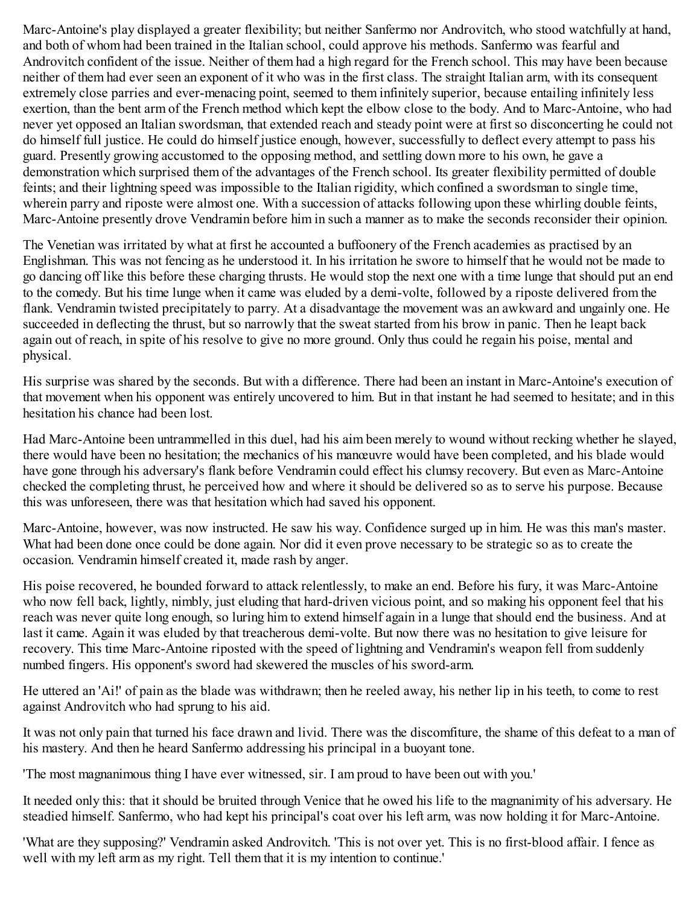Marc-Antoine's play displayed a greater flexibility; but neither Sanfermo nor Androvitch, who stood watchfully at hand, and both of whom had been trained in the Italian school, could approve his methods. Sanfermo was fearful and Androvitch confident of the issue. Neither of them had a high regard for the French school. This may have been because neither of them had ever seen an exponent of it who was in the first class. The straight Italian arm, with its consequent extremely close parries and ever-menacing point, seemed to them infinitely superior, because entailing infinitely less exertion, than the bent arm of the French method which kept the elbow close to the body. And to Marc-Antoine, who had never yet opposed an Italian swordsman, that extended reach and steady point were at first so disconcerting he could not do himself full justice. He could do himself justice enough, however, successfully to deflect every attempt to pass his guard. Presently growing accustomed to the opposing method, and settling down more to his own, he gave a demonstration which surprised them of the advantages of the French school. Its greater flexibility permitted of double feints; and their lightning speed was impossible to the Italian rigidity, which confined a swordsman to single time, wherein parry and riposte were almost one. With a succession of attacks following upon these whirling double feints, Marc-Antoine presently drove Vendramin before him in such a manner as to make the seconds reconsider their opinion.

The Venetian was irritated by what at first he accounted a buffoonery of the French academies as practised by an Englishman. This was not fencing as he understood it. In his irritation he swore to himself that he would not be made to go dancing off like this before these charging thrusts. He would stop the next one with a time lunge that should put an end to the comedy. But his time lunge when it came was eluded by a demi-volte, followed by a riposte delivered from the flank. Vendramin twisted precipitately to parry. At a disadvantage the movement was an awkward and ungainly one. He succeeded in deflecting the thrust, but so narrowly that the sweat started from his brow in panic. Then he leapt back again out of reach, in spite of his resolve to give no more ground. Only thus could he regain his poise, mental and physical.

His surprise was shared by the seconds. But with a difference. There had been an instant in Marc-Antoine's execution of that movement when his opponent was entirely uncovered to him. But in that instant he had seemed to hesitate; and in this hesitation his chance had been lost.

Had Marc-Antoine been untrammelled in this duel, had his aim been merely to wound without recking whether he slayed, there would have been no hesitation; the mechanics of his manœuvre would have been completed, and his blade would have gone through his adversary's flank before Vendramin could effect his clumsy recovery. But even as Marc-Antoine checked the completing thrust, he perceived how and where it should be delivered so as to serve his purpose. Because this was unforeseen, there was that hesitation which had saved his opponent.

Marc-Antoine, however, was now instructed. He saw his way. Confidence surged up in him. He was this man's master. What had been done once could be done again. Nor did it even prove necessary to be strategic so as to create the occasion. Vendramin himself created it, made rash by anger.

His poise recovered, he bounded forward to attack relentlessly, to make an end. Before his fury, it was Marc-Antoine who now fell back, lightly, nimbly, just eluding that hard-driven vicious point, and so making his opponent feel that his reach was never quite long enough, so luring him to extend himself again in a lunge that should end the business. And at last it came. Again it was eluded by that treacherous demi-volte. But now there was no hesitation to give leisure for recovery. This time Marc-Antoine riposted with the speed of lightning and Vendramin's weapon fell from suddenly numbed fingers. His opponent's sword had skewered the muscles of his sword-arm.

He uttered an 'Ai!' of pain as the blade was withdrawn; then he reeled away, his nether lip in his teeth, to come to rest against Androvitch who had sprung to his aid.

It was not only pain that turned his face drawn and livid. There was the discomfiture, the shame of this defeat to a man of his mastery. And then he heard Sanfermo addressing his principal in a buoyant tone.

'The most magnanimous thing I have ever witnessed, sir. I am proud to have been out with you.'

It needed only this: that it should be bruited through Venice that he owed his life to the magnanimity of his adversary. He steadied himself. Sanfermo, who had kept his principal's coat over his left arm, was now holding it for Marc-Antoine.

'What are they supposing?' Vendramin asked Androvitch. 'This is not over yet. This is no first-blood affair. I fence as well with my left arm as my right. Tell them that it is my intention to continue.'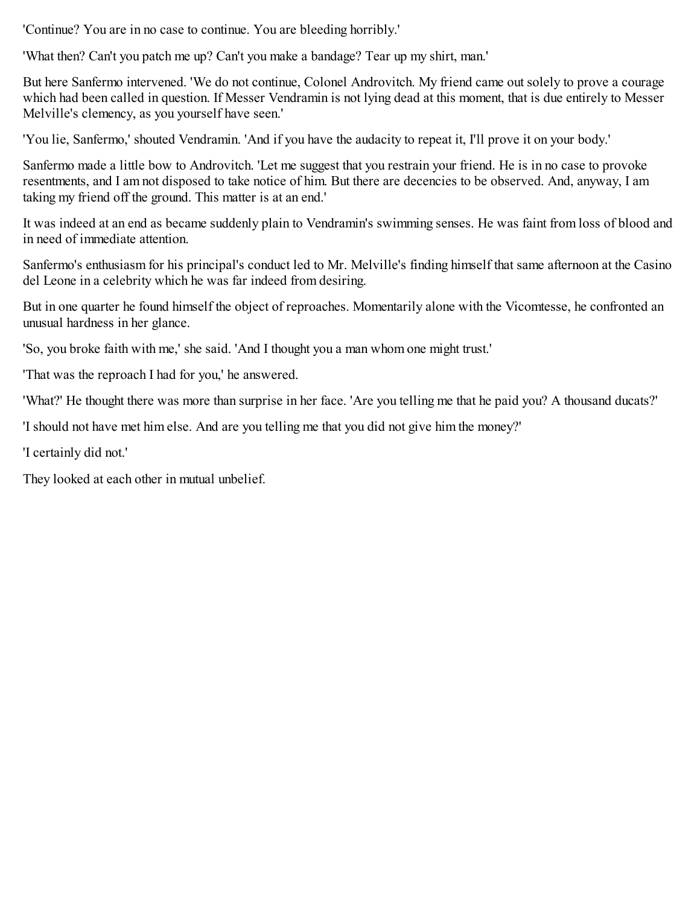'Continue? You are in no case to continue. You are bleeding horribly.'

'What then? Can't you patch me up? Can't you make a bandage? Tear up my shirt, man.'

But here Sanfermo intervened. 'We do not continue, Colonel Androvitch. My friend came out solely to prove a courage which had been called in question. If Messer Vendramin is not lying dead at this moment, that is due entirely to Messer Melville's clemency, as you yourself have seen.'

'You lie, Sanfermo,' shouted Vendramin. 'And if you have the audacity to repeat it, I'll prove it on your body.'

Sanfermo made a little bow to Androvitch. 'Let me suggest that you restrain your friend. He is in no case to provoke resentments, and I am not disposed to take notice of him. But there are decencies to be observed. And, anyway, I am taking my friend off the ground. This matter is at an end.'

It was indeed at an end as became suddenly plain to Vendramin's swimming senses. He was faint from loss of blood and in need of immediate attention.

Sanfermo's enthusiasm for his principal's conduct led to Mr. Melville's finding himself that same afternoon at the Casino del Leone in a celebrity which he was far indeed from desiring.

But in one quarter he found himself the object of reproaches. Momentarily alone with the Vicomtesse, he confronted an unusual hardness in her glance.

'So, you broke faith with me,' she said. 'And I thought you a man whom one might trust.'

'That was the reproach I had for you,' he answered.

'What?' He thought there was more than surprise in her face. 'Are you telling me that he paid you? A thousand ducats?'

'I should not have met him else. And are you telling me that you did not give him the money?'

'I certainly did not.'

They looked at each other in mutual unbelief.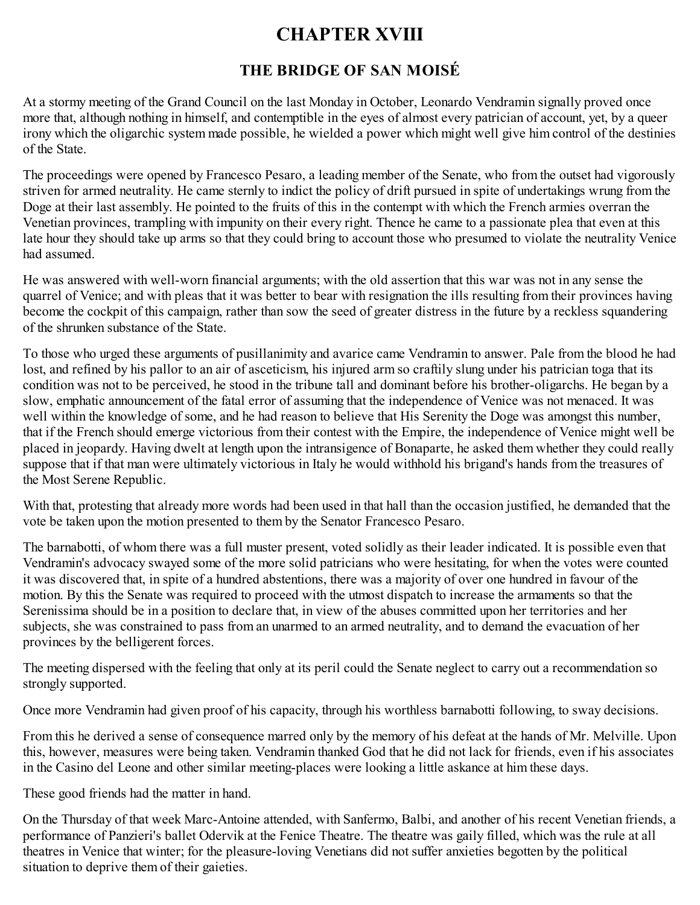# **CHAPTER XVIII**

#### **THE BRIDGE OF SAN MOISÉ**

At a stormy meeting of the Grand Council on the last Monday in October, Leonardo Vendramin signally proved once more that, although nothing in himself, and contemptible in the eyes of almost every patrician of account, yet, by a queer irony which the oligarchic system made possible, he wielded a power which might well give him control of the destinies of the State.

The proceedings were opened by Francesco Pesaro, a leading member of the Senate, who from the outset had vigorously striven for armed neutrality. He came sternly to indict the policy of drift pursued in spite of undertakings wrung from the Doge at their last assembly. He pointed to the fruits of this in the contempt with which the French armies overran the Venetian provinces, trampling with impunity on their every right. Thence he came to a passionate plea that even at this late hour they should take up arms so that they could bring to account those who presumed to violate the neutrality Venice had assumed.

He was answered with well-worn financial arguments; with the old assertion that this war was not in any sense the quarrel of Venice; and with pleas that it was better to bear with resignation the ills resulting from their provinces having become the cockpit of this campaign, rather than sow the seed of greater distress in the future by a reckless squandering of the shrunken substance of the State.

To those who urged these arguments of pusillanimity and avarice came Vendramin to answer. Pale from the blood he had lost, and refined by his pallor to an air of asceticism, his injured arm so craftily slung under his patrician toga that its condition was not to be perceived, he stood in the tribune tall and dominant before his brother-oligarchs. He began by a slow, emphatic announcement of the fatal error of assuming that the independence of Venice was not menaced. It was well within the knowledge of some, and he had reason to believe that His Serenity the Doge was amongst this number, that if the French should emerge victorious from their contest with the Empire, the independence of Venice might well be placed in jeopardy. Having dwelt at length upon the intransigence of Bonaparte, he asked them whether they could really suppose that if that man were ultimately victorious in Italy he would withhold his brigand's hands from the treasures of the Most Serene Republic.

With that, protesting that already more words had been used in that hall than the occasion justified, he demanded that the vote be taken upon the motion presented to them by the Senator Francesco Pesaro.

The barnabotti, of whom there was a full muster present, voted solidly as their leader indicated. It is possible even that Vendramin's advocacy swayed some of the more solid patricians who were hesitating, for when the votes were counted it was discovered that, in spite of a hundred abstentions, there was a majority of over one hundred in favour of the motion. By this the Senate was required to proceed with the utmost dispatch to increase the armaments so that the Serenissima should be in a position to declare that, in view of the abuses committed upon her territories and her subjects, she was constrained to pass from an unarmed to an armed neutrality, and to demand the evacuation of her provinces by the belligerent forces.

The meeting dispersed with the feeling that only at its peril could the Senate neglect to carry out a recommendation so strongly supported.

Once more Vendramin had given proof of his capacity, through his worthless barnabotti following, to sway decisions.

From this he derived a sense of consequence marred only by the memory of his defeat at the hands of Mr. Melville. Upon this, however, measures were being taken. Vendramin thanked God that he did not lack for friends, even if his associates in the Casino del Leone and other similar meeting-places were looking a little askance at him these days.

These good friends had the matter in hand.

On the Thursday of that week Marc-Antoine attended, with Sanfermo, Balbi, and another of his recent Venetian friends, a performance of Panzieri's ballet Odervik at the Fenice Theatre. The theatre was gaily filled, which was the rule at all theatres in Venice that winter; for the pleasure-loving Venetians did not suffer anxieties begotten by the political situation to deprive them of their gaieties.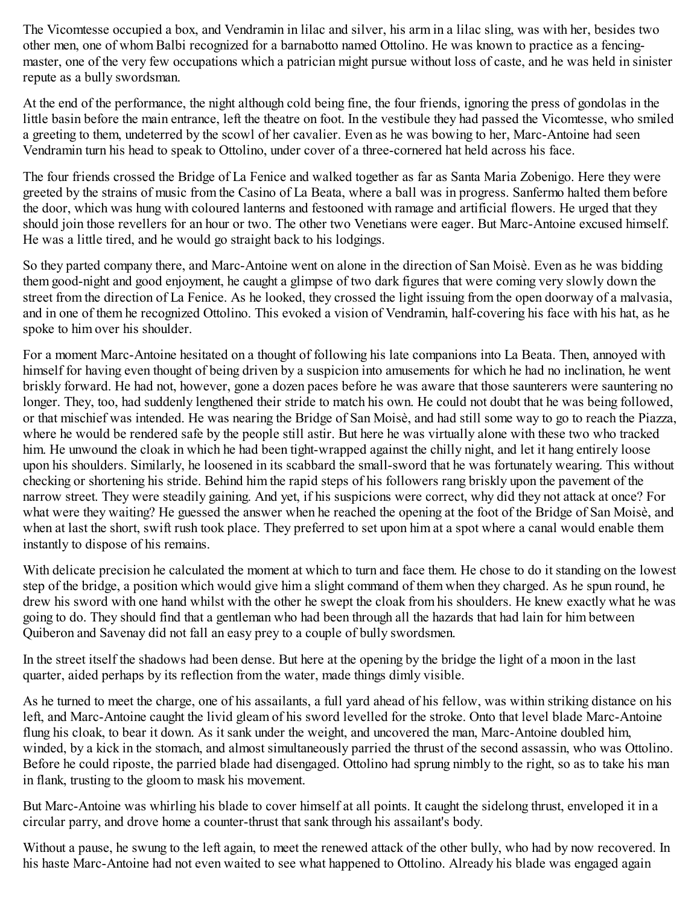The Vicomtesse occupied a box, and Vendramin in lilac and silver, his arm in a lilac sling, was with her, besides two other men, one of whom Balbi recognized for a barnabotto named Ottolino. He was known to practice as a fencingmaster, one of the very few occupations which a patrician might pursue without loss of caste, and he was held in sinister repute as a bully swordsman.

At the end of the performance, the night although cold being fine, the four friends, ignoring the press of gondolas in the little basin before the main entrance, left the theatre on foot. In the vestibule they had passed the Vicomtesse, who smiled a greeting to them, undeterred by the scowl of her cavalier. Even as he was bowing to her, Marc-Antoine had seen Vendramin turn his head to speak to Ottolino, under cover of a three-cornered hat held across his face.

The four friends crossed the Bridge of La Fenice and walked together as far as Santa Maria Zobenigo. Here they were greeted by the strains of music from the Casino of La Beata, where a ball was in progress. Sanfermo halted them before the door, which was hung with coloured lanterns and festooned with ramage and artificial flowers. He urged that they should join those revellers for an hour or two. The other two Venetians were eager. But Marc-Antoine excused himself. He was a little tired, and he would go straight back to his lodgings.

So they parted company there, and Marc-Antoine went on alone in the direction of San Moisè. Even as he was bidding them good-night and good enjoyment, he caught a glimpse of two dark figures that were coming very slowly down the street from the direction of La Fenice. As he looked, they crossed the light issuing from the open doorway of a malvasia, and in one of them he recognized Ottolino. This evoked a vision of Vendramin, half-covering his face with his hat, as he spoke to him over his shoulder.

For a moment Marc-Antoine hesitated on a thought of following his late companions into La Beata. Then, annoyed with himself for having even thought of being driven by a suspicion into amusements for which he had no inclination, he went briskly forward. He had not, however, gone a dozen paces before he was aware that those saunterers were sauntering no longer. They, too, had suddenly lengthened their stride to match his own. He could not doubt that he was being followed, or that mischief was intended. He was nearing the Bridge of San Moisè, and had still some way to go to reach the Piazza, where he would be rendered safe by the people still astir. But here he was virtually alone with these two who tracked him. He unwound the cloak in which he had been tight-wrapped against the chilly night, and let it hang entirely loose upon his shoulders. Similarly, he loosened in its scabbard the small-sword that he was fortunately wearing. This without checking or shortening his stride. Behind him the rapid steps of his followers rang briskly upon the pavement of the narrow street. They were steadily gaining. And yet, if his suspicions were correct, why did they not attack at once? For what were they waiting? He guessed the answer when he reached the opening at the foot of the Bridge of San Moisè, and when at last the short, swift rush took place. They preferred to set upon him at a spot where a canal would enable them instantly to dispose of his remains.

With delicate precision he calculated the moment at which to turn and face them. He chose to do it standing on the lowest step of the bridge, a position which would give him a slight command of them when they charged. As he spun round, he drew his sword with one hand whilst with the other he swept the cloak from his shoulders. He knew exactly what he was going to do. They should find that a gentleman who had been through all the hazards that had lain for him between Quiberon and Savenay did not fall an easy prey to a couple of bully swordsmen.

In the street itself the shadows had been dense. But here at the opening by the bridge the light of a moon in the last quarter, aided perhaps by its reflection from the water, made things dimly visible.

As he turned to meet the charge, one of his assailants, a full yard ahead of his fellow, was within striking distance on his left, and Marc-Antoine caught the livid gleam of his sword levelled for the stroke. Onto that level blade Marc-Antoine flung his cloak, to bear it down. As it sank under the weight, and uncovered the man, Marc-Antoine doubled him, winded, by a kick in the stomach, and almost simultaneously parried the thrust of the second assassin, who was Ottolino. Before he could riposte, the parried blade had disengaged. Ottolino had sprung nimbly to the right, so as to take his man in flank, trusting to the gloom to mask his movement.

But Marc-Antoine was whirling his blade to cover himself at all points. It caught the sidelong thrust, enveloped it in a circular parry, and drove home a counter-thrust that sank through his assailant's body.

Without a pause, he swung to the left again, to meet the renewed attack of the other bully, who had by now recovered. In his haste Marc-Antoine had not even waited to see what happened to Ottolino. Already his blade was engaged again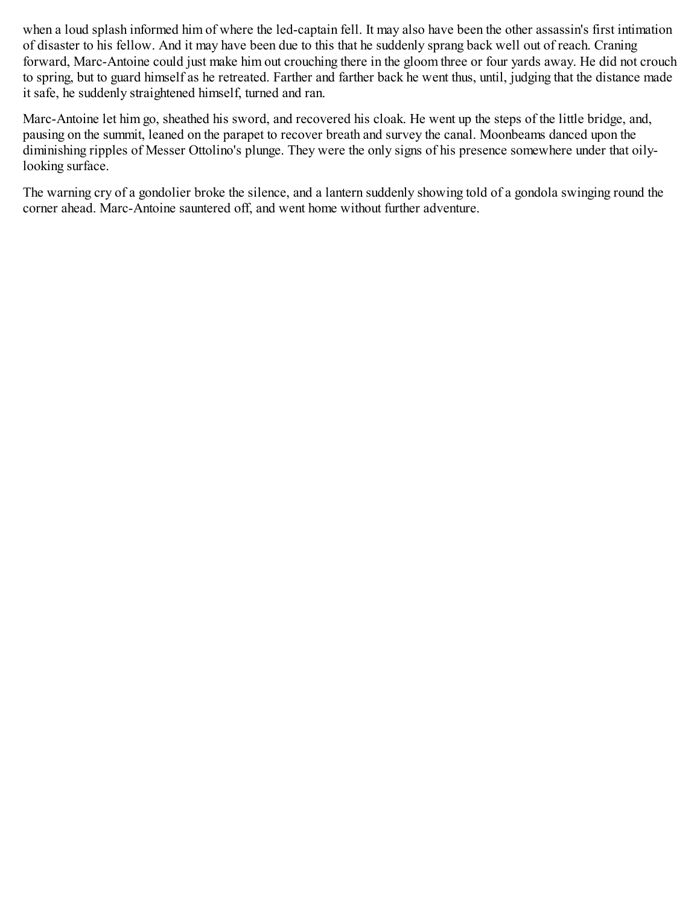when a loud splash informed him of where the led-captain fell. It may also have been the other assassin's first intimation of disaster to his fellow. And it may have been due to this that he suddenly sprang back well out of reach. Craning forward, Marc-Antoine could just make him out crouching there in the gloom three or four yards away. He did not crouch to spring, but to guard himself as he retreated. Farther and farther back he went thus, until, judging that the distance made it safe, he suddenly straightened himself, turned and ran.

Marc-Antoine let him go, sheathed his sword, and recovered his cloak. He went up the steps of the little bridge, and, pausing on the summit, leaned on the parapet to recover breath and survey the canal. Moonbeams danced upon the diminishing ripples of Messer Ottolino's plunge. They were the only signs of his presence somewhere under that oilylooking surface.

The warning cry of a gondolier broke the silence, and a lantern suddenly showing told of a gondola swinging round the corner ahead. Marc-Antoine sauntered off, and went home without further adventure.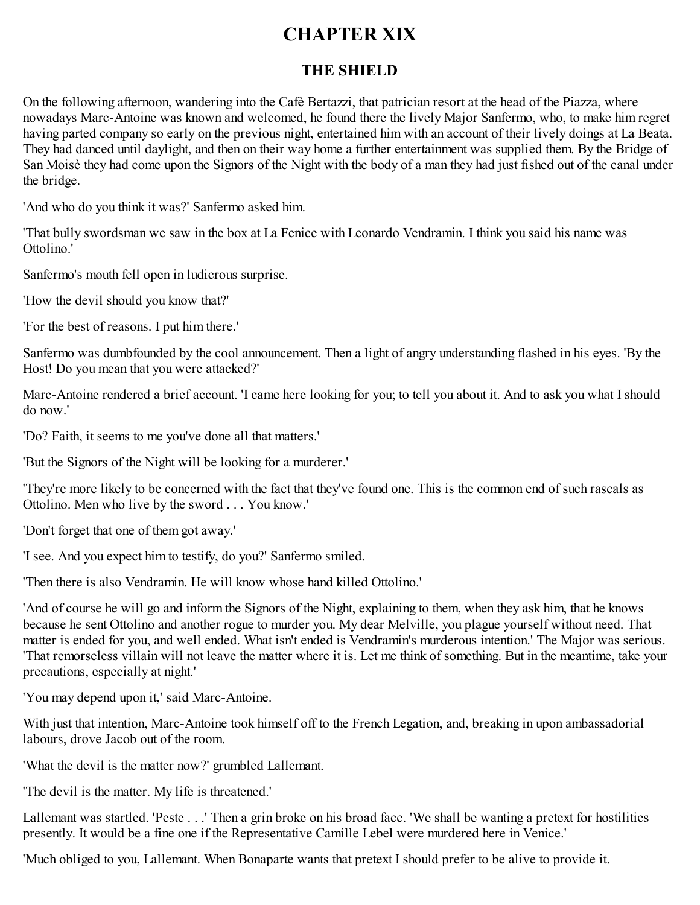### **CHAPTER XIX**

#### **THE SHIELD**

On the following afternoon, wandering into the Cafè Bertazzi, that patrician resort at the head of the Piazza, where nowadays Marc-Antoine was known and welcomed, he found there the lively Major Sanfermo, who, to make him regret having parted company so early on the previous night, entertained him with an account of their lively doings at La Beata. They had danced until daylight, and then on their way home a further entertainment was supplied them. By the Bridge of San Moisè they had come upon the Signors of the Night with the body of a man they had just fished out of the canal under the bridge.

'And who do you think it was?' Sanfermo asked him.

'That bully swordsman we saw in the box at La Fenice with Leonardo Vendramin. I think you said his name was Ottolino<sup>'</sup>

Sanfermo's mouth fell open in ludicrous surprise.

'How the devil should you know that?'

'For the best of reasons. I put him there.'

Sanfermo was dumbfounded by the cool announcement. Then a light of angry understanding flashed in his eyes. 'By the Host! Do you mean that you were attacked?'

Marc-Antoine rendered a brief account. 'I came here looking for you; to tell you about it. And to ask you what I should do now.'

'Do? Faith, it seems to me you've done all that matters.'

'But the Signors of the Night will be looking for a murderer.'

'They're more likely to be concerned with the fact that they've found one. This is the common end of such rascals as Ottolino. Men who live by the sword . . . You know.'

'Don't forget that one of them got away.'

'I see. And you expect him to testify, do you?' Sanfermo smiled.

'Then there is also Vendramin. He will know whose hand killed Ottolino.'

'And of course he will go and inform the Signors of the Night, explaining to them, when they ask him, that he knows because he sent Ottolino and another rogue to murder you. My dear Melville, you plague yourself without need. That matter is ended for you, and well ended. What isn't ended is Vendramin's murderous intention.' The Major was serious. 'That remorseless villain will not leave the matter where it is. Let me think of something. But in the meantime, take your precautions, especially at night.'

'You may depend upon it,' said Marc-Antoine.

With just that intention, Marc-Antoine took himself off to the French Legation, and, breaking in upon ambassadorial labours, drove Jacob out of the room.

'What the devil is the matter now?' grumbled Lallemant.

'The devil is the matter. My life is threatened.'

Lallemant was startled. 'Peste . . .' Then a grin broke on his broad face. 'We shall be wanting a pretext for hostilities presently. It would be a fine one if the Representative Camille Lebel were murdered here in Venice.'

'Much obliged to you, Lallemant. When Bonaparte wants that pretext I should prefer to be alive to provide it.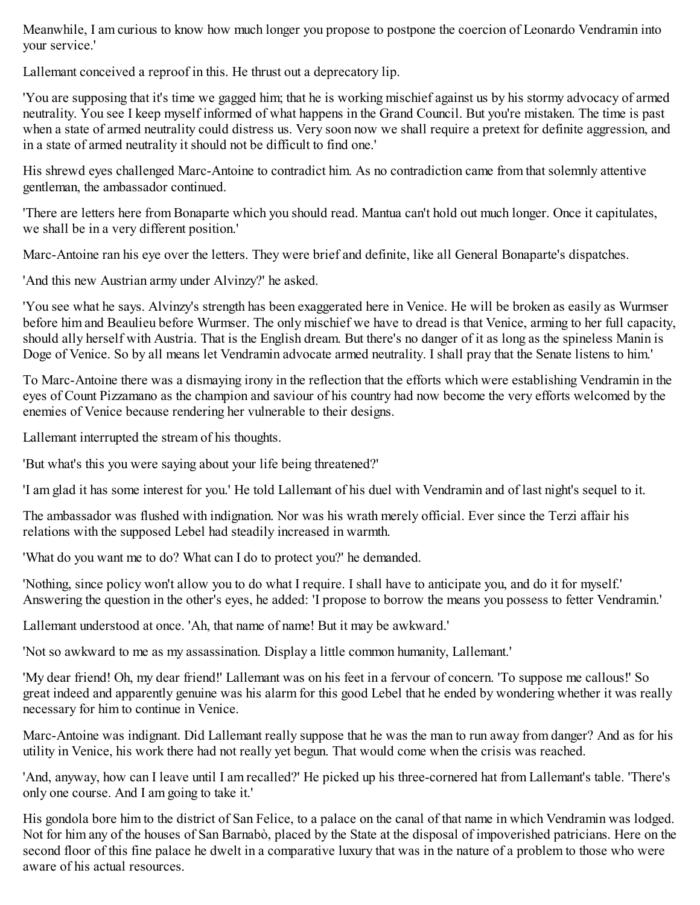Meanwhile, I am curious to know how much longer you propose to postpone the coercion of Leonardo Vendramin into your service.'

Lallemant conceived a reproof in this. He thrust out a deprecatory lip.

'You are supposing that it's time we gagged him; that he is working mischief against us by his stormy advocacy of armed neutrality. You see I keep myself informed of what happens in the Grand Council. But you're mistaken. The time is past when a state of armed neutrality could distress us. Very soon now we shall require a pretext for definite aggression, and in a state of armed neutrality it should not be difficult to find one.'

His shrewd eyes challenged Marc-Antoine to contradict him. As no contradiction came from that solemnly attentive gentleman, the ambassador continued.

'There are letters here from Bonaparte which you should read. Mantua can't hold out much longer. Once it capitulates, we shall be in a very different position.'

Marc-Antoine ran his eye over the letters. They were brief and definite, like all General Bonaparte's dispatches.

'And this new Austrian army under Alvinzy?' he asked.

'You see what he says. Alvinzy's strength has been exaggerated here in Venice. He will be broken as easily as Wurmser before him and Beaulieu before Wurmser. The only mischief we have to dread is that Venice, arming to her full capacity, should ally herself with Austria. That is the English dream. But there's no danger of it as long as the spineless Manin is Doge of Venice. So by all means let Vendramin advocate armed neutrality. I shall pray that the Senate listens to him.'

To Marc-Antoine there was a dismaying irony in the reflection that the efforts which were establishing Vendramin in the eyes of Count Pizzamano as the champion and saviour of his country had now become the very efforts welcomed by the enemies of Venice because rendering her vulnerable to their designs.

Lallemant interrupted the stream of his thoughts.

'But what's this you were saying about your life being threatened?'

'I am glad it has some interest for you.' He told Lallemant of his duel with Vendramin and of last night's sequel to it.

The ambassador was flushed with indignation. Nor was his wrath merely official. Ever since the Terzi affair his relations with the supposed Lebel had steadily increased in warmth.

'What do you want me to do? What can I do to protect you?' he demanded.

'Nothing, since policy won't allow you to do what I require. I shall have to anticipate you, and do it for myself.' Answering the question in the other's eyes, he added: 'I propose to borrow the means you possess to fetter Vendramin.'

Lallemant understood at once. 'Ah, that name of name! But it may be awkward.'

'Not so awkward to me as my assassination. Display a little common humanity, Lallemant.'

'My dear friend! Oh, my dear friend!' Lallemant was on his feet in a fervour of concern. 'To suppose me callous!' So great indeed and apparently genuine was his alarm for this good Lebel that he ended by wondering whether it was really necessary for him to continue in Venice.

Marc-Antoine was indignant. Did Lallemant really suppose that he was the man to run away from danger? And as for his utility in Venice, his work there had not really yet begun. That would come when the crisis was reached.

'And, anyway, how can I leave until I am recalled?' He picked up his three-cornered hat from Lallemant's table. 'There's only one course. And I am going to take it.'

His gondola bore him to the district of San Felice, to a palace on the canal of that name in which Vendramin was lodged. Not for him any of the houses of San Barnabò, placed by the State at the disposal of impoverished patricians. Here on the second floor of this fine palace he dwelt in a comparative luxury that was in the nature of a problem to those who were aware of his actual resources.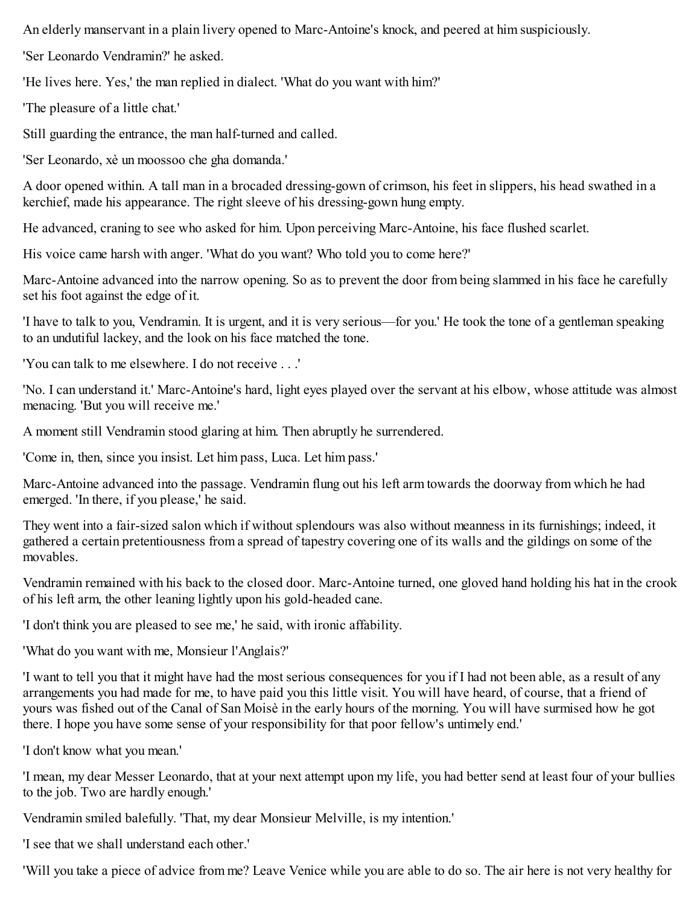An elderly manservant in a plain livery opened to Marc-Antoine's knock, and peered at him suspiciously.

'Ser Leonardo Vendramin?' he asked.

'He lives here. Yes,' the man replied in dialect. 'What do you want with him?'

'The pleasure of a little chat.'

Still guarding the entrance, the man half-turned and called.

'Ser Leonardo, xè un moossoo che gha domanda.'

A door opened within. A tall man in a brocaded dressing-gown of crimson, his feet in slippers, his head swathed in a kerchief, made his appearance. The right sleeve of his dressing-gown hung empty.

He advanced, craning to see who asked for him. Upon perceiving Marc-Antoine, his face flushed scarlet.

His voice came harsh with anger. 'What do you want? Who told you to come here?'

Marc-Antoine advanced into the narrow opening. So as to prevent the door from being slammed in his face he carefully set his foot against the edge of it.

'I have to talk to you, Vendramin. It is urgent, and it is very serious—for you.' He took the tone of a gentleman speaking to an undutiful lackey, and the look on his face matched the tone.

'You can talk to me elsewhere. I do not receive . . .'

'No. I can understand it.' Marc-Antoine's hard, light eyes played over the servant at his elbow, whose attitude was almost menacing. 'But you will receive me.'

A moment still Vendramin stood glaring at him. Then abruptly he surrendered.

'Come in, then, since you insist. Let him pass, Luca. Let him pass.'

Marc-Antoine advanced into the passage. Vendramin flung out his left arm towards the doorway from which he had emerged. 'In there, if you please,' he said.

They went into a fair-sized salon which if without splendours was also without meanness in its furnishings; indeed, it gathered a certain pretentiousness from a spread of tapestry covering one of its walls and the gildings on some of the movables.

Vendramin remained with his back to the closed door. Marc-Antoine turned, one gloved hand holding his hat in the crook of his left arm, the other leaning lightly upon his gold-headed cane.

'I don't think you are pleased to see me,' he said, with ironic affability.

'What do you want with me, Monsieur l'Anglais?'

'I want to tell you that it might have had the most serious consequences for you if I had not been able, as a result of any arrangements you had made for me, to have paid you this little visit. You will have heard, of course, that a friend of yours was fished out of the Canal of San Moisè in the early hours of the morning. You will have surmised how he got there. I hope you have some sense of your responsibility for that poor fellow's untimely end.'

'I don't know what you mean.'

'I mean, my dear Messer Leonardo, that at your next attempt upon my life, you had better send at least four of your bullies to the job. Two are hardly enough.'

Vendramin smiled balefully. 'That, my dear Monsieur Melville, is my intention.'

'I see that we shall understand each other.'

'Will you take a piece of advice from me? Leave Venice while you are able to do so. The air here is not very healthy for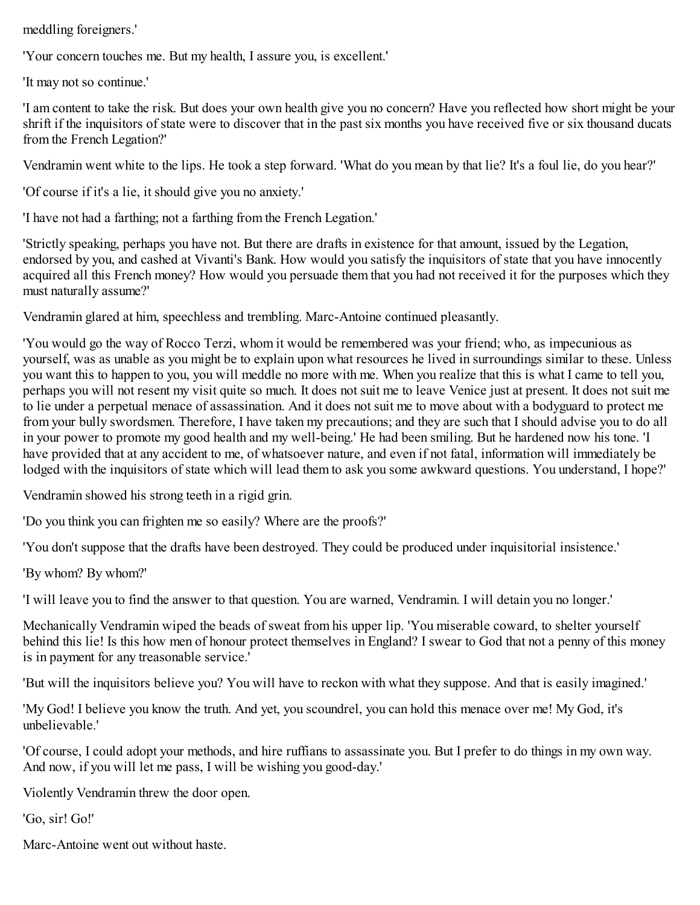meddling foreigners.'

'Your concern touches me. But my health, I assure you, is excellent.'

'It may not so continue.'

'I am content to take the risk. But does your own health give you no concern? Have you reflected how short might be your shrift if the inquisitors of state were to discover that in the past six months you have received five or six thousand ducats from the French Legation?'

Vendramin went white to the lips. He took a step forward. 'What do you mean by that lie? It's a foul lie, do you hear?'

'Of course if it's a lie, it should give you no anxiety.'

'I have not had a farthing; not a farthing from the French Legation.'

'Strictly speaking, perhaps you have not. But there are drafts in existence for that amount, issued by the Legation, endorsed by you, and cashed at Vivanti's Bank. How would you satisfy the inquisitors of state that you have innocently acquired all this French money? How would you persuade them that you had not received it for the purposes which they must naturally assume?'

Vendramin glared at him, speechless and trembling. Marc-Antoine continued pleasantly.

'You would go the way of Rocco Terzi, whom it would be remembered was your friend; who, as impecunious as yourself, was as unable as you might be to explain upon what resources he lived in surroundings similar to these. Unless you want this to happen to you, you will meddle no more with me. When you realize that this is what I came to tell you, perhaps you will not resent my visit quite so much. It does not suit me to leave Venice just at present. It does not suit me to lie under a perpetual menace of assassination. And it does not suit me to move about with a bodyguard to protect me from your bully swordsmen. Therefore, I have taken my precautions; and they are such that I should advise you to do all in your power to promote my good health and my well-being.' He had been smiling. But he hardened now his tone. 'I have provided that at any accident to me, of whatsoever nature, and even if not fatal, information will immediately be lodged with the inquisitors of state which will lead them to ask you some awkward questions. You understand, I hope?'

Vendramin showed his strong teeth in a rigid grin.

'Do you think you can frighten me so easily? Where are the proofs?'

'You don't suppose that the drafts have been destroyed. They could be produced under inquisitorial insistence.'

'By whom? By whom?'

'I will leave you to find the answer to that question. You are warned, Vendramin. I will detain you no longer.'

Mechanically Vendramin wiped the beads of sweat from his upper lip. 'You miserable coward, to shelter yourself behind this lie! Is this how men of honour protect themselves in England? I swear to God that not a penny of this money is in payment for any treasonable service.'

'But will the inquisitors believe you? You will have to reckon with what they suppose. And that is easily imagined.'

'My God! I believe you know the truth. And yet, you scoundrel, you can hold this menace over me! My God, it's unbelievable.'

'Of course, I could adopt your methods, and hire ruffians to assassinate you. But I prefer to do things in my own way. And now, if you will let me pass, I will be wishing you good-day.'

Violently Vendramin threw the door open.

'Go, sir! Go!'

Marc-Antoine went out without haste.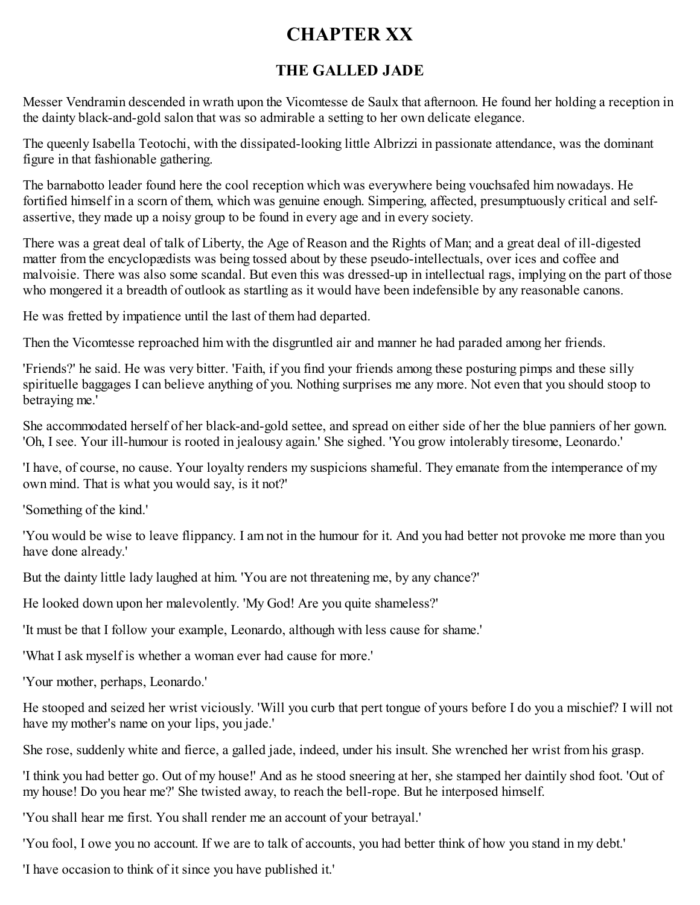### **CHAPTER XX**

#### **THE GALLED JADE**

Messer Vendramin descended in wrath upon the Vicomtesse de Saulx that afternoon. He found her holding a reception in the dainty black-and-gold salon that was so admirable a setting to her own delicate elegance.

The queenly Isabella Teotochi, with the dissipated-looking little Albrizzi in passionate attendance, was the dominant figure in that fashionable gathering.

The barnabotto leader found here the cool reception which was everywhere being vouchsafed him nowadays. He fortified himself in a scorn of them, which was genuine enough. Simpering, affected, presumptuously critical and selfassertive, they made up a noisy group to be found in every age and in every society.

There was a great deal of talk of Liberty, the Age of Reason and the Rights of Man; and a great deal of ill-digested matter from the encyclopædists was being tossed about by these pseudo-intellectuals, over ices and coffee and malvoisie. There was also some scandal. But even this was dressed-up in intellectual rags, implying on the part of those who mongered it a breadth of outlook as startling as it would have been indefensible by any reasonable canons.

He was fretted by impatience until the last of them had departed.

Then the Vicomtesse reproached him with the disgruntled air and manner he had paraded among her friends.

'Friends?' he said. He was very bitter. 'Faith, if you find your friends among these posturing pimps and these silly spirituelle baggages I can believe anything of you. Nothing surprises me any more. Not even that you should stoop to betraying me.'

She accommodated herself of her black-and-gold settee, and spread on either side of her the blue panniers of her gown. 'Oh, I see. Your ill-humour is rooted in jealousy again.' She sighed. 'You grow intolerably tiresome, Leonardo.'

'I have, of course, no cause. Your loyalty renders my suspicions shameful. They emanate from the intemperance of my own mind. That is what you would say, is it not?'

'Something of the kind.'

'You would be wise to leave flippancy. I am not in the humour for it. And you had better not provoke me more than you have done already.'

But the dainty little lady laughed at him. 'You are not threatening me, by any chance?'

He looked down upon her malevolently. 'My God! Are you quite shameless?'

'It must be that I follow your example, Leonardo, although with less cause for shame.'

'What I ask myself is whether a woman ever had cause for more.'

'Your mother, perhaps, Leonardo.'

He stooped and seized her wrist viciously. 'Will you curb that pert tongue of yours before I do you a mischief? I will not have my mother's name on your lips, you jade.'

She rose, suddenly white and fierce, a galled jade, indeed, under his insult. She wrenched her wrist from his grasp.

'I think you had better go. Out of my house!' And as he stood sneering at her, she stamped her daintily shod foot. 'Out of my house! Do you hear me?' She twisted away, to reach the bell-rope. But he interposed himself.

'You shall hear me first. You shall render me an account of your betrayal.'

'You fool, I owe you no account. If we are to talk of accounts, you had better think of how you stand in my debt.'

'I have occasion to think of it since you have published it.'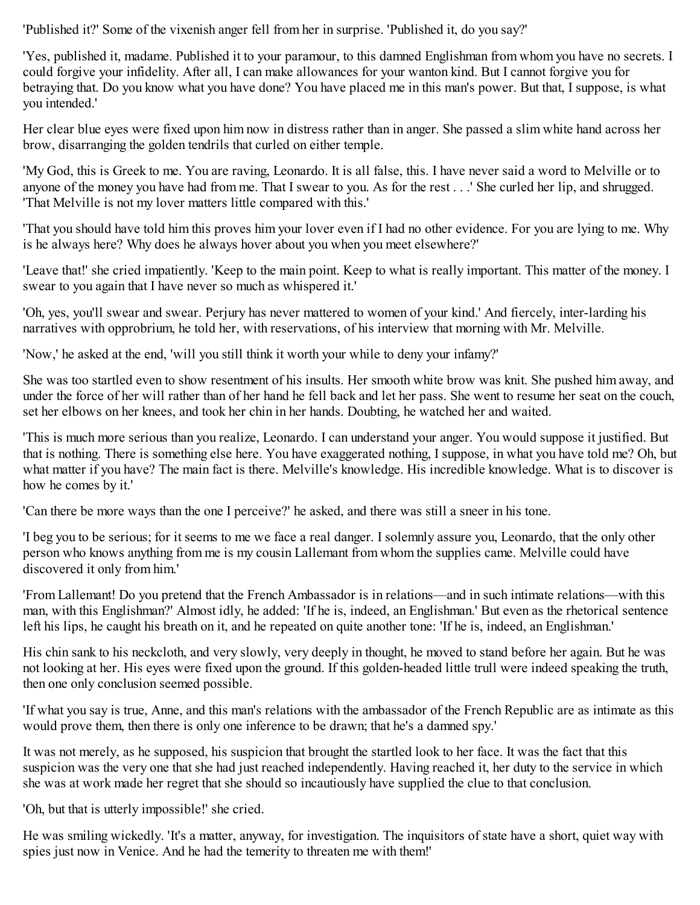'Published it?' Some of the vixenish anger fell from her in surprise. 'Published it, do you say?'

'Yes, published it, madame. Published it to your paramour, to this damned Englishman from whom you have no secrets. I could forgive your infidelity. After all, I can make allowances for your wanton kind. But I cannot forgive you for betraying that. Do you know what you have done? You have placed me in this man's power. But that, I suppose, is what you intended.'

Her clear blue eyes were fixed upon him now in distress rather than in anger. She passed a slim white hand across her brow, disarranging the golden tendrils that curled on either temple.

'My God, this is Greek to me. You are raving, Leonardo. It is all false, this. I have never said a word to Melville or to anyone of the money you have had from me. That I swear to you. As for the rest . . .' She curled her lip, and shrugged. 'That Melville is not my lover matters little compared with this.'

'That you should have told him this proves him your lover even if I had no other evidence. For you are lying to me. Why is he always here? Why does he always hover about you when you meet elsewhere?'

'Leave that!' she cried impatiently. 'Keep to the main point. Keep to what is really important. This matter of the money. I swear to you again that I have never so much as whispered it.'

'Oh, yes, you'll swear and swear. Perjury has never mattered to women of your kind.' And fiercely, inter-larding his narratives with opprobrium, he told her, with reservations, of his interview that morning with Mr. Melville.

'Now,' he asked at the end, 'will you still think it worth your while to deny your infamy?'

She was too startled even to show resentment of his insults. Her smooth white brow was knit. She pushed him away, and under the force of her will rather than of her hand he fell back and let her pass. She went to resume her seat on the couch, set her elbows on her knees, and took her chin in her hands. Doubting, he watched her and waited.

'This is much more serious than you realize, Leonardo. I can understand your anger. You would suppose it justified. But that is nothing. There is something else here. You have exaggerated nothing, I suppose, in what you have told me? Oh, but what matter if you have? The main fact is there. Melville's knowledge. His incredible knowledge. What is to discover is how he comes by it.'

'Can there be more ways than the one I perceive?' he asked, and there was still a sneer in his tone.

'I beg you to be serious; for it seems to me we face a real danger. I solemnly assure you, Leonardo, that the only other person who knows anything from me is my cousin Lallemant from whom the supplies came. Melville could have discovered it only from him.'

'From Lallemant! Do you pretend that the French Ambassador is in relations—and in such intimate relations—with this man, with this Englishman?' Almost idly, he added: 'If he is, indeed, an Englishman.' But even as the rhetorical sentence left his lips, he caught his breath on it, and he repeated on quite another tone: 'If he is, indeed, an Englishman.'

His chin sank to his neckcloth, and very slowly, very deeply in thought, he moved to stand before her again. But he was not looking at her. His eyes were fixed upon the ground. If this golden-headed little trull were indeed speaking the truth, then one only conclusion seemed possible.

'If what you say is true, Anne, and this man's relations with the ambassador of the French Republic are as intimate as this would prove them, then there is only one inference to be drawn; that he's a damned spy.'

It was not merely, as he supposed, his suspicion that brought the startled look to her face. It was the fact that this suspicion was the very one that she had just reached independently. Having reached it, her duty to the service in which she was at work made her regret that she should so incautiously have supplied the clue to that conclusion.

'Oh, but that is utterly impossible!' she cried.

He was smiling wickedly. 'It's a matter, anyway, for investigation. The inquisitors of state have a short, quiet way with spies just now in Venice. And he had the temerity to threaten me with them!'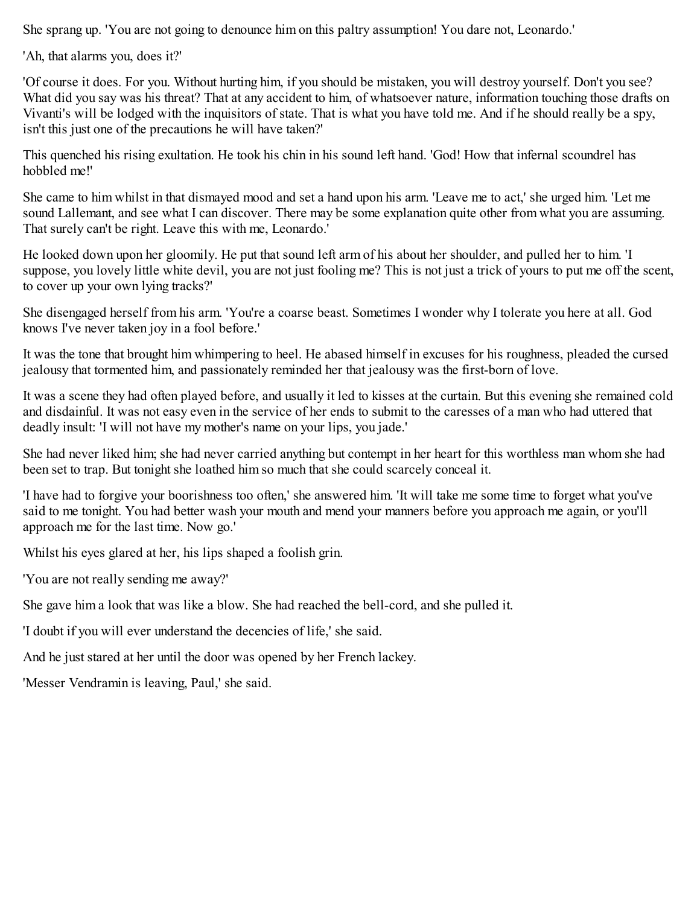She sprang up. 'You are not going to denounce him on this paltry assumption! You dare not, Leonardo.'

'Ah, that alarms you, does it?'

'Of course it does. For you. Without hurting him, if you should be mistaken, you will destroy yourself. Don't you see? What did you say was his threat? That at any accident to him, of whatsoever nature, information touching those drafts on Vivanti's will be lodged with the inquisitors of state. That is what you have told me. And if he should really be a spy, isn't this just one of the precautions he will have taken?'

This quenched his rising exultation. He took his chin in his sound left hand. 'God! How that infernal scoundrel has hobbled me!'

She came to him whilst in that dismayed mood and set a hand upon his arm. 'Leave me to act,' she urged him. 'Let me sound Lallemant, and see what I can discover. There may be some explanation quite other from what you are assuming. That surely can't be right. Leave this with me, Leonardo.'

He looked down upon her gloomily. He put that sound left arm of his about her shoulder, and pulled her to him. 'I suppose, you lovely little white devil, you are not just fooling me? This is not just a trick of yours to put me off the scent, to cover up your own lying tracks?'

She disengaged herself from his arm. 'You're a coarse beast. Sometimes I wonder why I tolerate you here at all. God knows I've never taken joy in a fool before.'

It was the tone that brought him whimpering to heel. He abased himself in excuses for his roughness, pleaded the cursed jealousy that tormented him, and passionately reminded her that jealousy was the first-born of love.

It was a scene they had often played before, and usually it led to kisses at the curtain. But this evening she remained cold and disdainful. It was not easy even in the service of her ends to submit to the caresses of a man who had uttered that deadly insult: 'I will not have my mother's name on your lips, you jade.'

She had never liked him; she had never carried anything but contempt in her heart for this worthless man whom she had been set to trap. But tonight she loathed him so much that she could scarcely conceal it.

'I have had to forgive your boorishness too often,' she answered him. 'It will take me some time to forget what you've said to me tonight. You had better wash your mouth and mend your manners before you approach me again, or you'll approach me for the last time. Now go.'

Whilst his eyes glared at her, his lips shaped a foolish grin.

'You are not really sending me away?'

She gave him a look that was like a blow. She had reached the bell-cord, and she pulled it.

'I doubt if you will ever understand the decencies of life,' she said.

And he just stared at her until the door was opened by her French lackey.

'Messer Vendramin is leaving, Paul,' she said.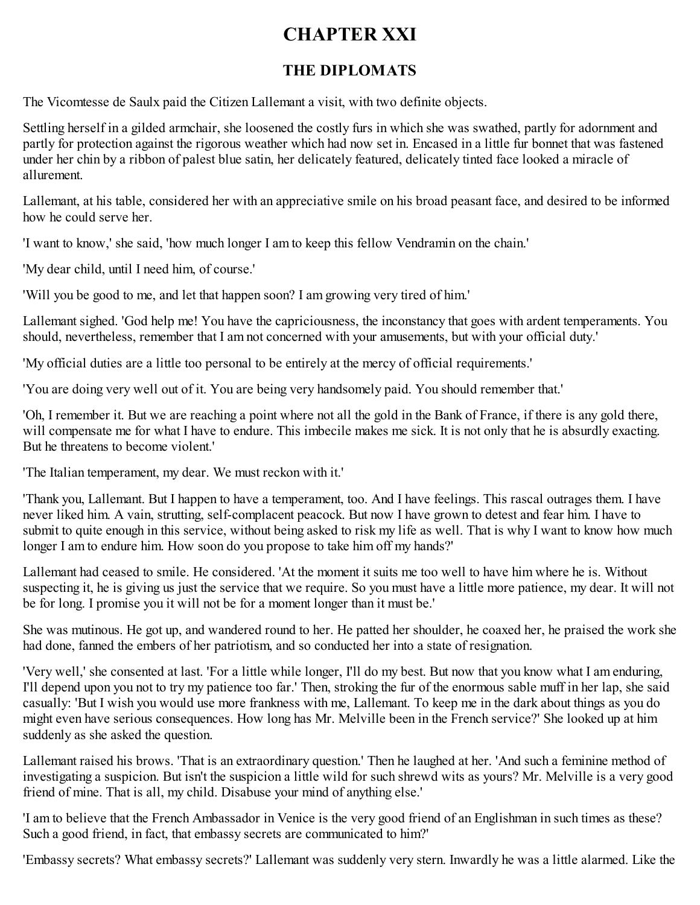# **CHAPTER XXI**

#### **THE DIPLOMATS**

The Vicomtesse de Saulx paid the Citizen Lallemant a visit, with two definite objects.

Settling herself in a gilded armchair, she loosened the costly furs in which she was swathed, partly for adornment and partly for protection against the rigorous weather which had now set in. Encased in a little fur bonnet that was fastened under her chin by a ribbon of palest blue satin, her delicately featured, delicately tinted face looked a miracle of allurement.

Lallemant, at his table, considered her with an appreciative smile on his broad peasant face, and desired to be informed how he could serve her.

'I want to know,' she said, 'how much longer I am to keep this fellow Vendramin on the chain.'

'My dear child, until I need him, of course.'

'Will you be good to me, and let that happen soon? I am growing very tired of him.'

Lallemant sighed. 'God help me! You have the capriciousness, the inconstancy that goes with ardent temperaments. You should, nevertheless, remember that I am not concerned with your amusements, but with your official duty.'

'My official duties are a little too personal to be entirely at the mercy of official requirements.'

'You are doing very well out of it. You are being very handsomely paid. You should remember that.'

'Oh, I remember it. But we are reaching a point where not all the gold in the Bank of France, if there is any gold there, will compensate me for what I have to endure. This imbecile makes me sick. It is not only that he is absurdly exacting. But he threatens to become violent.'

'The Italian temperament, my dear. We must reckon with it.'

'Thank you, Lallemant. But I happen to have a temperament, too. And I have feelings. This rascal outrages them. I have never liked him. A vain, strutting, self-complacent peacock. But now I have grown to detest and fear him. I have to submit to quite enough in this service, without being asked to risk my life as well. That is why I want to know how much longer I am to endure him. How soon do you propose to take him off my hands?'

Lallemant had ceased to smile. He considered. 'At the moment it suits me too well to have him where he is. Without suspecting it, he is giving us just the service that we require. So you must have a little more patience, my dear. It will not be for long. I promise you it will not be for a moment longer than it must be.'

She was mutinous. He got up, and wandered round to her. He patted her shoulder, he coaxed her, he praised the work she had done, fanned the embers of her patriotism, and so conducted her into a state of resignation.

'Very well,' she consented at last. 'For a little while longer, I'll do my best. But now that you know what I am enduring, I'll depend upon you not to try my patience too far.' Then, stroking the fur of the enormous sable muff in her lap, she said casually: 'But I wish you would use more frankness with me, Lallemant. To keep me in the dark about things as you do might even have serious consequences. How long has Mr. Melville been in the French service?' She looked up at him suddenly as she asked the question.

Lallemant raised his brows. 'That is an extraordinary question.' Then he laughed at her. 'And such a feminine method of investigating a suspicion. But isn't the suspicion a little wild for such shrewd wits as yours? Mr. Melville is a very good friend of mine. That is all, my child. Disabuse your mind of anything else.'

'I am to believe that the French Ambassador in Venice is the very good friend of an Englishman in such times as these? Such a good friend, in fact, that embassy secrets are communicated to him?'

'Embassy secrets? What embassy secrets?' Lallemant was suddenly very stern. Inwardly he was a little alarmed. Like the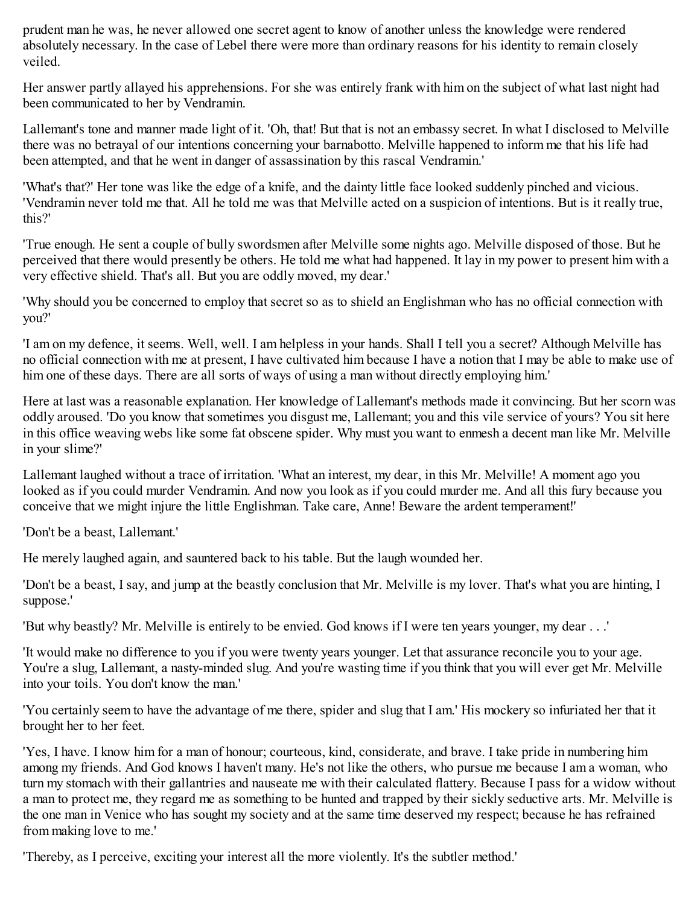prudent man he was, he never allowed one secret agent to know of another unless the knowledge were rendered absolutely necessary. In the case of Lebel there were more than ordinary reasons for his identity to remain closely veiled.

Her answer partly allayed his apprehensions. For she was entirely frank with him on the subject of what last night had been communicated to her by Vendramin.

Lallemant's tone and manner made light of it. 'Oh, that! But that is not an embassy secret. In what I disclosed to Melville there was no betrayal of our intentions concerning your barnabotto. Melville happened to inform me that his life had been attempted, and that he went in danger of assassination by this rascal Vendramin.'

'What's that?' Her tone was like the edge of a knife, and the dainty little face looked suddenly pinched and vicious. 'Vendramin never told me that. All he told me was that Melville acted on a suspicion of intentions. But is it really true, this?'

'True enough. He sent a couple of bully swordsmen after Melville some nights ago. Melville disposed of those. But he perceived that there would presently be others. He told me what had happened. It lay in my power to present him with a very effective shield. That's all. But you are oddly moved, my dear.'

'Why should you be concerned to employ that secret so as to shield an Englishman who has no official connection with you?'

'I am on my defence, it seems. Well, well. I am helpless in your hands. Shall I tell you a secret? Although Melville has no official connection with me at present, I have cultivated him because I have a notion that I may be able to make use of him one of these days. There are all sorts of ways of using a man without directly employing him.'

Here at last was a reasonable explanation. Her knowledge of Lallemant's methods made it convincing. But her scorn was oddly aroused. 'Do you know that sometimes you disgust me, Lallemant; you and this vile service of yours? You sit here in this office weaving webs like some fat obscene spider. Why must you want to enmesh a decent man like Mr. Melville in your slime?'

Lallemant laughed without a trace of irritation. 'What an interest, my dear, in this Mr. Melville! A moment ago you looked as if you could murder Vendramin. And now you look as if you could murder me. And all this fury because you conceive that we might injure the little Englishman. Take care, Anne! Beware the ardent temperament!'

'Don't be a beast, Lallemant.'

He merely laughed again, and sauntered back to his table. But the laugh wounded her.

'Don't be a beast, I say, and jump at the beastly conclusion that Mr. Melville is my lover. That's what you are hinting, I suppose.'

'But why beastly? Mr. Melville is entirely to be envied. God knows if I were ten years younger, my dear . . .'

'It would make no difference to you if you were twenty years younger. Let that assurance reconcile you to your age. You're a slug, Lallemant, a nasty-minded slug. And you're wasting time if you think that you will ever get Mr. Melville into your toils. You don't know the man.'

'You certainly seem to have the advantage of me there, spider and slug that I am.' His mockery so infuriated her that it brought her to her feet.

'Yes, I have. I know him for a man of honour; courteous, kind, considerate, and brave. I take pride in numbering him among my friends. And God knows I haven't many. He's not like the others, who pursue me because I am a woman, who turn my stomach with their gallantries and nauseate me with their calculated flattery. Because I pass for a widow without a man to protect me, they regard me as something to be hunted and trapped by their sickly seductive arts. Mr. Melville is the one man in Venice who has sought my society and at the same time deserved my respect; because he has refrained from making love to me.'

'Thereby, as I perceive, exciting your interest all the more violently. It's the subtler method.'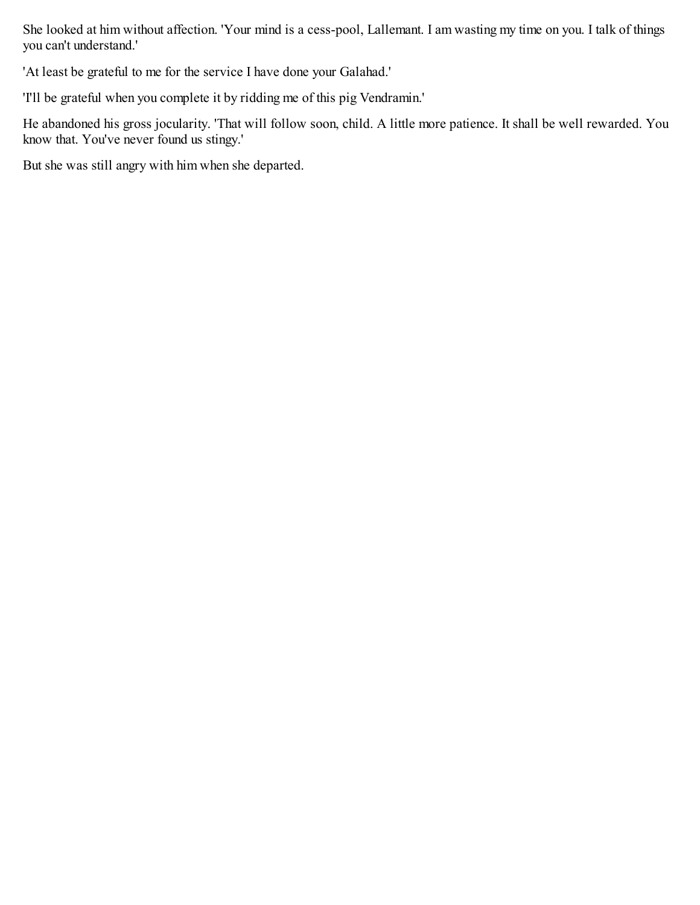She looked at him without affection. 'Your mind is a cess-pool, Lallemant. I am wasting my time on you. I talk of things you can't understand.'

'At least be grateful to me for the service I have done your Galahad.'

'I'll be grateful when you complete it by ridding me of this pig Vendramin.'

He abandoned his gross jocularity. 'That will follow soon, child. A little more patience. It shall be well rewarded. You know that. You've never found us stingy.'

But she was still angry with him when she departed.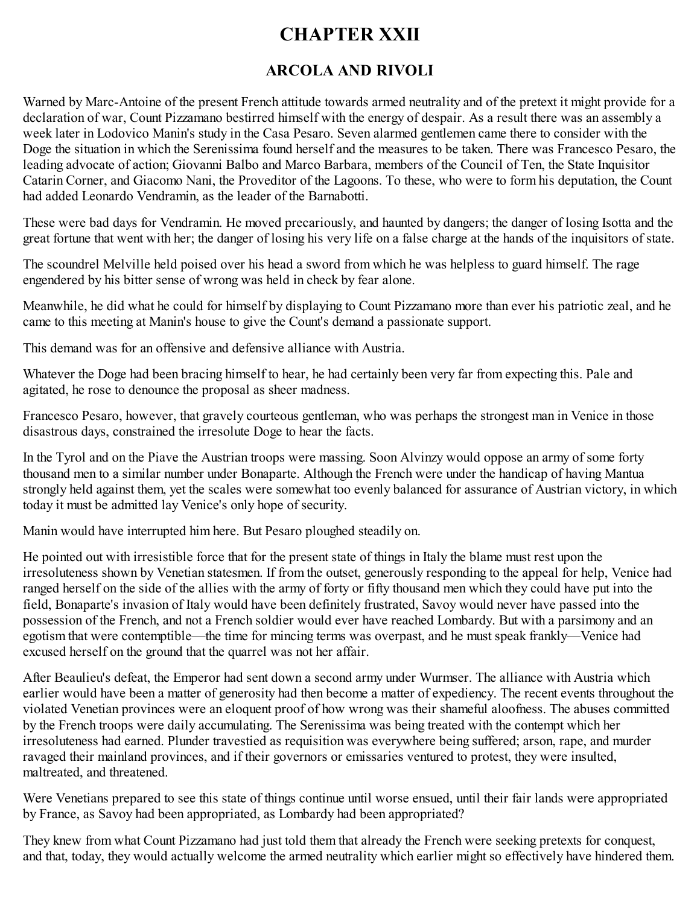# **CHAPTER XXII**

### **ARCOLA AND RIVOLI**

Warned by Marc-Antoine of the present French attitude towards armed neutrality and of the pretext it might provide for a declaration of war, Count Pizzamano bestirred himself with the energy of despair. As a result there was an assembly a week later in Lodovico Manin's study in the Casa Pesaro. Seven alarmed gentlemen came there to consider with the Doge the situation in which the Serenissima found herself and the measures to be taken. There was Francesco Pesaro, the leading advocate of action; Giovanni Balbo and Marco Barbara, members of the Council of Ten, the State Inquisitor Catarin Corner, and Giacomo Nani, the Proveditor of the Lagoons. To these, who were to form his deputation, the Count had added Leonardo Vendramin, as the leader of the Barnabotti.

These were bad days for Vendramin. He moved precariously, and haunted by dangers; the danger of losing Isotta and the great fortune that went with her; the danger of losing his very life on a false charge at the hands of the inquisitors of state.

The scoundrel Melville held poised over his head a sword from which he was helpless to guard himself. The rage engendered by his bitter sense of wrong was held in check by fear alone.

Meanwhile, he did what he could for himself by displaying to Count Pizzamano more than ever his patriotic zeal, and he came to this meeting at Manin's house to give the Count's demand a passionate support.

This demand was for an offensive and defensive alliance with Austria.

Whatever the Doge had been bracing himself to hear, he had certainly been very far from expecting this. Pale and agitated, he rose to denounce the proposal as sheer madness.

Francesco Pesaro, however, that gravely courteous gentleman, who was perhaps the strongest man in Venice in those disastrous days, constrained the irresolute Doge to hear the facts.

In the Tyrol and on the Piave the Austrian troops were massing. Soon Alvinzy would oppose an army of some forty thousand men to a similar number under Bonaparte. Although the French were under the handicap of having Mantua strongly held against them, yet the scales were somewhat too evenly balanced for assurance of Austrian victory, in which today it must be admitted lay Venice's only hope of security.

Manin would have interrupted him here. But Pesaro ploughed steadily on.

He pointed out with irresistible force that for the present state of things in Italy the blame must rest upon the irresoluteness shown by Venetian statesmen. If from the outset, generously responding to the appeal for help, Venice had ranged herself on the side of the allies with the army of forty or fifty thousand men which they could have put into the field, Bonaparte's invasion of Italy would have been definitely frustrated, Savoy would never have passed into the possession of the French, and not a French soldier would ever have reached Lombardy. But with a parsimony and an egotism that were contemptible—the time for mincing terms was overpast, and he must speak frankly—Venice had excused herself on the ground that the quarrel was not her affair.

After Beaulieu's defeat, the Emperor had sent down a second army under Wurmser. The alliance with Austria which earlier would have been a matter of generosity had then become a matter of expediency. The recent events throughout the violated Venetian provinces were an eloquent proof of how wrong was their shameful aloofness. The abuses committed by the French troops were daily accumulating. The Serenissima was being treated with the contempt which her irresoluteness had earned. Plunder travestied as requisition was everywhere being suffered; arson, rape, and murder ravaged their mainland provinces, and if their governors or emissaries ventured to protest, they were insulted, maltreated, and threatened.

Were Venetians prepared to see this state of things continue until worse ensued, until their fair lands were appropriated by France, as Savoy had been appropriated, as Lombardy had been appropriated?

They knew from what Count Pizzamano had just told them that already the French were seeking pretexts for conquest, and that, today, they would actually welcome the armed neutrality which earlier might so effectively have hindered them.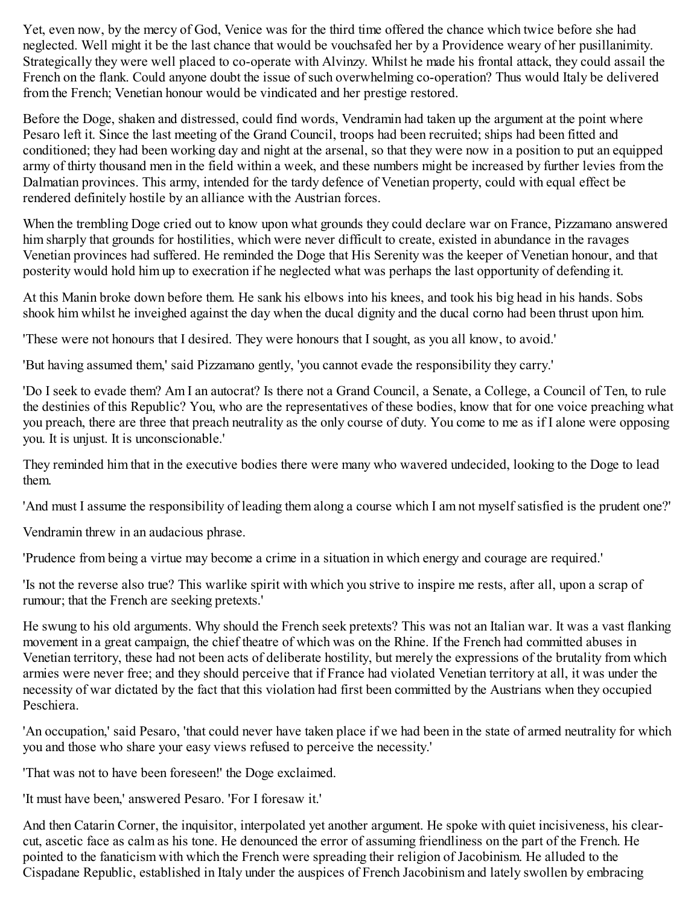Yet, even now, by the mercy of God, Venice was for the third time offered the chance which twice before she had neglected. Well might it be the last chance that would be vouchsafed her by a Providence weary of her pusillanimity. Strategically they were well placed to co-operate with Alvinzy. Whilst he made his frontal attack, they could assail the French on the flank. Could anyone doubt the issue of such overwhelming co-operation? Thus would Italy be delivered from the French; Venetian honour would be vindicated and her prestige restored.

Before the Doge, shaken and distressed, could find words, Vendramin had taken up the argument at the point where Pesaro left it. Since the last meeting of the Grand Council, troops had been recruited; ships had been fitted and conditioned; they had been working day and night at the arsenal, so that they were now in a position to put an equipped army of thirty thousand men in the field within a week, and these numbers might be increased by further levies from the Dalmatian provinces. This army, intended for the tardy defence of Venetian property, could with equal effect be rendered definitely hostile by an alliance with the Austrian forces.

When the trembling Doge cried out to know upon what grounds they could declare war on France, Pizzamano answered him sharply that grounds for hostilities, which were never difficult to create, existed in abundance in the ravages Venetian provinces had suffered. He reminded the Doge that His Serenity was the keeper of Venetian honour, and that posterity would hold him up to execration if he neglected what was perhaps the last opportunity of defending it.

At this Manin broke down before them. He sank his elbows into his knees, and took his big head in his hands. Sobs shook him whilst he inveighed against the day when the ducal dignity and the ducal corno had been thrust upon him.

'These were not honours that I desired. They were honours that I sought, as you all know, to avoid.'

'But having assumed them,' said Pizzamano gently, 'you cannot evade the responsibility they carry.'

'Do I seek to evade them? Am I an autocrat? Is there not a Grand Council, a Senate, a College, a Council of Ten, to rule the destinies of this Republic? You, who are the representatives of these bodies, know that for one voice preaching what you preach, there are three that preach neutrality as the only course of duty. You come to me as if I alone were opposing you. It is unjust. It is unconscionable.'

They reminded him that in the executive bodies there were many who wavered undecided, looking to the Doge to lead them.

'And must I assume the responsibility of leading them along a course which I am not myself satisfied is the prudent one?'

Vendramin threw in an audacious phrase.

'Prudence from being a virtue may become a crime in a situation in which energy and courage are required.'

'Is not the reverse also true? This warlike spirit with which you strive to inspire me rests, after all, upon a scrap of rumour; that the French are seeking pretexts.'

He swung to his old arguments. Why should the French seek pretexts? This was not an Italian war. It was a vast flanking movement in a great campaign, the chief theatre of which was on the Rhine. If the French had committed abuses in Venetian territory, these had not been acts of deliberate hostility, but merely the expressions of the brutality from which armies were never free; and they should perceive that if France had violated Venetian territory at all, it was under the necessity of war dictated by the fact that this violation had first been committed by the Austrians when they occupied Peschiera.

'An occupation,' said Pesaro, 'that could never have taken place if we had been in the state of armed neutrality for which you and those who share your easy views refused to perceive the necessity.'

'That was not to have been foreseen!' the Doge exclaimed.

'It must have been,' answered Pesaro. 'For I foresaw it.'

And then Catarin Corner, the inquisitor, interpolated yet another argument. He spoke with quiet incisiveness, his clearcut, ascetic face as calm as his tone. He denounced the error of assuming friendliness on the part of the French. He pointed to the fanaticism with which the French were spreading their religion of Jacobinism. He alluded to the Cispadane Republic, established in Italy under the auspices of French Jacobinism and lately swollen by embracing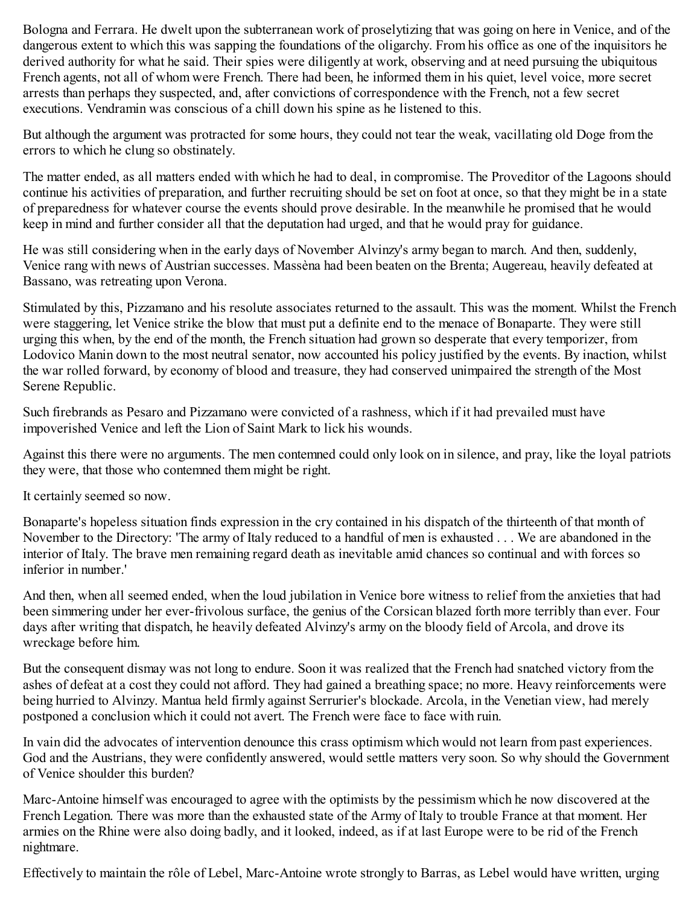Bologna and Ferrara. He dwelt upon the subterranean work of proselytizing that was going on here in Venice, and of the dangerous extent to which this was sapping the foundations of the oligarchy. From his office as one of the inquisitors he derived authority for what he said. Their spies were diligently at work, observing and at need pursuing the ubiquitous French agents, not all of whom were French. There had been, he informed them in his quiet, level voice, more secret arrests than perhaps they suspected, and, after convictions of correspondence with the French, not a few secret executions. Vendramin was conscious of a chill down his spine as he listened to this.

But although the argument was protracted for some hours, they could not tear the weak, vacillating old Doge from the errors to which he clung so obstinately.

The matter ended, as all matters ended with which he had to deal, in compromise. The Proveditor of the Lagoons should continue his activities of preparation, and further recruiting should be set on foot at once, so that they might be in a state of preparedness for whatever course the events should prove desirable. In the meanwhile he promised that he would keep in mind and further consider all that the deputation had urged, and that he would pray for guidance.

He was still considering when in the early days of November Alvinzy's army began to march. And then, suddenly, Venice rang with news of Austrian successes. Massèna had been beaten on the Brenta; Augereau, heavily defeated at Bassano, was retreating upon Verona.

Stimulated by this, Pizzamano and his resolute associates returned to the assault. This was the moment. Whilst the French were staggering, let Venice strike the blow that must put a definite end to the menace of Bonaparte. They were still urging this when, by the end of the month, the French situation had grown so desperate that every temporizer, from Lodovico Manin down to the most neutral senator, now accounted his policy justified by the events. By inaction, whilst the war rolled forward, by economy of blood and treasure, they had conserved unimpaired the strength of the Most Serene Republic.

Such firebrands as Pesaro and Pizzamano were convicted of a rashness, which if it had prevailed must have impoverished Venice and left the Lion of Saint Mark to lick his wounds.

Against this there were no arguments. The men contemned could only look on in silence, and pray, like the loyal patriots they were, that those who contemned them might be right.

It certainly seemed so now.

Bonaparte's hopeless situation finds expression in the cry contained in his dispatch of the thirteenth of that month of November to the Directory: 'The army of Italy reduced to a handful of men is exhausted . . . We are abandoned in the interior of Italy. The brave men remaining regard death as inevitable amid chances so continual and with forces so inferior in number.'

And then, when all seemed ended, when the loud jubilation in Venice bore witness to relief from the anxieties that had been simmering under her ever-frivolous surface, the genius of the Corsican blazed forth more terribly than ever. Four days after writing that dispatch, he heavily defeated Alvinzy's army on the bloody field of Arcola, and drove its wreckage before him.

But the consequent dismay was not long to endure. Soon it was realized that the French had snatched victory from the ashes of defeat at a cost they could not afford. They had gained a breathing space; no more. Heavy reinforcements were being hurried to Alvinzy. Mantua held firmly against Serrurier's blockade. Arcola, in the Venetian view, had merely postponed a conclusion which it could not avert. The French were face to face with ruin.

In vain did the advocates of intervention denounce this crass optimism which would not learn from past experiences. God and the Austrians, they were confidently answered, would settle matters very soon. So why should the Government of Venice shoulder this burden?

Marc-Antoine himself was encouraged to agree with the optimists by the pessimism which he now discovered at the French Legation. There was more than the exhausted state of the Army of Italy to trouble France at that moment. Her armies on the Rhine were also doing badly, and it looked, indeed, as if at last Europe were to be rid of the French nightmare.

Effectively to maintain the rôle of Lebel, Marc-Antoine wrote strongly to Barras, as Lebel would have written, urging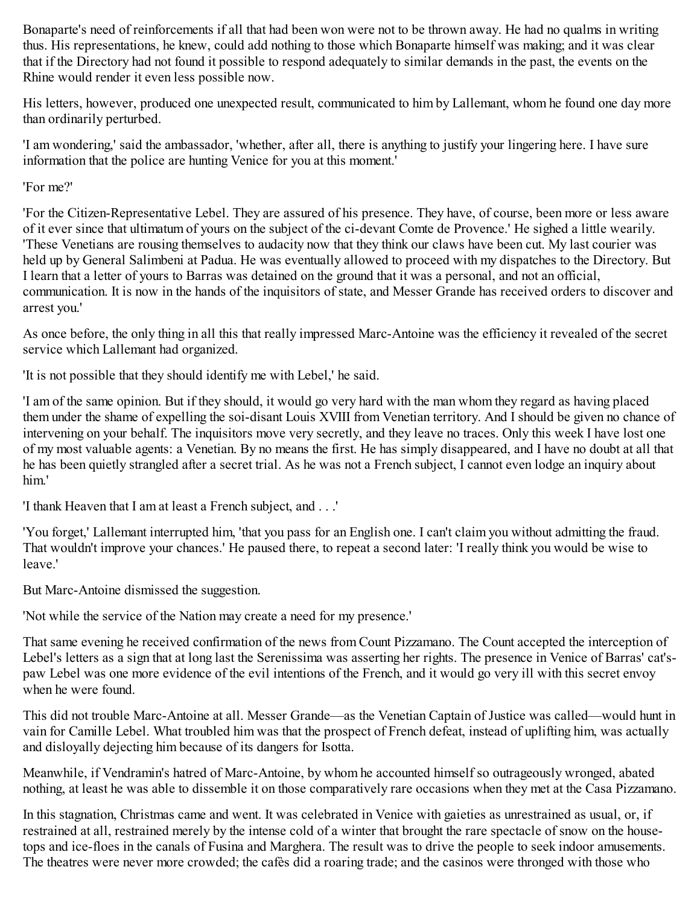Bonaparte's need of reinforcements if all that had been won were not to be thrown away. He had no qualms in writing thus. His representations, he knew, could add nothing to those which Bonaparte himself was making; and it was clear that if the Directory had not found it possible to respond adequately to similar demands in the past, the events on the Rhine would render it even less possible now.

His letters, however, produced one unexpected result, communicated to him by Lallemant, whom he found one day more than ordinarily perturbed.

'I am wondering,' said the ambassador, 'whether, after all, there is anything to justify your lingering here. I have sure information that the police are hunting Venice for you at this moment.'

'For me?'

'For the Citizen-Representative Lebel. They are assured of his presence. They have, of course, been more or less aware of it ever since that ultimatum of yours on the subject of the ci-devant Comte de Provence.' He sighed a little wearily. 'These Venetians are rousing themselves to audacity now that they think our claws have been cut. My last courier was held up by General Salimbeni at Padua. He was eventually allowed to proceed with my dispatches to the Directory. But I learn that a letter of yours to Barras was detained on the ground that it was a personal, and not an official, communication. It is now in the hands of the inquisitors of state, and Messer Grande has received orders to discover and arrest you.'

As once before, the only thing in all this that really impressed Marc-Antoine was the efficiency it revealed of the secret service which Lallemant had organized.

'It is not possible that they should identify me with Lebel,' he said.

'I am of the same opinion. But if they should, it would go very hard with the man whom they regard as having placed them under the shame of expelling the soi-disant Louis XVIII from Venetian territory. And I should be given no chance of intervening on your behalf. The inquisitors move very secretly, and they leave no traces. Only this week I have lost one of my most valuable agents: a Venetian. By no means the first. He has simply disappeared, and I have no doubt at all that he has been quietly strangled after a secret trial. As he was not a French subject, I cannot even lodge an inquiry about him.'

'I thank Heaven that I am at least a French subject, and . . .'

'You forget,' Lallemant interrupted him, 'that you pass for an English one. I can't claim you without admitting the fraud. That wouldn't improve your chances.' He paused there, to repeat a second later: 'I really think you would be wise to leave.'

But Marc-Antoine dismissed the suggestion.

'Not while the service of the Nation may create a need for my presence.'

That same evening he received confirmation of the news from Count Pizzamano. The Count accepted the interception of Lebel's letters as a sign that at long last the Serenissima was asserting her rights. The presence in Venice of Barras' cat'spaw Lebel was one more evidence of the evil intentions of the French, and it would go very ill with this secret envoy when he were found.

This did not trouble Marc-Antoine at all. Messer Grande—as the Venetian Captain of Justice was called—would hunt in vain for Camille Lebel. What troubled him was that the prospect of French defeat, instead of uplifting him, was actually and disloyally dejecting him because of its dangers for Isotta.

Meanwhile, if Vendramin's hatred of Marc-Antoine, by whom he accounted himself so outrageously wronged, abated nothing, at least he was able to dissemble it on those comparatively rare occasions when they met at the Casa Pizzamano.

In this stagnation, Christmas came and went. It was celebrated in Venice with gaieties as unrestrained as usual, or, if restrained at all, restrained merely by the intense cold of a winter that brought the rare spectacle of snow on the housetops and ice-floes in the canals of Fusina and Marghera. The result was to drive the people to seek indoor amusements. The theatres were never more crowded; the cafès did a roaring trade; and the casinos were thronged with those who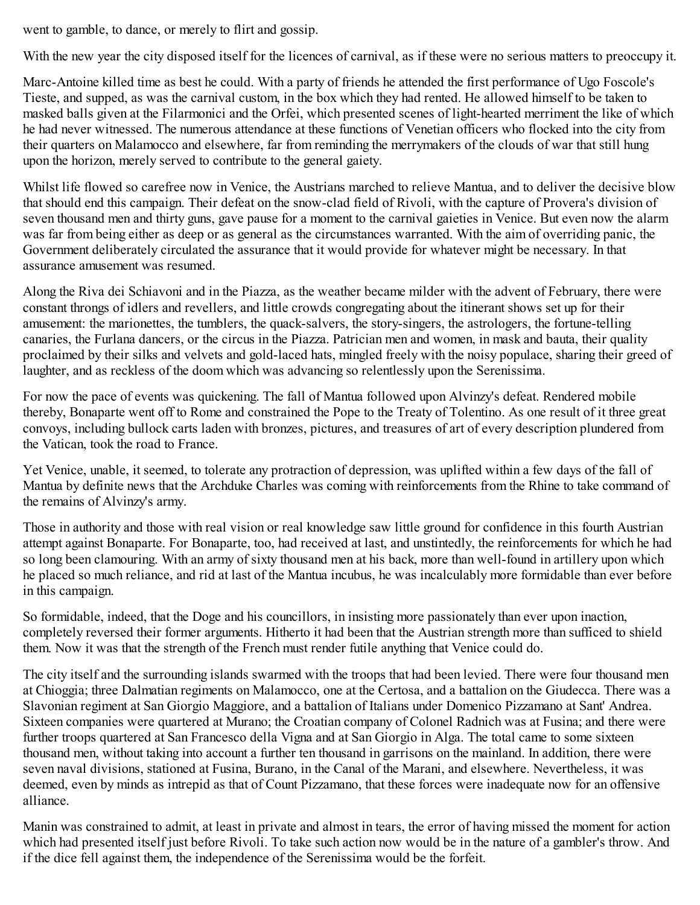went to gamble, to dance, or merely to flirt and gossip.

With the new year the city disposed itself for the licences of carnival, as if these were no serious matters to preoccupy it.

Marc-Antoine killed time as best he could. With a party of friends he attended the first performance of Ugo Foscole's Tieste, and supped, as was the carnival custom, in the box which they had rented. He allowed himself to be taken to masked balls given at the Filarmonici and the Orfei, which presented scenes of light-hearted merriment the like of which he had never witnessed. The numerous attendance at these functions of Venetian officers who flocked into the city from their quarters on Malamocco and elsewhere, far from reminding the merrymakers of the clouds of war that still hung upon the horizon, merely served to contribute to the general gaiety.

Whilst life flowed so carefree now in Venice, the Austrians marched to relieve Mantua, and to deliver the decisive blow that should end this campaign. Their defeat on the snow-clad field of Rivoli, with the capture of Provera's division of seven thousand men and thirty guns, gave pause for a moment to the carnival gaieties in Venice. But even now the alarm was far from being either as deep or as general as the circumstances warranted. With the aim of overriding panic, the Government deliberately circulated the assurance that it would provide for whatever might be necessary. In that assurance amusement was resumed.

Along the Riva dei Schiavoni and in the Piazza, as the weather became milder with the advent of February, there were constant throngs of idlers and revellers, and little crowds congregating about the itinerant shows set up for their amusement: the marionettes, the tumblers, the quack-salvers, the story-singers, the astrologers, the fortune-telling canaries, the Furlana dancers, or the circus in the Piazza. Patrician men and women, in mask and bauta, their quality proclaimed by their silks and velvets and gold-laced hats, mingled freely with the noisy populace, sharing their greed of laughter, and as reckless of the doom which was advancing so relentlessly upon the Serenissima.

For now the pace of events was quickening. The fall of Mantua followed upon Alvinzy's defeat. Rendered mobile thereby, Bonaparte went off to Rome and constrained the Pope to the Treaty of Tolentino. As one result of it three great convoys, including bullock carts laden with bronzes, pictures, and treasures of art of every description plundered from the Vatican, took the road to France.

Yet Venice, unable, it seemed, to tolerate any protraction of depression, was uplifted within a few days of the fall of Mantua by definite news that the Archduke Charles was coming with reinforcements from the Rhine to take command of the remains of Alvinzy's army.

Those in authority and those with real vision or real knowledge saw little ground for confidence in this fourth Austrian attempt against Bonaparte. For Bonaparte, too, had received at last, and unstintedly, the reinforcements for which he had so long been clamouring. With an army of sixty thousand men at his back, more than well-found in artillery upon which he placed so much reliance, and rid at last of the Mantua incubus, he was incalculably more formidable than ever before in this campaign.

So formidable, indeed, that the Doge and his councillors, in insisting more passionately than ever upon inaction, completely reversed their former arguments. Hitherto it had been that the Austrian strength more than sufficed to shield them. Now it was that the strength of the French must render futile anything that Venice could do.

The city itself and the surrounding islands swarmed with the troops that had been levied. There were four thousand men at Chioggia; three Dalmatian regiments on Malamocco, one at the Certosa, and a battalion on the Giudecca. There was a Slavonian regiment at San Giorgio Maggiore, and a battalion of Italians under Domenico Pizzamano at Sant' Andrea. Sixteen companies were quartered at Murano; the Croatian company of Colonel Radnich was at Fusina; and there were further troops quartered at San Francesco della Vigna and at San Giorgio in Alga. The total came to some sixteen thousand men, without taking into account a further ten thousand in garrisons on the mainland. In addition, there were seven naval divisions, stationed at Fusina, Burano, in the Canal of the Marani, and elsewhere. Nevertheless, it was deemed, even by minds as intrepid as that of Count Pizzamano, that these forces were inadequate now for an offensive alliance.

Manin was constrained to admit, at least in private and almost in tears, the error of having missed the moment for action which had presented itself just before Rivoli. To take such action now would be in the nature of a gambler's throw. And if the dice fell against them, the independence of the Serenissima would be the forfeit.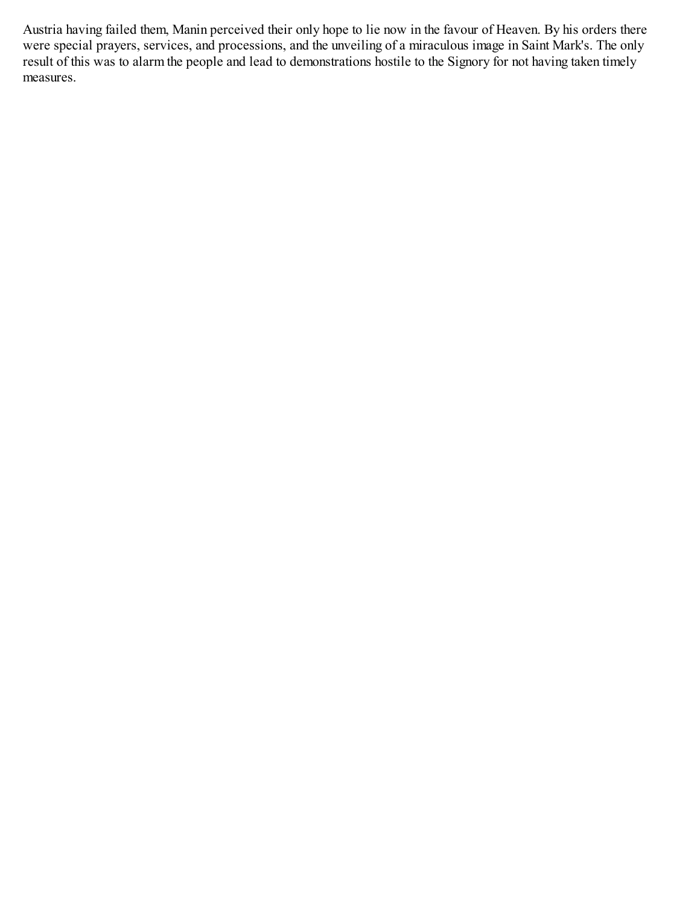Austria having failed them, Manin perceived their only hope to lie now in the favour of Heaven. By his orders there were special prayers, services, and processions, and the unveiling of a miraculous image in Saint Mark's. The only result of this was to alarm the people and lead to demonstrations hostile to the Signory for not having taken timely measures.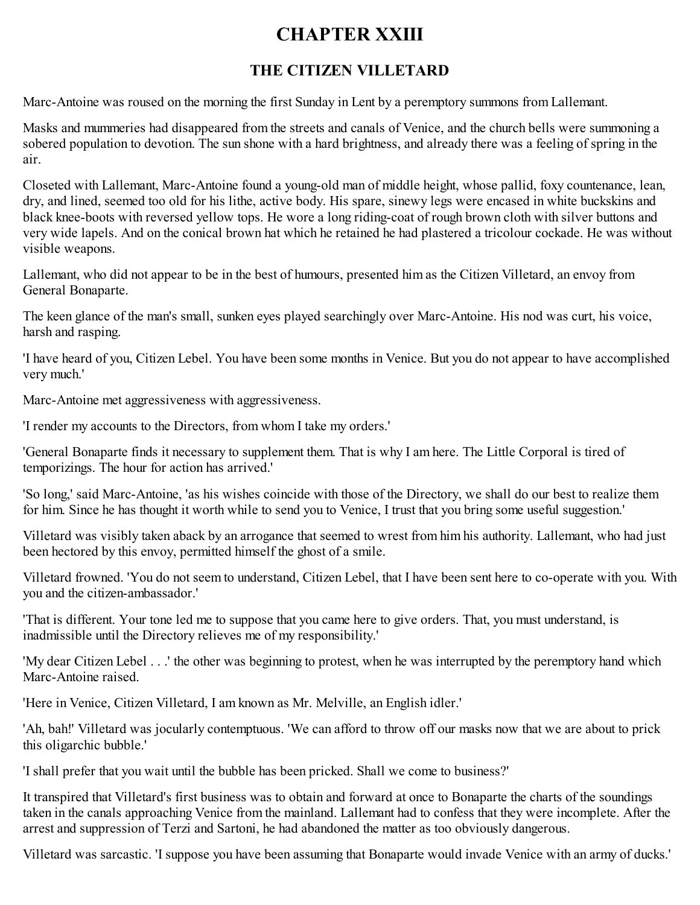# **CHAPTER XXIII**

#### **THE CITIZEN VILLETARD**

Marc-Antoine was roused on the morning the first Sunday in Lent by a peremptory summons from Lallemant.

Masks and mummeries had disappeared from the streets and canals of Venice, and the church bells were summoning a sobered population to devotion. The sun shone with a hard brightness, and already there was a feeling of spring in the air.

Closeted with Lallemant, Marc-Antoine found a young-old man of middle height, whose pallid, foxy countenance, lean, dry, and lined, seemed too old for his lithe, active body. His spare, sinewy legs were encased in white buckskins and black knee-boots with reversed yellow tops. He wore a long riding-coat of rough brown cloth with silver buttons and very wide lapels. And on the conical brown hat which he retained he had plastered a tricolour cockade. He was without visible weapons.

Lallemant, who did not appear to be in the best of humours, presented him as the Citizen Villetard, an envoy from General Bonaparte.

The keen glance of the man's small, sunken eyes played searchingly over Marc-Antoine. His nod was curt, his voice, harsh and rasping.

'I have heard of you, Citizen Lebel. You have been some months in Venice. But you do not appear to have accomplished very much.'

Marc-Antoine met aggressiveness with aggressiveness.

'I render my accounts to the Directors, from whom I take my orders.'

'General Bonaparte finds it necessary to supplement them. That is why I am here. The Little Corporal is tired of temporizings. The hour for action has arrived.'

'So long,' said Marc-Antoine, 'as his wishes coincide with those of the Directory, we shall do our best to realize them for him. Since he has thought it worth while to send you to Venice, I trust that you bring some useful suggestion.'

Villetard was visibly taken aback by an arrogance that seemed to wrest from him his authority. Lallemant, who had just been hectored by this envoy, permitted himself the ghost of a smile.

Villetard frowned. 'You do not seem to understand, Citizen Lebel, that I have been sent here to co-operate with you. With you and the citizen-ambassador.'

'That is different. Your tone led me to suppose that you came here to give orders. That, you must understand, is inadmissible until the Directory relieves me of my responsibility.'

'My dear Citizen Lebel . . .' the other was beginning to protest, when he was interrupted by the peremptory hand which Marc-Antoine raised.

'Here in Venice, Citizen Villetard, I am known as Mr. Melville, an English idler.'

'Ah, bah!' Villetard was jocularly contemptuous. 'We can afford to throw off our masks now that we are about to prick this oligarchic bubble.'

'I shall prefer that you wait until the bubble has been pricked. Shall we come to business?'

It transpired that Villetard's first business was to obtain and forward at once to Bonaparte the charts of the soundings taken in the canals approaching Venice from the mainland. Lallemant had to confess that they were incomplete. After the arrest and suppression of Terzi and Sartoni, he had abandoned the matter as too obviously dangerous.

Villetard was sarcastic. 'I suppose you have been assuming that Bonaparte would invade Venice with an army of ducks.'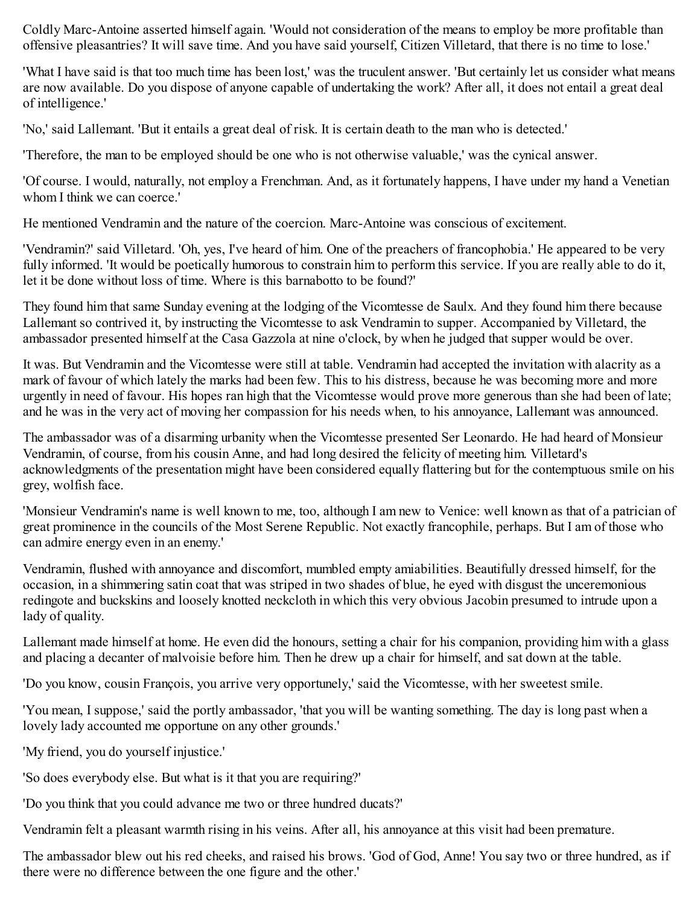Coldly Marc-Antoine asserted himself again. 'Would not consideration of the means to employ be more profitable than offensive pleasantries? It will save time. And you have said yourself, Citizen Villetard, that there is no time to lose.'

'What I have said is that too much time has been lost,' was the truculent answer. 'But certainly let us consider what means are now available. Do you dispose of anyone capable of undertaking the work? After all, it does not entail a great deal of intelligence.'

'No,' said Lallemant. 'But it entails a great deal of risk. It is certain death to the man who is detected.'

'Therefore, the man to be employed should be one who is not otherwise valuable,' was the cynical answer.

'Of course. I would, naturally, not employ a Frenchman. And, as it fortunately happens, I have under my hand a Venetian whom I think we can coerce<sup>'</sup>

He mentioned Vendramin and the nature of the coercion. Marc-Antoine was conscious of excitement.

'Vendramin?' said Villetard. 'Oh, yes, I've heard of him. One of the preachers of francophobia.' He appeared to be very fully informed. 'It would be poetically humorous to constrain him to perform this service. If you are really able to do it, let it be done without loss of time. Where is this barnabotto to be found?'

They found him that same Sunday evening at the lodging of the Vicomtesse de Saulx. And they found him there because Lallemant so contrived it, by instructing the Vicomtesse to ask Vendramin to supper. Accompanied by Villetard, the ambassador presented himself at the Casa Gazzola at nine o'clock, by when he judged that supper would be over.

It was. But Vendramin and the Vicomtesse were still at table. Vendramin had accepted the invitation with alacrity as a mark of favour of which lately the marks had been few. This to his distress, because he was becoming more and more urgently in need of favour. His hopes ran high that the Vicomtesse would prove more generous than she had been of late; and he was in the very act of moving her compassion for his needs when, to his annoyance, Lallemant was announced.

The ambassador was of a disarming urbanity when the Vicomtesse presented Ser Leonardo. He had heard of Monsieur Vendramin, of course, from his cousin Anne, and had long desired the felicity of meeting him. Villetard's acknowledgments of the presentation might have been considered equally flattering but for the contemptuous smile on his grey, wolfish face.

'Monsieur Vendramin's name is well known to me, too, although I am new to Venice: well known as that of a patrician of great prominence in the councils of the Most Serene Republic. Not exactly francophile, perhaps. But I am of those who can admire energy even in an enemy.'

Vendramin, flushed with annoyance and discomfort, mumbled empty amiabilities. Beautifully dressed himself, for the occasion, in a shimmering satin coat that was striped in two shades of blue, he eyed with disgust the unceremonious redingote and buckskins and loosely knotted neckcloth in which this very obvious Jacobin presumed to intrude upon a lady of quality.

Lallemant made himself at home. He even did the honours, setting a chair for his companion, providing him with a glass and placing a decanter of malvoisie before him. Then he drew up a chair for himself, and sat down at the table.

'Do you know, cousin François, you arrive very opportunely,' said the Vicomtesse, with her sweetest smile.

'You mean, I suppose,' said the portly ambassador, 'that you will be wanting something. The day is long past when a lovely lady accounted me opportune on any other grounds.'

'My friend, you do yourself injustice.'

- 'So does everybody else. But what is it that you are requiring?'
- 'Do you think that you could advance me two or three hundred ducats?'

Vendramin felt a pleasant warmth rising in his veins. After all, his annoyance at this visit had been premature.

The ambassador blew out his red cheeks, and raised his brows. 'God of God, Anne! You say two or three hundred, as if there were no difference between the one figure and the other.'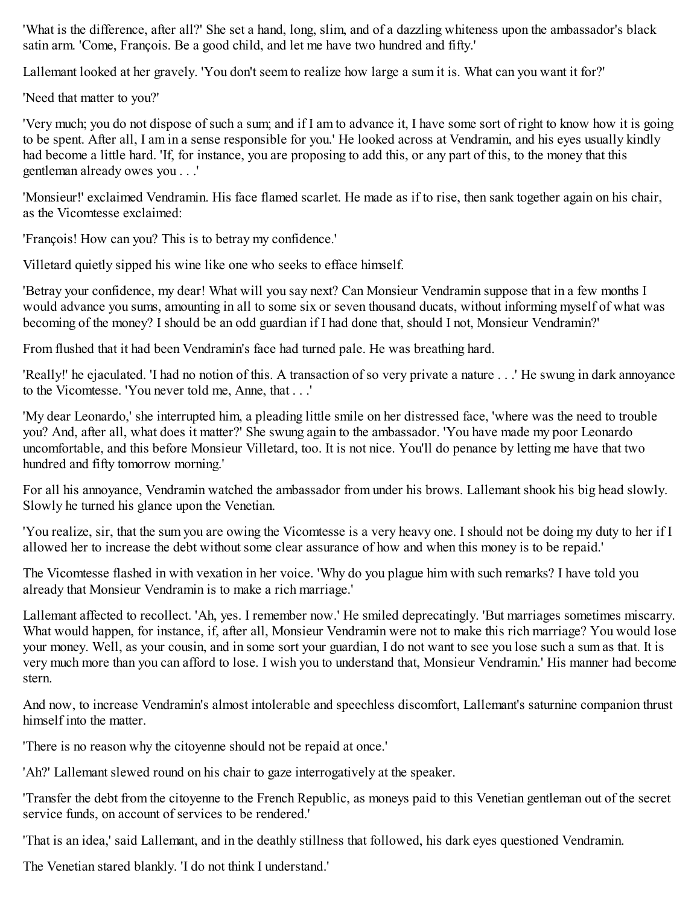'What is the difference, after all?' She set a hand, long, slim, and of a dazzling whiteness upon the ambassador's black satin arm. 'Come, François. Be a good child, and let me have two hundred and fifty.'

Lallemant looked at her gravely. 'You don't seem to realize how large a sum it is. What can you want it for?'

'Need that matter to you?'

'Very much; you do not dispose of such a sum; and if I am to advance it, I have some sort of right to know how it is going to be spent. After all, I am in a sense responsible for you.' He looked across at Vendramin, and his eyes usually kindly had become a little hard. 'If, for instance, you are proposing to add this, or any part of this, to the money that this gentleman already owes you . . .'

'Monsieur!' exclaimed Vendramin. His face flamed scarlet. He made as if to rise, then sank together again on his chair, as the Vicomtesse exclaimed:

'François! How can you? This is to betray my confidence.'

Villetard quietly sipped his wine like one who seeks to efface himself.

'Betray your confidence, my dear! What will you say next? Can Monsieur Vendramin suppose that in a few months I would advance you sums, amounting in all to some six or seven thousand ducats, without informing myself of what was becoming of the money? I should be an odd guardian if I had done that, should I not, Monsieur Vendramin?'

From flushed that it had been Vendramin's face had turned pale. He was breathing hard.

'Really!' he ejaculated. 'I had no notion of this. A transaction of so very private a nature . . .' He swung in dark annoyance to the Vicomtesse. 'You never told me, Anne, that . . .'

'My dear Leonardo,' she interrupted him, a pleading little smile on her distressed face, 'where was the need to trouble you? And, after all, what does it matter?' She swung again to the ambassador. 'You have made my poor Leonardo uncomfortable, and this before Monsieur Villetard, too. It is not nice. You'll do penance by letting me have that two hundred and fifty tomorrow morning.'

For all his annoyance, Vendramin watched the ambassador from under his brows. Lallemant shook his big head slowly. Slowly he turned his glance upon the Venetian.

'You realize, sir, that the sum you are owing the Vicomtesse is a very heavy one. I should not be doing my duty to her if I allowed her to increase the debt without some clear assurance of how and when this money is to be repaid.'

The Vicomtesse flashed in with vexation in her voice. 'Why do you plague him with such remarks? I have told you already that Monsieur Vendramin is to make a rich marriage.'

Lallemant affected to recollect. 'Ah, yes. I remember now.' He smiled deprecatingly. 'But marriages sometimes miscarry. What would happen, for instance, if, after all, Monsieur Vendramin were not to make this rich marriage? You would lose your money. Well, as your cousin, and in some sort your guardian, I do not want to see you lose such a sum as that. It is very much more than you can afford to lose. I wish you to understand that, Monsieur Vendramin.' His manner had become stern.

And now, to increase Vendramin's almost intolerable and speechless discomfort, Lallemant's saturnine companion thrust himself into the matter.

'There is no reason why the citoyenne should not be repaid at once.'

'Ah?' Lallemant slewed round on his chair to gaze interrogatively at the speaker.

'Transfer the debt from the citoyenne to the French Republic, as moneys paid to this Venetian gentleman out of the secret service funds, on account of services to be rendered.'

'That is an idea,' said Lallemant, and in the deathly stillness that followed, his dark eyes questioned Vendramin.

The Venetian stared blankly. 'I do not think I understand.'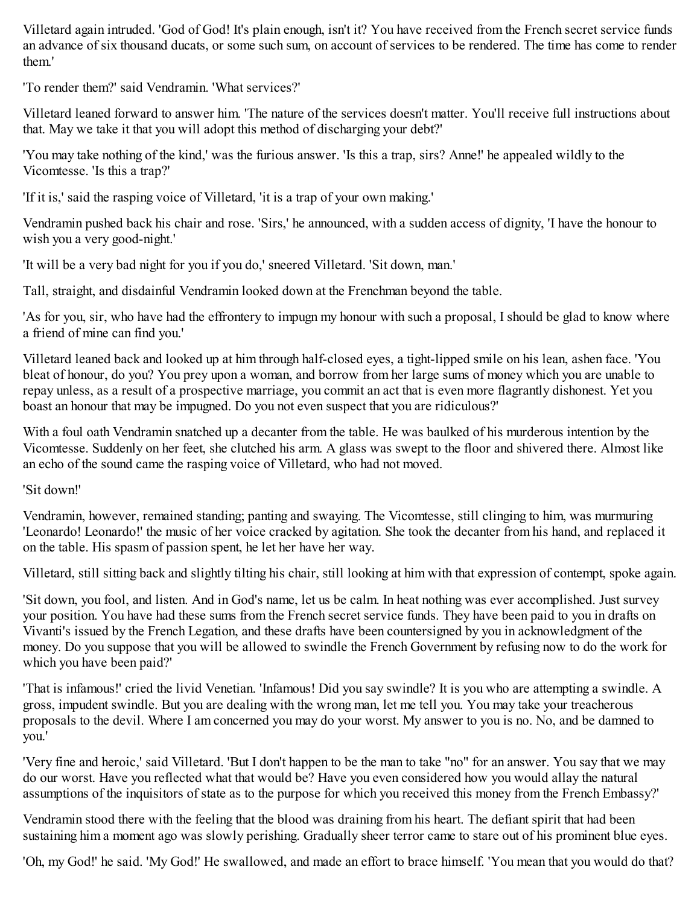Villetard again intruded. 'God of God! It's plain enough, isn't it? You have received from the French secret service funds an advance of six thousand ducats, or some such sum, on account of services to be rendered. The time has come to render them.'

'To render them?' said Vendramin. 'What services?'

Villetard leaned forward to answer him. 'The nature of the services doesn't matter. You'll receive full instructions about that. May we take it that you will adopt this method of discharging your debt?'

'You may take nothing of the kind,' was the furious answer. 'Is this a trap, sirs? Anne!' he appealed wildly to the Vicomtesse. 'Is this a trap?'

'If it is,' said the rasping voice of Villetard, 'it is a trap of your own making.'

Vendramin pushed back his chair and rose. 'Sirs,' he announced, with a sudden access of dignity, 'I have the honour to wish you a very good-night.'

'It will be a very bad night for you if you do,' sneered Villetard. 'Sit down, man.'

Tall, straight, and disdainful Vendramin looked down at the Frenchman beyond the table.

'As for you, sir, who have had the effrontery to impugn my honour with such a proposal, I should be glad to know where a friend of mine can find you.'

Villetard leaned back and looked up at him through half-closed eyes, a tight-lipped smile on his lean, ashen face. 'You bleat of honour, do you? You prey upon a woman, and borrow from her large sums of money which you are unable to repay unless, as a result of a prospective marriage, you commit an act that is even more flagrantly dishonest. Yet you boast an honour that may be impugned. Do you not even suspect that you are ridiculous?'

With a foul oath Vendramin snatched up a decanter from the table. He was baulked of his murderous intention by the Vicomtesse. Suddenly on her feet, she clutched his arm. A glass was swept to the floor and shivered there. Almost like an echo of the sound came the rasping voice of Villetard, who had not moved.

'Sit down!'

Vendramin, however, remained standing; panting and swaying. The Vicomtesse, still clinging to him, was murmuring 'Leonardo! Leonardo!' the music of her voice cracked by agitation. She took the decanter from his hand, and replaced it on the table. His spasm of passion spent, he let her have her way.

Villetard, still sitting back and slightly tilting his chair, still looking at him with that expression of contempt, spoke again.

'Sit down, you fool, and listen. And in God's name, let us be calm. In heat nothing was ever accomplished. Just survey your position. You have had these sums from the French secret service funds. They have been paid to you in drafts on Vivanti's issued by the French Legation, and these drafts have been countersigned by you in acknowledgment of the money. Do you suppose that you will be allowed to swindle the French Government by refusing now to do the work for which you have been paid?'

'That is infamous!' cried the livid Venetian. 'Infamous! Did you say swindle? It is you who are attempting a swindle. A gross, impudent swindle. But you are dealing with the wrong man, let me tell you. You may take your treacherous proposals to the devil. Where I am concerned you may do your worst. My answer to you is no. No, and be damned to you.'

'Very fine and heroic,' said Villetard. 'But I don't happen to be the man to take "no" for an answer. You say that we may do our worst. Have you reflected what that would be? Have you even considered how you would allay the natural assumptions of the inquisitors of state as to the purpose for which you received this money from the French Embassy?'

Vendramin stood there with the feeling that the blood was draining from his heart. The defiant spirit that had been sustaining him a moment ago was slowly perishing. Gradually sheer terror came to stare out of his prominent blue eyes.

'Oh, my God!' he said. 'My God!' He swallowed, and made an effort to brace himself. 'You mean that you would do that?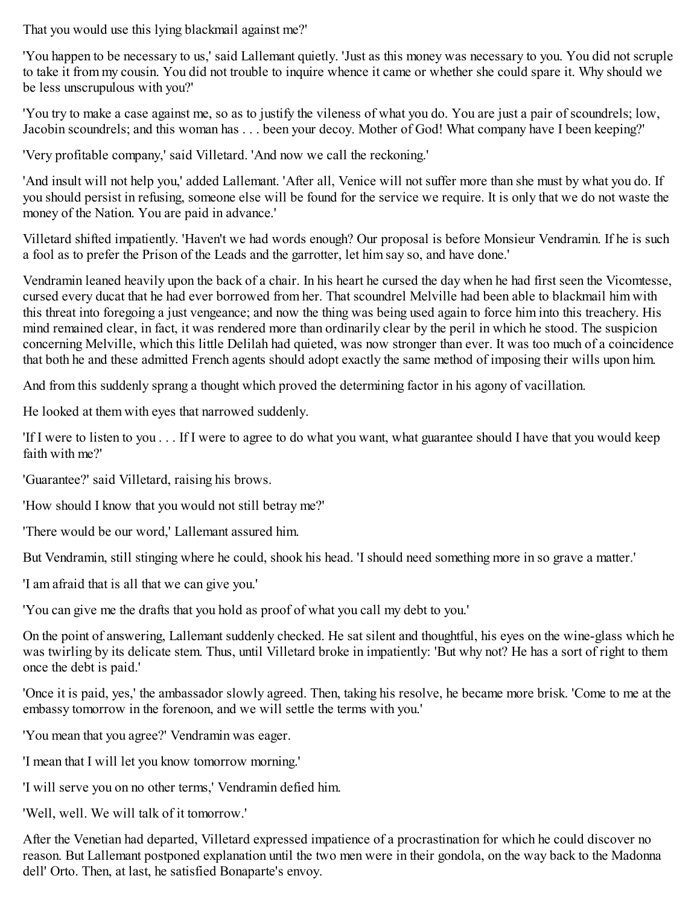That you would use this lying blackmail against me?'

'You happen to be necessary to us,' said Lallemant quietly. 'Just as this money was necessary to you. You did not scruple to take it from my cousin. You did not trouble to inquire whence it came or whether she could spare it. Why should we be less unscrupulous with you?'

'You try to make a case against me, so as to justify the vileness of what you do. You are just a pair of scoundrels; low, Jacobin scoundrels; and this woman has . . . been your decoy. Mother of God! What company have I been keeping?'

'Very profitable company,' said Villetard. 'And now we call the reckoning.'

'And insult will not help you,' added Lallemant. 'After all, Venice will not suffer more than she must by what you do. If you should persist in refusing, someone else will be found for the service we require. It is only that we do not waste the money of the Nation. You are paid in advance.'

Villetard shifted impatiently. 'Haven't we had words enough? Our proposal is before Monsieur Vendramin. If he is such a fool as to prefer the Prison of the Leads and the garrotter, let him say so, and have done.'

Vendramin leaned heavily upon the back of a chair. In his heart he cursed the day when he had first seen the Vicomtesse, cursed every ducat that he had ever borrowed from her. That scoundrel Melville had been able to blackmail him with this threat into foregoing a just vengeance; and now the thing was being used again to force him into this treachery. His mind remained clear, in fact, it was rendered more than ordinarily clear by the peril in which he stood. The suspicion concerning Melville, which this little Delilah had quieted, was now stronger than ever. It was too much of a coincidence that both he and these admitted French agents should adopt exactly the same method of imposing their wills upon him.

And from this suddenly sprang a thought which proved the determining factor in his agony of vacillation.

He looked at them with eyes that narrowed suddenly.

'If I were to listen to you . . . If I were to agree to do what you want, what guarantee should I have that you would keep faith with me?'

'Guarantee?' said Villetard, raising his brows.

'How should I know that you would not still betray me?'

'There would be our word,' Lallemant assured him.

But Vendramin, still stinging where he could, shook his head. 'I should need something more in so grave a matter.'

'I am afraid that is all that we can give you.'

'You can give me the drafts that you hold as proof of what you call my debt to you.'

On the point of answering, Lallemant suddenly checked. He sat silent and thoughtful, his eyes on the wine-glass which he was twirling by its delicate stem. Thus, until Villetard broke in impatiently: 'But why not? He has a sort of right to them once the debt is paid.'

'Once it is paid, yes,' the ambassador slowly agreed. Then, taking his resolve, he became more brisk. 'Come to me at the embassy tomorrow in the forenoon, and we will settle the terms with you.'

'You mean that you agree?' Vendramin was eager.

'I mean that I will let you know tomorrow morning.'

'I will serve you on no other terms,' Vendramin defied him.

'Well, well. We will talk of it tomorrow.'

After the Venetian had departed, Villetard expressed impatience of a procrastination for which he could discover no reason. But Lallemant postponed explanation until the two men were in their gondola, on the way back to the Madonna dell' Orto. Then, at last, he satisfied Bonaparte's envoy.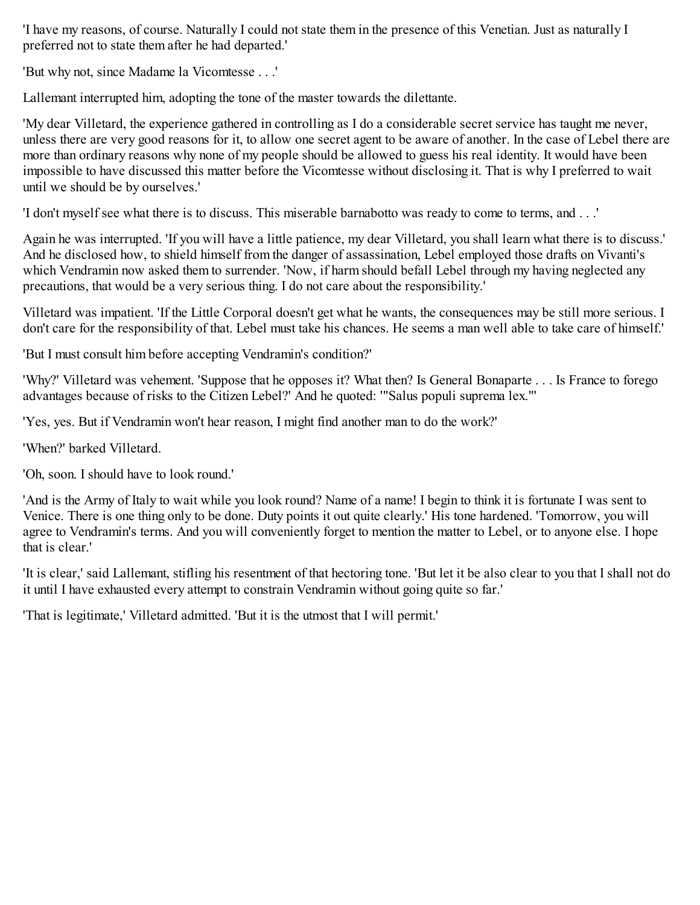'I have my reasons, of course. Naturally I could not state them in the presence of this Venetian. Just as naturally I preferred not to state them after he had departed.'

'But why not, since Madame la Vicomtesse . . .'

Lallemant interrupted him, adopting the tone of the master towards the dilettante.

'My dear Villetard, the experience gathered in controlling as I do a considerable secret service has taught me never, unless there are very good reasons for it, to allow one secret agent to be aware of another. In the case of Lebel there are more than ordinary reasons why none of my people should be allowed to guess his real identity. It would have been impossible to have discussed this matter before the Vicomtesse without disclosing it. That is why I preferred to wait until we should be by ourselves.'

'I don't myself see what there is to discuss. This miserable barnabotto was ready to come to terms, and . . .'

Again he was interrupted. 'If you will have a little patience, my dear Villetard, you shall learn what there is to discuss.' And he disclosed how, to shield himself from the danger of assassination, Lebel employed those drafts on Vivanti's which Vendramin now asked them to surrender. 'Now, if harm should befall Lebel through my having neglected any precautions, that would be a very serious thing. I do not care about the responsibility.'

Villetard was impatient. 'If the Little Corporal doesn't get what he wants, the consequences may be still more serious. I don't care for the responsibility of that. Lebel must take his chances. He seems a man well able to take care of himself.'

'But I must consult him before accepting Vendramin's condition?'

'Why?' Villetard was vehement. 'Suppose that he opposes it? What then? Is General Bonaparte . . . Is France to forego advantages because of risks to the Citizen Lebel?' And he quoted: '"Salus populi suprema lex."'

'Yes, yes. But if Vendramin won't hear reason, I might find another man to do the work?'

'When?' barked Villetard.

'Oh, soon. I should have to look round.'

'And is the Army of Italy to wait while you look round? Name of a name! I begin to think it is fortunate I was sent to Venice. There is one thing only to be done. Duty points it out quite clearly.' His tone hardened. 'Tomorrow, you will agree to Vendramin's terms. And you will conveniently forget to mention the matter to Lebel, or to anyone else. I hope that is clear.'

'It is clear,' said Lallemant, stifling his resentment of that hectoring tone. 'But let it be also clear to you that I shall not do it until I have exhausted every attempt to constrain Vendramin without going quite so far.'

'That is legitimate,' Villetard admitted. 'But it is the utmost that I will permit.'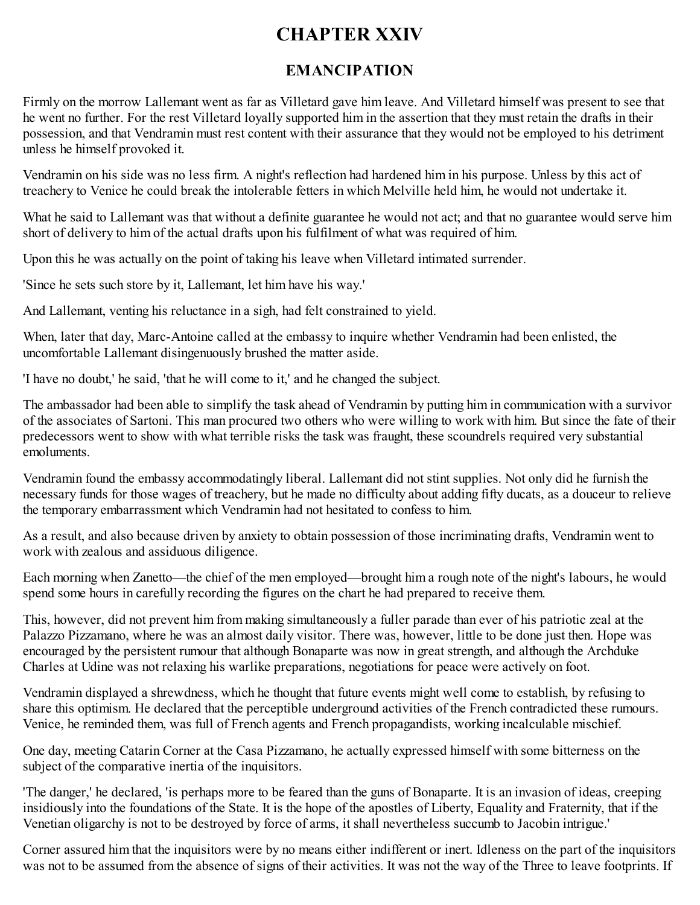# **CHAPTER XXIV**

### **EMANCIPATION**

Firmly on the morrow Lallemant went as far as Villetard gave him leave. And Villetard himself was present to see that he went no further. For the rest Villetard loyally supported him in the assertion that they must retain the drafts in their possession, and that Vendramin must rest content with their assurance that they would not be employed to his detriment unless he himself provoked it.

Vendramin on his side was no less firm. A night's reflection had hardened him in his purpose. Unless by this act of treachery to Venice he could break the intolerable fetters in which Melville held him, he would not undertake it.

What he said to Lallemant was that without a definite guarantee he would not act; and that no guarantee would serve him short of delivery to him of the actual drafts upon his fulfilment of what was required of him.

Upon this he was actually on the point of taking his leave when Villetard intimated surrender.

'Since he sets such store by it, Lallemant, let him have his way.'

And Lallemant, venting his reluctance in a sigh, had felt constrained to yield.

When, later that day, Marc-Antoine called at the embassy to inquire whether Vendramin had been enlisted, the uncomfortable Lallemant disingenuously brushed the matter aside.

'I have no doubt,' he said, 'that he will come to it,' and he changed the subject.

The ambassador had been able to simplify the task ahead of Vendramin by putting him in communication with a survivor of the associates of Sartoni. This man procured two others who were willing to work with him. But since the fate of their predecessors went to show with what terrible risks the task was fraught, these scoundrels required very substantial emoluments.

Vendramin found the embassy accommodatingly liberal. Lallemant did not stint supplies. Not only did he furnish the necessary funds for those wages of treachery, but he made no difficulty about adding fifty ducats, as a douceur to relieve the temporary embarrassment which Vendramin had not hesitated to confess to him.

As a result, and also because driven by anxiety to obtain possession of those incriminating drafts, Vendramin went to work with zealous and assiduous diligence.

Each morning when Zanetto—the chief of the men employed—brought him a rough note of the night's labours, he would spend some hours in carefully recording the figures on the chart he had prepared to receive them.

This, however, did not prevent him from making simultaneously a fuller parade than ever of his patriotic zeal at the Palazzo Pizzamano, where he was an almost daily visitor. There was, however, little to be done just then. Hope was encouraged by the persistent rumour that although Bonaparte was now in great strength, and although the Archduke Charles at Udine was not relaxing his warlike preparations, negotiations for peace were actively on foot.

Vendramin displayed a shrewdness, which he thought that future events might well come to establish, by refusing to share this optimism. He declared that the perceptible underground activities of the French contradicted these rumours. Venice, he reminded them, was full of French agents and French propagandists, working incalculable mischief.

One day, meeting Catarin Corner at the Casa Pizzamano, he actually expressed himself with some bitterness on the subject of the comparative inertia of the inquisitors.

'The danger,' he declared, 'is perhaps more to be feared than the guns of Bonaparte. It is an invasion of ideas, creeping insidiously into the foundations of the State. It is the hope of the apostles of Liberty, Equality and Fraternity, that if the Venetian oligarchy is not to be destroyed by force of arms, it shall nevertheless succumb to Jacobin intrigue.'

Corner assured him that the inquisitors were by no means either indifferent or inert. Idleness on the part of the inquisitors was not to be assumed from the absence of signs of their activities. It was not the way of the Three to leave footprints. If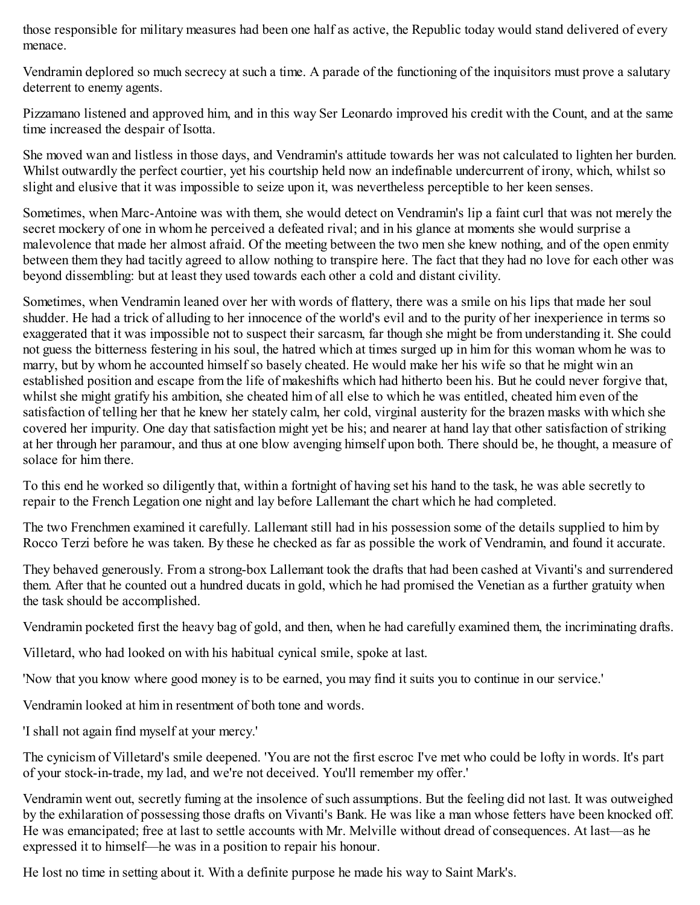those responsible for military measures had been one half as active, the Republic today would stand delivered of every menace.

Vendramin deplored so much secrecy at such a time. A parade of the functioning of the inquisitors must prove a salutary deterrent to enemy agents.

Pizzamano listened and approved him, and in this way Ser Leonardo improved his credit with the Count, and at the same time increased the despair of Isotta.

She moved wan and listless in those days, and Vendramin's attitude towards her was not calculated to lighten her burden. Whilst outwardly the perfect courtier, yet his courtship held now an indefinable undercurrent of irony, which, whilst so slight and elusive that it was impossible to seize upon it, was nevertheless perceptible to her keen senses.

Sometimes, when Marc-Antoine was with them, she would detect on Vendramin's lip a faint curl that was not merely the secret mockery of one in whom he perceived a defeated rival; and in his glance at moments she would surprise a malevolence that made her almost afraid. Of the meeting between the two men she knew nothing, and of the open enmity between them they had tacitly agreed to allow nothing to transpire here. The fact that they had no love for each other was beyond dissembling: but at least they used towards each other a cold and distant civility.

Sometimes, when Vendramin leaned over her with words of flattery, there was a smile on his lips that made her soul shudder. He had a trick of alluding to her innocence of the world's evil and to the purity of her inexperience in terms so exaggerated that it was impossible not to suspect their sarcasm, far though she might be from understanding it. She could not guess the bitterness festering in his soul, the hatred which at times surged up in him for this woman whom he was to marry, but by whom he accounted himself so basely cheated. He would make her his wife so that he might win an established position and escape from the life of makeshifts which had hitherto been his. But he could never forgive that, whilst she might gratify his ambition, she cheated him of all else to which he was entitled, cheated him even of the satisfaction of telling her that he knew her stately calm, her cold, virginal austerity for the brazen masks with which she covered her impurity. One day that satisfaction might yet be his; and nearer at hand lay that other satisfaction of striking at her through her paramour, and thus at one blow avenging himself upon both. There should be, he thought, a measure of solace for him there.

To this end he worked so diligently that, within a fortnight of having set his hand to the task, he was able secretly to repair to the French Legation one night and lay before Lallemant the chart which he had completed.

The two Frenchmen examined it carefully. Lallemant still had in his possession some of the details supplied to him by Rocco Terzi before he was taken. By these he checked as far as possible the work of Vendramin, and found it accurate.

They behaved generously. From a strong-box Lallemant took the drafts that had been cashed at Vivanti's and surrendered them. After that he counted out a hundred ducats in gold, which he had promised the Venetian as a further gratuity when the task should be accomplished.

Vendramin pocketed first the heavy bag of gold, and then, when he had carefully examined them, the incriminating drafts.

Villetard, who had looked on with his habitual cynical smile, spoke at last.

'Now that you know where good money is to be earned, you may find it suits you to continue in our service.'

Vendramin looked at him in resentment of both tone and words.

'I shall not again find myself at your mercy.'

The cynicism of Villetard's smile deepened. 'You are not the first escroc I've met who could be lofty in words. It's part of your stock-in-trade, my lad, and we're not deceived. You'll remember my offer.'

Vendramin went out, secretly fuming at the insolence of such assumptions. But the feeling did not last. It was outweighed by the exhilaration of possessing those drafts on Vivanti's Bank. He was like a man whose fetters have been knocked off. He was emancipated; free at last to settle accounts with Mr. Melville without dread of consequences. At last—as he expressed it to himself—he was in a position to repair his honour.

He lost no time in setting about it. With a definite purpose he made his way to Saint Mark's.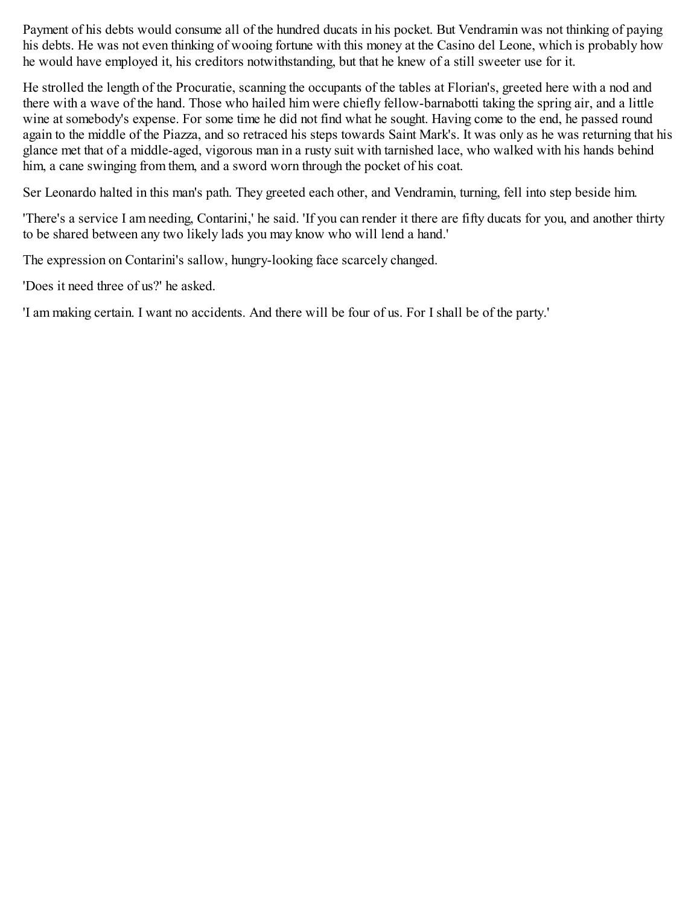Payment of his debts would consume all of the hundred ducats in his pocket. But Vendramin was not thinking of paying his debts. He was not even thinking of wooing fortune with this money at the Casino del Leone, which is probably how he would have employed it, his creditors notwithstanding, but that he knew of a still sweeter use for it.

He strolled the length of the Procuratie, scanning the occupants of the tables at Florian's, greeted here with a nod and there with a wave of the hand. Those who hailed him were chiefly fellow-barnabotti taking the spring air, and a little wine at somebody's expense. For some time he did not find what he sought. Having come to the end, he passed round again to the middle of the Piazza, and so retraced his steps towards Saint Mark's. It was only as he was returning that his glance met that of a middle-aged, vigorous man in a rusty suit with tarnished lace, who walked with his hands behind him, a cane swinging from them, and a sword worn through the pocket of his coat.

Ser Leonardo halted in this man's path. They greeted each other, and Vendramin, turning, fell into step beside him.

'There's a service I am needing, Contarini,' he said. 'If you can render it there are fifty ducats for you, and another thirty to be shared between any two likely lads you may know who will lend a hand.'

The expression on Contarini's sallow, hungry-looking face scarcely changed.

'Does it need three of us?' he asked.

'I am making certain. I want no accidents. And there will be four of us. For I shall be of the party.'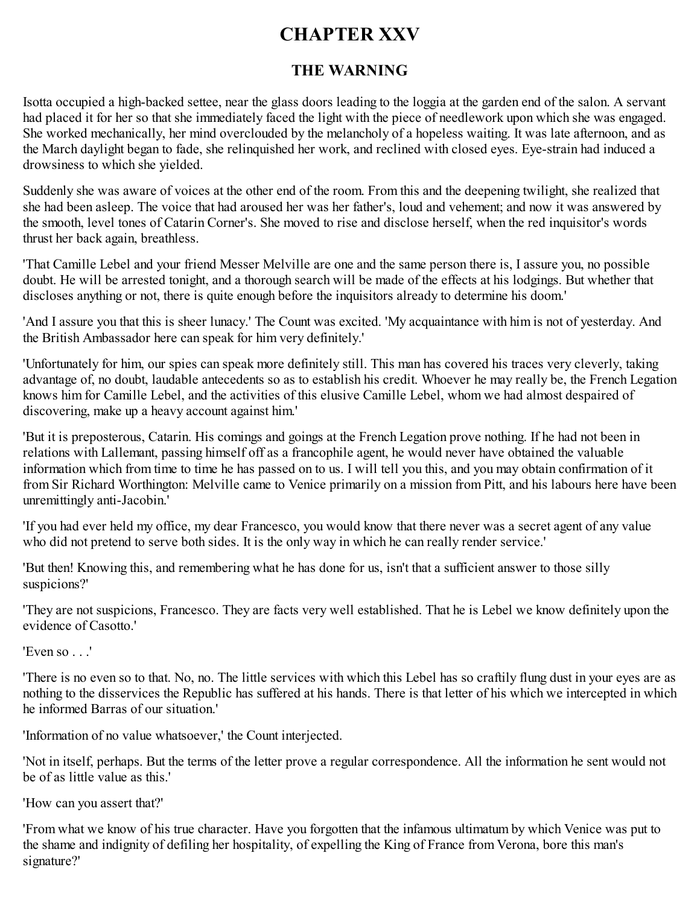### **CHAPTER XXV**

#### **THE WARNING**

Isotta occupied a high-backed settee, near the glass doors leading to the loggia at the garden end of the salon. A servant had placed it for her so that she immediately faced the light with the piece of needlework upon which she was engaged. She worked mechanically, her mind overclouded by the melancholy of a hopeless waiting. It was late afternoon, and as the March daylight began to fade, she relinquished her work, and reclined with closed eyes. Eye-strain had induced a drowsiness to which she yielded.

Suddenly she was aware of voices at the other end of the room. From this and the deepening twilight, she realized that she had been asleep. The voice that had aroused her was her father's, loud and vehement; and now it was answered by the smooth, level tones of Catarin Corner's. She moved to rise and disclose herself, when the red inquisitor's words thrust her back again, breathless.

'That Camille Lebel and your friend Messer Melville are one and the same person there is, I assure you, no possible doubt. He will be arrested tonight, and a thorough search will be made of the effects at his lodgings. But whether that discloses anything or not, there is quite enough before the inquisitors already to determine his doom.'

'And I assure you that this is sheer lunacy.' The Count was excited. 'My acquaintance with him is not of yesterday. And the British Ambassador here can speak for him very definitely.'

'Unfortunately for him, our spies can speak more definitely still. This man has covered his traces very cleverly, taking advantage of, no doubt, laudable antecedents so as to establish his credit. Whoever he may really be, the French Legation knows him for Camille Lebel, and the activities of this elusive Camille Lebel, whom we had almost despaired of discovering, make up a heavy account against him.'

'But it is preposterous, Catarin. His comings and goings at the French Legation prove nothing. If he had not been in relations with Lallemant, passing himself off as a francophile agent, he would never have obtained the valuable information which from time to time he has passed on to us. I will tell you this, and you may obtain confirmation of it from Sir Richard Worthington: Melville came to Venice primarily on a mission from Pitt, and his labours here have been unremittingly anti-Jacobin.'

'If you had ever held my office, my dear Francesco, you would know that there never was a secret agent of any value who did not pretend to serve both sides. It is the only way in which he can really render service.'

'But then! Knowing this, and remembering what he has done for us, isn't that a sufficient answer to those silly suspicions?'

'They are not suspicions, Francesco. They are facts very well established. That he is Lebel we know definitely upon the evidence of Casotto.'

'Even so . . .'

'There is no even so to that. No, no. The little services with which this Lebel has so craftily flung dust in your eyes are as nothing to the disservices the Republic has suffered at his hands. There is that letter of his which we intercepted in which he informed Barras of our situation.'

'Information of no value whatsoever,' the Count interjected.

'Not in itself, perhaps. But the terms of the letter prove a regular correspondence. All the information he sent would not be of as little value as this.'

'How can you assert that?'

'From what we know of his true character. Have you forgotten that the infamous ultimatum by which Venice was put to the shame and indignity of defiling her hospitality, of expelling the King of France from Verona, bore this man's signature?'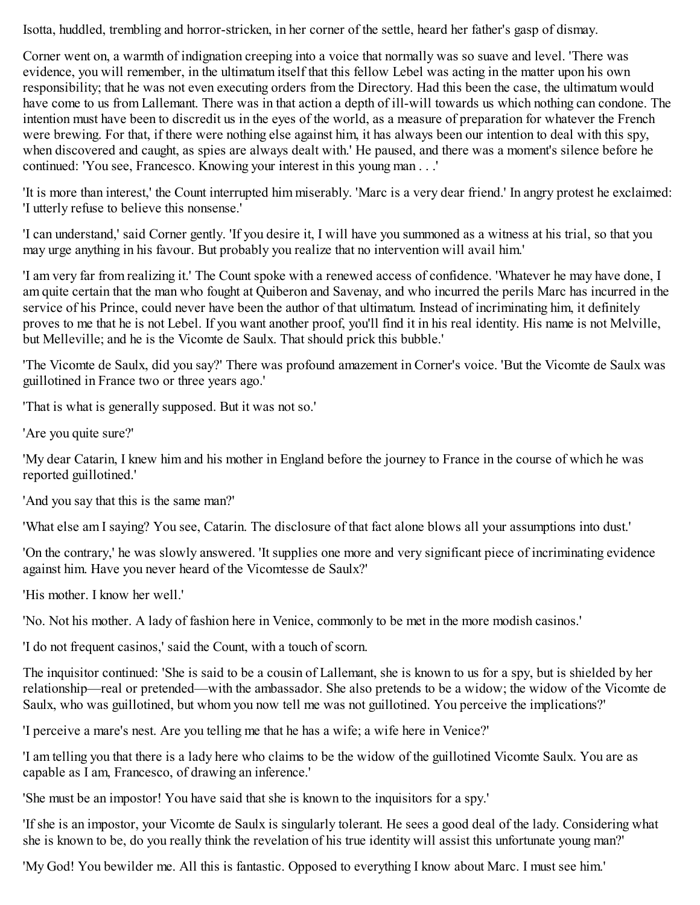Isotta, huddled, trembling and horror-stricken, in her corner of the settle, heard her father's gasp of dismay.

Corner went on, a warmth of indignation creeping into a voice that normally was so suave and level. 'There was evidence, you will remember, in the ultimatum itself that this fellow Lebel was acting in the matter upon his own responsibility; that he was not even executing orders from the Directory. Had this been the case, the ultimatum would have come to us from Lallemant. There was in that action a depth of ill-will towards us which nothing can condone. The intention must have been to discredit us in the eyes of the world, as a measure of preparation for whatever the French were brewing. For that, if there were nothing else against him, it has always been our intention to deal with this spy, when discovered and caught, as spies are always dealt with.' He paused, and there was a moment's silence before he continued: 'You see, Francesco. Knowing your interest in this young man . . .'

'It is more than interest,' the Count interrupted him miserably. 'Marc is a very dear friend.' In angry protest he exclaimed: 'I utterly refuse to believe this nonsense.'

'I can understand,' said Corner gently. 'If you desire it, I will have you summoned as a witness at his trial, so that you may urge anything in his favour. But probably you realize that no intervention will avail him.'

'I am very far from realizing it.' The Count spoke with a renewed access of confidence. 'Whatever he may have done, I am quite certain that the man who fought at Quiberon and Savenay, and who incurred the perils Marc has incurred in the service of his Prince, could never have been the author of that ultimatum. Instead of incriminating him, it definitely proves to me that he is not Lebel. If you want another proof, you'll find it in his real identity. His name is not Melville, but Melleville; and he is the Vicomte de Saulx. That should prick this bubble.'

'The Vicomte de Saulx, did you say?' There was profound amazement in Corner's voice. 'But the Vicomte de Saulx was guillotined in France two or three years ago.'

'That is what is generally supposed. But it was not so.'

'Are you quite sure?'

'My dear Catarin, I knew him and his mother in England before the journey to France in the course of which he was reported guillotined.'

'And you say that this is the same man?'

'What else am I saying? You see, Catarin. The disclosure of that fact alone blows all your assumptions into dust.'

'On the contrary,' he was slowly answered. 'It supplies one more and very significant piece of incriminating evidence against him. Have you never heard of the Vicomtesse de Saulx?'

'His mother. I know her well.'

'No. Not his mother. A lady of fashion here in Venice, commonly to be met in the more modish casinos.'

'I do not frequent casinos,' said the Count, with a touch of scorn.

The inquisitor continued: 'She is said to be a cousin of Lallemant, she is known to us for a spy, but is shielded by her relationship—real or pretended—with the ambassador. She also pretends to be a widow; the widow of the Vicomte de Saulx, who was guillotined, but whom you now tell me was not guillotined. You perceive the implications?'

'I perceive a mare's nest. Are you telling me that he has a wife; a wife here in Venice?'

'I am telling you that there is a lady here who claims to be the widow of the guillotined Vicomte Saulx. You are as capable as I am, Francesco, of drawing an inference.'

'She must be an impostor! You have said that she is known to the inquisitors for a spy.'

'If she is an impostor, your Vicomte de Saulx is singularly tolerant. He sees a good deal of the lady. Considering what she is known to be, do you really think the revelation of his true identity will assist this unfortunate young man?'

'My God! You bewilder me. All this is fantastic. Opposed to everything I know about Marc. I must see him.'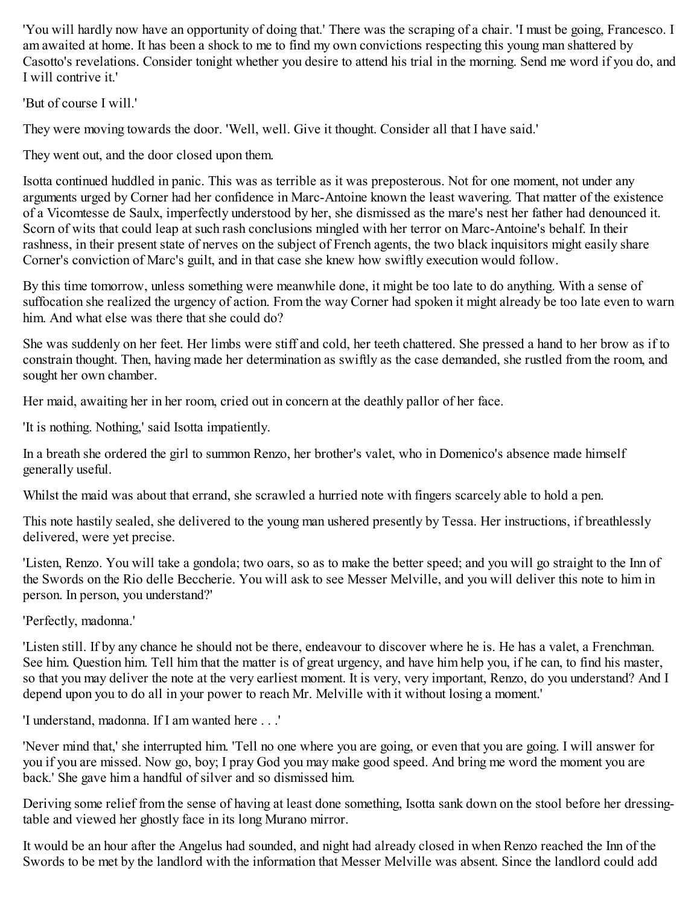'You will hardly now have an opportunity of doing that.' There was the scraping of a chair. 'I must be going, Francesco. I am awaited at home. It has been a shock to me to find my own convictions respecting this young man shattered by Casotto's revelations. Consider tonight whether you desire to attend his trial in the morning. Send me word if you do, and I will contrive it.'

'But of course I will.'

They were moving towards the door. 'Well, well. Give it thought. Consider all that I have said.'

They went out, and the door closed upon them.

Isotta continued huddled in panic. This was as terrible as it was preposterous. Not for one moment, not under any arguments urged by Corner had her confidence in Marc-Antoine known the least wavering. That matter of the existence of a Vicomtesse de Saulx, imperfectly understood by her, she dismissed as the mare's nest her father had denounced it. Scorn of wits that could leap at such rash conclusions mingled with her terror on Marc-Antoine's behalf. In their rashness, in their present state of nerves on the subject of French agents, the two black inquisitors might easily share Corner's conviction of Marc's guilt, and in that case she knew how swiftly execution would follow.

By this time tomorrow, unless something were meanwhile done, it might be too late to do anything. With a sense of suffocation she realized the urgency of action. From the way Corner had spoken it might already be too late even to warn him. And what else was there that she could do?

She was suddenly on her feet. Her limbs were stiff and cold, her teeth chattered. She pressed a hand to her brow as if to constrain thought. Then, having made her determination as swiftly as the case demanded, she rustled from the room, and sought her own chamber.

Her maid, awaiting her in her room, cried out in concern at the deathly pallor of her face.

'It is nothing. Nothing,' said Isotta impatiently.

In a breath she ordered the girl to summon Renzo, her brother's valet, who in Domenico's absence made himself generally useful.

Whilst the maid was about that errand, she scrawled a hurried note with fingers scarcely able to hold a pen.

This note hastily sealed, she delivered to the young man ushered presently by Tessa. Her instructions, if breathlessly delivered, were yet precise.

'Listen, Renzo. You will take a gondola; two oars, so as to make the better speed; and you will go straight to the Inn of the Swords on the Rio delle Beccherie. You will ask to see Messer Melville, and you will deliver this note to him in person. In person, you understand?'

'Perfectly, madonna.'

'Listen still. If by any chance he should not be there, endeavour to discover where he is. He has a valet, a Frenchman. See him. Question him. Tell him that the matter is of great urgency, and have him help you, if he can, to find his master, so that you may deliver the note at the very earliest moment. It is very, very important, Renzo, do you understand? And I depend upon you to do all in your power to reach Mr. Melville with it without losing a moment.'

'I understand, madonna. If I am wanted here . . .'

'Never mind that,' she interrupted him. 'Tell no one where you are going, or even that you are going. I will answer for you if you are missed. Now go, boy; I pray God you may make good speed. And bring me word the moment you are back.' She gave him a handful of silver and so dismissed him.

Deriving some relief from the sense of having at least done something, Isotta sank down on the stool before her dressingtable and viewed her ghostly face in its long Murano mirror.

It would be an hour after the Angelus had sounded, and night had already closed in when Renzo reached the Inn of the Swords to be met by the landlord with the information that Messer Melville was absent. Since the landlord could add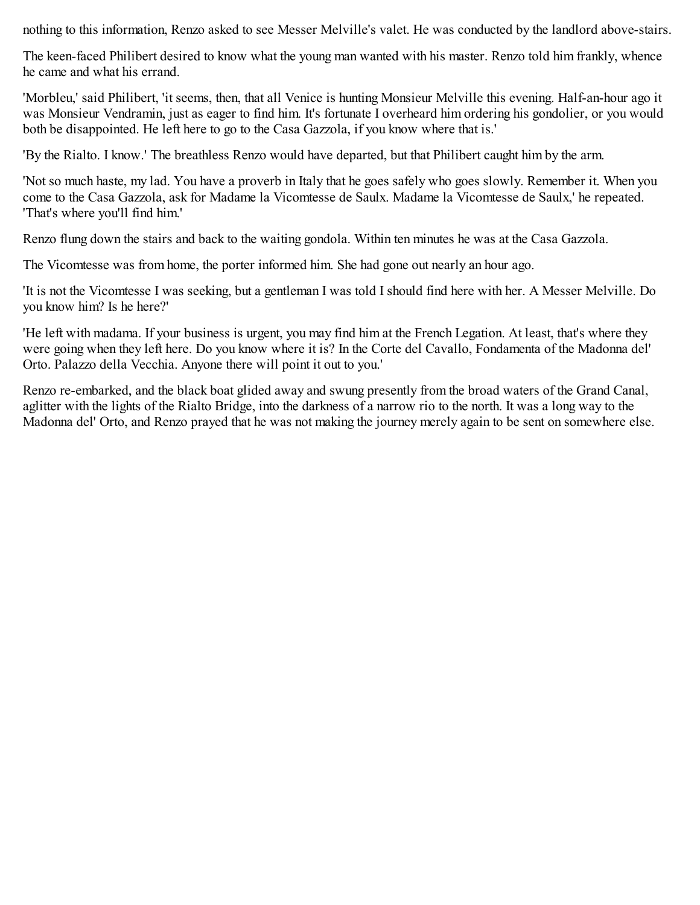nothing to this information, Renzo asked to see Messer Melville's valet. He was conducted by the landlord above-stairs.

The keen-faced Philibert desired to know what the young man wanted with his master. Renzo told him frankly, whence he came and what his errand.

'Morbleu,' said Philibert, 'it seems, then, that all Venice is hunting Monsieur Melville this evening. Half-an-hour ago it was Monsieur Vendramin, just as eager to find him. It's fortunate I overheard him ordering his gondolier, or you would both be disappointed. He left here to go to the Casa Gazzola, if you know where that is.'

'By the Rialto. I know.' The breathless Renzo would have departed, but that Philibert caught him by the arm.

'Not so much haste, my lad. You have a proverb in Italy that he goes safely who goes slowly. Remember it. When you come to the Casa Gazzola, ask for Madame la Vicomtesse de Saulx. Madame la Vicomtesse de Saulx,' he repeated. 'That's where you'll find him.'

Renzo flung down the stairs and back to the waiting gondola. Within ten minutes he was at the Casa Gazzola.

The Vicomtesse was from home, the porter informed him. She had gone out nearly an hour ago.

'It is not the Vicomtesse I was seeking, but a gentleman I was told I should find here with her. A Messer Melville. Do you know him? Is he here?'

'He left with madama. If your business is urgent, you may find him at the French Legation. At least, that's where they were going when they left here. Do you know where it is? In the Corte del Cavallo, Fondamenta of the Madonna del' Orto. Palazzo della Vecchia. Anyone there will point it out to you.'

Renzo re-embarked, and the black boat glided away and swung presently from the broad waters of the Grand Canal, aglitter with the lights of the Rialto Bridge, into the darkness of a narrow rio to the north. It was a long way to the Madonna del' Orto, and Renzo prayed that he was not making the journey merely again to be sent on somewhere else.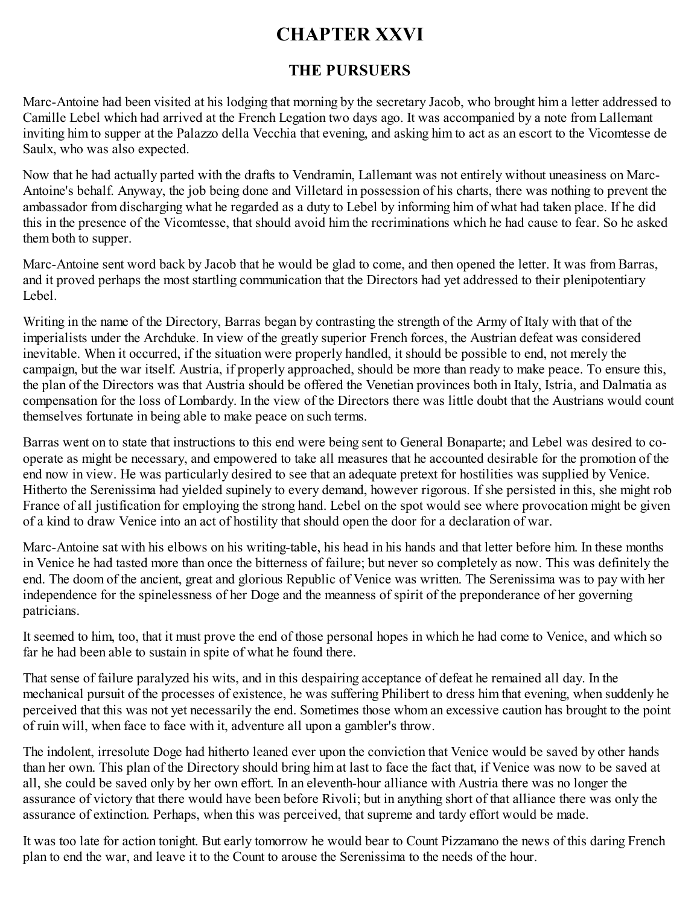# **CHAPTER XXVI**

#### **THE PURSUERS**

Marc-Antoine had been visited at his lodging that morning by the secretary Jacob, who brought him a letter addressed to Camille Lebel which had arrived at the French Legation two days ago. It was accompanied by a note from Lallemant inviting him to supper at the Palazzo della Vecchia that evening, and asking him to act as an escort to the Vicomtesse de Saulx, who was also expected.

Now that he had actually parted with the drafts to Vendramin, Lallemant was not entirely without uneasiness on Marc-Antoine's behalf. Anyway, the job being done and Villetard in possession of his charts, there was nothing to prevent the ambassador from discharging what he regarded as a duty to Lebel by informing him of what had taken place. If he did this in the presence of the Vicomtesse, that should avoid him the recriminations which he had cause to fear. So he asked them both to supper.

Marc-Antoine sent word back by Jacob that he would be glad to come, and then opened the letter. It was from Barras, and it proved perhaps the most startling communication that the Directors had yet addressed to their plenipotentiary Lebel.

Writing in the name of the Directory, Barras began by contrasting the strength of the Army of Italy with that of the imperialists under the Archduke. In view of the greatly superior French forces, the Austrian defeat was considered inevitable. When it occurred, if the situation were properly handled, it should be possible to end, not merely the campaign, but the war itself. Austria, if properly approached, should be more than ready to make peace. To ensure this, the plan of the Directors was that Austria should be offered the Venetian provinces both in Italy, Istria, and Dalmatia as compensation for the loss of Lombardy. In the view of the Directors there was little doubt that the Austrians would count themselves fortunate in being able to make peace on such terms.

Barras went on to state that instructions to this end were being sent to General Bonaparte; and Lebel was desired to cooperate as might be necessary, and empowered to take all measures that he accounted desirable for the promotion of the end now in view. He was particularly desired to see that an adequate pretext for hostilities was supplied by Venice. Hitherto the Serenissima had yielded supinely to every demand, however rigorous. If she persisted in this, she might rob France of all justification for employing the strong hand. Lebel on the spot would see where provocation might be given of a kind to draw Venice into an act of hostility that should open the door for a declaration of war.

Marc-Antoine sat with his elbows on his writing-table, his head in his hands and that letter before him. In these months in Venice he had tasted more than once the bitterness of failure; but never so completely as now. This was definitely the end. The doom of the ancient, great and glorious Republic of Venice was written. The Serenissima was to pay with her independence for the spinelessness of her Doge and the meanness of spirit of the preponderance of her governing patricians.

It seemed to him, too, that it must prove the end of those personal hopes in which he had come to Venice, and which so far he had been able to sustain in spite of what he found there.

That sense of failure paralyzed his wits, and in this despairing acceptance of defeat he remained all day. In the mechanical pursuit of the processes of existence, he was suffering Philibert to dress him that evening, when suddenly he perceived that this was not yet necessarily the end. Sometimes those whom an excessive caution has brought to the point of ruin will, when face to face with it, adventure all upon a gambler's throw.

The indolent, irresolute Doge had hitherto leaned ever upon the conviction that Venice would be saved by other hands than her own. This plan of the Directory should bring him at last to face the fact that, if Venice was now to be saved at all, she could be saved only by her own effort. In an eleventh-hour alliance with Austria there was no longer the assurance of victory that there would have been before Rivoli; but in anything short of that alliance there was only the assurance of extinction. Perhaps, when this was perceived, that supreme and tardy effort would be made.

It was too late for action tonight. But early tomorrow he would bear to Count Pizzamano the news of this daring French plan to end the war, and leave it to the Count to arouse the Serenissima to the needs of the hour.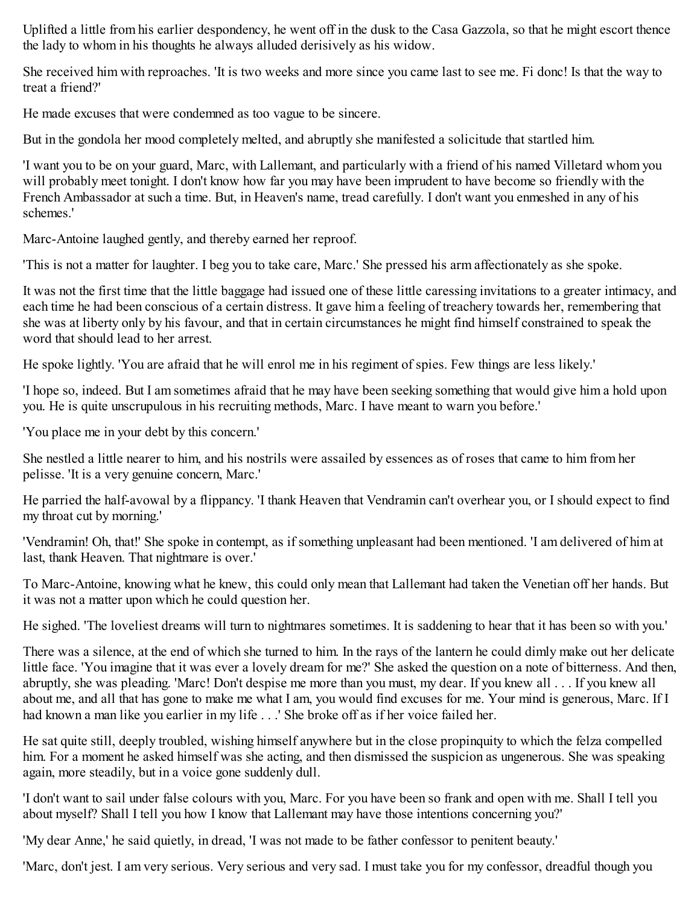Uplifted a little from his earlier despondency, he went off in the dusk to the Casa Gazzola, so that he might escort thence the lady to whom in his thoughts he always alluded derisively as his widow.

She received him with reproaches. 'It is two weeks and more since you came last to see me. Fi donc! Is that the way to treat a friend?'

He made excuses that were condemned as too vague to be sincere.

But in the gondola her mood completely melted, and abruptly she manifested a solicitude that startled him.

'I want you to be on your guard, Marc, with Lallemant, and particularly with a friend of his named Villetard whom you will probably meet tonight. I don't know how far you may have been imprudent to have become so friendly with the French Ambassador at such a time. But, in Heaven's name, tread carefully. I don't want you enmeshed in any of his schemes.'

Marc-Antoine laughed gently, and thereby earned her reproof.

'This is not a matter for laughter. I beg you to take care, Marc.' She pressed his arm affectionately as she spoke.

It was not the first time that the little baggage had issued one of these little caressing invitations to a greater intimacy, and each time he had been conscious of a certain distress. It gave him a feeling of treachery towards her, remembering that she was at liberty only by his favour, and that in certain circumstances he might find himself constrained to speak the word that should lead to her arrest.

He spoke lightly. 'You are afraid that he will enrol me in his regiment of spies. Few things are less likely.'

'I hope so, indeed. But I am sometimes afraid that he may have been seeking something that would give him a hold upon you. He is quite unscrupulous in his recruiting methods, Marc. I have meant to warn you before.'

'You place me in your debt by this concern.'

She nestled a little nearer to him, and his nostrils were assailed by essences as of roses that came to him from her pelisse. 'It is a very genuine concern, Marc.'

He parried the half-avowal by a flippancy. 'I thank Heaven that Vendramin can't overhear you, or I should expect to find my throat cut by morning.'

'Vendramin! Oh, that!' She spoke in contempt, as if something unpleasant had been mentioned. 'I am delivered of him at last, thank Heaven. That nightmare is over.'

To Marc-Antoine, knowing what he knew, this could only mean that Lallemant had taken the Venetian off her hands. But it was not a matter upon which he could question her.

He sighed. 'The loveliest dreams will turn to nightmares sometimes. It is saddening to hear that it has been so with you.'

There was a silence, at the end of which she turned to him. In the rays of the lantern he could dimly make out her delicate little face. 'You imagine that it was ever a lovely dream for me?' She asked the question on a note of bitterness. And then, abruptly, she was pleading. 'Marc! Don't despise me more than you must, my dear. If you knew all . . . If you knew all about me, and all that has gone to make me what I am, you would find excuses for me. Your mind is generous, Marc. If I had known a man like you earlier in my life . . .' She broke off as if her voice failed her.

He sat quite still, deeply troubled, wishing himself anywhere but in the close propinquity to which the felza compelled him. For a moment he asked himself was she acting, and then dismissed the suspicion as ungenerous. She was speaking again, more steadily, but in a voice gone suddenly dull.

'I don't want to sail under false colours with you, Marc. For you have been so frank and open with me. Shall I tell you about myself? Shall I tell you how I know that Lallemant may have those intentions concerning you?'

'My dear Anne,' he said quietly, in dread, 'I was not made to be father confessor to penitent beauty.'

'Marc, don't jest. I am very serious. Very serious and very sad. I must take you for my confessor, dreadful though you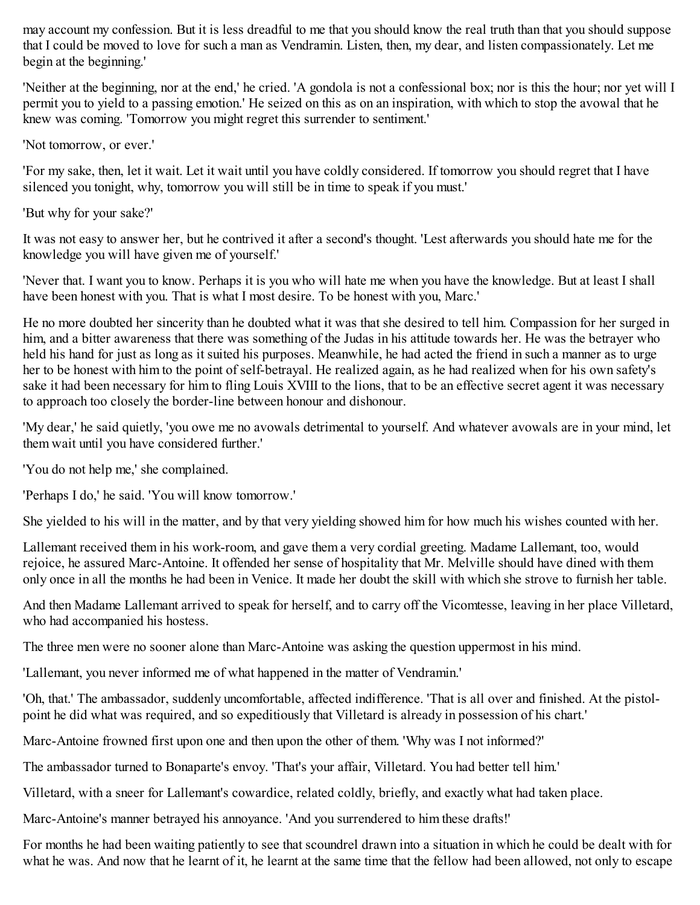may account my confession. But it is less dreadful to me that you should know the real truth than that you should suppose that I could be moved to love for such a man as Vendramin. Listen, then, my dear, and listen compassionately. Let me begin at the beginning.'

'Neither at the beginning, nor at the end,' he cried. 'A gondola is not a confessional box; nor is this the hour; nor yet will I permit you to yield to a passing emotion.' He seized on this as on an inspiration, with which to stop the avowal that he knew was coming. 'Tomorrow you might regret this surrender to sentiment.'

'Not tomorrow, or ever.'

'For my sake, then, let it wait. Let it wait until you have coldly considered. If tomorrow you should regret that I have silenced you tonight, why, tomorrow you will still be in time to speak if you must.'

'But why for your sake?'

It was not easy to answer her, but he contrived it after a second's thought. 'Lest afterwards you should hate me for the knowledge you will have given me of yourself.'

'Never that. I want you to know. Perhaps it is you who will hate me when you have the knowledge. But at least I shall have been honest with you. That is what I most desire. To be honest with you, Marc.'

He no more doubted her sincerity than he doubted what it was that she desired to tell him. Compassion for her surged in him, and a bitter awareness that there was something of the Judas in his attitude towards her. He was the betrayer who held his hand for just as long as it suited his purposes. Meanwhile, he had acted the friend in such a manner as to urge her to be honest with him to the point of self-betrayal. He realized again, as he had realized when for his own safety's sake it had been necessary for him to fling Louis XVIII to the lions, that to be an effective secret agent it was necessary to approach too closely the border-line between honour and dishonour.

'My dear,' he said quietly, 'you owe me no avowals detrimental to yourself. And whatever avowals are in your mind, let them wait until you have considered further.'

'You do not help me,' she complained.

'Perhaps I do,' he said. 'You will know tomorrow.'

She yielded to his will in the matter, and by that very yielding showed him for how much his wishes counted with her.

Lallemant received them in his work-room, and gave them a very cordial greeting. Madame Lallemant, too, would rejoice, he assured Marc-Antoine. It offended her sense of hospitality that Mr. Melville should have dined with them only once in all the months he had been in Venice. It made her doubt the skill with which she strove to furnish her table.

And then Madame Lallemant arrived to speak for herself, and to carry off the Vicomtesse, leaving in her place Villetard, who had accompanied his hostess.

The three men were no sooner alone than Marc-Antoine was asking the question uppermost in his mind.

'Lallemant, you never informed me of what happened in the matter of Vendramin.'

'Oh, that.' The ambassador, suddenly uncomfortable, affected indifference. 'That is all over and finished. At the pistolpoint he did what was required, and so expeditiously that Villetard is already in possession of his chart.'

Marc-Antoine frowned first upon one and then upon the other of them. 'Why was I not informed?'

The ambassador turned to Bonaparte's envoy. 'That's your affair, Villetard. You had better tell him.'

Villetard, with a sneer for Lallemant's cowardice, related coldly, briefly, and exactly what had taken place.

Marc-Antoine's manner betrayed his annoyance. 'And you surrendered to him these drafts!'

For months he had been waiting patiently to see that scoundrel drawn into a situation in which he could be dealt with for what he was. And now that he learnt of it, he learnt at the same time that the fellow had been allowed, not only to escape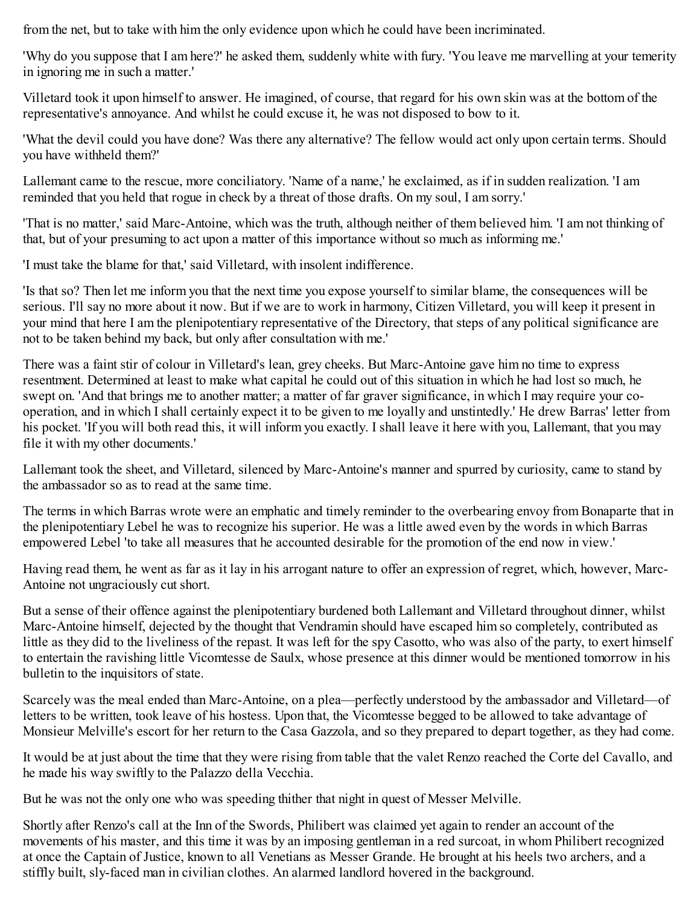from the net, but to take with him the only evidence upon which he could have been incriminated.

'Why do you suppose that I am here?' he asked them, suddenly white with fury. 'You leave me marvelling at your temerity in ignoring me in such a matter.'

Villetard took it upon himself to answer. He imagined, of course, that regard for his own skin was at the bottom of the representative's annoyance. And whilst he could excuse it, he was not disposed to bow to it.

'What the devil could you have done? Was there any alternative? The fellow would act only upon certain terms. Should you have withheld them?'

Lallemant came to the rescue, more conciliatory. 'Name of a name,' he exclaimed, as if in sudden realization. 'I am reminded that you held that rogue in check by a threat of those drafts. On my soul, I am sorry.'

'That is no matter,' said Marc-Antoine, which was the truth, although neither of them believed him. 'I am not thinking of that, but of your presuming to act upon a matter of this importance without so much as informing me.'

'I must take the blame for that,' said Villetard, with insolent indifference.

'Is that so? Then let me inform you that the next time you expose yourself to similar blame, the consequences will be serious. I'll say no more about it now. But if we are to work in harmony, Citizen Villetard, you will keep it present in your mind that here I am the plenipotentiary representative of the Directory, that steps of any political significance are not to be taken behind my back, but only after consultation with me.'

There was a faint stir of colour in Villetard's lean, grey cheeks. But Marc-Antoine gave him no time to express resentment. Determined at least to make what capital he could out of this situation in which he had lost so much, he swept on. 'And that brings me to another matter; a matter of far graver significance, in which I may require your cooperation, and in which I shall certainly expect it to be given to me loyally and unstintedly.' He drew Barras' letter from his pocket. 'If you will both read this, it will inform you exactly. I shall leave it here with you, Lallemant, that you may file it with my other documents.'

Lallemant took the sheet, and Villetard, silenced by Marc-Antoine's manner and spurred by curiosity, came to stand by the ambassador so as to read at the same time.

The terms in which Barras wrote were an emphatic and timely reminder to the overbearing envoy from Bonaparte that in the plenipotentiary Lebel he was to recognize his superior. He was a little awed even by the words in which Barras empowered Lebel 'to take all measures that he accounted desirable for the promotion of the end now in view.'

Having read them, he went as far as it lay in his arrogant nature to offer an expression of regret, which, however, Marc-Antoine not ungraciously cut short.

But a sense of their offence against the plenipotentiary burdened both Lallemant and Villetard throughout dinner, whilst Marc-Antoine himself, dejected by the thought that Vendramin should have escaped him so completely, contributed as little as they did to the liveliness of the repast. It was left for the spy Casotto, who was also of the party, to exert himself to entertain the ravishing little Vicomtesse de Saulx, whose presence at this dinner would be mentioned tomorrow in his bulletin to the inquisitors of state.

Scarcely was the meal ended than Marc-Antoine, on a plea—perfectly understood by the ambassador and Villetard—of letters to be written, took leave of his hostess. Upon that, the Vicomtesse begged to be allowed to take advantage of Monsieur Melville's escort for her return to the Casa Gazzola, and so they prepared to depart together, as they had come.

It would be at just about the time that they were rising from table that the valet Renzo reached the Corte del Cavallo, and he made his way swiftly to the Palazzo della Vecchia.

But he was not the only one who was speeding thither that night in quest of Messer Melville.

Shortly after Renzo's call at the Inn of the Swords, Philibert was claimed yet again to render an account of the movements of his master, and this time it was by an imposing gentleman in a red surcoat, in whom Philibert recognized at once the Captain of Justice, known to all Venetians as Messer Grande. He brought at his heels two archers, and a stiffly built, sly-faced man in civilian clothes. An alarmed landlord hovered in the background.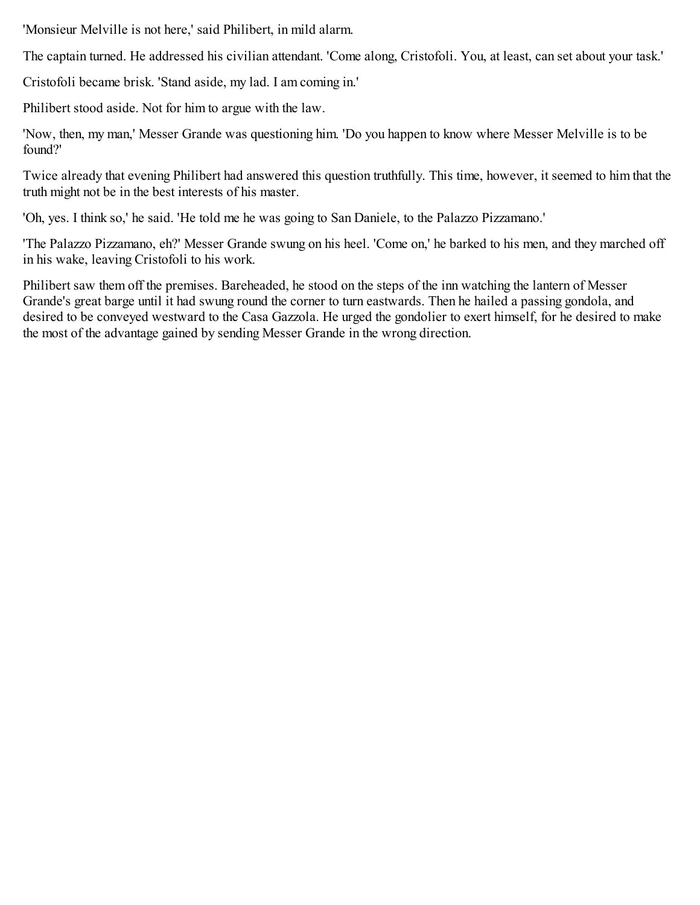'Monsieur Melville is not here,' said Philibert, in mild alarm.

The captain turned. He addressed his civilian attendant. 'Come along, Cristofoli. You, at least, can set about your task.'

Cristofoli became brisk. 'Stand aside, my lad. I am coming in.'

Philibert stood aside. Not for him to argue with the law.

'Now, then, my man,' Messer Grande was questioning him. 'Do you happen to know where Messer Melville is to be found?'

Twice already that evening Philibert had answered this question truthfully. This time, however, it seemed to him that the truth might not be in the best interests of his master.

'Oh, yes. I think so,' he said. 'He told me he was going to San Daniele, to the Palazzo Pizzamano.'

'The Palazzo Pizzamano, eh?' Messer Grande swung on his heel. 'Come on,' he barked to his men, and they marched off in his wake, leaving Cristofoli to his work.

Philibert saw them off the premises. Bareheaded, he stood on the steps of the inn watching the lantern of Messer Grande's great barge until it had swung round the corner to turn eastwards. Then he hailed a passing gondola, and desired to be conveyed westward to the Casa Gazzola. He urged the gondolier to exert himself, for he desired to make the most of the advantage gained by sending Messer Grande in the wrong direction.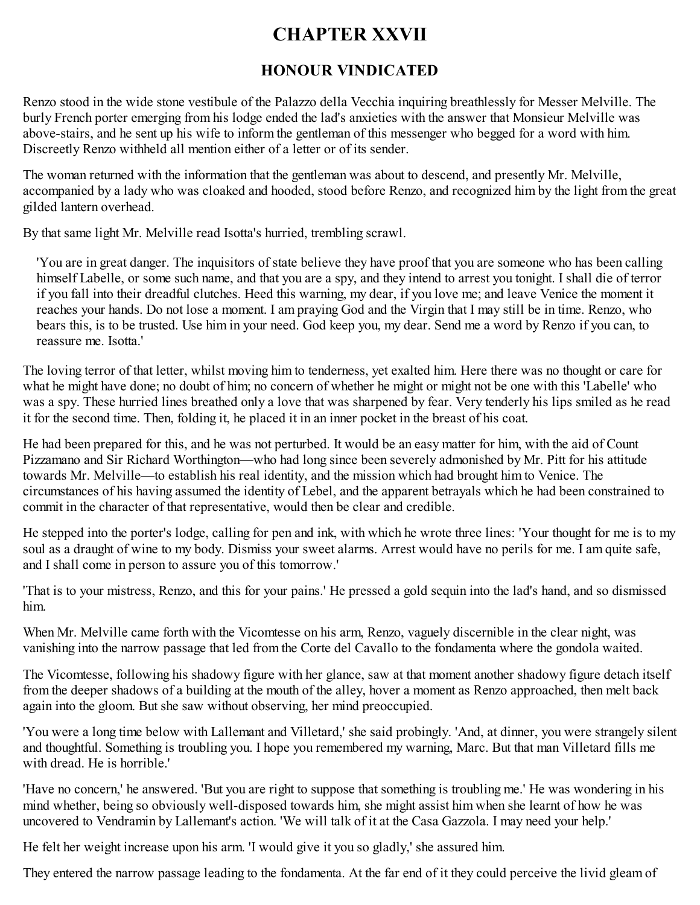# **CHAPTER XXVII**

### **HONOUR VINDICATED**

Renzo stood in the wide stone vestibule of the Palazzo della Vecchia inquiring breathlessly for Messer Melville. The burly French porter emerging from his lodge ended the lad's anxieties with the answer that Monsieur Melville was above-stairs, and he sent up his wife to inform the gentleman of this messenger who begged for a word with him. Discreetly Renzo withheld all mention either of a letter or of its sender.

The woman returned with the information that the gentleman was about to descend, and presently Mr. Melville, accompanied by a lady who was cloaked and hooded, stood before Renzo, and recognized him by the light from the great gilded lantern overhead.

By that same light Mr. Melville read Isotta's hurried, trembling scrawl.

'You are in great danger. The inquisitors of state believe they have proof that you are someone who has been calling himself Labelle, or some such name, and that you are a spy, and they intend to arrest you tonight. I shall die of terror if you fall into their dreadful clutches. Heed this warning, my dear, if you love me; and leave Venice the moment it reaches your hands. Do not lose a moment. I am praying God and the Virgin that I may still be in time. Renzo, who bears this, is to be trusted. Use him in your need. God keep you, my dear. Send me a word by Renzo if you can, to reassure me. Isotta.'

The loving terror of that letter, whilst moving him to tenderness, yet exalted him. Here there was no thought or care for what he might have done; no doubt of him; no concern of whether he might or might not be one with this 'Labelle' who was a spy. These hurried lines breathed only a love that was sharpened by fear. Very tenderly his lips smiled as he read it for the second time. Then, folding it, he placed it in an inner pocket in the breast of his coat.

He had been prepared for this, and he was not perturbed. It would be an easy matter for him, with the aid of Count Pizzamano and Sir Richard Worthington—who had long since been severely admonished by Mr. Pitt for his attitude towards Mr. Melville—to establish his real identity, and the mission which had brought him to Venice. The circumstances of his having assumed the identity of Lebel, and the apparent betrayals which he had been constrained to commit in the character of that representative, would then be clear and credible.

He stepped into the porter's lodge, calling for pen and ink, with which he wrote three lines: 'Your thought for me is to my soul as a draught of wine to my body. Dismiss your sweet alarms. Arrest would have no perils for me. I am quite safe, and I shall come in person to assure you of this tomorrow.'

'That is to your mistress, Renzo, and this for your pains.' He pressed a gold sequin into the lad's hand, and so dismissed him.

When Mr. Melville came forth with the Vicomtesse on his arm, Renzo, vaguely discernible in the clear night, was vanishing into the narrow passage that led from the Corte del Cavallo to the fondamenta where the gondola waited.

The Vicomtesse, following his shadowy figure with her glance, saw at that moment another shadowy figure detach itself from the deeper shadows of a building at the mouth of the alley, hover a moment as Renzo approached, then melt back again into the gloom. But she saw without observing, her mind preoccupied.

'You were a long time below with Lallemant and Villetard,' she said probingly. 'And, at dinner, you were strangely silent and thoughtful. Something is troubling you. I hope you remembered my warning, Marc. But that man Villetard fills me with dread. He is horrible.'

'Have no concern,' he answered. 'But you are right to suppose that something is troubling me.' He was wondering in his mind whether, being so obviously well-disposed towards him, she might assist him when she learnt of how he was uncovered to Vendramin by Lallemant's action. 'We will talk of it at the Casa Gazzola. I may need your help.'

He felt her weight increase upon his arm. 'I would give it you so gladly,' she assured him.

They entered the narrow passage leading to the fondamenta. At the far end of it they could perceive the livid gleam of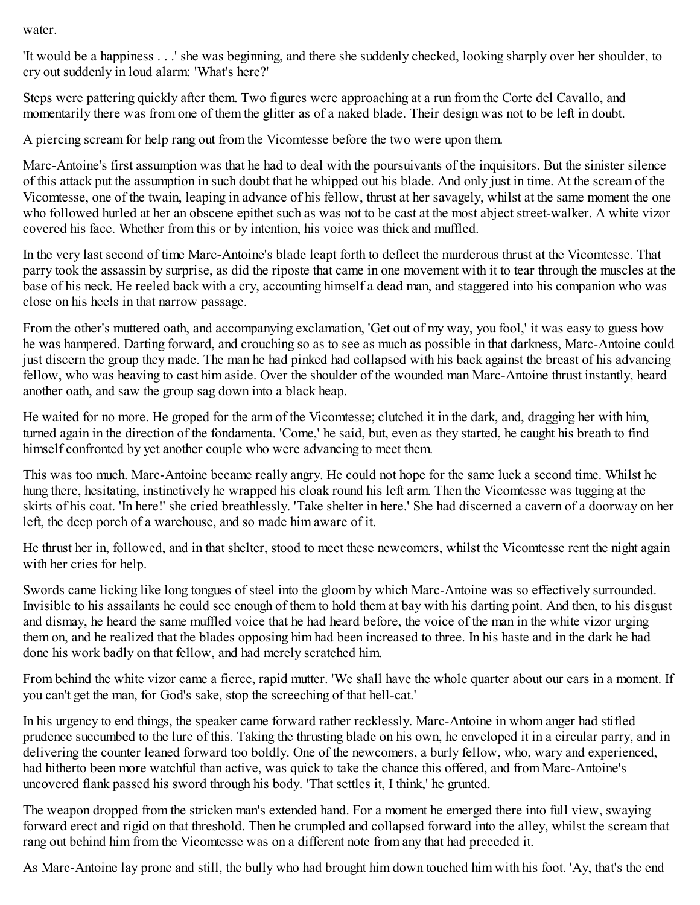water.

'It would be a happiness . . .' she was beginning, and there she suddenly checked, looking sharply over her shoulder, to cry out suddenly in loud alarm: 'What's here?'

Steps were pattering quickly after them. Two figures were approaching at a run from the Corte del Cavallo, and momentarily there was from one of them the glitter as of a naked blade. Their design was not to be left in doubt.

A piercing scream for help rang out from the Vicomtesse before the two were upon them.

Marc-Antoine's first assumption was that he had to deal with the poursuivants of the inquisitors. But the sinister silence of this attack put the assumption in such doubt that he whipped out his blade. And only just in time. At the scream of the Vicomtesse, one of the twain, leaping in advance of his fellow, thrust at her savagely, whilst at the same moment the one who followed hurled at her an obscene epithet such as was not to be cast at the most abject street-walker. A white vizor covered his face. Whether from this or by intention, his voice was thick and muffled.

In the very last second of time Marc-Antoine's blade leapt forth to deflect the murderous thrust at the Vicomtesse. That parry took the assassin by surprise, as did the riposte that came in one movement with it to tear through the muscles at the base of his neck. He reeled back with a cry, accounting himself a dead man, and staggered into his companion who was close on his heels in that narrow passage.

From the other's muttered oath, and accompanying exclamation, 'Get out of my way, you fool,' it was easy to guess how he was hampered. Darting forward, and crouching so as to see as much as possible in that darkness, Marc-Antoine could just discern the group they made. The man he had pinked had collapsed with his back against the breast of his advancing fellow, who was heaving to cast him aside. Over the shoulder of the wounded man Marc-Antoine thrust instantly, heard another oath, and saw the group sag down into a black heap.

He waited for no more. He groped for the arm of the Vicomtesse; clutched it in the dark, and, dragging her with him, turned again in the direction of the fondamenta. 'Come,' he said, but, even as they started, he caught his breath to find himself confronted by yet another couple who were advancing to meet them.

This was too much. Marc-Antoine became really angry. He could not hope for the same luck a second time. Whilst he hung there, hesitating, instinctively he wrapped his cloak round his left arm. Then the Vicomtesse was tugging at the skirts of his coat. 'In here!' she cried breathlessly. 'Take shelter in here.' She had discerned a cavern of a doorway on her left, the deep porch of a warehouse, and so made him aware of it.

He thrust her in, followed, and in that shelter, stood to meet these newcomers, whilst the Vicomtesse rent the night again with her cries for help.

Swords came licking like long tongues of steel into the gloom by which Marc-Antoine was so effectively surrounded. Invisible to his assailants he could see enough of them to hold them at bay with his darting point. And then, to his disgust and dismay, he heard the same muffled voice that he had heard before, the voice of the man in the white vizor urging them on, and he realized that the blades opposing him had been increased to three. In his haste and in the dark he had done his work badly on that fellow, and had merely scratched him.

From behind the white vizor came a fierce, rapid mutter. 'We shall have the whole quarter about our ears in a moment. If you can't get the man, for God's sake, stop the screeching of that hell-cat.'

In his urgency to end things, the speaker came forward rather recklessly. Marc-Antoine in whom anger had stifled prudence succumbed to the lure of this. Taking the thrusting blade on his own, he enveloped it in a circular parry, and in delivering the counter leaned forward too boldly. One of the newcomers, a burly fellow, who, wary and experienced, had hitherto been more watchful than active, was quick to take the chance this offered, and from Marc-Antoine's uncovered flank passed his sword through his body. 'That settles it, I think,' he grunted.

The weapon dropped from the stricken man's extended hand. For a moment he emerged there into full view, swaying forward erect and rigid on that threshold. Then he crumpled and collapsed forward into the alley, whilst the scream that rang out behind him from the Vicomtesse was on a different note from any that had preceded it.

As Marc-Antoine lay prone and still, the bully who had brought him down touched him with his foot. 'Ay, that's the end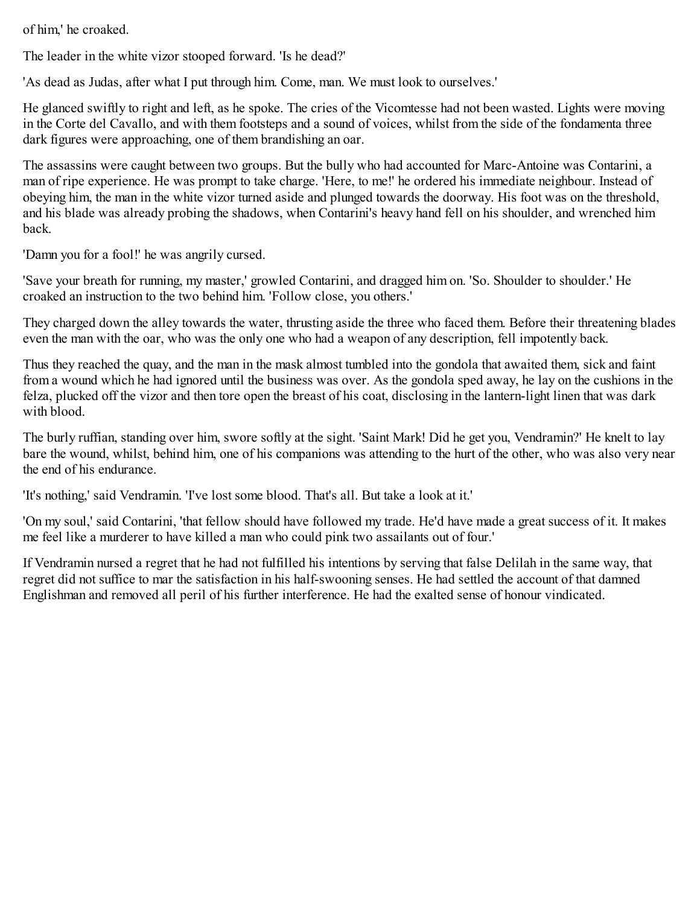of him,' he croaked.

The leader in the white vizor stooped forward. 'Is he dead?'

'As dead as Judas, after what I put through him. Come, man. We must look to ourselves.'

He glanced swiftly to right and left, as he spoke. The cries of the Vicomtesse had not been wasted. Lights were moving in the Corte del Cavallo, and with them footsteps and a sound of voices, whilst from the side of the fondamenta three dark figures were approaching, one of them brandishing an oar.

The assassins were caught between two groups. But the bully who had accounted for Marc-Antoine was Contarini, a man of ripe experience. He was prompt to take charge. 'Here, to me!' he ordered his immediate neighbour. Instead of obeying him, the man in the white vizor turned aside and plunged towards the doorway. His foot was on the threshold, and his blade was already probing the shadows, when Contarini's heavy hand fell on his shoulder, and wrenched him back.

'Damn you for a fool!' he was angrily cursed.

'Save your breath for running, my master,' growled Contarini, and dragged him on. 'So. Shoulder to shoulder.' He croaked an instruction to the two behind him. 'Follow close, you others.'

They charged down the alley towards the water, thrusting aside the three who faced them. Before their threatening blades even the man with the oar, who was the only one who had a weapon of any description, fell impotently back.

Thus they reached the quay, and the man in the mask almost tumbled into the gondola that awaited them, sick and faint from a wound which he had ignored until the business was over. As the gondola sped away, he lay on the cushions in the felza, plucked off the vizor and then tore open the breast of his coat, disclosing in the lantern-light linen that was dark with blood.

The burly ruffian, standing over him, swore softly at the sight. 'Saint Mark! Did he get you, Vendramin?' He knelt to lay bare the wound, whilst, behind him, one of his companions was attending to the hurt of the other, who was also very near the end of his endurance.

'It's nothing,' said Vendramin. 'I've lost some blood. That's all. But take a look at it.'

'On my soul,' said Contarini, 'that fellow should have followed my trade. He'd have made a great success of it. It makes me feel like a murderer to have killed a man who could pink two assailants out of four.'

If Vendramin nursed a regret that he had not fulfilled his intentions by serving that false Delilah in the same way, that regret did not suffice to mar the satisfaction in his half-swooning senses. He had settled the account of that damned Englishman and removed all peril of his further interference. He had the exalted sense of honour vindicated.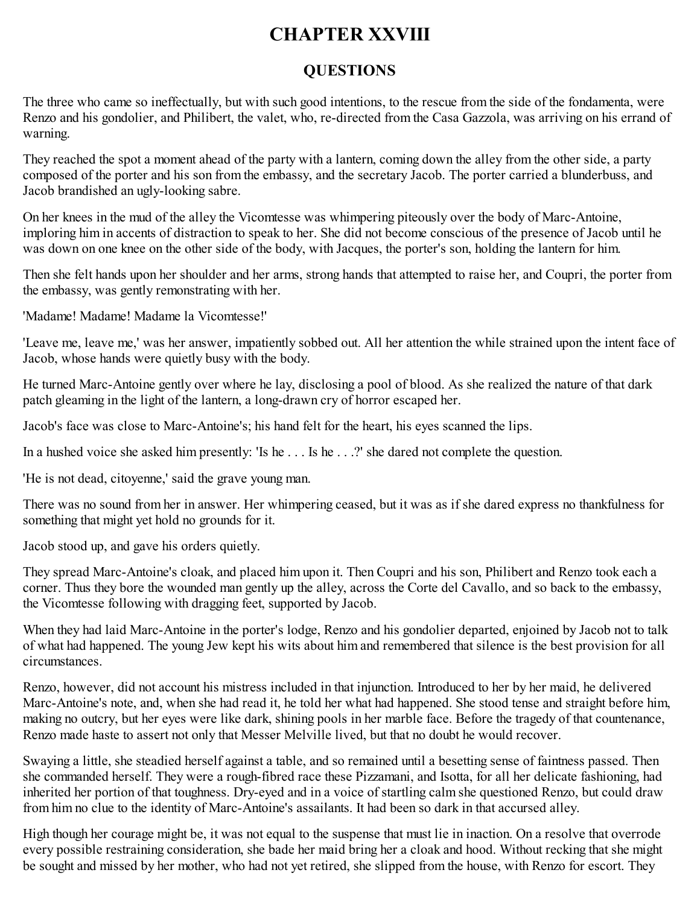# **CHAPTER XXVIII**

### **QUESTIONS**

The three who came so ineffectually, but with such good intentions, to the rescue from the side of the fondamenta, were Renzo and his gondolier, and Philibert, the valet, who, re-directed from the Casa Gazzola, was arriving on his errand of warning.

They reached the spot a moment ahead of the party with a lantern, coming down the alley from the other side, a party composed of the porter and his son from the embassy, and the secretary Jacob. The porter carried a blunderbuss, and Jacob brandished an ugly-looking sabre.

On her knees in the mud of the alley the Vicomtesse was whimpering piteously over the body of Marc-Antoine, imploring him in accents of distraction to speak to her. She did not become conscious of the presence of Jacob until he was down on one knee on the other side of the body, with Jacques, the porter's son, holding the lantern for him.

Then she felt hands upon her shoulder and her arms, strong hands that attempted to raise her, and Coupri, the porter from the embassy, was gently remonstrating with her.

'Madame! Madame! Madame la Vicomtesse!'

'Leave me, leave me,' was her answer, impatiently sobbed out. All her attention the while strained upon the intent face of Jacob, whose hands were quietly busy with the body.

He turned Marc-Antoine gently over where he lay, disclosing a pool of blood. As she realized the nature of that dark patch gleaming in the light of the lantern, a long-drawn cry of horror escaped her.

Jacob's face was close to Marc-Antoine's; his hand felt for the heart, his eyes scanned the lips.

In a hushed voice she asked him presently: 'Is he . . . Is he . . .?' she dared not complete the question.

'He is not dead, citoyenne,' said the grave young man.

There was no sound from her in answer. Her whimpering ceased, but it was as if she dared express no thankfulness for something that might yet hold no grounds for it.

Jacob stood up, and gave his orders quietly.

They spread Marc-Antoine's cloak, and placed him upon it. Then Coupri and his son, Philibert and Renzo took each a corner. Thus they bore the wounded man gently up the alley, across the Corte del Cavallo, and so back to the embassy, the Vicomtesse following with dragging feet, supported by Jacob.

When they had laid Marc-Antoine in the porter's lodge, Renzo and his gondolier departed, enjoined by Jacob not to talk of what had happened. The young Jew kept his wits about him and remembered that silence is the best provision for all circumstances.

Renzo, however, did not account his mistress included in that injunction. Introduced to her by her maid, he delivered Marc-Antoine's note, and, when she had read it, he told her what had happened. She stood tense and straight before him, making no outcry, but her eyes were like dark, shining pools in her marble face. Before the tragedy of that countenance, Renzo made haste to assert not only that Messer Melville lived, but that no doubt he would recover.

Swaying a little, she steadied herself against a table, and so remained until a besetting sense of faintness passed. Then she commanded herself. They were a rough-fibred race these Pizzamani, and Isotta, for all her delicate fashioning, had inherited her portion of that toughness. Dry-eyed and in a voice of startling calm she questioned Renzo, but could draw from him no clue to the identity of Marc-Antoine's assailants. It had been so dark in that accursed alley.

High though her courage might be, it was not equal to the suspense that must lie in inaction. On a resolve that overrode every possible restraining consideration, she bade her maid bring her a cloak and hood. Without recking that she might be sought and missed by her mother, who had not yet retired, she slipped from the house, with Renzo for escort. They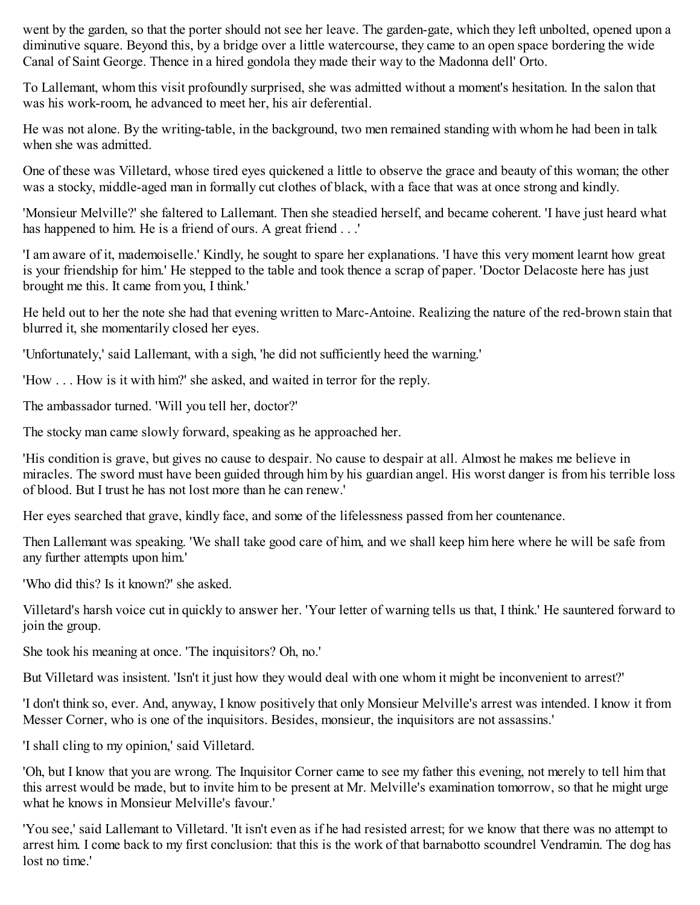went by the garden, so that the porter should not see her leave. The garden-gate, which they left unbolted, opened upon a diminutive square. Beyond this, by a bridge over a little watercourse, they came to an open space bordering the wide Canal of Saint George. Thence in a hired gondola they made their way to the Madonna dell' Orto.

To Lallemant, whom this visit profoundly surprised, she was admitted without a moment's hesitation. In the salon that was his work-room, he advanced to meet her, his air deferential.

He was not alone. By the writing-table, in the background, two men remained standing with whom he had been in talk when she was admitted.

One of these was Villetard, whose tired eyes quickened a little to observe the grace and beauty of this woman; the other was a stocky, middle-aged man in formally cut clothes of black, with a face that was at once strong and kindly.

'Monsieur Melville?' she faltered to Lallemant. Then she steadied herself, and became coherent. 'I have just heard what has happened to him. He is a friend of ours. A great friend . . . '

'I am aware of it, mademoiselle.' Kindly, he sought to spare her explanations. 'I have this very moment learnt how great is your friendship for him.' He stepped to the table and took thence a scrap of paper. 'Doctor Delacoste here has just brought me this. It came from you, I think.'

He held out to her the note she had that evening written to Marc-Antoine. Realizing the nature of the red-brown stain that blurred it, she momentarily closed her eyes.

'Unfortunately,' said Lallemant, with a sigh, 'he did not sufficiently heed the warning.'

'How . . . How is it with him?' she asked, and waited in terror for the reply.

The ambassador turned. 'Will you tell her, doctor?'

The stocky man came slowly forward, speaking as he approached her.

'His condition is grave, but gives no cause to despair. No cause to despair at all. Almost he makes me believe in miracles. The sword must have been guided through him by his guardian angel. His worst danger is from his terrible loss of blood. But I trust he has not lost more than he can renew.'

Her eyes searched that grave, kindly face, and some of the lifelessness passed from her countenance.

Then Lallemant was speaking. 'We shall take good care of him, and we shall keep him here where he will be safe from any further attempts upon him.'

'Who did this? Is it known?' she asked.

Villetard's harsh voice cut in quickly to answer her. 'Your letter of warning tells us that, I think.' He sauntered forward to join the group.

She took his meaning at once. 'The inquisitors? Oh, no.'

But Villetard was insistent. 'Isn't it just how they would deal with one whom it might be inconvenient to arrest?'

'I don't think so, ever. And, anyway, I know positively that only Monsieur Melville's arrest was intended. I know it from Messer Corner, who is one of the inquisitors. Besides, monsieur, the inquisitors are not assassins.'

'I shall cling to my opinion,' said Villetard.

'Oh, but I know that you are wrong. The Inquisitor Corner came to see my father this evening, not merely to tell him that this arrest would be made, but to invite him to be present at Mr. Melville's examination tomorrow, so that he might urge what he knows in Monsieur Melville's favour.'

'You see,' said Lallemant to Villetard. 'It isn't even as if he had resisted arrest; for we know that there was no attempt to arrest him. I come back to my first conclusion: that this is the work of that barnabotto scoundrel Vendramin. The dog has lost no time.'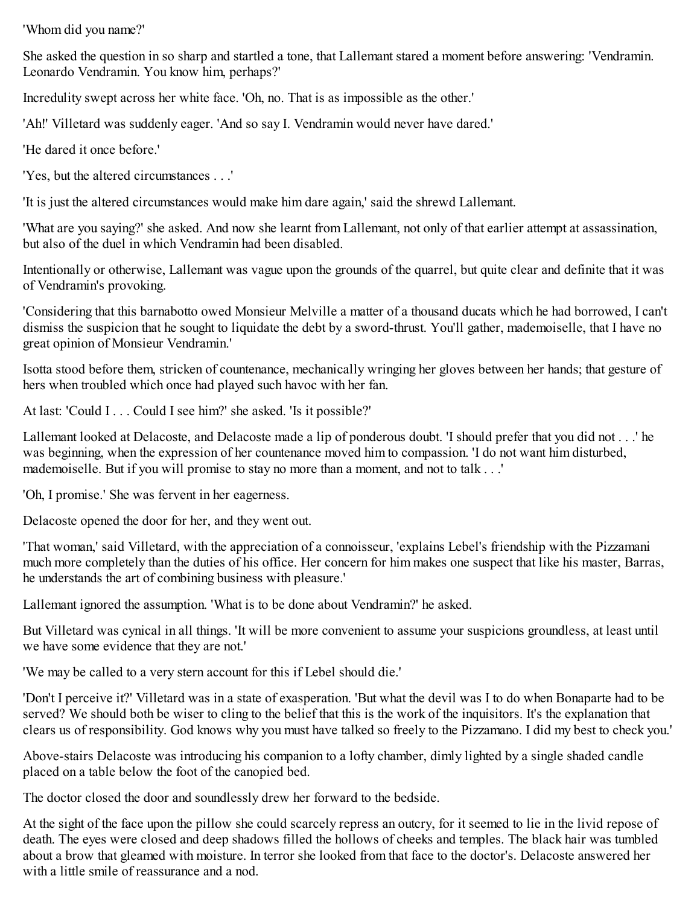'Whom did you name?'

She asked the question in so sharp and startled a tone, that Lallemant stared a moment before answering: 'Vendramin. Leonardo Vendramin. You know him, perhaps?'

Incredulity swept across her white face. 'Oh, no. That is as impossible as the other.'

'Ah!' Villetard was suddenly eager. 'And so say I. Vendramin would never have dared.'

'He dared it once before.'

'Yes, but the altered circumstances . . .'

'It is just the altered circumstances would make him dare again,' said the shrewd Lallemant.

'What are you saying?' she asked. And now she learnt from Lallemant, not only of that earlier attempt at assassination, but also of the duel in which Vendramin had been disabled.

Intentionally or otherwise, Lallemant was vague upon the grounds of the quarrel, but quite clear and definite that it was of Vendramin's provoking.

'Considering that this barnabotto owed Monsieur Melville a matter of a thousand ducats which he had borrowed, I can't dismiss the suspicion that he sought to liquidate the debt by a sword-thrust. You'll gather, mademoiselle, that I have no great opinion of Monsieur Vendramin.'

Isotta stood before them, stricken of countenance, mechanically wringing her gloves between her hands; that gesture of hers when troubled which once had played such havoc with her fan.

At last: 'Could I . . . Could I see him?' she asked. 'Is it possible?'

Lallemant looked at Delacoste, and Delacoste made a lip of ponderous doubt. 'I should prefer that you did not . . .' he was beginning, when the expression of her countenance moved him to compassion. 'I do not want him disturbed, mademoiselle. But if you will promise to stay no more than a moment, and not to talk . . .'

'Oh, I promise.' She was fervent in her eagerness.

Delacoste opened the door for her, and they went out.

'That woman,' said Villetard, with the appreciation of a connoisseur, 'explains Lebel's friendship with the Pizzamani much more completely than the duties of his office. Her concern for him makes one suspect that like his master, Barras, he understands the art of combining business with pleasure.'

Lallemant ignored the assumption. 'What is to be done about Vendramin?' he asked.

But Villetard was cynical in all things. 'It will be more convenient to assume your suspicions groundless, at least until we have some evidence that they are not.'

'We may be called to a very stern account for this if Lebel should die.'

'Don't I perceive it?' Villetard was in a state of exasperation. 'But what the devil was I to do when Bonaparte had to be served? We should both be wiser to cling to the belief that this is the work of the inquisitors. It's the explanation that clears us of responsibility. God knows why you must have talked so freely to the Pizzamano. I did my best to check you.'

Above-stairs Delacoste was introducing his companion to a lofty chamber, dimly lighted by a single shaded candle placed on a table below the foot of the canopied bed.

The doctor closed the door and soundlessly drew her forward to the bedside.

At the sight of the face upon the pillow she could scarcely repress an outcry, for it seemed to lie in the livid repose of death. The eyes were closed and deep shadows filled the hollows of cheeks and temples. The black hair was tumbled about a brow that gleamed with moisture. In terror she looked from that face to the doctor's. Delacoste answered her with a little smile of reassurance and a nod.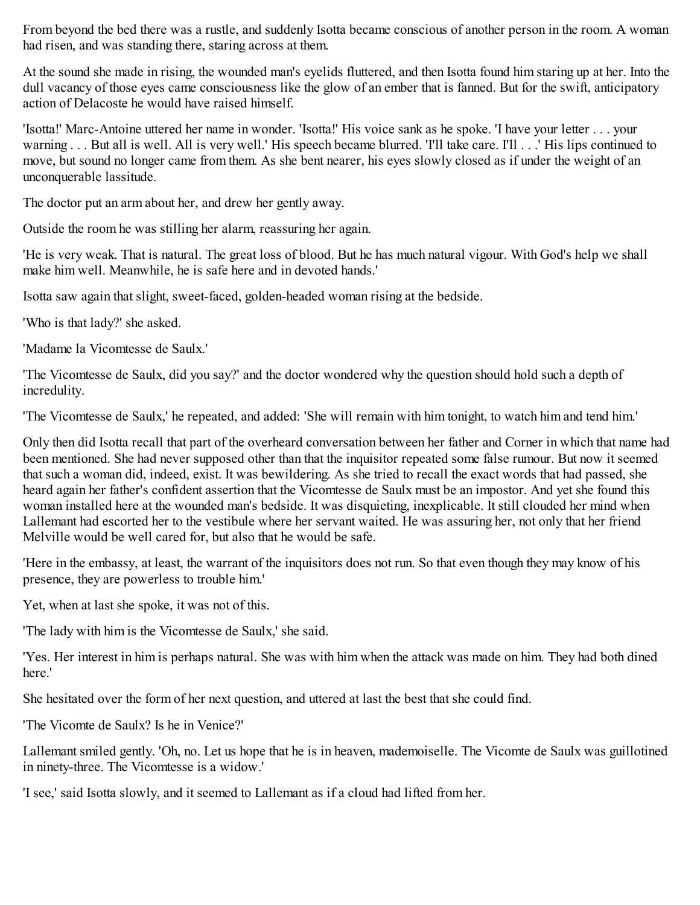From beyond the bed there was a rustle, and suddenly Isotta became conscious of another person in the room. A woman had risen, and was standing there, staring across at them.

At the sound she made in rising, the wounded man's eyelids fluttered, and then Isotta found him staring up at her. Into the dull vacancy of those eyes came consciousness like the glow of an ember that is fanned. But for the swift, anticipatory action of Delacoste he would have raised himself.

'Isotta!' Marc-Antoine uttered her name in wonder. 'Isotta!' His voice sank as he spoke. 'I have your letter . . . your warning . . . But all is well. All is very well.' His speech became blurred. 'I'll take care. I'll . . .' His lips continued to move, but sound no longer came from them. As she bent nearer, his eyes slowly closed as if under the weight of an unconquerable lassitude.

The doctor put an arm about her, and drew her gently away.

Outside the room he was stilling her alarm, reassuring her again.

'He is very weak. That is natural. The great loss of blood. But he has much natural vigour. With God's help we shall make him well. Meanwhile, he is safe here and in devoted hands.'

Isotta saw again that slight, sweet-faced, golden-headed woman rising at the bedside.

'Who is that lady?' she asked.

'Madame la Vicomtesse de Saulx.'

'The Vicomtesse de Saulx, did you say?' and the doctor wondered why the question should hold such a depth of incredulity.

'The Vicomtesse de Saulx,' he repeated, and added: 'She will remain with him tonight, to watch him and tend him.'

Only then did Isotta recall that part of the overheard conversation between her father and Corner in which that name had been mentioned. She had never supposed other than that the inquisitor repeated some false rumour. But now it seemed that such a woman did, indeed, exist. It was bewildering. As she tried to recall the exact words that had passed, she heard again her father's confident assertion that the Vicomtesse de Saulx must be an impostor. And yet she found this woman installed here at the wounded man's bedside. It was disquieting, inexplicable. It still clouded her mind when Lallemant had escorted her to the vestibule where her servant waited. He was assuring her, not only that her friend Melville would be well cared for, but also that he would be safe.

'Here in the embassy, at least, the warrant of the inquisitors does not run. So that even though they may know of his presence, they are powerless to trouble him.'

Yet, when at last she spoke, it was not of this.

'The lady with him is the Vicomtesse de Saulx,' she said.

'Yes. Her interest in him is perhaps natural. She was with him when the attack was made on him. They had both dined here.'

She hesitated over the form of her next question, and uttered at last the best that she could find.

'The Vicomte de Saulx? Is he in Venice?'

Lallemant smiled gently. 'Oh, no. Let us hope that he is in heaven, mademoiselle. The Vicomte de Saulx was guillotined in ninety-three. The Vicomtesse is a widow.'

'I see,' said Isotta slowly, and it seemed to Lallemant as if a cloud had lifted from her.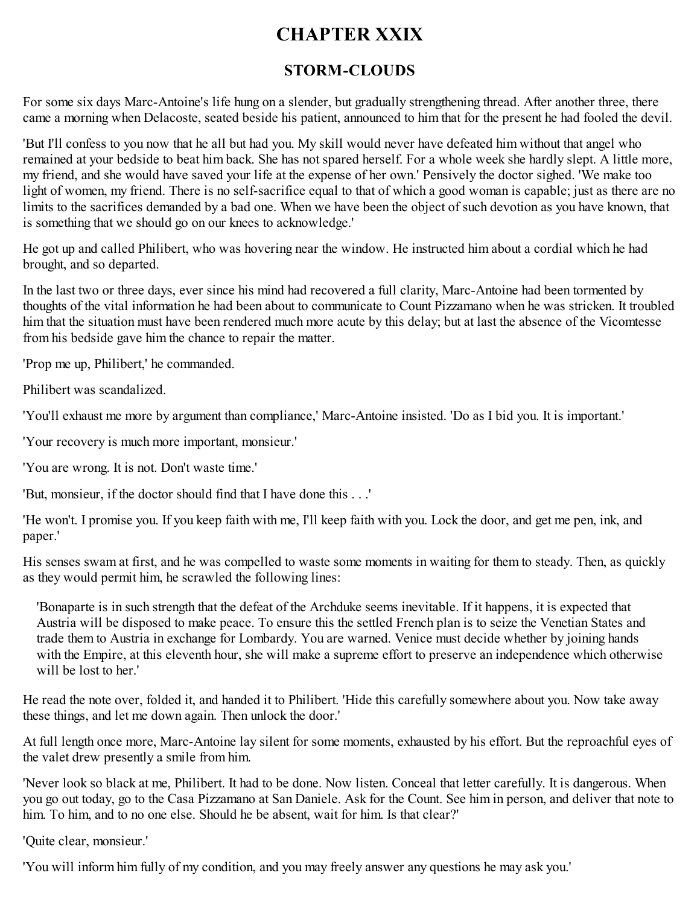# **CHAPTER XXIX**

### **STORM-CLOUDS**

For some six days Marc-Antoine's life hung on a slender, but gradually strengthening thread. After another three, there came a morning when Delacoste, seated beside his patient, announced to him that for the present he had fooled the devil.

'But I'll confess to you now that he all but had you. My skill would never have defeated him without that angel who remained at your bedside to beat him back. She has not spared herself. For a whole week she hardly slept. A little more, my friend, and she would have saved your life at the expense of her own.' Pensively the doctor sighed. 'We make too light of women, my friend. There is no self-sacrifice equal to that of which a good woman is capable; just as there are no limits to the sacrifices demanded by a bad one. When we have been the object of such devotion as you have known, that is something that we should go on our knees to acknowledge.'

He got up and called Philibert, who was hovering near the window. He instructed him about a cordial which he had brought, and so departed.

In the last two or three days, ever since his mind had recovered a full clarity, Marc-Antoine had been tormented by thoughts of the vital information he had been about to communicate to Count Pizzamano when he was stricken. It troubled him that the situation must have been rendered much more acute by this delay; but at last the absence of the Vicomtesse from his bedside gave him the chance to repair the matter.

'Prop me up, Philibert,' he commanded.

Philibert was scandalized.

'You'll exhaust me more by argument than compliance,' Marc-Antoine insisted. 'Do as I bid you. It is important.'

'Your recovery is much more important, monsieur.'

'You are wrong. It is not. Don't waste time.'

'But, monsieur, if the doctor should find that I have done this . . .'

'He won't. I promise you. If you keep faith with me, I'll keep faith with you. Lock the door, and get me pen, ink, and paper.'

His senses swam at first, and he was compelled to waste some moments in waiting for them to steady. Then, as quickly as they would permit him, he scrawled the following lines:

'Bonaparte is in such strength that the defeat of the Archduke seems inevitable. If it happens, it is expected that Austria will be disposed to make peace. To ensure this the settled French plan is to seize the Venetian States and trade them to Austria in exchange for Lombardy. You are warned. Venice must decide whether by joining hands with the Empire, at this eleventh hour, she will make a supreme effort to preserve an independence which otherwise will be lost to her.'

He read the note over, folded it, and handed it to Philibert. 'Hide this carefully somewhere about you. Now take away these things, and let me down again. Then unlock the door.'

At full length once more, Marc-Antoine lay silent for some moments, exhausted by his effort. But the reproachful eyes of the valet drew presently a smile from him.

'Never look so black at me, Philibert. It had to be done. Now listen. Conceal that letter carefully. It is dangerous. When you go out today, go to the Casa Pizzamano at San Daniele. Ask for the Count. See him in person, and deliver that note to him. To him, and to no one else. Should he be absent, wait for him. Is that clear?'

'Quite clear, monsieur.'

'You will inform him fully of my condition, and you may freely answer any questions he may ask you.'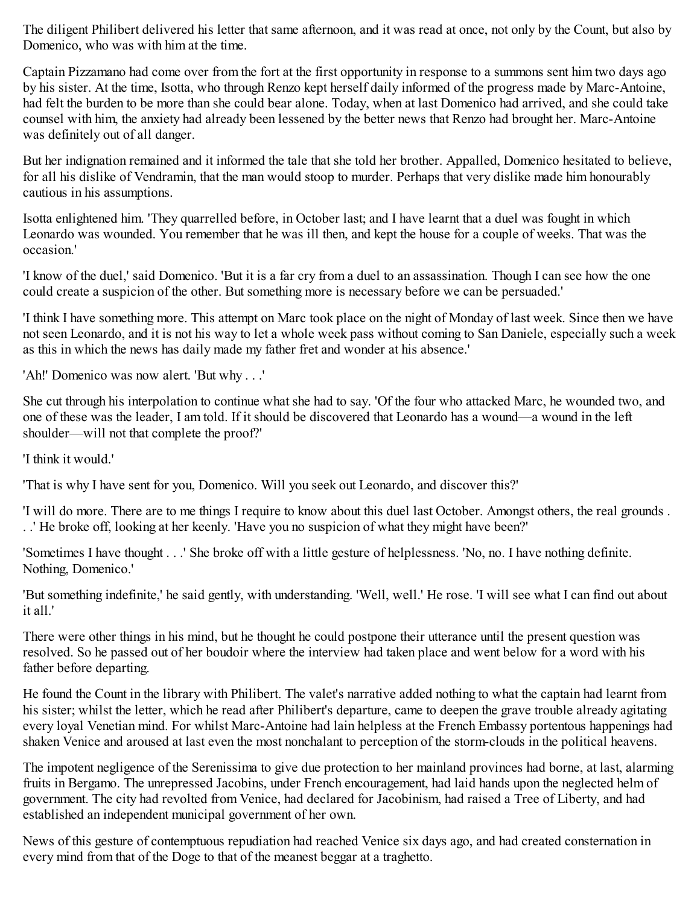The diligent Philibert delivered his letter that same afternoon, and it was read at once, not only by the Count, but also by Domenico, who was with him at the time.

Captain Pizzamano had come over from the fort at the first opportunity in response to a summons sent him two days ago by his sister. At the time, Isotta, who through Renzo kept herself daily informed of the progress made by Marc-Antoine, had felt the burden to be more than she could bear alone. Today, when at last Domenico had arrived, and she could take counsel with him, the anxiety had already been lessened by the better news that Renzo had brought her. Marc-Antoine was definitely out of all danger.

But her indignation remained and it informed the tale that she told her brother. Appalled, Domenico hesitated to believe, for all his dislike of Vendramin, that the man would stoop to murder. Perhaps that very dislike made him honourably cautious in his assumptions.

Isotta enlightened him. 'They quarrelled before, in October last; and I have learnt that a duel was fought in which Leonardo was wounded. You remember that he was ill then, and kept the house for a couple of weeks. That was the occasion.'

'I know of the duel,' said Domenico. 'But it is a far cry from a duel to an assassination. Though I can see how the one could create a suspicion of the other. But something more is necessary before we can be persuaded.'

'I think I have something more. This attempt on Marc took place on the night of Monday of last week. Since then we have not seen Leonardo, and it is not his way to let a whole week pass without coming to San Daniele, especially such a week as this in which the news has daily made my father fret and wonder at his absence.'

'Ah!' Domenico was now alert. 'But why . . .'

She cut through his interpolation to continue what she had to say. 'Of the four who attacked Marc, he wounded two, and one of these was the leader, I am told. If it should be discovered that Leonardo has a wound—a wound in the left shoulder—will not that complete the proof?'

'I think it would.'

'That is why I have sent for you, Domenico. Will you seek out Leonardo, and discover this?'

'I will do more. There are to me things I require to know about this duel last October. Amongst others, the real grounds . . .' He broke off, looking at her keenly. 'Have you no suspicion of what they might have been?'

'Sometimes I have thought . . .' She broke off with a little gesture of helplessness. 'No, no. I have nothing definite. Nothing, Domenico.'

'But something indefinite,' he said gently, with understanding. 'Well, well.' He rose. 'I will see what I can find out about it all.'

There were other things in his mind, but he thought he could postpone their utterance until the present question was resolved. So he passed out of her boudoir where the interview had taken place and went below for a word with his father before departing.

He found the Count in the library with Philibert. The valet's narrative added nothing to what the captain had learnt from his sister; whilst the letter, which he read after Philibert's departure, came to deepen the grave trouble already agitating every loyal Venetian mind. For whilst Marc-Antoine had lain helpless at the French Embassy portentous happenings had shaken Venice and aroused at last even the most nonchalant to perception of the storm-clouds in the political heavens.

The impotent negligence of the Serenissima to give due protection to her mainland provinces had borne, at last, alarming fruits in Bergamo. The unrepressed Jacobins, under French encouragement, had laid hands upon the neglected helm of government. The city had revolted from Venice, had declared for Jacobinism, had raised a Tree of Liberty, and had established an independent municipal government of her own.

News of this gesture of contemptuous repudiation had reached Venice six days ago, and had created consternation in every mind from that of the Doge to that of the meanest beggar at a traghetto.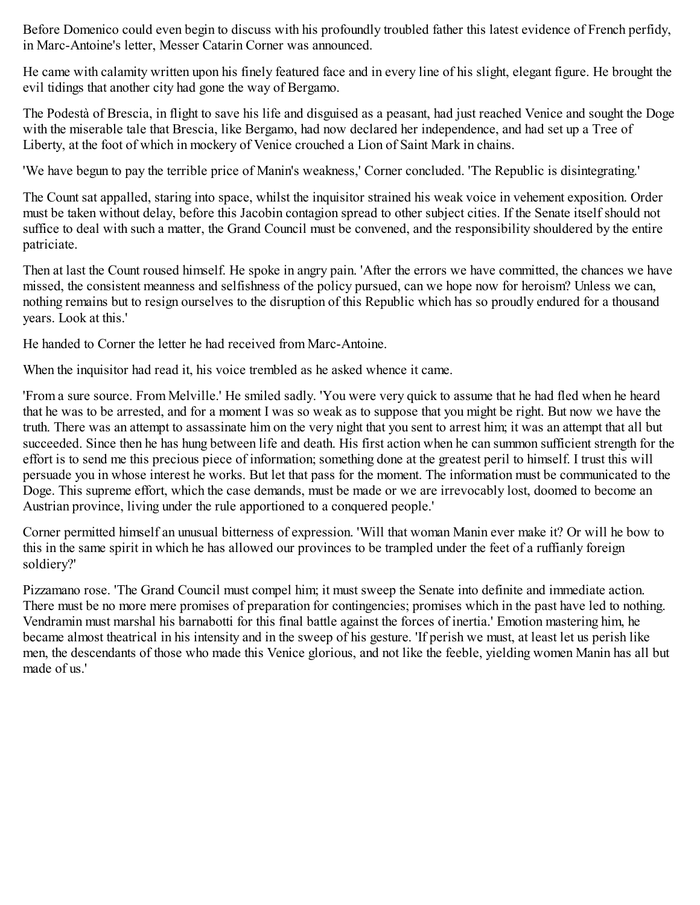Before Domenico could even begin to discuss with his profoundly troubled father this latest evidence of French perfidy, in Marc-Antoine's letter, Messer Catarin Corner was announced.

He came with calamity written upon his finely featured face and in every line of his slight, elegant figure. He brought the evil tidings that another city had gone the way of Bergamo.

The Podestà of Brescia, in flight to save his life and disguised as a peasant, had just reached Venice and sought the Doge with the miserable tale that Brescia, like Bergamo, had now declared her independence, and had set up a Tree of Liberty, at the foot of which in mockery of Venice crouched a Lion of Saint Mark in chains.

'We have begun to pay the terrible price of Manin's weakness,' Corner concluded. 'The Republic is disintegrating.'

The Count sat appalled, staring into space, whilst the inquisitor strained his weak voice in vehement exposition. Order must be taken without delay, before this Jacobin contagion spread to other subject cities. If the Senate itself should not suffice to deal with such a matter, the Grand Council must be convened, and the responsibility shouldered by the entire patriciate.

Then at last the Count roused himself. He spoke in angry pain. 'After the errors we have committed, the chances we have missed, the consistent meanness and selfishness of the policy pursued, can we hope now for heroism? Unless we can, nothing remains but to resign ourselves to the disruption of this Republic which has so proudly endured for a thousand years. Look at this.'

He handed to Corner the letter he had received from Marc-Antoine.

When the inquisitor had read it, his voice trembled as he asked whence it came.

'From a sure source. From Melville.' He smiled sadly. 'You were very quick to assume that he had fled when he heard that he was to be arrested, and for a moment I was so weak as to suppose that you might be right. But now we have the truth. There was an attempt to assassinate him on the very night that you sent to arrest him; it was an attempt that all but succeeded. Since then he has hung between life and death. His first action when he can summon sufficient strength for the effort is to send me this precious piece of information; something done at the greatest peril to himself. I trust this will persuade you in whose interest he works. But let that pass for the moment. The information must be communicated to the Doge. This supreme effort, which the case demands, must be made or we are irrevocably lost, doomed to become an Austrian province, living under the rule apportioned to a conquered people.'

Corner permitted himself an unusual bitterness of expression. 'Will that woman Manin ever make it? Or will he bow to this in the same spirit in which he has allowed our provinces to be trampled under the feet of a ruffianly foreign soldiery?'

Pizzamano rose. 'The Grand Council must compel him; it must sweep the Senate into definite and immediate action. There must be no more mere promises of preparation for contingencies; promises which in the past have led to nothing. Vendramin must marshal his barnabotti for this final battle against the forces of inertia.' Emotion mastering him, he became almost theatrical in his intensity and in the sweep of his gesture. 'If perish we must, at least let us perish like men, the descendants of those who made this Venice glorious, and not like the feeble, yielding women Manin has all but made of us.'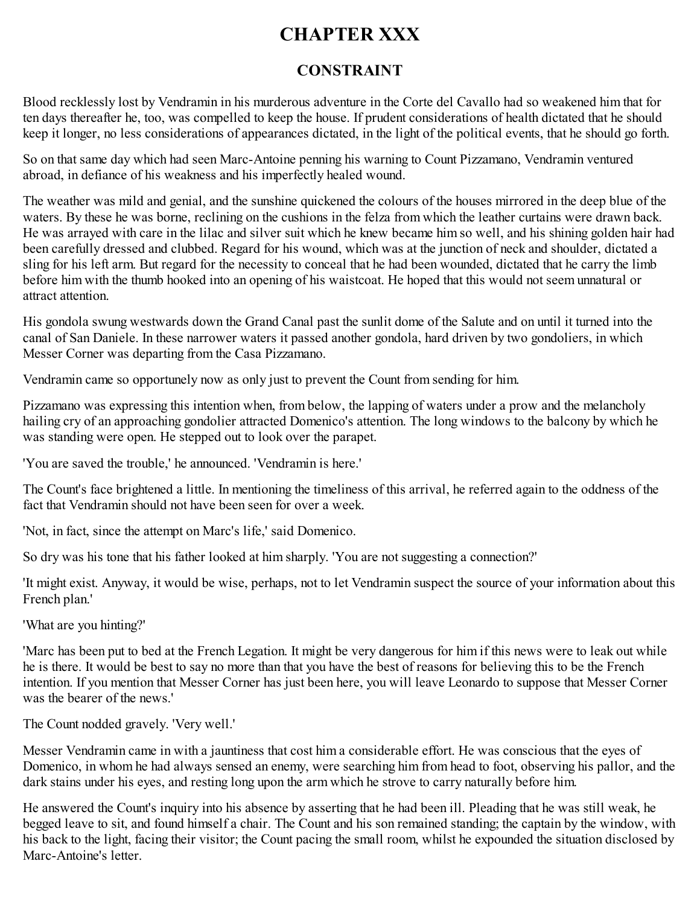# **CHAPTER XXX**

#### **CONSTRAINT**

Blood recklessly lost by Vendramin in his murderous adventure in the Corte del Cavallo had so weakened him that for ten days thereafter he, too, was compelled to keep the house. If prudent considerations of health dictated that he should keep it longer, no less considerations of appearances dictated, in the light of the political events, that he should go forth.

So on that same day which had seen Marc-Antoine penning his warning to Count Pizzamano, Vendramin ventured abroad, in defiance of his weakness and his imperfectly healed wound.

The weather was mild and genial, and the sunshine quickened the colours of the houses mirrored in the deep blue of the waters. By these he was borne, reclining on the cushions in the felza from which the leather curtains were drawn back. He was arrayed with care in the lilac and silver suit which he knew became him so well, and his shining golden hair had been carefully dressed and clubbed. Regard for his wound, which was at the junction of neck and shoulder, dictated a sling for his left arm. But regard for the necessity to conceal that he had been wounded, dictated that he carry the limb before him with the thumb hooked into an opening of his waistcoat. He hoped that this would not seem unnatural or attract attention.

His gondola swung westwards down the Grand Canal past the sunlit dome of the Salute and on until it turned into the canal of San Daniele. In these narrower waters it passed another gondola, hard driven by two gondoliers, in which Messer Corner was departing from the Casa Pizzamano.

Vendramin came so opportunely now as only just to prevent the Count from sending for him.

Pizzamano was expressing this intention when, from below, the lapping of waters under a prow and the melancholy hailing cry of an approaching gondolier attracted Domenico's attention. The long windows to the balcony by which he was standing were open. He stepped out to look over the parapet.

'You are saved the trouble,' he announced. 'Vendramin is here.'

The Count's face brightened a little. In mentioning the timeliness of this arrival, he referred again to the oddness of the fact that Vendramin should not have been seen for over a week.

'Not, in fact, since the attempt on Marc's life,' said Domenico.

So dry was his tone that his father looked at him sharply. 'You are not suggesting a connection?'

'It might exist. Anyway, it would be wise, perhaps, not to let Vendramin suspect the source of your information about this French plan.'

'What are you hinting?'

'Marc has been put to bed at the French Legation. It might be very dangerous for him if this news were to leak out while he is there. It would be best to say no more than that you have the best of reasons for believing this to be the French intention. If you mention that Messer Corner has just been here, you will leave Leonardo to suppose that Messer Corner was the bearer of the news.'

The Count nodded gravely. 'Very well.'

Messer Vendramin came in with a jauntiness that cost him a considerable effort. He was conscious that the eyes of Domenico, in whom he had always sensed an enemy, were searching him from head to foot, observing his pallor, and the dark stains under his eyes, and resting long upon the arm which he strove to carry naturally before him.

He answered the Count's inquiry into his absence by asserting that he had been ill. Pleading that he was still weak, he begged leave to sit, and found himself a chair. The Count and his son remained standing; the captain by the window, with his back to the light, facing their visitor; the Count pacing the small room, whilst he expounded the situation disclosed by Marc-Antoine's letter.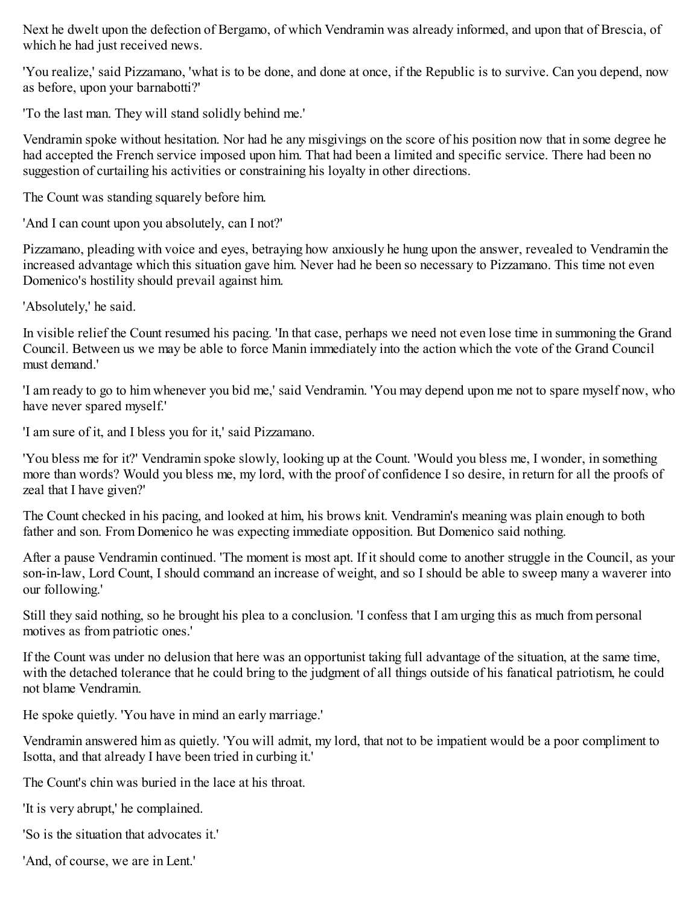Next he dwelt upon the defection of Bergamo, of which Vendramin was already informed, and upon that of Brescia, of which he had just received news.

'You realize,' said Pizzamano, 'what is to be done, and done at once, if the Republic is to survive. Can you depend, now as before, upon your barnabotti?'

'To the last man. They will stand solidly behind me.'

Vendramin spoke without hesitation. Nor had he any misgivings on the score of his position now that in some degree he had accepted the French service imposed upon him. That had been a limited and specific service. There had been no suggestion of curtailing his activities or constraining his loyalty in other directions.

The Count was standing squarely before him.

'And I can count upon you absolutely, can I not?'

Pizzamano, pleading with voice and eyes, betraying how anxiously he hung upon the answer, revealed to Vendramin the increased advantage which this situation gave him. Never had he been so necessary to Pizzamano. This time not even Domenico's hostility should prevail against him.

'Absolutely,' he said.

In visible relief the Count resumed his pacing. 'In that case, perhaps we need not even lose time in summoning the Grand Council. Between us we may be able to force Manin immediately into the action which the vote of the Grand Council must demand.'

'I am ready to go to him whenever you bid me,' said Vendramin. 'You may depend upon me not to spare myself now, who have never spared myself.'

'I am sure of it, and I bless you for it,' said Pizzamano.

'You bless me for it?' Vendramin spoke slowly, looking up at the Count. 'Would you bless me, I wonder, in something more than words? Would you bless me, my lord, with the proof of confidence I so desire, in return for all the proofs of zeal that I have given?'

The Count checked in his pacing, and looked at him, his brows knit. Vendramin's meaning was plain enough to both father and son. From Domenico he was expecting immediate opposition. But Domenico said nothing.

After a pause Vendramin continued. 'The moment is most apt. If it should come to another struggle in the Council, as your son-in-law, Lord Count, I should command an increase of weight, and so I should be able to sweep many a waverer into our following.'

Still they said nothing, so he brought his plea to a conclusion. 'I confess that I am urging this as much from personal motives as from patriotic ones.'

If the Count was under no delusion that here was an opportunist taking full advantage of the situation, at the same time, with the detached tolerance that he could bring to the judgment of all things outside of his fanatical patriotism, he could not blame Vendramin.

He spoke quietly. 'You have in mind an early marriage.'

Vendramin answered him as quietly. 'You will admit, my lord, that not to be impatient would be a poor compliment to Isotta, and that already I have been tried in curbing it.'

The Count's chin was buried in the lace at his throat.

'It is very abrupt,' he complained.

'So is the situation that advocates it.'

'And, of course, we are in Lent.'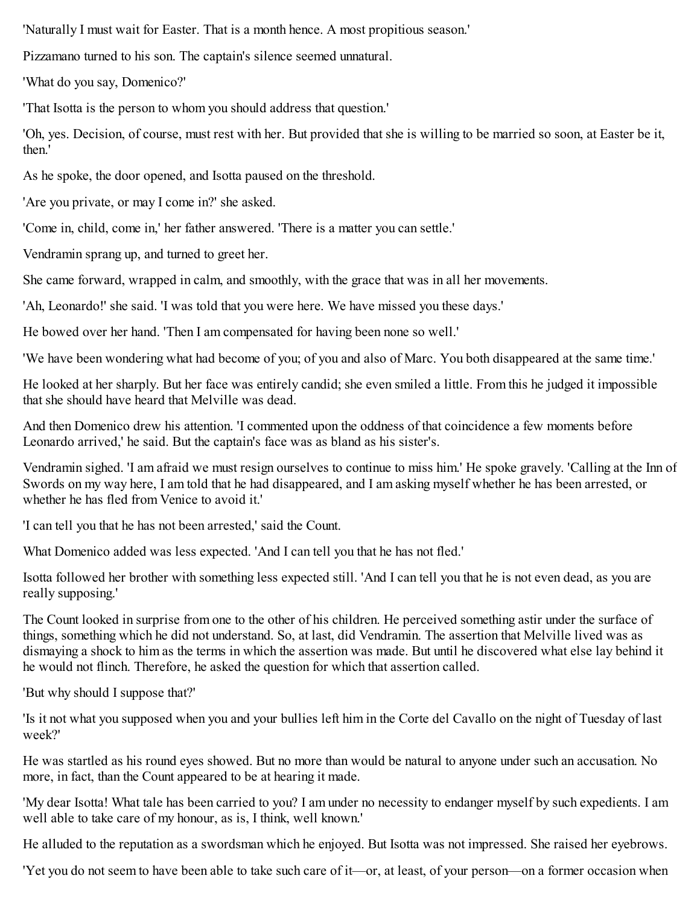'Naturally I must wait for Easter. That is a month hence. A most propitious season.'

Pizzamano turned to his son. The captain's silence seemed unnatural.

'What do you say, Domenico?'

'That Isotta is the person to whom you should address that question.'

'Oh, yes. Decision, of course, must rest with her. But provided that she is willing to be married so soon, at Easter be it, then'

As he spoke, the door opened, and Isotta paused on the threshold.

'Are you private, or may I come in?' she asked.

'Come in, child, come in,' her father answered. 'There is a matter you can settle.'

Vendramin sprang up, and turned to greet her.

She came forward, wrapped in calm, and smoothly, with the grace that was in all her movements.

'Ah, Leonardo!' she said. 'I was told that you were here. We have missed you these days.'

He bowed over her hand. 'Then I am compensated for having been none so well.'

'We have been wondering what had become of you; of you and also of Marc. You both disappeared at the same time.'

He looked at her sharply. But her face was entirely candid; she even smiled a little. From this he judged it impossible that she should have heard that Melville was dead.

And then Domenico drew his attention. 'I commented upon the oddness of that coincidence a few moments before Leonardo arrived,' he said. But the captain's face was as bland as his sister's.

Vendramin sighed. 'I am afraid we must resign ourselves to continue to miss him.' He spoke gravely. 'Calling at the Inn of Swords on my way here, I am told that he had disappeared, and I am asking myself whether he has been arrested, or whether he has fled from Venice to avoid it.'

'I can tell you that he has not been arrested,' said the Count.

What Domenico added was less expected. 'And I can tell you that he has not fled.'

Isotta followed her brother with something less expected still. 'And I can tell you that he is not even dead, as you are really supposing.'

The Count looked in surprise from one to the other of his children. He perceived something astir under the surface of things, something which he did not understand. So, at last, did Vendramin. The assertion that Melville lived was as dismaying a shock to him as the terms in which the assertion was made. But until he discovered what else lay behind it he would not flinch. Therefore, he asked the question for which that assertion called.

'But why should I suppose that?'

'Is it not what you supposed when you and your bullies left him in the Corte del Cavallo on the night of Tuesday of last week?'

He was startled as his round eyes showed. But no more than would be natural to anyone under such an accusation. No more, in fact, than the Count appeared to be at hearing it made.

'My dear Isotta! What tale has been carried to you? I am under no necessity to endanger myself by such expedients. I am well able to take care of my honour, as is, I think, well known.'

He alluded to the reputation as a swordsman which he enjoyed. But Isotta was not impressed. She raised her eyebrows.

'Yet you do not seem to have been able to take such care of it—or, at least, of your person—on a former occasion when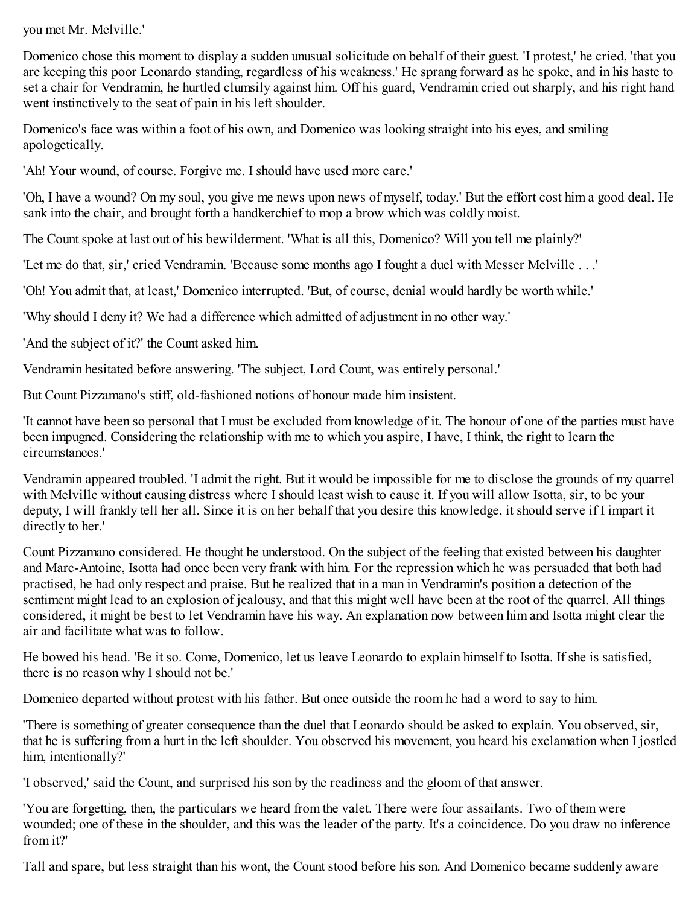you met Mr. Melville.'

Domenico chose this moment to display a sudden unusual solicitude on behalf of their guest. 'I protest,' he cried, 'that you are keeping this poor Leonardo standing, regardless of his weakness.' He sprang forward as he spoke, and in his haste to set a chair for Vendramin, he hurtled clumsily against him. Off his guard, Vendramin cried out sharply, and his right hand went instinctively to the seat of pain in his left shoulder.

Domenico's face was within a foot of his own, and Domenico was looking straight into his eyes, and smiling apologetically.

'Ah! Your wound, of course. Forgive me. I should have used more care.'

'Oh, I have a wound? On my soul, you give me news upon news of myself, today.' But the effort cost him a good deal. He sank into the chair, and brought forth a handkerchief to mop a brow which was coldly moist.

The Count spoke at last out of his bewilderment. 'What is all this, Domenico? Will you tell me plainly?'

'Let me do that, sir,' cried Vendramin. 'Because some months ago I fought a duel with Messer Melville . . .'

'Oh! You admit that, at least,' Domenico interrupted. 'But, of course, denial would hardly be worth while.'

'Why should I deny it? We had a difference which admitted of adjustment in no other way.'

'And the subject of it?' the Count asked him.

Vendramin hesitated before answering. 'The subject, Lord Count, was entirely personal.'

But Count Pizzamano's stiff, old-fashioned notions of honour made him insistent.

'It cannot have been so personal that I must be excluded from knowledge of it. The honour of one of the parties must have been impugned. Considering the relationship with me to which you aspire, I have, I think, the right to learn the circumstances.'

Vendramin appeared troubled. 'I admit the right. But it would be impossible for me to disclose the grounds of my quarrel with Melville without causing distress where I should least wish to cause it. If you will allow Isotta, sir, to be your deputy, I will frankly tell her all. Since it is on her behalf that you desire this knowledge, it should serve if I impart it directly to her.'

Count Pizzamano considered. He thought he understood. On the subject of the feeling that existed between his daughter and Marc-Antoine, Isotta had once been very frank with him. For the repression which he was persuaded that both had practised, he had only respect and praise. But he realized that in a man in Vendramin's position a detection of the sentiment might lead to an explosion of jealousy, and that this might well have been at the root of the quarrel. All things considered, it might be best to let Vendramin have his way. An explanation now between him and Isotta might clear the air and facilitate what was to follow.

He bowed his head. 'Be it so. Come, Domenico, let us leave Leonardo to explain himself to Isotta. If she is satisfied, there is no reason why I should not be.'

Domenico departed without protest with his father. But once outside the room he had a word to say to him.

'There is something of greater consequence than the duel that Leonardo should be asked to explain. You observed, sir, that he is suffering from a hurt in the left shoulder. You observed his movement, you heard his exclamation when I jostled him, intentionally?'

'I observed,' said the Count, and surprised his son by the readiness and the gloom of that answer.

'You are forgetting, then, the particulars we heard from the valet. There were four assailants. Two of them were wounded; one of these in the shoulder, and this was the leader of the party. It's a coincidence. Do you draw no inference from it?'

Tall and spare, but less straight than his wont, the Count stood before his son. And Domenico became suddenly aware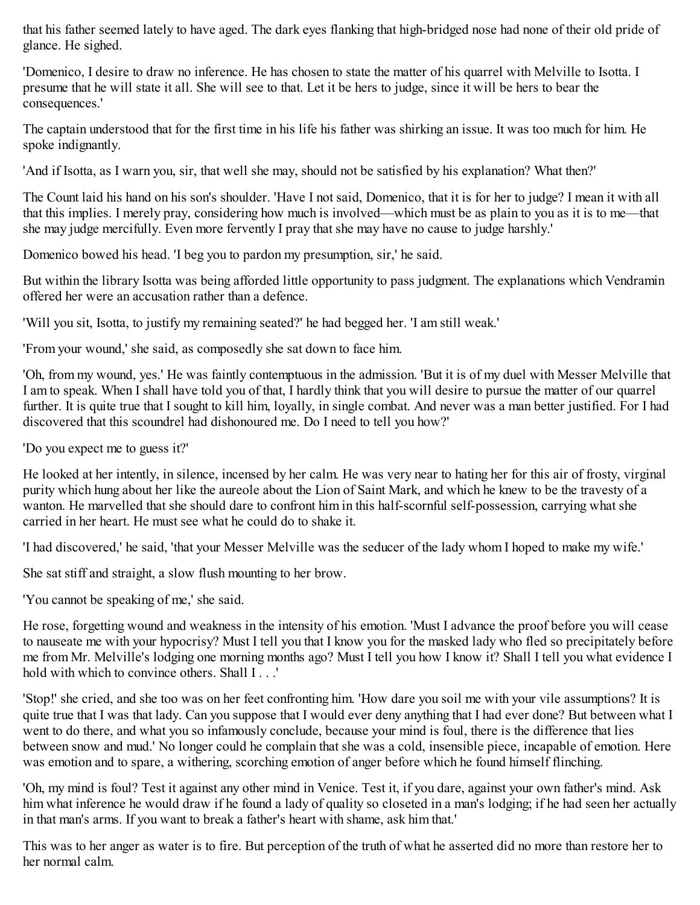that his father seemed lately to have aged. The dark eyes flanking that high-bridged nose had none of their old pride of glance. He sighed.

'Domenico, I desire to draw no inference. He has chosen to state the matter of his quarrel with Melville to Isotta. I presume that he will state it all. She will see to that. Let it be hers to judge, since it will be hers to bear the consequences.'

The captain understood that for the first time in his life his father was shirking an issue. It was too much for him. He spoke indignantly.

'And if Isotta, as I warn you, sir, that well she may, should not be satisfied by his explanation? What then?'

The Count laid his hand on his son's shoulder. 'Have I not said, Domenico, that it is for her to judge? I mean it with all that this implies. I merely pray, considering how much is involved—which must be as plain to you as it is to me—that she may judge mercifully. Even more fervently I pray that she may have no cause to judge harshly.'

Domenico bowed his head. 'I beg you to pardon my presumption, sir,' he said.

But within the library Isotta was being afforded little opportunity to pass judgment. The explanations which Vendramin offered her were an accusation rather than a defence.

'Will you sit, Isotta, to justify my remaining seated?' he had begged her. 'I am still weak.'

'From your wound,' she said, as composedly she sat down to face him.

'Oh, from my wound, yes.' He was faintly contemptuous in the admission. 'But it is of my duel with Messer Melville that I am to speak. When I shall have told you of that, I hardly think that you will desire to pursue the matter of our quarrel further. It is quite true that I sought to kill him, loyally, in single combat. And never was a man better justified. For I had discovered that this scoundrel had dishonoured me. Do I need to tell you how?'

'Do you expect me to guess it?'

He looked at her intently, in silence, incensed by her calm. He was very near to hating her for this air of frosty, virginal purity which hung about her like the aureole about the Lion of Saint Mark, and which he knew to be the travesty of a wanton. He marvelled that she should dare to confront him in this half-scornful self-possession, carrying what she carried in her heart. He must see what he could do to shake it.

'I had discovered,' he said, 'that your Messer Melville was the seducer of the lady whom I hoped to make my wife.'

She sat stiff and straight, a slow flush mounting to her brow.

'You cannot be speaking of me,' she said.

He rose, forgetting wound and weakness in the intensity of his emotion. 'Must I advance the proof before you will cease to nauseate me with your hypocrisy? Must I tell you that I know you for the masked lady who fled so precipitately before me from Mr. Melville's lodging one morning months ago? Must I tell you how I know it? Shall I tell you what evidence I hold with which to convince others. Shall I . . . '

'Stop!' she cried, and she too was on her feet confronting him. 'How dare you soil me with your vile assumptions? It is quite true that I was that lady. Can you suppose that I would ever deny anything that I had ever done? But between what I went to do there, and what you so infamously conclude, because your mind is foul, there is the difference that lies between snow and mud.' No longer could he complain that she was a cold, insensible piece, incapable of emotion. Here was emotion and to spare, a withering, scorching emotion of anger before which he found himself flinching.

'Oh, my mind is foul? Test it against any other mind in Venice. Test it, if you dare, against your own father's mind. Ask him what inference he would draw if he found a lady of quality so closeted in a man's lodging; if he had seen her actually in that man's arms. If you want to break a father's heart with shame, ask him that.'

This was to her anger as water is to fire. But perception of the truth of what he asserted did no more than restore her to her normal calm.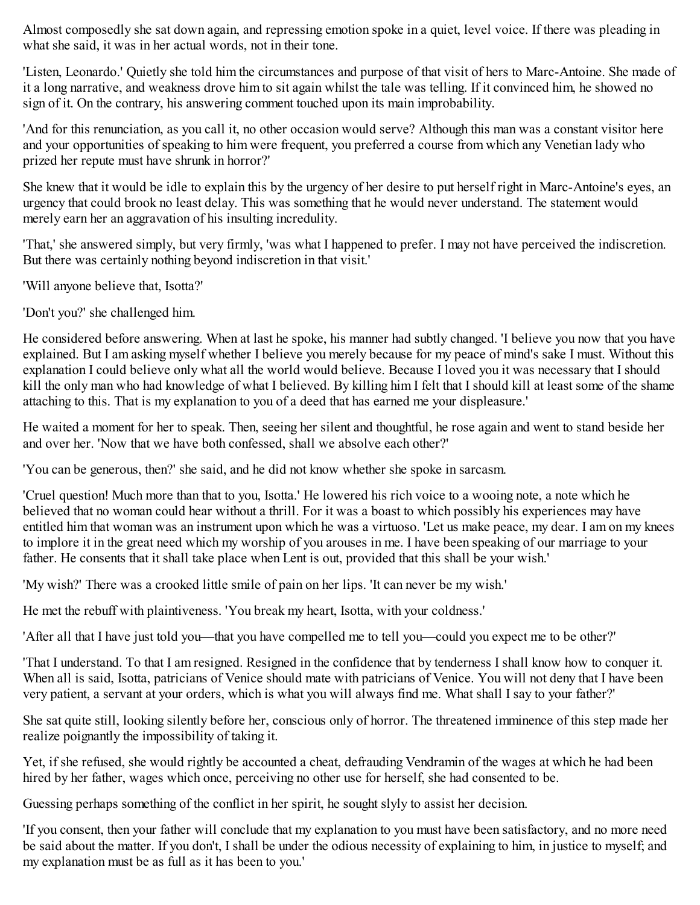Almost composedly she sat down again, and repressing emotion spoke in a quiet, level voice. If there was pleading in what she said, it was in her actual words, not in their tone.

'Listen, Leonardo.' Quietly she told him the circumstances and purpose of that visit of hers to Marc-Antoine. She made of it a long narrative, and weakness drove him to sit again whilst the tale was telling. If it convinced him, he showed no sign of it. On the contrary, his answering comment touched upon its main improbability.

'And for this renunciation, as you call it, no other occasion would serve? Although this man was a constant visitor here and your opportunities of speaking to him were frequent, you preferred a course from which any Venetian lady who prized her repute must have shrunk in horror?'

She knew that it would be idle to explain this by the urgency of her desire to put herself right in Marc-Antoine's eyes, an urgency that could brook no least delay. This was something that he would never understand. The statement would merely earn her an aggravation of his insulting incredulity.

'That,' she answered simply, but very firmly, 'was what I happened to prefer. I may not have perceived the indiscretion. But there was certainly nothing beyond indiscretion in that visit.'

'Will anyone believe that, Isotta?'

'Don't you?' she challenged him.

He considered before answering. When at last he spoke, his manner had subtly changed. 'I believe you now that you have explained. But I am asking myself whether I believe you merely because for my peace of mind's sake I must. Without this explanation I could believe only what all the world would believe. Because I loved you it was necessary that I should kill the only man who had knowledge of what I believed. By killing him I felt that I should kill at least some of the shame attaching to this. That is my explanation to you of a deed that has earned me your displeasure.'

He waited a moment for her to speak. Then, seeing her silent and thoughtful, he rose again and went to stand beside her and over her. 'Now that we have both confessed, shall we absolve each other?'

'You can be generous, then?' she said, and he did not know whether she spoke in sarcasm.

'Cruel question! Much more than that to you, Isotta.' He lowered his rich voice to a wooing note, a note which he believed that no woman could hear without a thrill. For it was a boast to which possibly his experiences may have entitled him that woman was an instrument upon which he was a virtuoso. 'Let us make peace, my dear. I am on my knees to implore it in the great need which my worship of you arouses in me. I have been speaking of our marriage to your father. He consents that it shall take place when Lent is out, provided that this shall be your wish.'

'My wish?' There was a crooked little smile of pain on her lips. 'It can never be my wish.'

He met the rebuff with plaintiveness. 'You break my heart, Isotta, with your coldness.'

'After all that I have just told you—that you have compelled me to tell you—could you expect me to be other?'

'That I understand. To that I am resigned. Resigned in the confidence that by tenderness I shall know how to conquer it. When all is said, Isotta, patricians of Venice should mate with patricians of Venice. You will not deny that I have been very patient, a servant at your orders, which is what you will always find me. What shall I say to your father?'

She sat quite still, looking silently before her, conscious only of horror. The threatened imminence of this step made her realize poignantly the impossibility of taking it.

Yet, if she refused, she would rightly be accounted a cheat, defrauding Vendramin of the wages at which he had been hired by her father, wages which once, perceiving no other use for herself, she had consented to be.

Guessing perhaps something of the conflict in her spirit, he sought slyly to assist her decision.

'If you consent, then your father will conclude that my explanation to you must have been satisfactory, and no more need be said about the matter. If you don't, I shall be under the odious necessity of explaining to him, in justice to myself; and my explanation must be as full as it has been to you.'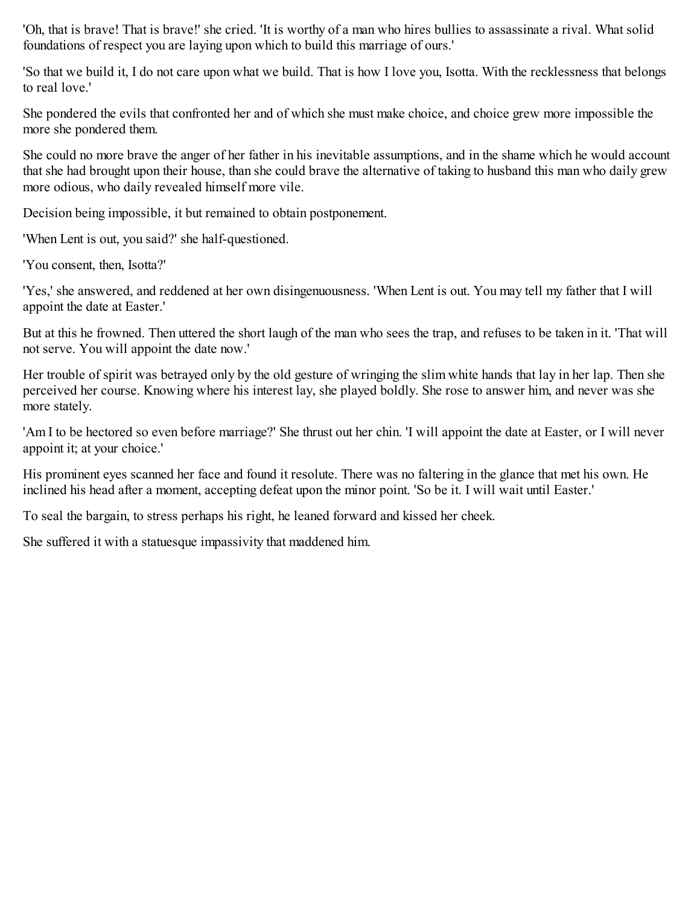'Oh, that is brave! That is brave!' she cried. 'It is worthy of a man who hires bullies to assassinate a rival. What solid foundations of respect you are laying upon which to build this marriage of ours.'

'So that we build it, I do not care upon what we build. That is how I love you, Isotta. With the recklessness that belongs to real love.'

She pondered the evils that confronted her and of which she must make choice, and choice grew more impossible the more she pondered them.

She could no more brave the anger of her father in his inevitable assumptions, and in the shame which he would account that she had brought upon their house, than she could brave the alternative of taking to husband this man who daily grew more odious, who daily revealed himself more vile.

Decision being impossible, it but remained to obtain postponement.

'When Lent is out, you said?' she half-questioned.

'You consent, then, Isotta?'

'Yes,' she answered, and reddened at her own disingenuousness. 'When Lent is out. You may tell my father that I will appoint the date at Easter.'

But at this he frowned. Then uttered the short laugh of the man who sees the trap, and refuses to be taken in it. 'That will not serve. You will appoint the date now.'

Her trouble of spirit was betrayed only by the old gesture of wringing the slim white hands that lay in her lap. Then she perceived her course. Knowing where his interest lay, she played boldly. She rose to answer him, and never was she more stately.

'Am I to be hectored so even before marriage?' She thrust out her chin. 'I will appoint the date at Easter, or I will never appoint it; at your choice.'

His prominent eyes scanned her face and found it resolute. There was no faltering in the glance that met his own. He inclined his head after a moment, accepting defeat upon the minor point. 'So be it. I will wait until Easter.'

To seal the bargain, to stress perhaps his right, he leaned forward and kissed her cheek.

She suffered it with a statuesque impassivity that maddened him.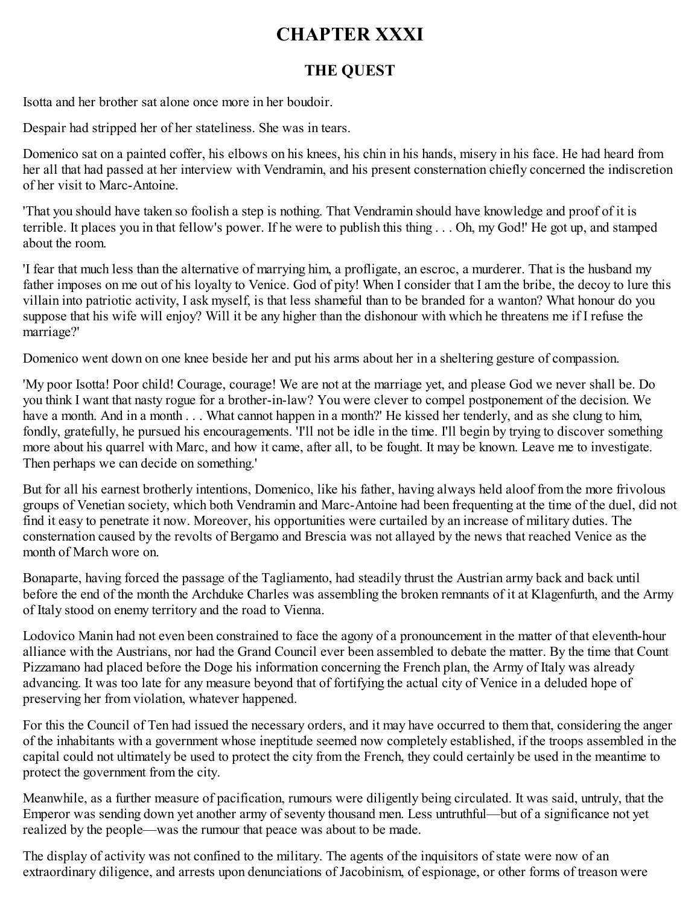# **CHAPTER XXXI**

### **THE QUEST**

Isotta and her brother sat alone once more in her boudoir.

Despair had stripped her of her stateliness. She was in tears.

Domenico sat on a painted coffer, his elbows on his knees, his chin in his hands, misery in his face. He had heard from her all that had passed at her interview with Vendramin, and his present consternation chiefly concerned the indiscretion of her visit to Marc-Antoine.

'That you should have taken so foolish a step is nothing. That Vendramin should have knowledge and proof of it is terrible. It places you in that fellow's power. If he were to publish this thing . . . Oh, my God!' He got up, and stamped about the room.

'I fear that much less than the alternative of marrying him, a profligate, an escroc, a murderer. That is the husband my father imposes on me out of his loyalty to Venice. God of pity! When I consider that I am the bribe, the decoy to lure this villain into patriotic activity, I ask myself, is that less shameful than to be branded for a wanton? What honour do you suppose that his wife will enjoy? Will it be any higher than the dishonour with which he threatens me if I refuse the marriage?'

Domenico went down on one knee beside her and put his arms about her in a sheltering gesture of compassion.

'My poor Isotta! Poor child! Courage, courage! We are not at the marriage yet, and please God we never shall be. Do you think I want that nasty rogue for a brother-in-law? You were clever to compel postponement of the decision. We have a month. And in a month . . . What cannot happen in a month?' He kissed her tenderly, and as she clung to him, fondly, gratefully, he pursued his encouragements. 'I'll not be idle in the time. I'll begin by trying to discover something more about his quarrel with Marc, and how it came, after all, to be fought. It may be known. Leave me to investigate. Then perhaps we can decide on something.'

But for all his earnest brotherly intentions, Domenico, like his father, having always held aloof from the more frivolous groups of Venetian society, which both Vendramin and Marc-Antoine had been frequenting at the time of the duel, did not find it easy to penetrate it now. Moreover, his opportunities were curtailed by an increase of military duties. The consternation caused by the revolts of Bergamo and Brescia was not allayed by the news that reached Venice as the month of March wore on.

Bonaparte, having forced the passage of the Tagliamento, had steadily thrust the Austrian army back and back until before the end of the month the Archduke Charles was assembling the broken remnants of it at Klagenfurth, and the Army of Italy stood on enemy territory and the road to Vienna.

Lodovico Manin had not even been constrained to face the agony of a pronouncement in the matter of that eleventh-hour alliance with the Austrians, nor had the Grand Council ever been assembled to debate the matter. By the time that Count Pizzamano had placed before the Doge his information concerning the French plan, the Army of Italy was already advancing. It was too late for any measure beyond that of fortifying the actual city of Venice in a deluded hope of preserving her from violation, whatever happened.

For this the Council of Ten had issued the necessary orders, and it may have occurred to them that, considering the anger of the inhabitants with a government whose ineptitude seemed now completely established, if the troops assembled in the capital could not ultimately be used to protect the city from the French, they could certainly be used in the meantime to protect the government from the city.

Meanwhile, as a further measure of pacification, rumours were diligently being circulated. It was said, untruly, that the Emperor was sending down yet another army of seventy thousand men. Less untruthful—but of a significance not yet realized by the people—was the rumour that peace was about to be made.

The display of activity was not confined to the military. The agents of the inquisitors of state were now of an extraordinary diligence, and arrests upon denunciations of Jacobinism, of espionage, or other forms of treason were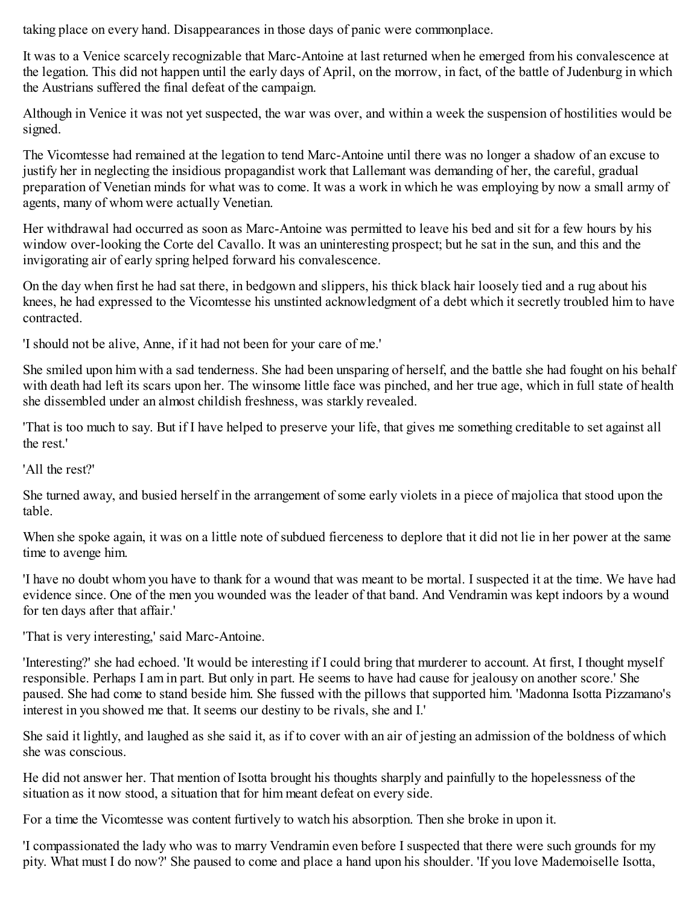taking place on every hand. Disappearances in those days of panic were commonplace.

It was to a Venice scarcely recognizable that Marc-Antoine at last returned when he emerged from his convalescence at the legation. This did not happen until the early days of April, on the morrow, in fact, of the battle of Judenburg in which the Austrians suffered the final defeat of the campaign.

Although in Venice it was not yet suspected, the war was over, and within a week the suspension of hostilities would be signed.

The Vicomtesse had remained at the legation to tend Marc-Antoine until there was no longer a shadow of an excuse to justify her in neglecting the insidious propagandist work that Lallemant was demanding of her, the careful, gradual preparation of Venetian minds for what was to come. It was a work in which he was employing by now a small army of agents, many of whom were actually Venetian.

Her withdrawal had occurred as soon as Marc-Antoine was permitted to leave his bed and sit for a few hours by his window over-looking the Corte del Cavallo. It was an uninteresting prospect; but he sat in the sun, and this and the invigorating air of early spring helped forward his convalescence.

On the day when first he had sat there, in bedgown and slippers, his thick black hair loosely tied and a rug about his knees, he had expressed to the Vicomtesse his unstinted acknowledgment of a debt which it secretly troubled him to have contracted.

'I should not be alive, Anne, if it had not been for your care of me.'

She smiled upon him with a sad tenderness. She had been unsparing of herself, and the battle she had fought on his behalf with death had left its scars upon her. The winsome little face was pinched, and her true age, which in full state of health she dissembled under an almost childish freshness, was starkly revealed.

'That is too much to say. But if I have helped to preserve your life, that gives me something creditable to set against all the rest.'

'All the rest?'

She turned away, and busied herself in the arrangement of some early violets in a piece of majolica that stood upon the table.

When she spoke again, it was on a little note of subdued fierceness to deplore that it did not lie in her power at the same time to avenge him.

'I have no doubt whom you have to thank for a wound that was meant to be mortal. I suspected it at the time. We have had evidence since. One of the men you wounded was the leader of that band. And Vendramin was kept indoors by a wound for ten days after that affair.'

'That is very interesting,' said Marc-Antoine.

'Interesting?' she had echoed. 'It would be interesting if I could bring that murderer to account. At first, I thought myself responsible. Perhaps I am in part. But only in part. He seems to have had cause for jealousy on another score.' She paused. She had come to stand beside him. She fussed with the pillows that supported him. 'Madonna Isotta Pizzamano's interest in you showed me that. It seems our destiny to be rivals, she and I.'

She said it lightly, and laughed as she said it, as if to cover with an air of jesting an admission of the boldness of which she was conscious.

He did not answer her. That mention of Isotta brought his thoughts sharply and painfully to the hopelessness of the situation as it now stood, a situation that for him meant defeat on every side.

For a time the Vicomtesse was content furtively to watch his absorption. Then she broke in upon it.

'I compassionated the lady who was to marry Vendramin even before I suspected that there were such grounds for my pity. What must I do now?' She paused to come and place a hand upon his shoulder. 'If you love Mademoiselle Isotta,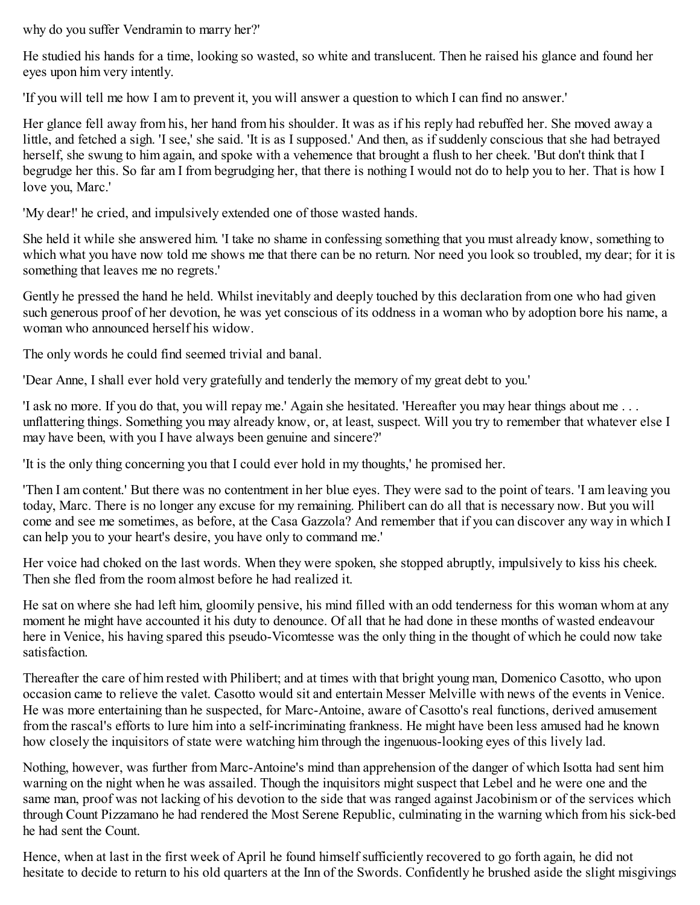why do you suffer Vendramin to marry her?'

He studied his hands for a time, looking so wasted, so white and translucent. Then he raised his glance and found her eyes upon him very intently.

'If you will tell me how I am to prevent it, you will answer a question to which I can find no answer.'

Her glance fell away from his, her hand from his shoulder. It was as if his reply had rebuffed her. She moved away a little, and fetched a sigh. 'I see,' she said. 'It is as I supposed.' And then, as if suddenly conscious that she had betrayed herself, she swung to him again, and spoke with a vehemence that brought a flush to her cheek. 'But don't think that I begrudge her this. So far am I from begrudging her, that there is nothing I would not do to help you to her. That is how I love you, Marc.'

'My dear!' he cried, and impulsively extended one of those wasted hands.

She held it while she answered him. 'I take no shame in confessing something that you must already know, something to which what you have now told me shows me that there can be no return. Nor need you look so troubled, my dear; for it is something that leaves me no regrets.'

Gently he pressed the hand he held. Whilst inevitably and deeply touched by this declaration from one who had given such generous proof of her devotion, he was yet conscious of its oddness in a woman who by adoption bore his name, a woman who announced herself his widow.

The only words he could find seemed trivial and banal.

'Dear Anne, I shall ever hold very gratefully and tenderly the memory of my great debt to you.'

'I ask no more. If you do that, you will repay me.' Again she hesitated. 'Hereafter you may hear things about me . . . unflattering things. Something you may already know, or, at least, suspect. Will you try to remember that whatever else I may have been, with you I have always been genuine and sincere?'

'It is the only thing concerning you that I could ever hold in my thoughts,' he promised her.

'Then I am content.' But there was no contentment in her blue eyes. They were sad to the point of tears. 'I am leaving you today, Marc. There is no longer any excuse for my remaining. Philibert can do all that is necessary now. But you will come and see me sometimes, as before, at the Casa Gazzola? And remember that if you can discover any way in which I can help you to your heart's desire, you have only to command me.'

Her voice had choked on the last words. When they were spoken, she stopped abruptly, impulsively to kiss his cheek. Then she fled from the room almost before he had realized it.

He sat on where she had left him, gloomily pensive, his mind filled with an odd tenderness for this woman whom at any moment he might have accounted it his duty to denounce. Of all that he had done in these months of wasted endeavour here in Venice, his having spared this pseudo-Vicomtesse was the only thing in the thought of which he could now take satisfaction.

Thereafter the care of him rested with Philibert; and at times with that bright young man, Domenico Casotto, who upon occasion came to relieve the valet. Casotto would sit and entertain Messer Melville with news of the events in Venice. He was more entertaining than he suspected, for Marc-Antoine, aware of Casotto's real functions, derived amusement from the rascal's efforts to lure him into a self-incriminating frankness. He might have been less amused had he known how closely the inquisitors of state were watching him through the ingenuous-looking eyes of this lively lad.

Nothing, however, was further from Marc-Antoine's mind than apprehension of the danger of which Isotta had sent him warning on the night when he was assailed. Though the inquisitors might suspect that Lebel and he were one and the same man, proof was not lacking of his devotion to the side that was ranged against Jacobinism or of the services which through Count Pizzamano he had rendered the Most Serene Republic, culminating in the warning which from his sick-bed he had sent the Count.

Hence, when at last in the first week of April he found himself sufficiently recovered to go forth again, he did not hesitate to decide to return to his old quarters at the Inn of the Swords. Confidently he brushed aside the slight misgivings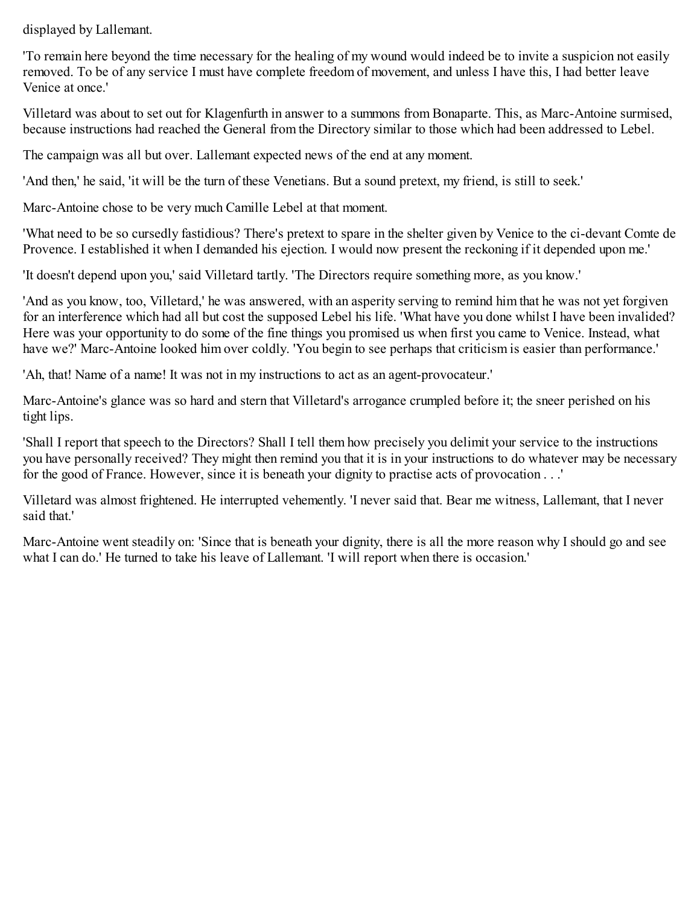displayed by Lallemant.

'To remain here beyond the time necessary for the healing of my wound would indeed be to invite a suspicion not easily removed. To be of any service I must have complete freedom of movement, and unless I have this, I had better leave Venice at once.'

Villetard was about to set out for Klagenfurth in answer to a summons from Bonaparte. This, as Marc-Antoine surmised, because instructions had reached the General from the Directory similar to those which had been addressed to Lebel.

The campaign was all but over. Lallemant expected news of the end at any moment.

'And then,' he said, 'it will be the turn of these Venetians. But a sound pretext, my friend, is still to seek.'

Marc-Antoine chose to be very much Camille Lebel at that moment.

'What need to be so cursedly fastidious? There's pretext to spare in the shelter given by Venice to the ci-devant Comte de Provence. I established it when I demanded his ejection. I would now present the reckoning if it depended upon me.'

'It doesn't depend upon you,' said Villetard tartly. 'The Directors require something more, as you know.'

'And as you know, too, Villetard,' he was answered, with an asperity serving to remind him that he was not yet forgiven for an interference which had all but cost the supposed Lebel his life. 'What have you done whilst I have been invalided? Here was your opportunity to do some of the fine things you promised us when first you came to Venice. Instead, what have we?' Marc-Antoine looked him over coldly. 'You begin to see perhaps that criticism is easier than performance.'

'Ah, that! Name of a name! It was not in my instructions to act as an agent-provocateur.'

Marc-Antoine's glance was so hard and stern that Villetard's arrogance crumpled before it; the sneer perished on his tight lips.

'Shall I report that speech to the Directors? Shall I tell them how precisely you delimit your service to the instructions you have personally received? They might then remind you that it is in your instructions to do whatever may be necessary for the good of France. However, since it is beneath your dignity to practise acts of provocation . . .'

Villetard was almost frightened. He interrupted vehemently. 'I never said that. Bear me witness, Lallemant, that I never said that.'

Marc-Antoine went steadily on: 'Since that is beneath your dignity, there is all the more reason why I should go and see what I can do.' He turned to take his leave of Lallemant. 'I will report when there is occasion.'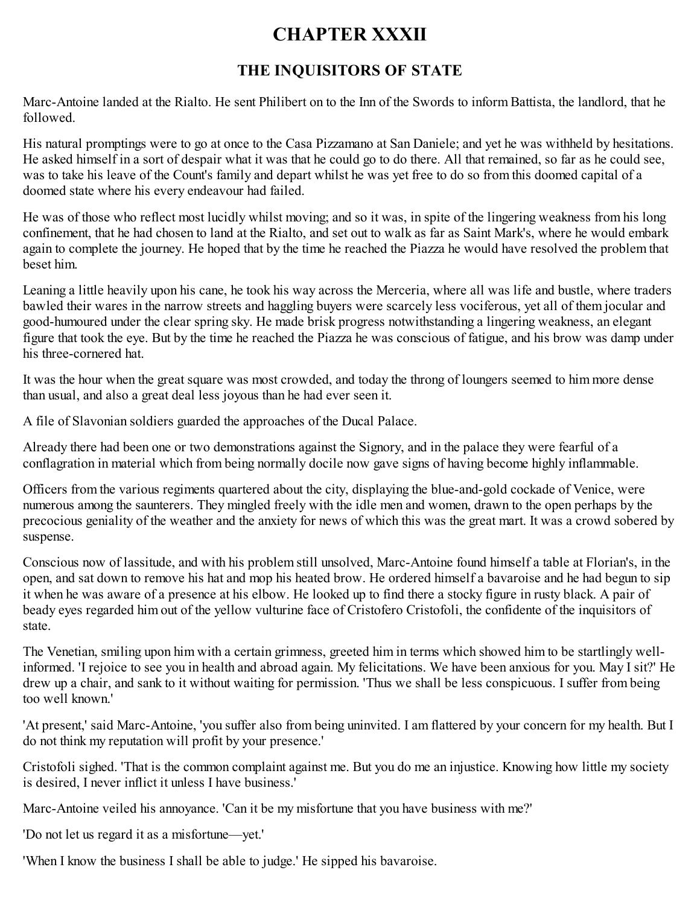## **CHAPTER XXXII**

### **THE INQUISITORS OF STATE**

Marc-Antoine landed at the Rialto. He sent Philibert on to the Inn of the Swords to inform Battista, the landlord, that he followed.

His natural promptings were to go at once to the Casa Pizzamano at San Daniele; and yet he was withheld by hesitations. He asked himself in a sort of despair what it was that he could go to do there. All that remained, so far as he could see, was to take his leave of the Count's family and depart whilst he was yet free to do so from this doomed capital of a doomed state where his every endeavour had failed.

He was of those who reflect most lucidly whilst moving; and so it was, in spite of the lingering weakness from his long confinement, that he had chosen to land at the Rialto, and set out to walk as far as Saint Mark's, where he would embark again to complete the journey. He hoped that by the time he reached the Piazza he would have resolved the problem that beset him.

Leaning a little heavily upon his cane, he took his way across the Merceria, where all was life and bustle, where traders bawled their wares in the narrow streets and haggling buyers were scarcely less vociferous, yet all of them jocular and good-humoured under the clear spring sky. He made brisk progress notwithstanding a lingering weakness, an elegant figure that took the eye. But by the time he reached the Piazza he was conscious of fatigue, and his brow was damp under his three-cornered hat.

It was the hour when the great square was most crowded, and today the throng of loungers seemed to him more dense than usual, and also a great deal less joyous than he had ever seen it.

A file of Slavonian soldiers guarded the approaches of the Ducal Palace.

Already there had been one or two demonstrations against the Signory, and in the palace they were fearful of a conflagration in material which from being normally docile now gave signs of having become highly inflammable.

Officers from the various regiments quartered about the city, displaying the blue-and-gold cockade of Venice, were numerous among the saunterers. They mingled freely with the idle men and women, drawn to the open perhaps by the precocious geniality of the weather and the anxiety for news of which this was the great mart. It was a crowd sobered by suspense.

Conscious now of lassitude, and with his problem still unsolved, Marc-Antoine found himself a table at Florian's, in the open, and sat down to remove his hat and mop his heated brow. He ordered himself a bavaroise and he had begun to sip it when he was aware of a presence at his elbow. He looked up to find there a stocky figure in rusty black. A pair of beady eyes regarded him out of the yellow vulturine face of Cristofero Cristofoli, the confidente of the inquisitors of state.

The Venetian, smiling upon him with a certain grimness, greeted him in terms which showed him to be startlingly wellinformed. 'I rejoice to see you in health and abroad again. My felicitations. We have been anxious for you. May I sit?' He drew up a chair, and sank to it without waiting for permission. 'Thus we shall be less conspicuous. I suffer from being too well known.'

'At present,' said Marc-Antoine, 'you suffer also from being uninvited. I am flattered by your concern for my health. But I do not think my reputation will profit by your presence.'

Cristofoli sighed. 'That is the common complaint against me. But you do me an injustice. Knowing how little my society is desired, I never inflict it unless I have business.'

Marc-Antoine veiled his annoyance. 'Can it be my misfortune that you have business with me?'

'Do not let us regard it as a misfortune—yet.'

'When I know the business I shall be able to judge.' He sipped his bavaroise.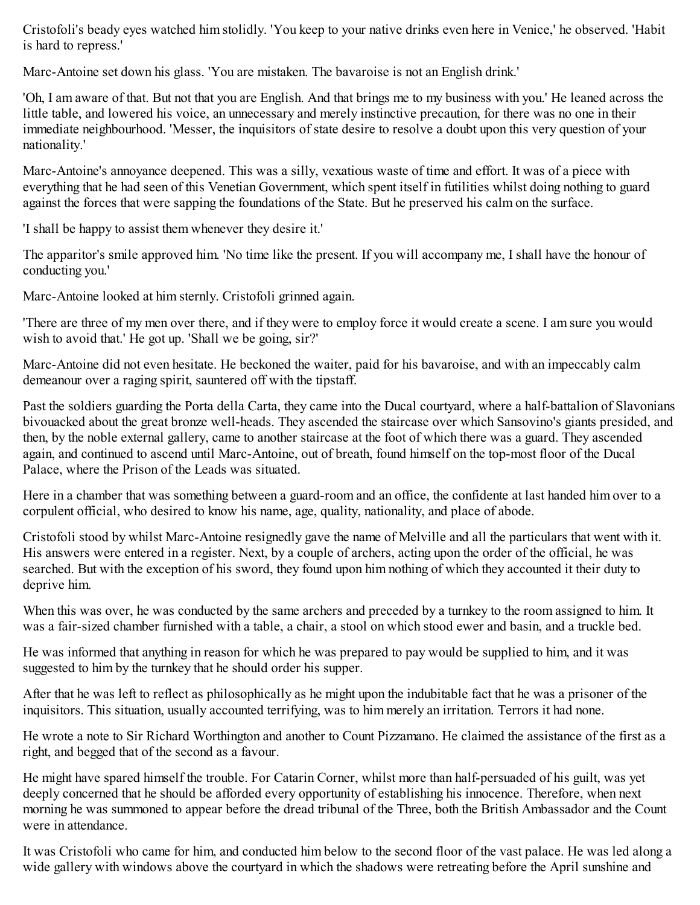Cristofoli's beady eyes watched him stolidly. 'You keep to your native drinks even here in Venice,' he observed. 'Habit is hard to repress.'

Marc-Antoine set down his glass. 'You are mistaken. The bavaroise is not an English drink.'

'Oh, I am aware of that. But not that you are English. And that brings me to my business with you.' He leaned across the little table, and lowered his voice, an unnecessary and merely instinctive precaution, for there was no one in their immediate neighbourhood. 'Messer, the inquisitors of state desire to resolve a doubt upon this very question of your nationality.'

Marc-Antoine's annoyance deepened. This was a silly, vexatious waste of time and effort. It was of a piece with everything that he had seen of this Venetian Government, which spent itself in futilities whilst doing nothing to guard against the forces that were sapping the foundations of the State. But he preserved his calm on the surface.

'I shall be happy to assist them whenever they desire it.'

The apparitor's smile approved him. 'No time like the present. If you will accompany me, I shall have the honour of conducting you.'

Marc-Antoine looked at him sternly. Cristofoli grinned again.

'There are three of my men over there, and if they were to employ force it would create a scene. I am sure you would wish to avoid that.' He got up. 'Shall we be going, sir?'

Marc-Antoine did not even hesitate. He beckoned the waiter, paid for his bavaroise, and with an impeccably calm demeanour over a raging spirit, sauntered off with the tipstaff.

Past the soldiers guarding the Porta della Carta, they came into the Ducal courtyard, where a half-battalion of Slavonians bivouacked about the great bronze well-heads. They ascended the staircase over which Sansovino's giants presided, and then, by the noble external gallery, came to another staircase at the foot of which there was a guard. They ascended again, and continued to ascend until Marc-Antoine, out of breath, found himself on the top-most floor of the Ducal Palace, where the Prison of the Leads was situated.

Here in a chamber that was something between a guard-room and an office, the confidente at last handed him over to a corpulent official, who desired to know his name, age, quality, nationality, and place of abode.

Cristofoli stood by whilst Marc-Antoine resignedly gave the name of Melville and all the particulars that went with it. His answers were entered in a register. Next, by a couple of archers, acting upon the order of the official, he was searched. But with the exception of his sword, they found upon him nothing of which they accounted it their duty to deprive him.

When this was over, he was conducted by the same archers and preceded by a turnkey to the room assigned to him. It was a fair-sized chamber furnished with a table, a chair, a stool on which stood ewer and basin, and a truckle bed.

He was informed that anything in reason for which he was prepared to pay would be supplied to him, and it was suggested to him by the turnkey that he should order his supper.

After that he was left to reflect as philosophically as he might upon the indubitable fact that he was a prisoner of the inquisitors. This situation, usually accounted terrifying, was to him merely an irritation. Terrors it had none.

He wrote a note to Sir Richard Worthington and another to Count Pizzamano. He claimed the assistance of the first as a right, and begged that of the second as a favour.

He might have spared himself the trouble. For Catarin Corner, whilst more than half-persuaded of his guilt, was yet deeply concerned that he should be afforded every opportunity of establishing his innocence. Therefore, when next morning he was summoned to appear before the dread tribunal of the Three, both the British Ambassador and the Count were in attendance.

It was Cristofoli who came for him, and conducted him below to the second floor of the vast palace. He was led along a wide gallery with windows above the courtyard in which the shadows were retreating before the April sunshine and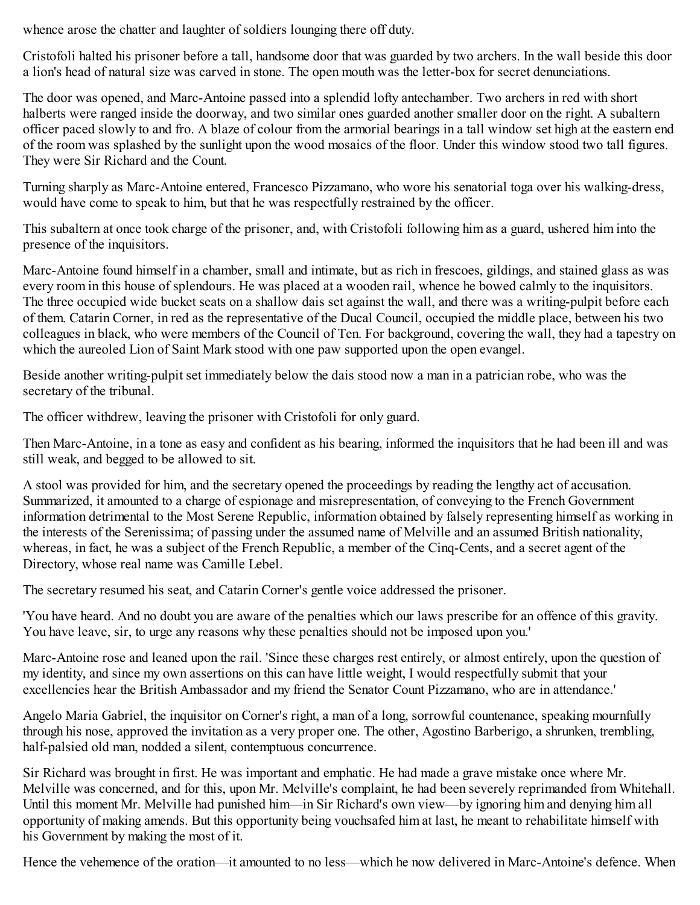whence arose the chatter and laughter of soldiers lounging there off duty.

Cristofoli halted his prisoner before a tall, handsome door that was guarded by two archers. In the wall beside this door a lion's head of natural size was carved in stone. The open mouth was the letter-box for secret denunciations.

The door was opened, and Marc-Antoine passed into a splendid lofty antechamber. Two archers in red with short halberts were ranged inside the doorway, and two similar ones guarded another smaller door on the right. A subaltern officer paced slowly to and fro. A blaze of colour from the armorial bearings in a tall window set high at the eastern end of the room was splashed by the sunlight upon the wood mosaics of the floor. Under this window stood two tall figures. They were Sir Richard and the Count.

Turning sharply as Marc-Antoine entered, Francesco Pizzamano, who wore his senatorial toga over his walking-dress, would have come to speak to him, but that he was respectfully restrained by the officer.

This subaltern at once took charge of the prisoner, and, with Cristofoli following him as a guard, ushered him into the presence of the inquisitors.

Marc-Antoine found himself in a chamber, small and intimate, but as rich in frescoes, gildings, and stained glass as was every room in this house of splendours. He was placed at a wooden rail, whence he bowed calmly to the inquisitors. The three occupied wide bucket seats on a shallow dais set against the wall, and there was a writing-pulpit before each of them. Catarin Corner, in red as the representative of the Ducal Council, occupied the middle place, between his two colleagues in black, who were members of the Council of Ten. For background, covering the wall, they had a tapestry on which the aureoled Lion of Saint Mark stood with one paw supported upon the open evangel.

Beside another writing-pulpit set immediately below the dais stood now a man in a patrician robe, who was the secretary of the tribunal.

The officer withdrew, leaving the prisoner with Cristofoli for only guard.

Then Marc-Antoine, in a tone as easy and confident as his bearing, informed the inquisitors that he had been ill and was still weak, and begged to be allowed to sit.

A stool was provided for him, and the secretary opened the proceedings by reading the lengthy act of accusation. Summarized, it amounted to a charge of espionage and misrepresentation, of conveying to the French Government information detrimental to the Most Serene Republic, information obtained by falsely representing himself as working in the interests of the Serenissima; of passing under the assumed name of Melville and an assumed British nationality, whereas, in fact, he was a subject of the French Republic, a member of the Cinq-Cents, and a secret agent of the Directory, whose real name was Camille Lebel.

The secretary resumed his seat, and Catarin Corner's gentle voice addressed the prisoner.

'You have heard. And no doubt you are aware of the penalties which our laws prescribe for an offence of this gravity. You have leave, sir, to urge any reasons why these penalties should not be imposed upon you.'

Marc-Antoine rose and leaned upon the rail. 'Since these charges rest entirely, or almost entirely, upon the question of my identity, and since my own assertions on this can have little weight, I would respectfully submit that your excellencies hear the British Ambassador and my friend the Senator Count Pizzamano, who are in attendance.'

Angelo Maria Gabriel, the inquisitor on Corner's right, a man of a long, sorrowful countenance, speaking mournfully through his nose, approved the invitation as a very proper one. The other, Agostino Barberigo, a shrunken, trembling, half-palsied old man, nodded a silent, contemptuous concurrence.

Sir Richard was brought in first. He was important and emphatic. He had made a grave mistake once where Mr. Melville was concerned, and for this, upon Mr. Melville's complaint, he had been severely reprimanded from Whitehall. Until this moment Mr. Melville had punished him—in Sir Richard's own view—by ignoring him and denying him all opportunity of making amends. But this opportunity being vouchsafed him at last, he meant to rehabilitate himself with his Government by making the most of it.

Hence the vehemence of the oration—it amounted to no less—which he now delivered in Marc-Antoine's defence. When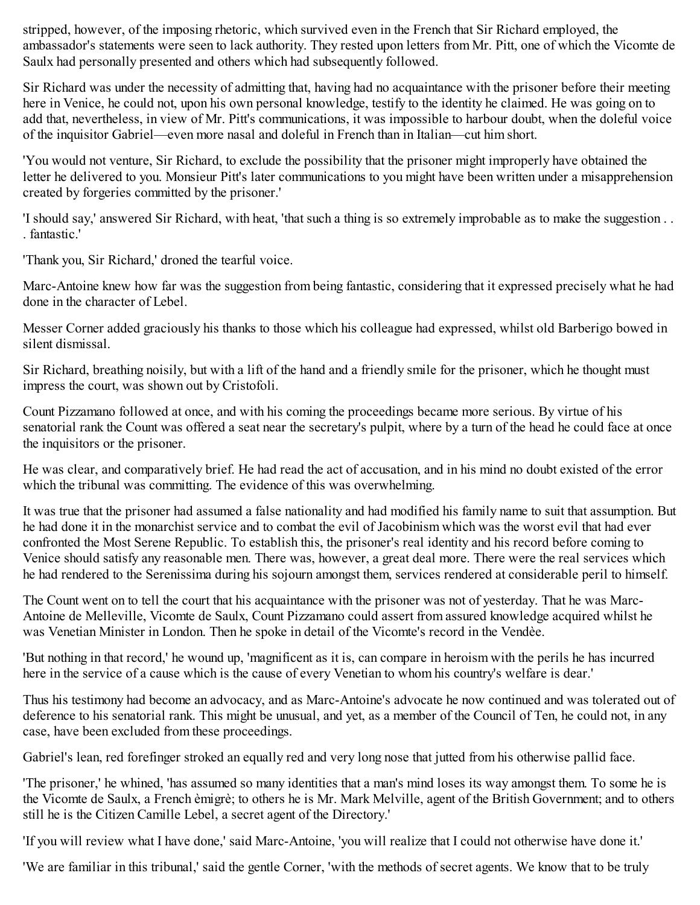stripped, however, of the imposing rhetoric, which survived even in the French that Sir Richard employed, the ambassador's statements were seen to lack authority. They rested upon letters from Mr. Pitt, one of which the Vicomte de Saulx had personally presented and others which had subsequently followed.

Sir Richard was under the necessity of admitting that, having had no acquaintance with the prisoner before their meeting here in Venice, he could not, upon his own personal knowledge, testify to the identity he claimed. He was going on to add that, nevertheless, in view of Mr. Pitt's communications, it was impossible to harbour doubt, when the doleful voice of the inquisitor Gabriel—even more nasal and doleful in French than in Italian—cut him short.

'You would not venture, Sir Richard, to exclude the possibility that the prisoner might improperly have obtained the letter he delivered to you. Monsieur Pitt's later communications to you might have been written under a misapprehension created by forgeries committed by the prisoner.'

'I should say,' answered Sir Richard, with heat, 'that such a thing is so extremely improbable as to make the suggestion . . . fantastic.'

'Thank you, Sir Richard,' droned the tearful voice.

Marc-Antoine knew how far was the suggestion from being fantastic, considering that it expressed precisely what he had done in the character of Lebel.

Messer Corner added graciously his thanks to those which his colleague had expressed, whilst old Barberigo bowed in silent dismissal.

Sir Richard, breathing noisily, but with a lift of the hand and a friendly smile for the prisoner, which he thought must impress the court, was shown out by Cristofoli.

Count Pizzamano followed at once, and with his coming the proceedings became more serious. By virtue of his senatorial rank the Count was offered a seat near the secretary's pulpit, where by a turn of the head he could face at once the inquisitors or the prisoner.

He was clear, and comparatively brief. He had read the act of accusation, and in his mind no doubt existed of the error which the tribunal was committing. The evidence of this was overwhelming.

It was true that the prisoner had assumed a false nationality and had modified his family name to suit that assumption. But he had done it in the monarchist service and to combat the evil of Jacobinism which was the worst evil that had ever confronted the Most Serene Republic. To establish this, the prisoner's real identity and his record before coming to Venice should satisfy any reasonable men. There was, however, a great deal more. There were the real services which he had rendered to the Serenissima during his sojourn amongst them, services rendered at considerable peril to himself.

The Count went on to tell the court that his acquaintance with the prisoner was not of yesterday. That he was Marc-Antoine de Melleville, Vicomte de Saulx, Count Pizzamano could assert from assured knowledge acquired whilst he was Venetian Minister in London. Then he spoke in detail of the Vicomte's record in the Vendèe.

'But nothing in that record,' he wound up, 'magnificent as it is, can compare in heroism with the perils he has incurred here in the service of a cause which is the cause of every Venetian to whom his country's welfare is dear.'

Thus his testimony had become an advocacy, and as Marc-Antoine's advocate he now continued and was tolerated out of deference to his senatorial rank. This might be unusual, and yet, as a member of the Council of Ten, he could not, in any case, have been excluded from these proceedings.

Gabriel's lean, red forefinger stroked an equally red and very long nose that jutted from his otherwise pallid face.

'The prisoner,' he whined, 'has assumed so many identities that a man's mind loses its way amongst them. To some he is the Vicomte de Saulx, a French èmigrè; to others he is Mr. Mark Melville, agent of the British Government; and to others still he is the Citizen Camille Lebel, a secret agent of the Directory.'

'If you will review what I have done,' said Marc-Antoine, 'you will realize that I could not otherwise have done it.'

'We are familiar in this tribunal,' said the gentle Corner, 'with the methods of secret agents. We know that to be truly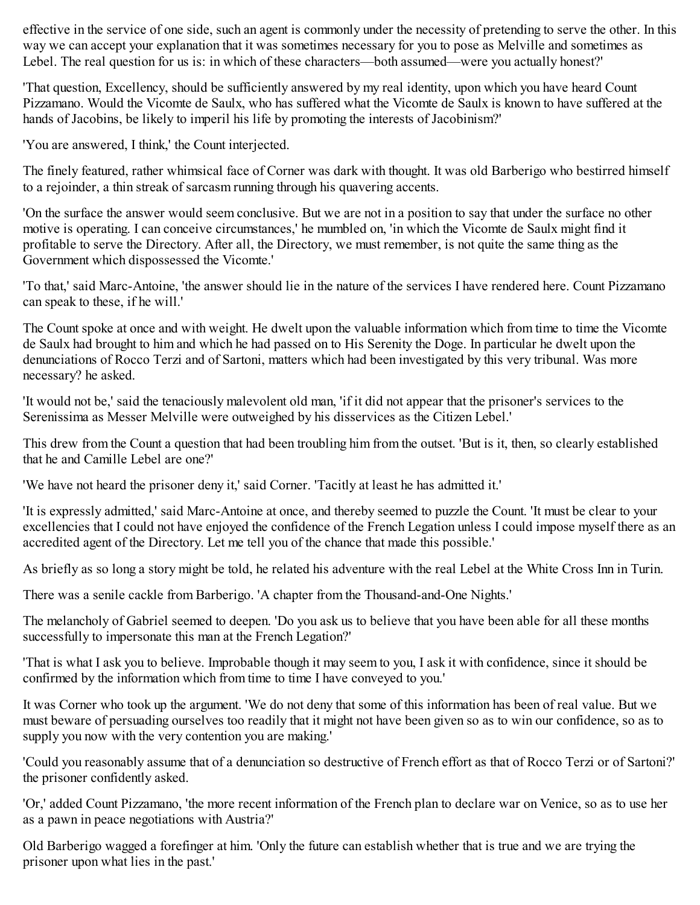effective in the service of one side, such an agent is commonly under the necessity of pretending to serve the other. In this way we can accept your explanation that it was sometimes necessary for you to pose as Melville and sometimes as Lebel. The real question for us is: in which of these characters—both assumed—were you actually honest?'

'That question, Excellency, should be sufficiently answered by my real identity, upon which you have heard Count Pizzamano. Would the Vicomte de Saulx, who has suffered what the Vicomte de Saulx is known to have suffered at the hands of Jacobins, be likely to imperil his life by promoting the interests of Jacobinism?'

'You are answered, I think,' the Count interjected.

The finely featured, rather whimsical face of Corner was dark with thought. It was old Barberigo who bestirred himself to a rejoinder, a thin streak of sarcasm running through his quavering accents.

'On the surface the answer would seem conclusive. But we are not in a position to say that under the surface no other motive is operating. I can conceive circumstances,' he mumbled on, 'in which the Vicomte de Saulx might find it profitable to serve the Directory. After all, the Directory, we must remember, is not quite the same thing as the Government which dispossessed the Vicomte.'

'To that,' said Marc-Antoine, 'the answer should lie in the nature of the services I have rendered here. Count Pizzamano can speak to these, if he will.'

The Count spoke at once and with weight. He dwelt upon the valuable information which from time to time the Vicomte de Saulx had brought to him and which he had passed on to His Serenity the Doge. In particular he dwelt upon the denunciations of Rocco Terzi and of Sartoni, matters which had been investigated by this very tribunal. Was more necessary? he asked.

'It would not be,' said the tenaciously malevolent old man, 'if it did not appear that the prisoner's services to the Serenissima as Messer Melville were outweighed by his disservices as the Citizen Lebel.'

This drew from the Count a question that had been troubling him from the outset. 'But is it, then, so clearly established that he and Camille Lebel are one?'

'We have not heard the prisoner deny it,' said Corner. 'Tacitly at least he has admitted it.'

'It is expressly admitted,' said Marc-Antoine at once, and thereby seemed to puzzle the Count. 'It must be clear to your excellencies that I could not have enjoyed the confidence of the French Legation unless I could impose myself there as an accredited agent of the Directory. Let me tell you of the chance that made this possible.'

As briefly as so long a story might be told, he related his adventure with the real Lebel at the White Cross Inn in Turin.

There was a senile cackle from Barberigo. 'A chapter from the Thousand-and-One Nights.'

The melancholy of Gabriel seemed to deepen. 'Do you ask us to believe that you have been able for all these months successfully to impersonate this man at the French Legation?'

'That is what I ask you to believe. Improbable though it may seem to you, I ask it with confidence, since it should be confirmed by the information which from time to time I have conveyed to you.'

It was Corner who took up the argument. 'We do not deny that some of this information has been of real value. But we must beware of persuading ourselves too readily that it might not have been given so as to win our confidence, so as to supply you now with the very contention you are making.'

'Could you reasonably assume that of a denunciation so destructive of French effort as that of Rocco Terzi or of Sartoni?' the prisoner confidently asked.

'Or,' added Count Pizzamano, 'the more recent information of the French plan to declare war on Venice, so as to use her as a pawn in peace negotiations with Austria?'

Old Barberigo wagged a forefinger at him. 'Only the future can establish whether that is true and we are trying the prisoner upon what lies in the past.'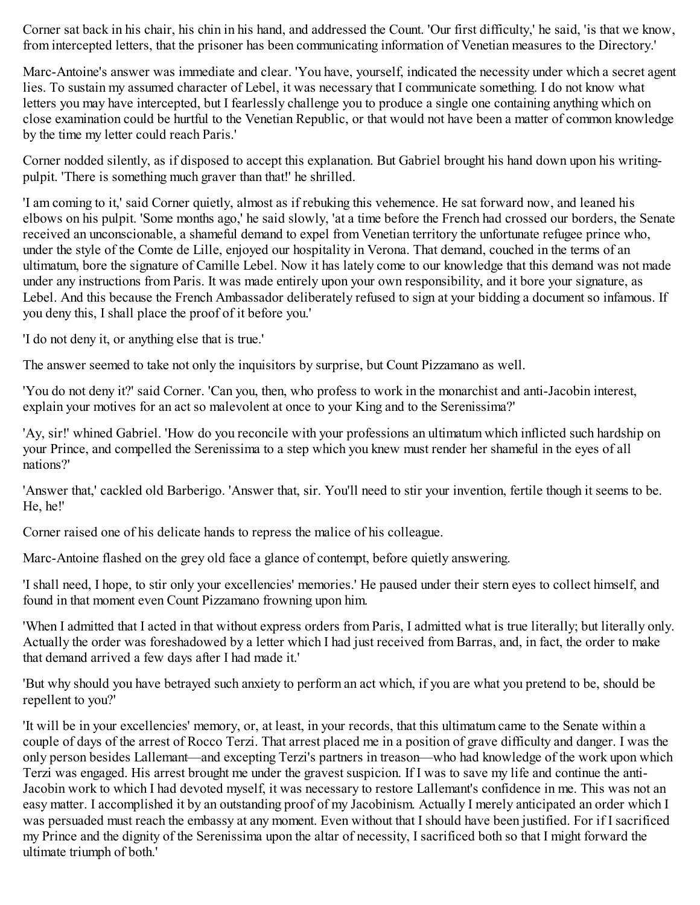Corner sat back in his chair, his chin in his hand, and addressed the Count. 'Our first difficulty,' he said, 'is that we know, from intercepted letters, that the prisoner has been communicating information of Venetian measures to the Directory.'

Marc-Antoine's answer was immediate and clear. 'You have, yourself, indicated the necessity under which a secret agent lies. To sustain my assumed character of Lebel, it was necessary that I communicate something. I do not know what letters you may have intercepted, but I fearlessly challenge you to produce a single one containing anything which on close examination could be hurtful to the Venetian Republic, or that would not have been a matter of common knowledge by the time my letter could reach Paris.'

Corner nodded silently, as if disposed to accept this explanation. But Gabriel brought his hand down upon his writingpulpit. 'There is something much graver than that!' he shrilled.

'I am coming to it,' said Corner quietly, almost as if rebuking this vehemence. He sat forward now, and leaned his elbows on his pulpit. 'Some months ago,' he said slowly, 'at a time before the French had crossed our borders, the Senate received an unconscionable, a shameful demand to expel from Venetian territory the unfortunate refugee prince who, under the style of the Comte de Lille, enjoyed our hospitality in Verona. That demand, couched in the terms of an ultimatum, bore the signature of Camille Lebel. Now it has lately come to our knowledge that this demand was not made under any instructions from Paris. It was made entirely upon your own responsibility, and it bore your signature, as Lebel. And this because the French Ambassador deliberately refused to sign at your bidding a document so infamous. If you deny this, I shall place the proof of it before you.'

'I do not deny it, or anything else that is true.'

The answer seemed to take not only the inquisitors by surprise, but Count Pizzamano as well.

'You do not deny it?' said Corner. 'Can you, then, who profess to work in the monarchist and anti-Jacobin interest, explain your motives for an act so malevolent at once to your King and to the Serenissima?'

'Ay, sir!' whined Gabriel. 'How do you reconcile with your professions an ultimatum which inflicted such hardship on your Prince, and compelled the Serenissima to a step which you knew must render her shameful in the eyes of all nations?'

'Answer that,' cackled old Barberigo. 'Answer that, sir. You'll need to stir your invention, fertile though it seems to be. He, he!'

Corner raised one of his delicate hands to repress the malice of his colleague.

Marc-Antoine flashed on the grey old face a glance of contempt, before quietly answering.

'I shall need, I hope, to stir only your excellencies' memories.' He paused under their stern eyes to collect himself, and found in that moment even Count Pizzamano frowning upon him.

'When I admitted that I acted in that without express orders from Paris, I admitted what is true literally; but literally only. Actually the order was foreshadowed by a letter which I had just received from Barras, and, in fact, the order to make that demand arrived a few days after I had made it.'

'But why should you have betrayed such anxiety to perform an act which, if you are what you pretend to be, should be repellent to you?'

'It will be in your excellencies' memory, or, at least, in your records, that this ultimatum came to the Senate within a couple of days of the arrest of Rocco Terzi. That arrest placed me in a position of grave difficulty and danger. I was the only person besides Lallemant—and excepting Terzi's partners in treason—who had knowledge of the work upon which Terzi was engaged. His arrest brought me under the gravest suspicion. If I was to save my life and continue the anti-Jacobin work to which I had devoted myself, it was necessary to restore Lallemant's confidence in me. This was not an easy matter. I accomplished it by an outstanding proof of my Jacobinism. Actually I merely anticipated an order which I was persuaded must reach the embassy at any moment. Even without that I should have been justified. For if I sacrificed my Prince and the dignity of the Serenissima upon the altar of necessity, I sacrificed both so that I might forward the ultimate triumph of both.'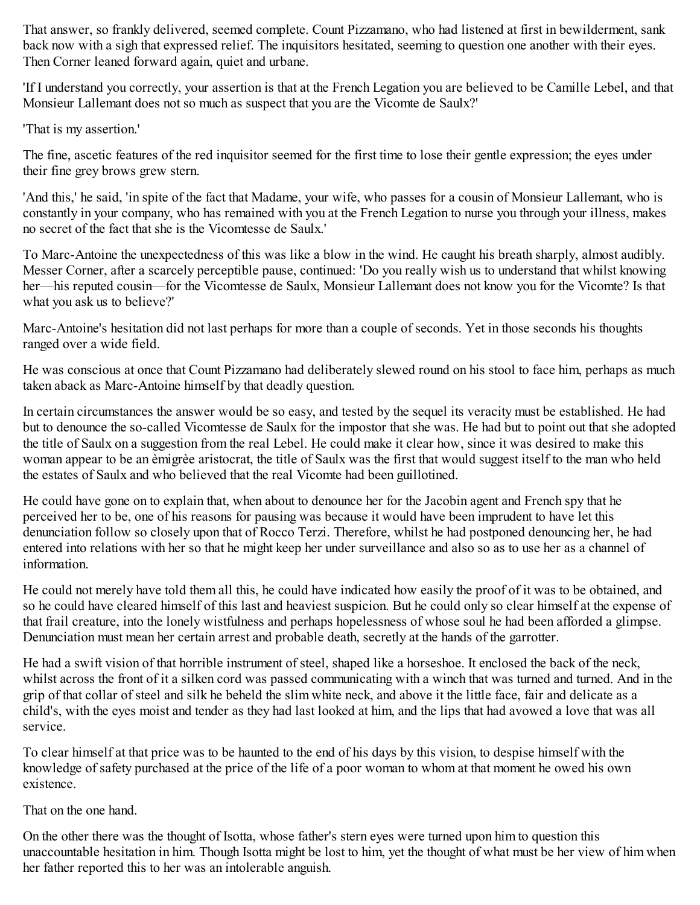That answer, so frankly delivered, seemed complete. Count Pizzamano, who had listened at first in bewilderment, sank back now with a sigh that expressed relief. The inquisitors hesitated, seeming to question one another with their eyes. Then Corner leaned forward again, quiet and urbane.

'If I understand you correctly, your assertion is that at the French Legation you are believed to be Camille Lebel, and that Monsieur Lallemant does not so much as suspect that you are the Vicomte de Saulx?'

'That is my assertion.'

The fine, ascetic features of the red inquisitor seemed for the first time to lose their gentle expression; the eyes under their fine grey brows grew stern.

'And this,' he said, 'in spite of the fact that Madame, your wife, who passes for a cousin of Monsieur Lallemant, who is constantly in your company, who has remained with you at the French Legation to nurse you through your illness, makes no secret of the fact that she is the Vicomtesse de Saulx.'

To Marc-Antoine the unexpectedness of this was like a blow in the wind. He caught his breath sharply, almost audibly. Messer Corner, after a scarcely perceptible pause, continued: 'Do you really wish us to understand that whilst knowing her—his reputed cousin—for the Vicomtesse de Saulx, Monsieur Lallemant does not know you for the Vicomte? Is that what you ask us to believe?'

Marc-Antoine's hesitation did not last perhaps for more than a couple of seconds. Yet in those seconds his thoughts ranged over a wide field.

He was conscious at once that Count Pizzamano had deliberately slewed round on his stool to face him, perhaps as much taken aback as Marc-Antoine himself by that deadly question.

In certain circumstances the answer would be so easy, and tested by the sequel its veracity must be established. He had but to denounce the so-called Vicomtesse de Saulx for the impostor that she was. He had but to point out that she adopted the title of Saulx on a suggestion from the real Lebel. He could make it clear how, since it was desired to make this woman appear to be an èmigrèe aristocrat, the title of Saulx was the first that would suggest itself to the man who held the estates of Saulx and who believed that the real Vicomte had been guillotined.

He could have gone on to explain that, when about to denounce her for the Jacobin agent and French spy that he perceived her to be, one of his reasons for pausing was because it would have been imprudent to have let this denunciation follow so closely upon that of Rocco Terzi. Therefore, whilst he had postponed denouncing her, he had entered into relations with her so that he might keep her under surveillance and also so as to use her as a channel of information.

He could not merely have told them all this, he could have indicated how easily the proof of it was to be obtained, and so he could have cleared himself of this last and heaviest suspicion. But he could only so clear himself at the expense of that frail creature, into the lonely wistfulness and perhaps hopelessness of whose soul he had been afforded a glimpse. Denunciation must mean her certain arrest and probable death, secretly at the hands of the garrotter.

He had a swift vision of that horrible instrument of steel, shaped like a horseshoe. It enclosed the back of the neck, whilst across the front of it a silken cord was passed communicating with a winch that was turned and turned. And in the grip of that collar of steel and silk he beheld the slim white neck, and above it the little face, fair and delicate as a child's, with the eyes moist and tender as they had last looked at him, and the lips that had avowed a love that was all service.

To clear himself at that price was to be haunted to the end of his days by this vision, to despise himself with the knowledge of safety purchased at the price of the life of a poor woman to whom at that moment he owed his own existence.

That on the one hand.

On the other there was the thought of Isotta, whose father's stern eyes were turned upon him to question this unaccountable hesitation in him. Though Isotta might be lost to him, yet the thought of what must be her view of him when her father reported this to her was an intolerable anguish.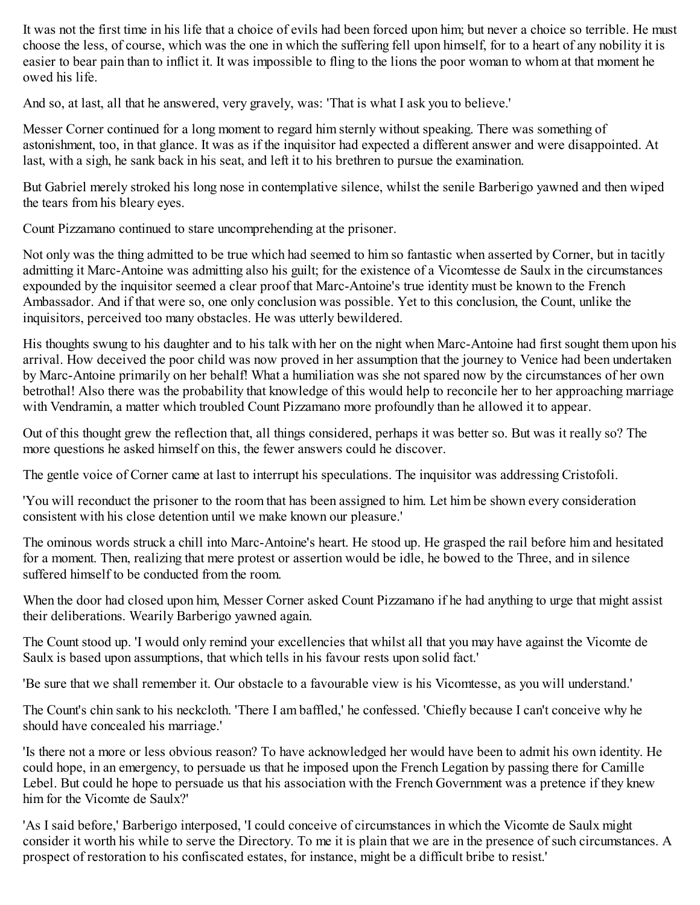It was not the first time in his life that a choice of evils had been forced upon him; but never a choice so terrible. He must choose the less, of course, which was the one in which the suffering fell upon himself, for to a heart of any nobility it is easier to bear pain than to inflict it. It was impossible to fling to the lions the poor woman to whom at that moment he owed his life.

And so, at last, all that he answered, very gravely, was: 'That is what I ask you to believe.'

Messer Corner continued for a long moment to regard him sternly without speaking. There was something of astonishment, too, in that glance. It was as if the inquisitor had expected a different answer and were disappointed. At last, with a sigh, he sank back in his seat, and left it to his brethren to pursue the examination.

But Gabriel merely stroked his long nose in contemplative silence, whilst the senile Barberigo yawned and then wiped the tears from his bleary eyes.

Count Pizzamano continued to stare uncomprehending at the prisoner.

Not only was the thing admitted to be true which had seemed to him so fantastic when asserted by Corner, but in tacitly admitting it Marc-Antoine was admitting also his guilt; for the existence of a Vicomtesse de Saulx in the circumstances expounded by the inquisitor seemed a clear proof that Marc-Antoine's true identity must be known to the French Ambassador. And if that were so, one only conclusion was possible. Yet to this conclusion, the Count, unlike the inquisitors, perceived too many obstacles. He was utterly bewildered.

His thoughts swung to his daughter and to his talk with her on the night when Marc-Antoine had first sought them upon his arrival. How deceived the poor child was now proved in her assumption that the journey to Venice had been undertaken by Marc-Antoine primarily on her behalf! What a humiliation was she not spared now by the circumstances of her own betrothal! Also there was the probability that knowledge of this would help to reconcile her to her approaching marriage with Vendramin, a matter which troubled Count Pizzamano more profoundly than he allowed it to appear.

Out of this thought grew the reflection that, all things considered, perhaps it was better so. But was it really so? The more questions he asked himself on this, the fewer answers could he discover.

The gentle voice of Corner came at last to interrupt his speculations. The inquisitor was addressing Cristofoli.

'You will reconduct the prisoner to the room that has been assigned to him. Let him be shown every consideration consistent with his close detention until we make known our pleasure.'

The ominous words struck a chill into Marc-Antoine's heart. He stood up. He grasped the rail before him and hesitated for a moment. Then, realizing that mere protest or assertion would be idle, he bowed to the Three, and in silence suffered himself to be conducted from the room.

When the door had closed upon him, Messer Corner asked Count Pizzamano if he had anything to urge that might assist their deliberations. Wearily Barberigo yawned again.

The Count stood up. 'I would only remind your excellencies that whilst all that you may have against the Vicomte de Saulx is based upon assumptions, that which tells in his favour rests upon solid fact.'

'Be sure that we shall remember it. Our obstacle to a favourable view is his Vicomtesse, as you will understand.'

The Count's chin sank to his neckcloth. 'There I am baffled,' he confessed. 'Chiefly because I can't conceive why he should have concealed his marriage.'

'Is there not a more or less obvious reason? To have acknowledged her would have been to admit his own identity. He could hope, in an emergency, to persuade us that he imposed upon the French Legation by passing there for Camille Lebel. But could he hope to persuade us that his association with the French Government was a pretence if they knew him for the Vicomte de Saulx?'

'As I said before,' Barberigo interposed, 'I could conceive of circumstances in which the Vicomte de Saulx might consider it worth his while to serve the Directory. To me it is plain that we are in the presence of such circumstances. A prospect of restoration to his confiscated estates, for instance, might be a difficult bribe to resist.'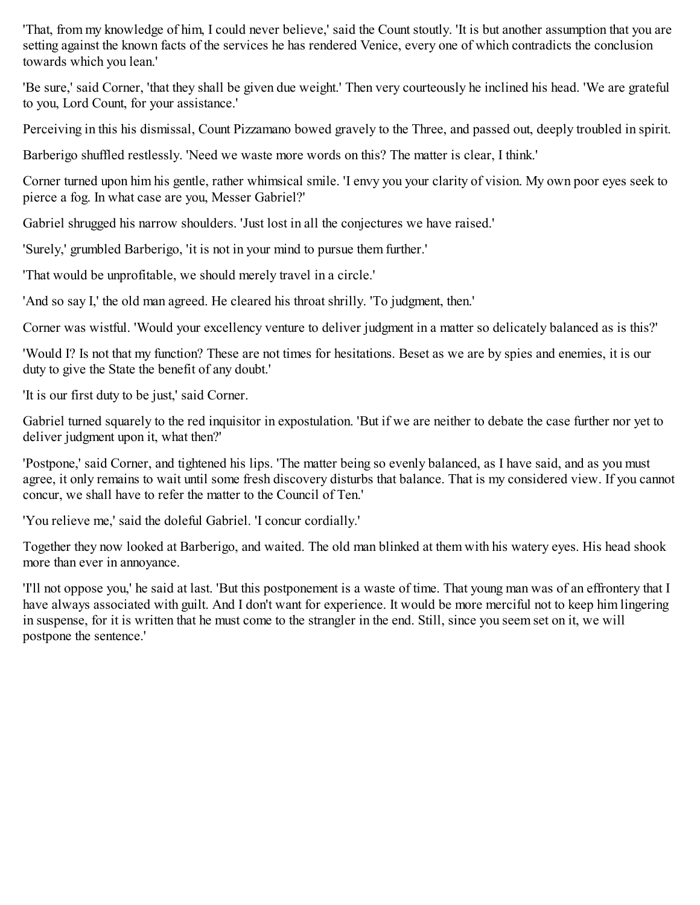'That, from my knowledge of him, I could never believe,' said the Count stoutly. 'It is but another assumption that you are setting against the known facts of the services he has rendered Venice, every one of which contradicts the conclusion towards which you lean.'

'Be sure,' said Corner, 'that they shall be given due weight.' Then very courteously he inclined his head. 'We are grateful to you, Lord Count, for your assistance.'

Perceiving in this his dismissal, Count Pizzamano bowed gravely to the Three, and passed out, deeply troubled in spirit.

Barberigo shuffled restlessly. 'Need we waste more words on this? The matter is clear, I think.'

Corner turned upon him his gentle, rather whimsical smile. 'I envy you your clarity of vision. My own poor eyes seek to pierce a fog. In what case are you, Messer Gabriel?'

Gabriel shrugged his narrow shoulders. 'Just lost in all the conjectures we have raised.'

'Surely,' grumbled Barberigo, 'it is not in your mind to pursue them further.'

'That would be unprofitable, we should merely travel in a circle.'

'And so say I,' the old man agreed. He cleared his throat shrilly. 'To judgment, then.'

Corner was wistful. 'Would your excellency venture to deliver judgment in a matter so delicately balanced as is this?'

'Would I? Is not that my function? These are not times for hesitations. Beset as we are by spies and enemies, it is our duty to give the State the benefit of any doubt.'

'It is our first duty to be just,' said Corner.

Gabriel turned squarely to the red inquisitor in expostulation. 'But if we are neither to debate the case further nor yet to deliver judgment upon it, what then?'

'Postpone,' said Corner, and tightened his lips. 'The matter being so evenly balanced, as I have said, and as you must agree, it only remains to wait until some fresh discovery disturbs that balance. That is my considered view. If you cannot concur, we shall have to refer the matter to the Council of Ten.'

'You relieve me,' said the doleful Gabriel. 'I concur cordially.'

Together they now looked at Barberigo, and waited. The old man blinked at them with his watery eyes. His head shook more than ever in annoyance.

'I'll not oppose you,' he said at last. 'But this postponement is a waste of time. That young man was of an effrontery that I have always associated with guilt. And I don't want for experience. It would be more merciful not to keep him lingering in suspense, for it is written that he must come to the strangler in the end. Still, since you seem set on it, we will postpone the sentence.'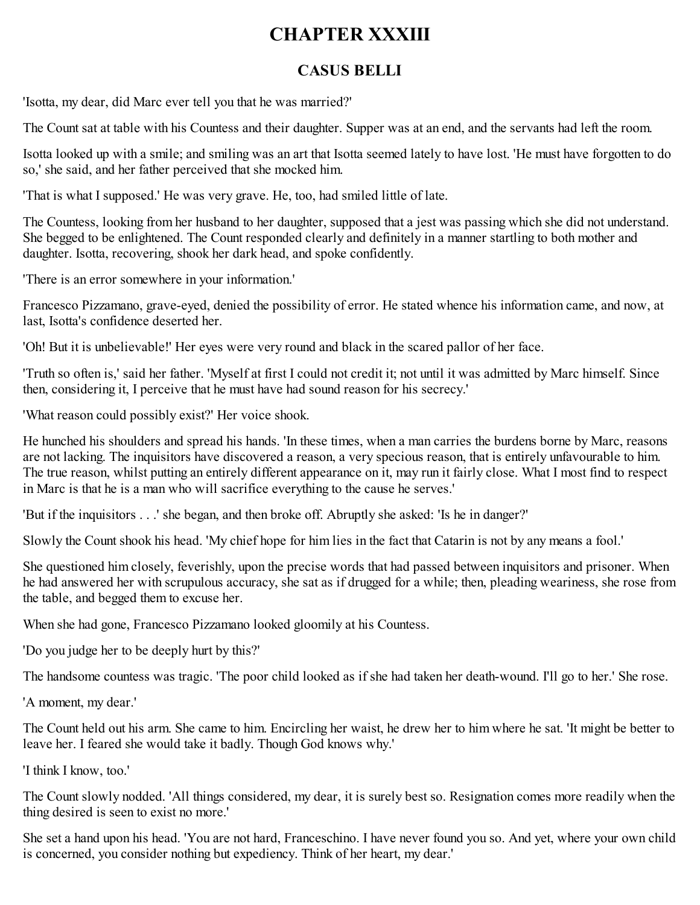## **CHAPTER XXXIII**

### **CASUS BELLI**

'Isotta, my dear, did Marc ever tell you that he was married?'

The Count sat at table with his Countess and their daughter. Supper was at an end, and the servants had left the room.

Isotta looked up with a smile; and smiling was an art that Isotta seemed lately to have lost. 'He must have forgotten to do so,' she said, and her father perceived that she mocked him.

'That is what I supposed.' He was very grave. He, too, had smiled little of late.

The Countess, looking from her husband to her daughter, supposed that a jest was passing which she did not understand. She begged to be enlightened. The Count responded clearly and definitely in a manner startling to both mother and daughter. Isotta, recovering, shook her dark head, and spoke confidently.

'There is an error somewhere in your information.'

Francesco Pizzamano, grave-eyed, denied the possibility of error. He stated whence his information came, and now, at last, Isotta's confidence deserted her.

'Oh! But it is unbelievable!' Her eyes were very round and black in the scared pallor of her face.

'Truth so often is,' said her father. 'Myself at first I could not credit it; not until it was admitted by Marc himself. Since then, considering it, I perceive that he must have had sound reason for his secrecy.'

'What reason could possibly exist?' Her voice shook.

He hunched his shoulders and spread his hands. 'In these times, when a man carries the burdens borne by Marc, reasons are not lacking. The inquisitors have discovered a reason, a very specious reason, that is entirely unfavourable to him. The true reason, whilst putting an entirely different appearance on it, may run it fairly close. What I most find to respect in Marc is that he is a man who will sacrifice everything to the cause he serves.'

'But if the inquisitors . . .' she began, and then broke off. Abruptly she asked: 'Is he in danger?'

Slowly the Count shook his head. 'My chief hope for him lies in the fact that Catarin is not by any means a fool.'

She questioned him closely, feverishly, upon the precise words that had passed between inquisitors and prisoner. When he had answered her with scrupulous accuracy, she sat as if drugged for a while; then, pleading weariness, she rose from the table, and begged them to excuse her.

When she had gone, Francesco Pizzamano looked gloomily at his Countess.

'Do you judge her to be deeply hurt by this?'

The handsome countess was tragic. 'The poor child looked as if she had taken her death-wound. I'll go to her.' She rose.

'A moment, my dear.'

The Count held out his arm. She came to him. Encircling her waist, he drew her to him where he sat. 'It might be better to leave her. I feared she would take it badly. Though God knows why.'

'I think I know, too.'

The Count slowly nodded. 'All things considered, my dear, it is surely best so. Resignation comes more readily when the thing desired is seen to exist no more.'

She set a hand upon his head. 'You are not hard, Franceschino. I have never found you so. And yet, where your own child is concerned, you consider nothing but expediency. Think of her heart, my dear.'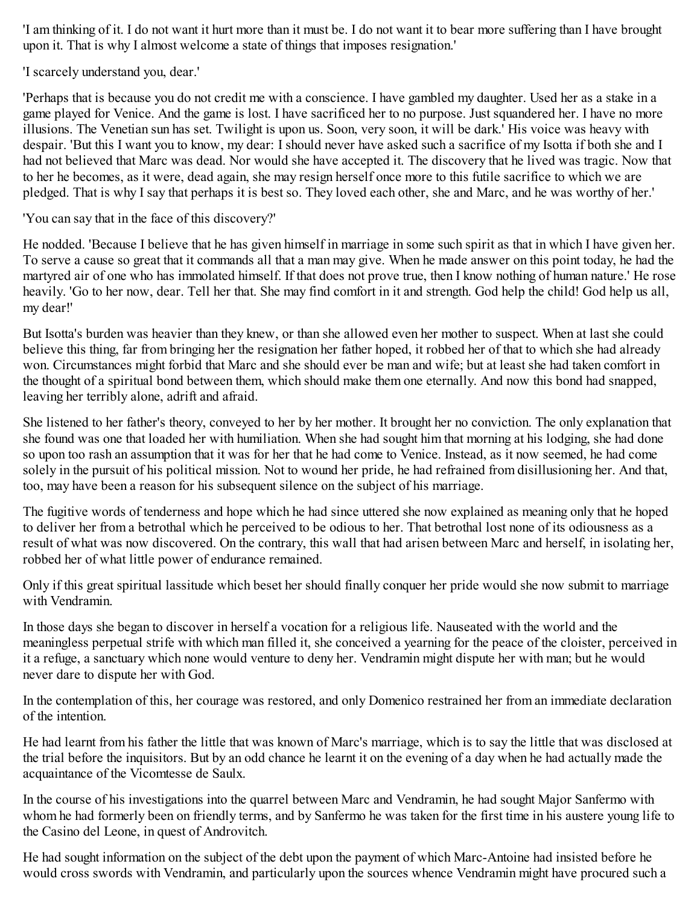'I am thinking of it. I do not want it hurt more than it must be. I do not want it to bear more suffering than I have brought upon it. That is why I almost welcome a state of things that imposes resignation.'

'I scarcely understand you, dear.'

'Perhaps that is because you do not credit me with a conscience. I have gambled my daughter. Used her as a stake in a game played for Venice. And the game is lost. I have sacrificed her to no purpose. Just squandered her. I have no more illusions. The Venetian sun has set. Twilight is upon us. Soon, very soon, it will be dark.' His voice was heavy with despair. 'But this I want you to know, my dear: I should never have asked such a sacrifice of my Isotta if both she and I had not believed that Marc was dead. Nor would she have accepted it. The discovery that he lived was tragic. Now that to her he becomes, as it were, dead again, she may resign herself once more to this futile sacrifice to which we are pledged. That is why I say that perhaps it is best so. They loved each other, she and Marc, and he was worthy of her.'

'You can say that in the face of this discovery?'

He nodded. 'Because I believe that he has given himself in marriage in some such spirit as that in which I have given her. To serve a cause so great that it commands all that a man may give. When he made answer on this point today, he had the martyred air of one who has immolated himself. If that does not prove true, then I know nothing of human nature.' He rose heavily. 'Go to her now, dear. Tell her that. She may find comfort in it and strength. God help the child! God help us all, my dear!'

But Isotta's burden was heavier than they knew, or than she allowed even her mother to suspect. When at last she could believe this thing, far from bringing her the resignation her father hoped, it robbed her of that to which she had already won. Circumstances might forbid that Marc and she should ever be man and wife; but at least she had taken comfort in the thought of a spiritual bond between them, which should make them one eternally. And now this bond had snapped, leaving her terribly alone, adrift and afraid.

She listened to her father's theory, conveyed to her by her mother. It brought her no conviction. The only explanation that she found was one that loaded her with humiliation. When she had sought him that morning at his lodging, she had done so upon too rash an assumption that it was for her that he had come to Venice. Instead, as it now seemed, he had come solely in the pursuit of his political mission. Not to wound her pride, he had refrained from disillusioning her. And that, too, may have been a reason for his subsequent silence on the subject of his marriage.

The fugitive words of tenderness and hope which he had since uttered she now explained as meaning only that he hoped to deliver her from a betrothal which he perceived to be odious to her. That betrothal lost none of its odiousness as a result of what was now discovered. On the contrary, this wall that had arisen between Marc and herself, in isolating her, robbed her of what little power of endurance remained.

Only if this great spiritual lassitude which beset her should finally conquer her pride would she now submit to marriage with Vendramin.

In those days she began to discover in herself a vocation for a religious life. Nauseated with the world and the meaningless perpetual strife with which man filled it, she conceived a yearning for the peace of the cloister, perceived in it a refuge, a sanctuary which none would venture to deny her. Vendramin might dispute her with man; but he would never dare to dispute her with God.

In the contemplation of this, her courage was restored, and only Domenico restrained her from an immediate declaration of the intention.

He had learnt from his father the little that was known of Marc's marriage, which is to say the little that was disclosed at the trial before the inquisitors. But by an odd chance he learnt it on the evening of a day when he had actually made the acquaintance of the Vicomtesse de Saulx.

In the course of his investigations into the quarrel between Marc and Vendramin, he had sought Major Sanfermo with whom he had formerly been on friendly terms, and by Sanfermo he was taken for the first time in his austere young life to the Casino del Leone, in quest of Androvitch.

He had sought information on the subject of the debt upon the payment of which Marc-Antoine had insisted before he would cross swords with Vendramin, and particularly upon the sources whence Vendramin might have procured such a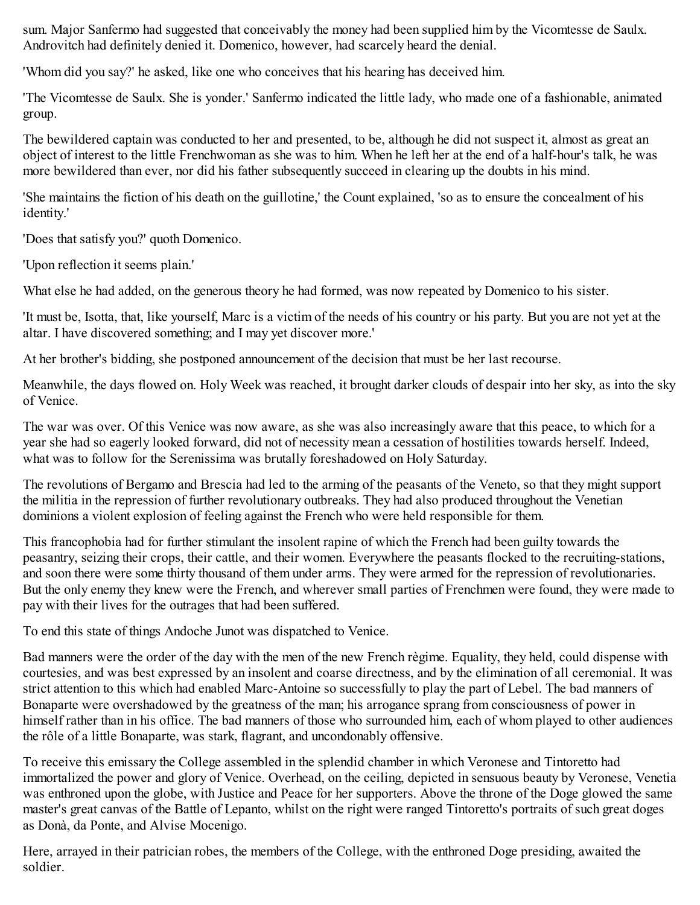sum. Major Sanfermo had suggested that conceivably the money had been supplied him by the Vicomtesse de Saulx. Androvitch had definitely denied it. Domenico, however, had scarcely heard the denial.

'Whom did you say?' he asked, like one who conceives that his hearing has deceived him.

'The Vicomtesse de Saulx. She is yonder.' Sanfermo indicated the little lady, who made one of a fashionable, animated group.

The bewildered captain was conducted to her and presented, to be, although he did not suspect it, almost as great an object of interest to the little Frenchwoman as she was to him. When he left her at the end of a half-hour's talk, he was more bewildered than ever, nor did his father subsequently succeed in clearing up the doubts in his mind.

'She maintains the fiction of his death on the guillotine,' the Count explained, 'so as to ensure the concealment of his identity.'

'Does that satisfy you?' quoth Domenico.

'Upon reflection it seems plain.'

What else he had added, on the generous theory he had formed, was now repeated by Domenico to his sister.

'It must be, Isotta, that, like yourself, Marc is a victim of the needs of his country or his party. But you are not yet at the altar. I have discovered something; and I may yet discover more.'

At her brother's bidding, she postponed announcement of the decision that must be her last recourse.

Meanwhile, the days flowed on. Holy Week was reached, it brought darker clouds of despair into her sky, as into the sky of Venice.

The war was over. Of this Venice was now aware, as she was also increasingly aware that this peace, to which for a year she had so eagerly looked forward, did not of necessity mean a cessation of hostilities towards herself. Indeed, what was to follow for the Serenissima was brutally foreshadowed on Holy Saturday.

The revolutions of Bergamo and Brescia had led to the arming of the peasants of the Veneto, so that they might support the militia in the repression of further revolutionary outbreaks. They had also produced throughout the Venetian dominions a violent explosion of feeling against the French who were held responsible for them.

This francophobia had for further stimulant the insolent rapine of which the French had been guilty towards the peasantry, seizing their crops, their cattle, and their women. Everywhere the peasants flocked to the recruiting-stations, and soon there were some thirty thousand of them under arms. They were armed for the repression of revolutionaries. But the only enemy they knew were the French, and wherever small parties of Frenchmen were found, they were made to pay with their lives for the outrages that had been suffered.

To end this state of things Andoche Junot was dispatched to Venice.

Bad manners were the order of the day with the men of the new French règime. Equality, they held, could dispense with courtesies, and was best expressed by an insolent and coarse directness, and by the elimination of all ceremonial. It was strict attention to this which had enabled Marc-Antoine so successfully to play the part of Lebel. The bad manners of Bonaparte were overshadowed by the greatness of the man; his arrogance sprang from consciousness of power in himself rather than in his office. The bad manners of those who surrounded him, each of whom played to other audiences the rôle of a little Bonaparte, was stark, flagrant, and uncondonably offensive.

To receive this emissary the College assembled in the splendid chamber in which Veronese and Tintoretto had immortalized the power and glory of Venice. Overhead, on the ceiling, depicted in sensuous beauty by Veronese, Venetia was enthroned upon the globe, with Justice and Peace for her supporters. Above the throne of the Doge glowed the same master's great canvas of the Battle of Lepanto, whilst on the right were ranged Tintoretto's portraits of such great doges as Donà, da Ponte, and Alvise Mocenigo.

Here, arrayed in their patrician robes, the members of the College, with the enthroned Doge presiding, awaited the soldier.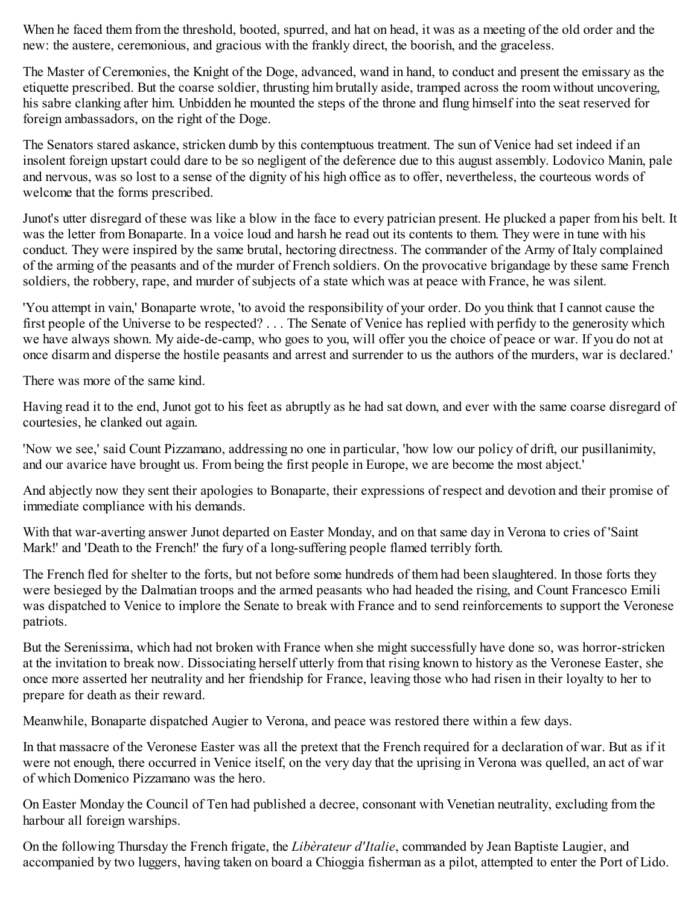When he faced them from the threshold, booted, spurred, and hat on head, it was as a meeting of the old order and the new: the austere, ceremonious, and gracious with the frankly direct, the boorish, and the graceless.

The Master of Ceremonies, the Knight of the Doge, advanced, wand in hand, to conduct and present the emissary as the etiquette prescribed. But the coarse soldier, thrusting him brutally aside, tramped across the room without uncovering, his sabre clanking after him. Unbidden he mounted the steps of the throne and flung himself into the seat reserved for foreign ambassadors, on the right of the Doge.

The Senators stared askance, stricken dumb by this contemptuous treatment. The sun of Venice had set indeed if an insolent foreign upstart could dare to be so negligent of the deference due to this august assembly. Lodovico Manin, pale and nervous, was so lost to a sense of the dignity of his high office as to offer, nevertheless, the courteous words of welcome that the forms prescribed.

Junot's utter disregard of these was like a blow in the face to every patrician present. He plucked a paper from his belt. It was the letter from Bonaparte. In a voice loud and harsh he read out its contents to them. They were in tune with his conduct. They were inspired by the same brutal, hectoring directness. The commander of the Army of Italy complained of the arming of the peasants and of the murder of French soldiers. On the provocative brigandage by these same French soldiers, the robbery, rape, and murder of subjects of a state which was at peace with France, he was silent.

'You attempt in vain,' Bonaparte wrote, 'to avoid the responsibility of your order. Do you think that I cannot cause the first people of the Universe to be respected? . . . The Senate of Venice has replied with perfidy to the generosity which we have always shown. My aide-de-camp, who goes to you, will offer you the choice of peace or war. If you do not at once disarm and disperse the hostile peasants and arrest and surrender to us the authors of the murders, war is declared.'

There was more of the same kind.

Having read it to the end, Junot got to his feet as abruptly as he had sat down, and ever with the same coarse disregard of courtesies, he clanked out again.

'Now we see,' said Count Pizzamano, addressing no one in particular, 'how low our policy of drift, our pusillanimity, and our avarice have brought us. From being the first people in Europe, we are become the most abject.'

And abjectly now they sent their apologies to Bonaparte, their expressions of respect and devotion and their promise of immediate compliance with his demands.

With that war-averting answer Junot departed on Easter Monday, and on that same day in Verona to cries of 'Saint Mark!' and 'Death to the French!' the fury of a long-suffering people flamed terribly forth.

The French fled for shelter to the forts, but not before some hundreds of them had been slaughtered. In those forts they were besieged by the Dalmatian troops and the armed peasants who had headed the rising, and Count Francesco Emili was dispatched to Venice to implore the Senate to break with France and to send reinforcements to support the Veronese patriots.

But the Serenissima, which had not broken with France when she might successfully have done so, was horror-stricken at the invitation to break now. Dissociating herself utterly from that rising known to history as the Veronese Easter, she once more asserted her neutrality and her friendship for France, leaving those who had risen in their loyalty to her to prepare for death as their reward.

Meanwhile, Bonaparte dispatched Augier to Verona, and peace was restored there within a few days.

In that massacre of the Veronese Easter was all the pretext that the French required for a declaration of war. But as if it were not enough, there occurred in Venice itself, on the very day that the uprising in Verona was quelled, an act of war of which Domenico Pizzamano was the hero.

On Easter Monday the Council of Ten had published a decree, consonant with Venetian neutrality, excluding from the harbour all foreign warships.

On the following Thursday the French frigate, the *Libèrateur d'Italie*, commanded by Jean Baptiste Laugier, and accompanied by two luggers, having taken on board a Chioggia fisherman as a pilot, attempted to enter the Port of Lido.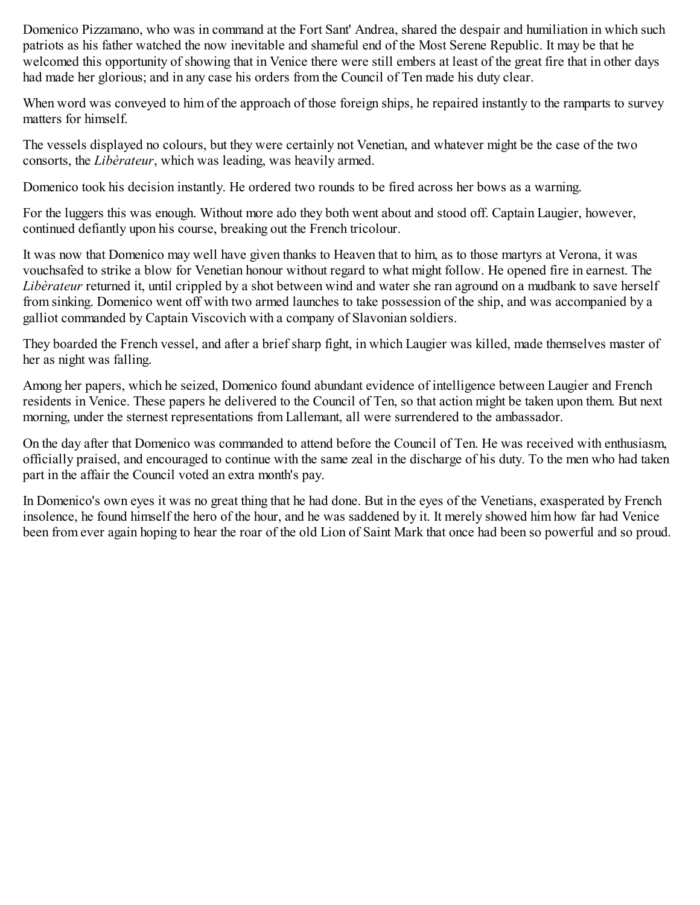Domenico Pizzamano, who was in command at the Fort Sant' Andrea, shared the despair and humiliation in which such patriots as his father watched the now inevitable and shameful end of the Most Serene Republic. It may be that he welcomed this opportunity of showing that in Venice there were still embers at least of the great fire that in other days had made her glorious; and in any case his orders from the Council of Ten made his duty clear.

When word was conveyed to him of the approach of those foreign ships, he repaired instantly to the ramparts to survey matters for himself.

The vessels displayed no colours, but they were certainly not Venetian, and whatever might be the case of the two consorts, the *Libèrateur*, which was leading, was heavily armed.

Domenico took his decision instantly. He ordered two rounds to be fired across her bows as a warning.

For the luggers this was enough. Without more ado they both went about and stood off. Captain Laugier, however, continued defiantly upon his course, breaking out the French tricolour.

It was now that Domenico may well have given thanks to Heaven that to him, as to those martyrs at Verona, it was vouchsafed to strike a blow for Venetian honour without regard to what might follow. He opened fire in earnest. The *Libèrateur* returned it, until crippled by a shot between wind and water she ran aground on a mudbank to save herself from sinking. Domenico went off with two armed launches to take possession of the ship, and was accompanied by a galliot commanded by Captain Viscovich with a company of Slavonian soldiers.

They boarded the French vessel, and after a brief sharp fight, in which Laugier was killed, made themselves master of her as night was falling.

Among her papers, which he seized, Domenico found abundant evidence of intelligence between Laugier and French residents in Venice. These papers he delivered to the Council of Ten, so that action might be taken upon them. But next morning, under the sternest representations from Lallemant, all were surrendered to the ambassador.

On the day after that Domenico was commanded to attend before the Council of Ten. He was received with enthusiasm, officially praised, and encouraged to continue with the same zeal in the discharge of his duty. To the men who had taken part in the affair the Council voted an extra month's pay.

In Domenico's own eyes it was no great thing that he had done. But in the eyes of the Venetians, exasperated by French insolence, he found himself the hero of the hour, and he was saddened by it. It merely showed him how far had Venice been from ever again hoping to hear the roar of the old Lion of Saint Mark that once had been so powerful and so proud.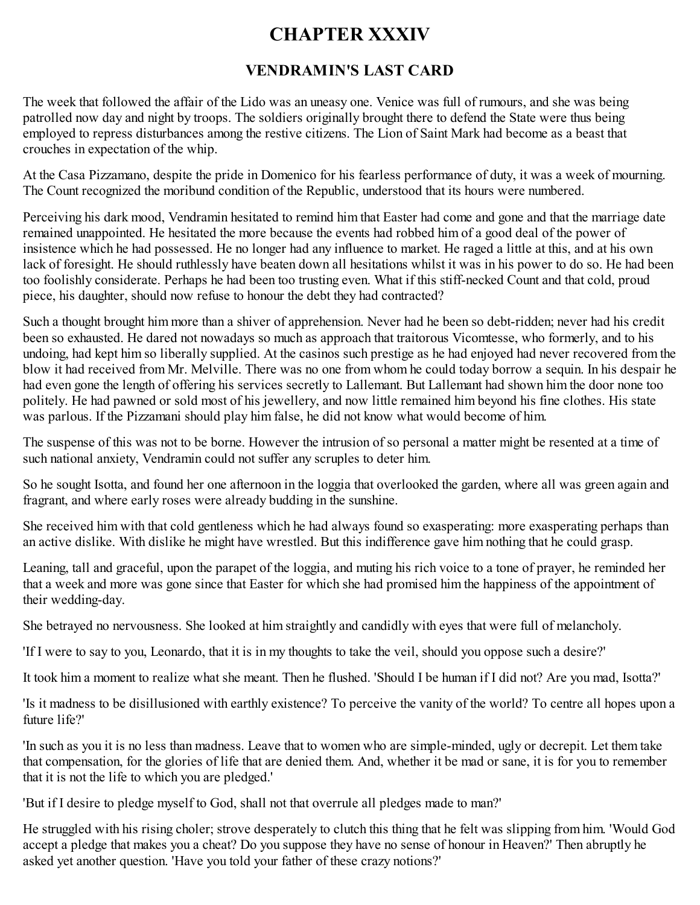# **CHAPTER XXXIV**

### **VENDRAMIN'S LAST CARD**

The week that followed the affair of the Lido was an uneasy one. Venice was full of rumours, and she was being patrolled now day and night by troops. The soldiers originally brought there to defend the State were thus being employed to repress disturbances among the restive citizens. The Lion of Saint Mark had become as a beast that crouches in expectation of the whip.

At the Casa Pizzamano, despite the pride in Domenico for his fearless performance of duty, it was a week of mourning. The Count recognized the moribund condition of the Republic, understood that its hours were numbered.

Perceiving his dark mood, Vendramin hesitated to remind him that Easter had come and gone and that the marriage date remained unappointed. He hesitated the more because the events had robbed him of a good deal of the power of insistence which he had possessed. He no longer had any influence to market. He raged a little at this, and at his own lack of foresight. He should ruthlessly have beaten down all hesitations whilst it was in his power to do so. He had been too foolishly considerate. Perhaps he had been too trusting even. What if this stiff-necked Count and that cold, proud piece, his daughter, should now refuse to honour the debt they had contracted?

Such a thought brought him more than a shiver of apprehension. Never had he been so debt-ridden; never had his credit been so exhausted. He dared not nowadays so much as approach that traitorous Vicomtesse, who formerly, and to his undoing, had kept him so liberally supplied. At the casinos such prestige as he had enjoyed had never recovered from the blow it had received from Mr. Melville. There was no one from whom he could today borrow a sequin. In his despair he had even gone the length of offering his services secretly to Lallemant. But Lallemant had shown him the door none too politely. He had pawned or sold most of his jewellery, and now little remained him beyond his fine clothes. His state was parlous. If the Pizzamani should play him false, he did not know what would become of him.

The suspense of this was not to be borne. However the intrusion of so personal a matter might be resented at a time of such national anxiety, Vendramin could not suffer any scruples to deter him.

So he sought Isotta, and found her one afternoon in the loggia that overlooked the garden, where all was green again and fragrant, and where early roses were already budding in the sunshine.

She received him with that cold gentleness which he had always found so exasperating: more exasperating perhaps than an active dislike. With dislike he might have wrestled. But this indifference gave him nothing that he could grasp.

Leaning, tall and graceful, upon the parapet of the loggia, and muting his rich voice to a tone of prayer, he reminded her that a week and more was gone since that Easter for which she had promised him the happiness of the appointment of their wedding-day.

She betrayed no nervousness. She looked at him straightly and candidly with eyes that were full of melancholy.

'If I were to say to you, Leonardo, that it is in my thoughts to take the veil, should you oppose such a desire?'

It took him a moment to realize what she meant. Then he flushed. 'Should I be human if I did not? Are you mad, Isotta?'

'Is it madness to be disillusioned with earthly existence? To perceive the vanity of the world? To centre all hopes upon a future life?'

'In such as you it is no less than madness. Leave that to women who are simple-minded, ugly or decrepit. Let them take that compensation, for the glories of life that are denied them. And, whether it be mad or sane, it is for you to remember that it is not the life to which you are pledged.'

'But if I desire to pledge myself to God, shall not that overrule all pledges made to man?'

He struggled with his rising choler; strove desperately to clutch this thing that he felt was slipping from him. 'Would God accept a pledge that makes you a cheat? Do you suppose they have no sense of honour in Heaven?' Then abruptly he asked yet another question. 'Have you told your father of these crazy notions?'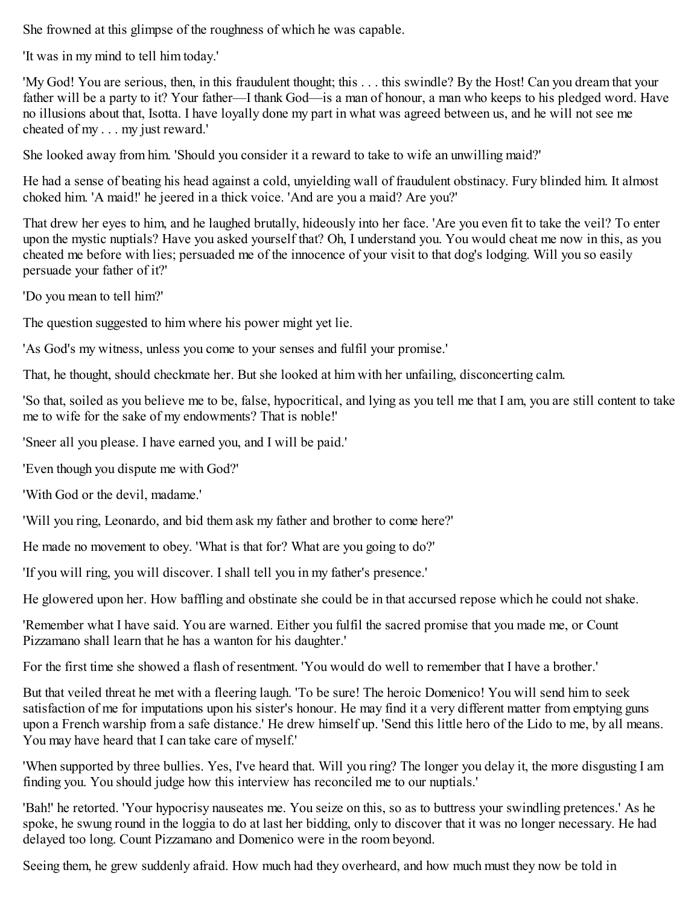She frowned at this glimpse of the roughness of which he was capable.

'It was in my mind to tell him today.'

'My God! You are serious, then, in this fraudulent thought; this . . . this swindle? By the Host! Can you dream that your father will be a party to it? Your father—I thank God—is a man of honour, a man who keeps to his pledged word. Have no illusions about that, Isotta. I have loyally done my part in what was agreed between us, and he will not see me cheated of my . . . my just reward.'

She looked away from him. 'Should you consider it a reward to take to wife an unwilling maid?'

He had a sense of beating his head against a cold, unyielding wall of fraudulent obstinacy. Fury blinded him. It almost choked him. 'A maid!' he jeered in a thick voice. 'And are you a maid? Are you?'

That drew her eyes to him, and he laughed brutally, hideously into her face. 'Are you even fit to take the veil? To enter upon the mystic nuptials? Have you asked yourself that? Oh, I understand you. You would cheat me now in this, as you cheated me before with lies; persuaded me of the innocence of your visit to that dog's lodging. Will you so easily persuade your father of it?'

'Do you mean to tell him?'

The question suggested to him where his power might yet lie.

'As God's my witness, unless you come to your senses and fulfil your promise.'

That, he thought, should checkmate her. But she looked at him with her unfailing, disconcerting calm.

'So that, soiled as you believe me to be, false, hypocritical, and lying as you tell me that I am, you are still content to take me to wife for the sake of my endowments? That is noble!'

'Sneer all you please. I have earned you, and I will be paid.'

'Even though you dispute me with God?'

'With God or the devil, madame.'

'Will you ring, Leonardo, and bid them ask my father and brother to come here?'

He made no movement to obey. 'What is that for? What are you going to do?'

'If you will ring, you will discover. I shall tell you in my father's presence.'

He glowered upon her. How baffling and obstinate she could be in that accursed repose which he could not shake.

'Remember what I have said. You are warned. Either you fulfil the sacred promise that you made me, or Count Pizzamano shall learn that he has a wanton for his daughter.'

For the first time she showed a flash of resentment. 'You would do well to remember that I have a brother.'

But that veiled threat he met with a fleering laugh. 'To be sure! The heroic Domenico! You will send him to seek satisfaction of me for imputations upon his sister's honour. He may find it a very different matter from emptying guns upon a French warship from a safe distance.' He drew himself up. 'Send this little hero of the Lido to me, by all means. You may have heard that I can take care of myself.'

'When supported by three bullies. Yes, I've heard that. Will you ring? The longer you delay it, the more disgusting I am finding you. You should judge how this interview has reconciled me to our nuptials.'

'Bah!' he retorted. 'Your hypocrisy nauseates me. You seize on this, so as to buttress your swindling pretences.' As he spoke, he swung round in the loggia to do at last her bidding, only to discover that it was no longer necessary. He had delayed too long. Count Pizzamano and Domenico were in the room beyond.

Seeing them, he grew suddenly afraid. How much had they overheard, and how much must they now be told in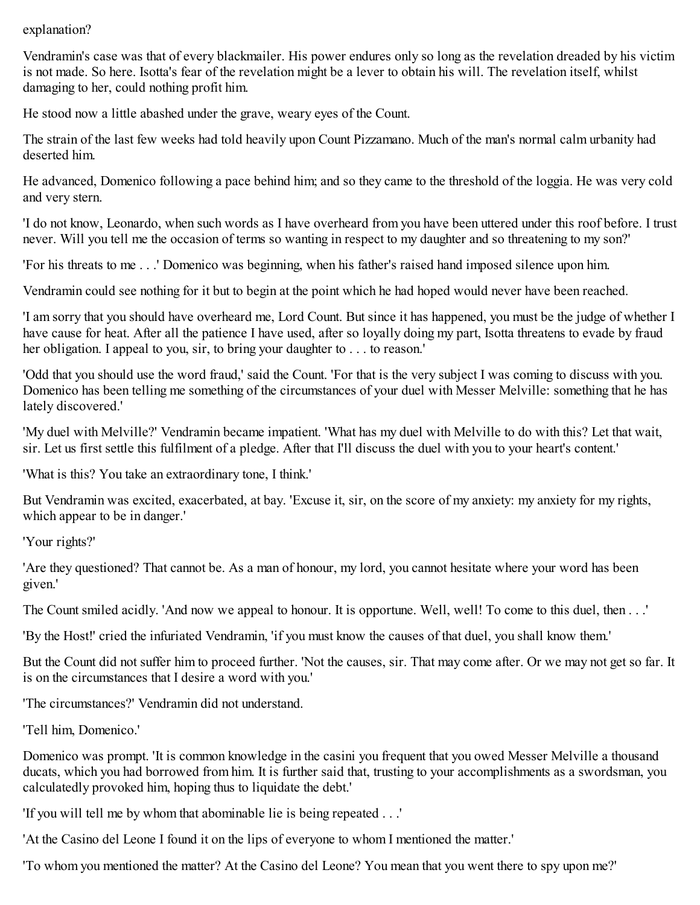explanation?

Vendramin's case was that of every blackmailer. His power endures only so long as the revelation dreaded by his victim is not made. So here. Isotta's fear of the revelation might be a lever to obtain his will. The revelation itself, whilst damaging to her, could nothing profit him.

He stood now a little abashed under the grave, weary eyes of the Count.

The strain of the last few weeks had told heavily upon Count Pizzamano. Much of the man's normal calm urbanity had deserted him.

He advanced, Domenico following a pace behind him; and so they came to the threshold of the loggia. He was very cold and very stern.

'I do not know, Leonardo, when such words as I have overheard from you have been uttered under this roof before. I trust never. Will you tell me the occasion of terms so wanting in respect to my daughter and so threatening to my son?'

'For his threats to me . . .' Domenico was beginning, when his father's raised hand imposed silence upon him.

Vendramin could see nothing for it but to begin at the point which he had hoped would never have been reached.

'I am sorry that you should have overheard me, Lord Count. But since it has happened, you must be the judge of whether I have cause for heat. After all the patience I have used, after so loyally doing my part, Isotta threatens to evade by fraud her obligation. I appeal to you, sir, to bring your daughter to . . . to reason.'

'Odd that you should use the word fraud,' said the Count. 'For that is the very subject I was coming to discuss with you. Domenico has been telling me something of the circumstances of your duel with Messer Melville: something that he has lately discovered.'

'My duel with Melville?' Vendramin became impatient. 'What has my duel with Melville to do with this? Let that wait, sir. Let us first settle this fulfilment of a pledge. After that I'll discuss the duel with you to your heart's content.'

'What is this? You take an extraordinary tone, I think.'

But Vendramin was excited, exacerbated, at bay. 'Excuse it, sir, on the score of my anxiety: my anxiety for my rights, which appear to be in danger.'

'Your rights?'

'Are they questioned? That cannot be. As a man of honour, my lord, you cannot hesitate where your word has been given.'

The Count smiled acidly. 'And now we appeal to honour. It is opportune. Well, well! To come to this duel, then . . .'

'By the Host!' cried the infuriated Vendramin, 'if you must know the causes of that duel, you shall know them.'

But the Count did not suffer him to proceed further. 'Not the causes, sir. That may come after. Or we may not get so far. It is on the circumstances that I desire a word with you.'

'The circumstances?' Vendramin did not understand.

'Tell him, Domenico.'

Domenico was prompt. 'It is common knowledge in the casini you frequent that you owed Messer Melville a thousand ducats, which you had borrowed from him. It is further said that, trusting to your accomplishments as a swordsman, you calculatedly provoked him, hoping thus to liquidate the debt.'

'If you will tell me by whom that abominable lie is being repeated . . .'

'At the Casino del Leone I found it on the lips of everyone to whom I mentioned the matter.'

'To whom you mentioned the matter? At the Casino del Leone? You mean that you went there to spy upon me?'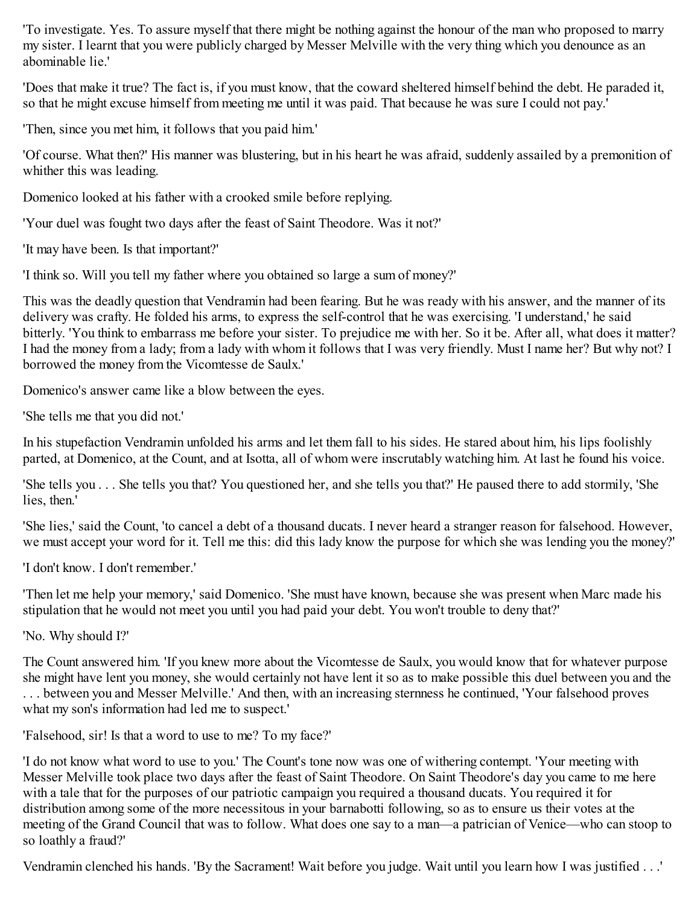'To investigate. Yes. To assure myself that there might be nothing against the honour of the man who proposed to marry my sister. I learnt that you were publicly charged by Messer Melville with the very thing which you denounce as an abominable lie.'

'Does that make it true? The fact is, if you must know, that the coward sheltered himself behind the debt. He paraded it, so that he might excuse himself from meeting me until it was paid. That because he was sure I could not pay.'

'Then, since you met him, it follows that you paid him.'

'Of course. What then?' His manner was blustering, but in his heart he was afraid, suddenly assailed by a premonition of whither this was leading.

Domenico looked at his father with a crooked smile before replying.

'Your duel was fought two days after the feast of Saint Theodore. Was it not?'

'It may have been. Is that important?'

'I think so. Will you tell my father where you obtained so large a sum of money?'

This was the deadly question that Vendramin had been fearing. But he was ready with his answer, and the manner of its delivery was crafty. He folded his arms, to express the self-control that he was exercising. 'I understand,' he said bitterly. 'You think to embarrass me before your sister. To prejudice me with her. So it be. After all, what does it matter? I had the money from a lady; from a lady with whom it follows that I was very friendly. Must I name her? But why not? I borrowed the money from the Vicomtesse de Saulx.'

Domenico's answer came like a blow between the eyes.

'She tells me that you did not.'

In his stupefaction Vendramin unfolded his arms and let them fall to his sides. He stared about him, his lips foolishly parted, at Domenico, at the Count, and at Isotta, all of whom were inscrutably watching him. At last he found his voice.

'She tells you . . . She tells you that? You questioned her, and she tells you that?' He paused there to add stormily, 'She lies, then.'

'She lies,' said the Count, 'to cancel a debt of a thousand ducats. I never heard a stranger reason for falsehood. However, we must accept your word for it. Tell me this: did this lady know the purpose for which she was lending you the money?'

'I don't know. I don't remember.'

'Then let me help your memory,' said Domenico. 'She must have known, because she was present when Marc made his stipulation that he would not meet you until you had paid your debt. You won't trouble to deny that?'

'No. Why should I?'

The Count answered him. 'If you knew more about the Vicomtesse de Saulx, you would know that for whatever purpose she might have lent you money, she would certainly not have lent it so as to make possible this duel between you and the . . . between you and Messer Melville.' And then, with an increasing sternness he continued, 'Your falsehood proves what my son's information had led me to suspect.'

'Falsehood, sir! Is that a word to use to me? To my face?'

'I do not know what word to use to you.' The Count's tone now was one of withering contempt. 'Your meeting with Messer Melville took place two days after the feast of Saint Theodore. On Saint Theodore's day you came to me here with a tale that for the purposes of our patriotic campaign you required a thousand ducats. You required it for distribution among some of the more necessitous in your barnabotti following, so as to ensure us their votes at the meeting of the Grand Council that was to follow. What does one say to a man—a patrician of Venice—who can stoop to so loathly a fraud?'

Vendramin clenched his hands. 'By the Sacrament! Wait before you judge. Wait until you learn how I was justified . . .'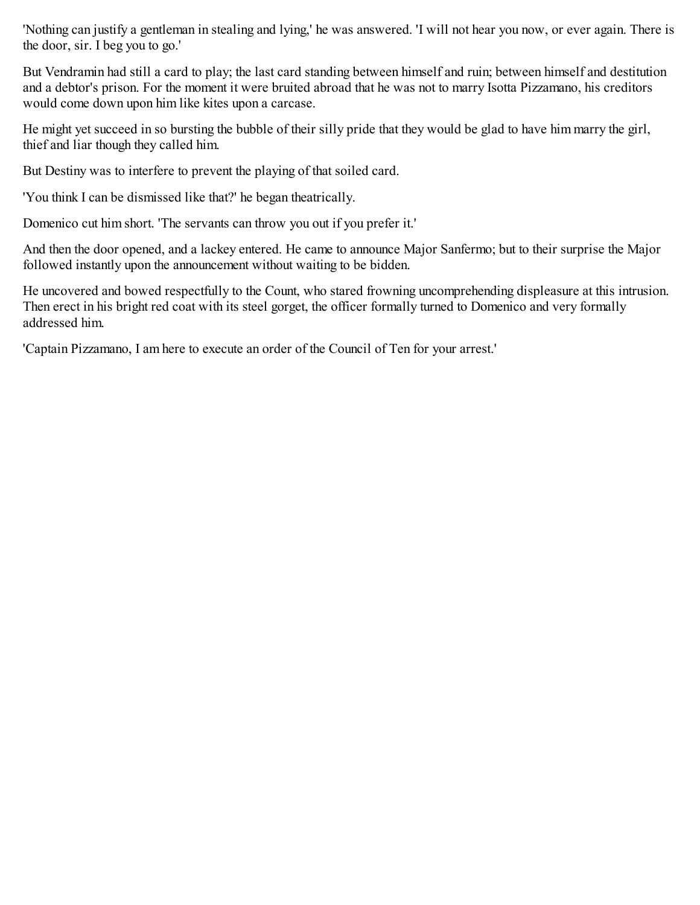'Nothing can justify a gentleman in stealing and lying,' he was answered. 'I will not hear you now, or ever again. There is the door, sir. I beg you to go.'

But Vendramin had still a card to play; the last card standing between himself and ruin; between himself and destitution and a debtor's prison. For the moment it were bruited abroad that he was not to marry Isotta Pizzamano, his creditors would come down upon him like kites upon a carcase.

He might yet succeed in so bursting the bubble of their silly pride that they would be glad to have him marry the girl, thief and liar though they called him.

But Destiny was to interfere to prevent the playing of that soiled card.

'You think I can be dismissed like that?' he began theatrically.

Domenico cut him short. 'The servants can throw you out if you prefer it.'

And then the door opened, and a lackey entered. He came to announce Major Sanfermo; but to their surprise the Major followed instantly upon the announcement without waiting to be bidden.

He uncovered and bowed respectfully to the Count, who stared frowning uncomprehending displeasure at this intrusion. Then erect in his bright red coat with its steel gorget, the officer formally turned to Domenico and very formally addressed him.

'Captain Pizzamano, I am here to execute an order of the Council of Ten for your arrest.'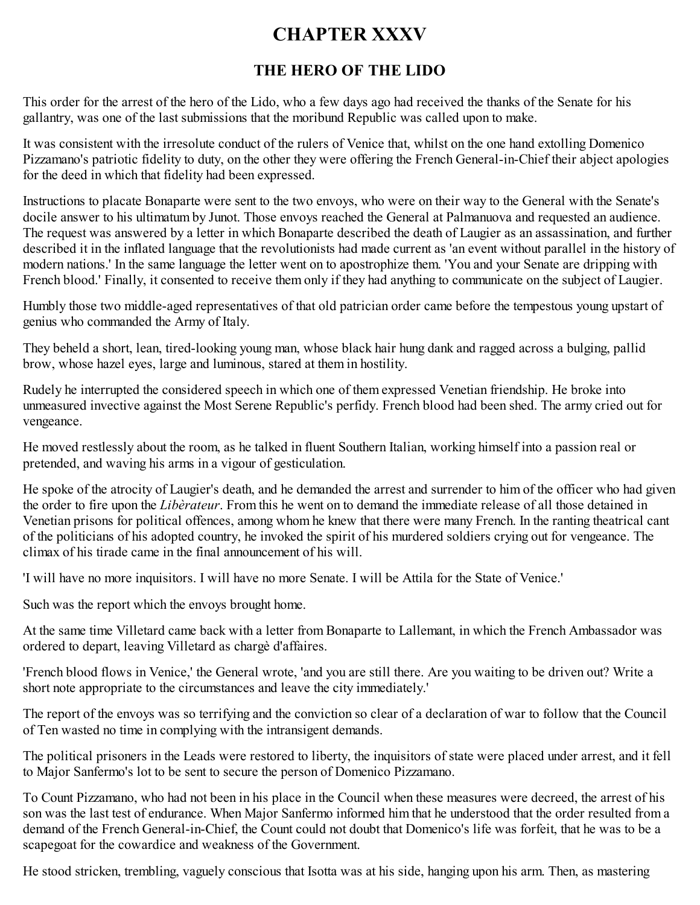## **CHAPTER XXXV**

### **THE HERO OF THE LIDO**

This order for the arrest of the hero of the Lido, who a few days ago had received the thanks of the Senate for his gallantry, was one of the last submissions that the moribund Republic was called upon to make.

It was consistent with the irresolute conduct of the rulers of Venice that, whilst on the one hand extolling Domenico Pizzamano's patriotic fidelity to duty, on the other they were offering the French General-in-Chief their abject apologies for the deed in which that fidelity had been expressed.

Instructions to placate Bonaparte were sent to the two envoys, who were on their way to the General with the Senate's docile answer to his ultimatum by Junot. Those envoys reached the General at Palmanuova and requested an audience. The request was answered by a letter in which Bonaparte described the death of Laugier as an assassination, and further described it in the inflated language that the revolutionists had made current as 'an event without parallel in the history of modern nations.' In the same language the letter went on to apostrophize them. 'You and your Senate are dripping with French blood.' Finally, it consented to receive them only if they had anything to communicate on the subject of Laugier.

Humbly those two middle-aged representatives of that old patrician order came before the tempestous young upstart of genius who commanded the Army of Italy.

They beheld a short, lean, tired-looking young man, whose black hair hung dank and ragged across a bulging, pallid brow, whose hazel eyes, large and luminous, stared at them in hostility.

Rudely he interrupted the considered speech in which one of them expressed Venetian friendship. He broke into unmeasured invective against the Most Serene Republic's perfidy. French blood had been shed. The army cried out for vengeance.

He moved restlessly about the room, as he talked in fluent Southern Italian, working himself into a passion real or pretended, and waving his arms in a vigour of gesticulation.

He spoke of the atrocity of Laugier's death, and he demanded the arrest and surrender to him of the officer who had given the order to fire upon the *Libèrateur*. From this he went on to demand the immediate release of all those detained in Venetian prisons for political offences, among whom he knew that there were many French. In the ranting theatrical cant of the politicians of his adopted country, he invoked the spirit of his murdered soldiers crying out for vengeance. The climax of his tirade came in the final announcement of his will.

'I will have no more inquisitors. I will have no more Senate. I will be Attila for the State of Venice.'

Such was the report which the envoys brought home.

At the same time Villetard came back with a letter from Bonaparte to Lallemant, in which the French Ambassador was ordered to depart, leaving Villetard as chargè d'affaires.

'French blood flows in Venice,' the General wrote, 'and you are still there. Are you waiting to be driven out? Write a short note appropriate to the circumstances and leave the city immediately.'

The report of the envoys was so terrifying and the conviction so clear of a declaration of war to follow that the Council of Ten wasted no time in complying with the intransigent demands.

The political prisoners in the Leads were restored to liberty, the inquisitors of state were placed under arrest, and it fell to Major Sanfermo's lot to be sent to secure the person of Domenico Pizzamano.

To Count Pizzamano, who had not been in his place in the Council when these measures were decreed, the arrest of his son was the last test of endurance. When Major Sanfermo informed him that he understood that the order resulted from a demand of the French General-in-Chief, the Count could not doubt that Domenico's life was forfeit, that he was to be a scapegoat for the cowardice and weakness of the Government.

He stood stricken, trembling, vaguely conscious that Isotta was at his side, hanging upon his arm. Then, as mastering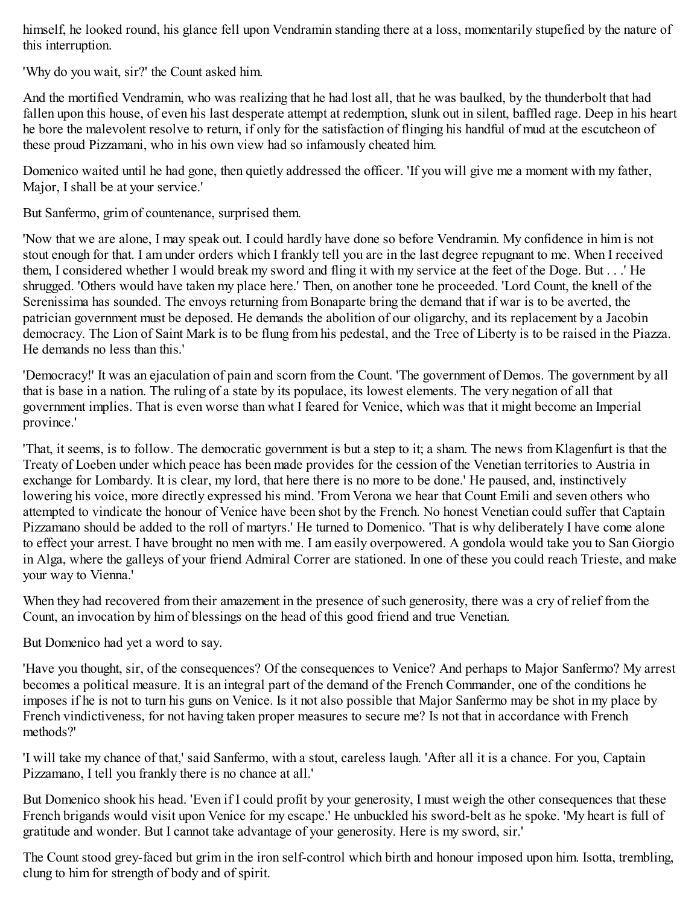himself, he looked round, his glance fell upon Vendramin standing there at a loss, momentarily stupefied by the nature of this interruption.

'Why do you wait, sir?' the Count asked him.

And the mortified Vendramin, who was realizing that he had lost all, that he was baulked, by the thunderbolt that had fallen upon this house, of even his last desperate attempt at redemption, slunk out in silent, baffled rage. Deep in his heart he bore the malevolent resolve to return, if only for the satisfaction of flinging his handful of mud at the escutcheon of these proud Pizzamani, who in his own view had so infamously cheated him.

Domenico waited until he had gone, then quietly addressed the officer. 'If you will give me a moment with my father, Major, I shall be at your service.'

But Sanfermo, grim of countenance, surprised them.

'Now that we are alone, I may speak out. I could hardly have done so before Vendramin. My confidence in him is not stout enough for that. I am under orders which I frankly tell you are in the last degree repugnant to me. When I received them, I considered whether I would break my sword and fling it with my service at the feet of the Doge. But . . .' He shrugged. 'Others would have taken my place here.' Then, on another tone he proceeded. 'Lord Count, the knell of the Serenissima has sounded. The envoys returning from Bonaparte bring the demand that if war is to be averted, the patrician government must be deposed. He demands the abolition of our oligarchy, and its replacement by a Jacobin democracy. The Lion of Saint Mark is to be flung from his pedestal, and the Tree of Liberty is to be raised in the Piazza. He demands no less than this.'

'Democracy!' It was an ejaculation of pain and scorn from the Count. 'The government of Demos. The government by all that is base in a nation. The ruling of a state by its populace, its lowest elements. The very negation of all that government implies. That is even worse than what I feared for Venice, which was that it might become an Imperial province.'

'That, it seems, is to follow. The democratic government is but a step to it; a sham. The news from Klagenfurt is that the Treaty of Loeben under which peace has been made provides for the cession of the Venetian territories to Austria in exchange for Lombardy. It is clear, my lord, that here there is no more to be done.' He paused, and, instinctively lowering his voice, more directly expressed his mind. 'From Verona we hear that Count Emili and seven others who attempted to vindicate the honour of Venice have been shot by the French. No honest Venetian could suffer that Captain Pizzamano should be added to the roll of martyrs.' He turned to Domenico. 'That is why deliberately I have come alone to effect your arrest. I have brought no men with me. I am easily overpowered. A gondola would take you to San Giorgio in Alga, where the galleys of your friend Admiral Correr are stationed. In one of these you could reach Trieste, and make your way to Vienna.'

When they had recovered from their amazement in the presence of such generosity, there was a cry of relief from the Count, an invocation by him of blessings on the head of this good friend and true Venetian.

But Domenico had yet a word to say.

'Have you thought, sir, of the consequences? Of the consequences to Venice? And perhaps to Major Sanfermo? My arrest becomes a political measure. It is an integral part of the demand of the French Commander, one of the conditions he imposes if he is not to turn his guns on Venice. Is it not also possible that Major Sanfermo may be shot in my place by French vindictiveness, for not having taken proper measures to secure me? Is not that in accordance with French methods?'

'I will take my chance of that,' said Sanfermo, with a stout, careless laugh. 'After all it is a chance. For you, Captain Pizzamano, I tell you frankly there is no chance at all.'

But Domenico shook his head. 'Even if I could profit by your generosity, I must weigh the other consequences that these French brigands would visit upon Venice for my escape.' He unbuckled his sword-belt as he spoke. 'My heart is full of gratitude and wonder. But I cannot take advantage of your generosity. Here is my sword, sir.'

The Count stood grey-faced but grim in the iron self-control which birth and honour imposed upon him. Isotta, trembling, clung to him for strength of body and of spirit.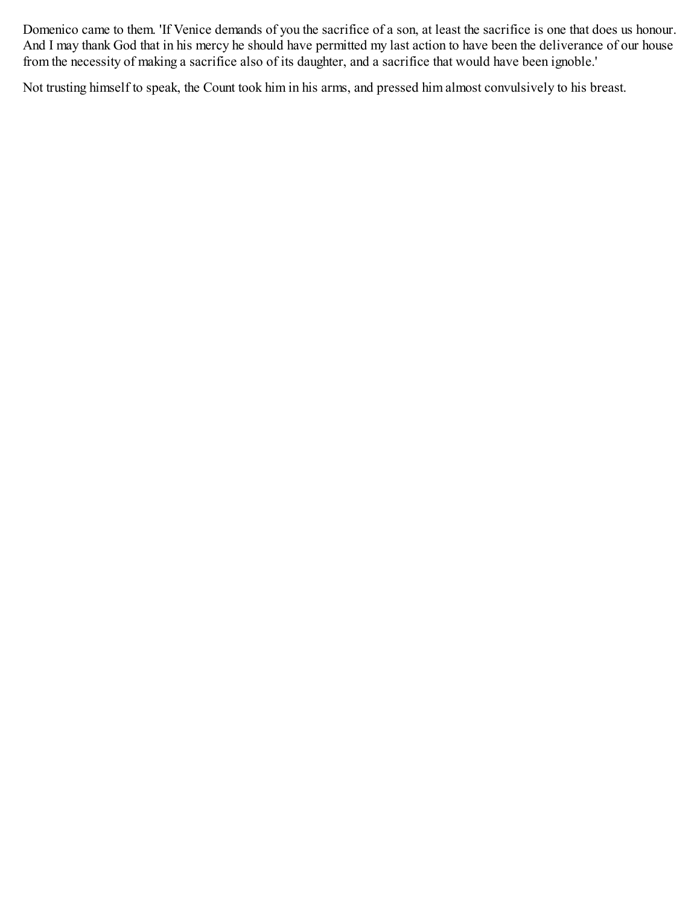Domenico came to them. 'If Venice demands of you the sacrifice of a son, at least the sacrifice is one that does us honour. And I may thank God that in his mercy he should have permitted my last action to have been the deliverance of our house from the necessity of making a sacrifice also of its daughter, and a sacrifice that would have been ignoble.'

Not trusting himself to speak, the Count took him in his arms, and pressed him almost convulsively to his breast.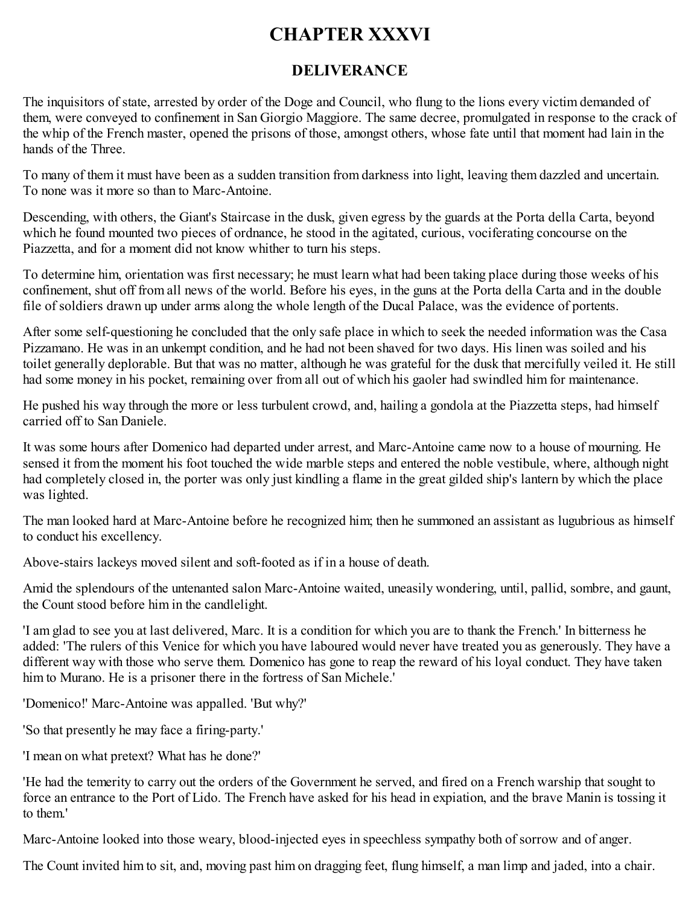# **CHAPTER XXXVI**

#### **DELIVERANCE**

The inquisitors of state, arrested by order of the Doge and Council, who flung to the lions every victim demanded of them, were conveyed to confinement in San Giorgio Maggiore. The same decree, promulgated in response to the crack of the whip of the French master, opened the prisons of those, amongst others, whose fate until that moment had lain in the hands of the Three.

To many of them it must have been as a sudden transition from darkness into light, leaving them dazzled and uncertain. To none was it more so than to Marc-Antoine.

Descending, with others, the Giant's Staircase in the dusk, given egress by the guards at the Porta della Carta, beyond which he found mounted two pieces of ordnance, he stood in the agitated, curious, vociferating concourse on the Piazzetta, and for a moment did not know whither to turn his steps.

To determine him, orientation was first necessary; he must learn what had been taking place during those weeks of his confinement, shut off from all news of the world. Before his eyes, in the guns at the Porta della Carta and in the double file of soldiers drawn up under arms along the whole length of the Ducal Palace, was the evidence of portents.

After some self-questioning he concluded that the only safe place in which to seek the needed information was the Casa Pizzamano. He was in an unkempt condition, and he had not been shaved for two days. His linen was soiled and his toilet generally deplorable. But that was no matter, although he was grateful for the dusk that mercifully veiled it. He still had some money in his pocket, remaining over from all out of which his gaoler had swindled him for maintenance.

He pushed his way through the more or less turbulent crowd, and, hailing a gondola at the Piazzetta steps, had himself carried off to San Daniele.

It was some hours after Domenico had departed under arrest, and Marc-Antoine came now to a house of mourning. He sensed it from the moment his foot touched the wide marble steps and entered the noble vestibule, where, although night had completely closed in, the porter was only just kindling a flame in the great gilded ship's lantern by which the place was lighted.

The man looked hard at Marc-Antoine before he recognized him; then he summoned an assistant as lugubrious as himself to conduct his excellency.

Above-stairs lackeys moved silent and soft-footed as if in a house of death.

Amid the splendours of the untenanted salon Marc-Antoine waited, uneasily wondering, until, pallid, sombre, and gaunt, the Count stood before him in the candlelight.

'I am glad to see you at last delivered, Marc. It is a condition for which you are to thank the French.' In bitterness he added: 'The rulers of this Venice for which you have laboured would never have treated you as generously. They have a different way with those who serve them. Domenico has gone to reap the reward of his loyal conduct. They have taken him to Murano. He is a prisoner there in the fortress of San Michele.'

'Domenico!' Marc-Antoine was appalled. 'But why?'

'So that presently he may face a firing-party.'

'I mean on what pretext? What has he done?'

'He had the temerity to carry out the orders of the Government he served, and fired on a French warship that sought to force an entrance to the Port of Lido. The French have asked for his head in expiation, and the brave Manin is tossing it to them.'

Marc-Antoine looked into those weary, blood-injected eyes in speechless sympathy both of sorrow and of anger.

The Count invited him to sit, and, moving past him on dragging feet, flung himself, a man limp and jaded, into a chair.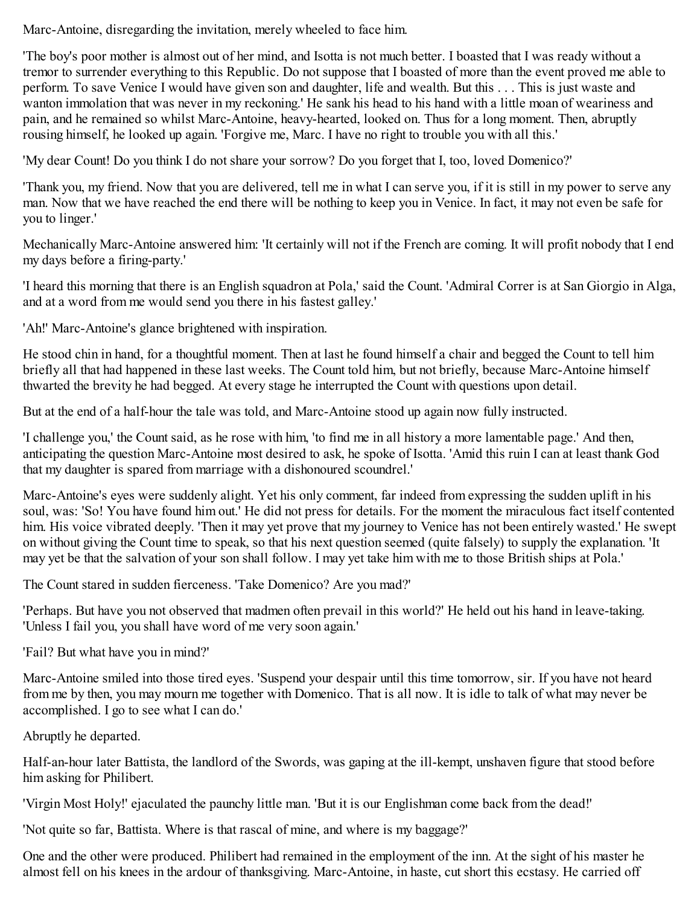Marc-Antoine, disregarding the invitation, merely wheeled to face him.

'The boy's poor mother is almost out of her mind, and Isotta is not much better. I boasted that I was ready without a tremor to surrender everything to this Republic. Do not suppose that I boasted of more than the event proved me able to perform. To save Venice I would have given son and daughter, life and wealth. But this . . . This is just waste and wanton immolation that was never in my reckoning.' He sank his head to his hand with a little moan of weariness and pain, and he remained so whilst Marc-Antoine, heavy-hearted, looked on. Thus for a long moment. Then, abruptly rousing himself, he looked up again. 'Forgive me, Marc. I have no right to trouble you with all this.'

'My dear Count! Do you think I do not share your sorrow? Do you forget that I, too, loved Domenico?'

'Thank you, my friend. Now that you are delivered, tell me in what I can serve you, if it is still in my power to serve any man. Now that we have reached the end there will be nothing to keep you in Venice. In fact, it may not even be safe for you to linger.'

Mechanically Marc-Antoine answered him: 'It certainly will not if the French are coming. It will profit nobody that I end my days before a firing-party.'

'I heard this morning that there is an English squadron at Pola,' said the Count. 'Admiral Correr is at San Giorgio in Alga, and at a word from me would send you there in his fastest galley.'

'Ah!' Marc-Antoine's glance brightened with inspiration.

He stood chin in hand, for a thoughtful moment. Then at last he found himself a chair and begged the Count to tell him briefly all that had happened in these last weeks. The Count told him, but not briefly, because Marc-Antoine himself thwarted the brevity he had begged. At every stage he interrupted the Count with questions upon detail.

But at the end of a half-hour the tale was told, and Marc-Antoine stood up again now fully instructed.

'I challenge you,' the Count said, as he rose with him, 'to find me in all history a more lamentable page.' And then, anticipating the question Marc-Antoine most desired to ask, he spoke of Isotta. 'Amid this ruin I can at least thank God that my daughter is spared from marriage with a dishonoured scoundrel.'

Marc-Antoine's eyes were suddenly alight. Yet his only comment, far indeed from expressing the sudden uplift in his soul, was: 'So! You have found him out.' He did not press for details. For the moment the miraculous fact itself contented him. His voice vibrated deeply. 'Then it may yet prove that my journey to Venice has not been entirely wasted.' He swept on without giving the Count time to speak, so that his next question seemed (quite falsely) to supply the explanation. 'It may yet be that the salvation of your son shall follow. I may yet take him with me to those British ships at Pola.'

The Count stared in sudden fierceness. 'Take Domenico? Are you mad?'

'Perhaps. But have you not observed that madmen often prevail in this world?' He held out his hand in leave-taking. 'Unless I fail you, you shall have word of me very soon again.'

'Fail? But what have you in mind?'

Marc-Antoine smiled into those tired eyes. 'Suspend your despair until this time tomorrow, sir. If you have not heard from me by then, you may mourn me together with Domenico. That is all now. It is idle to talk of what may never be accomplished. I go to see what I can do.'

Abruptly he departed.

Half-an-hour later Battista, the landlord of the Swords, was gaping at the ill-kempt, unshaven figure that stood before him asking for Philibert.

'Virgin Most Holy!' ejaculated the paunchy little man. 'But it is our Englishman come back from the dead!'

'Not quite so far, Battista. Where is that rascal of mine, and where is my baggage?'

One and the other were produced. Philibert had remained in the employment of the inn. At the sight of his master he almost fell on his knees in the ardour of thanksgiving. Marc-Antoine, in haste, cut short this ecstasy. He carried off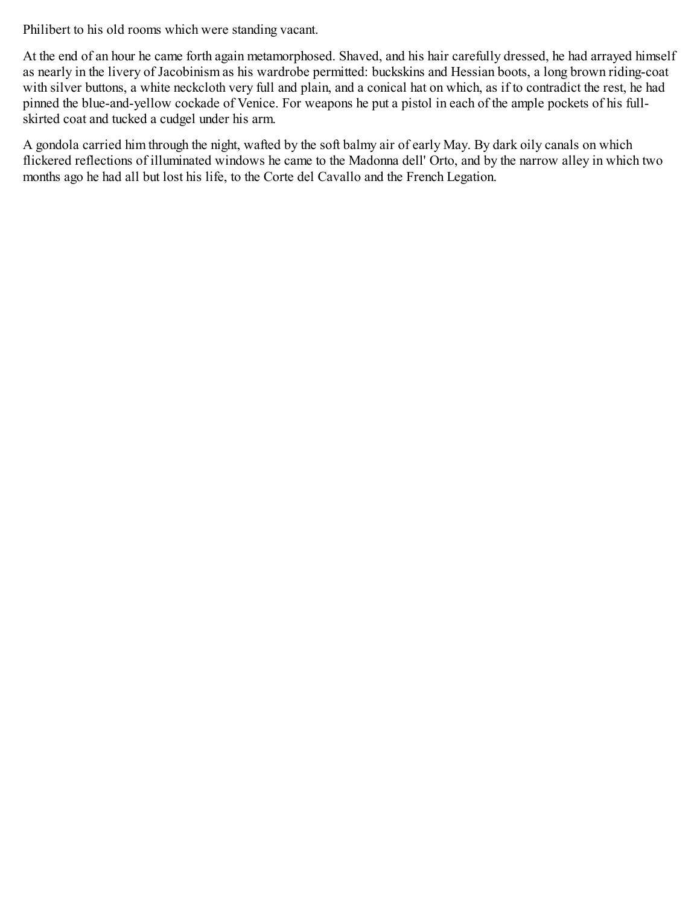Philibert to his old rooms which were standing vacant.

At the end of an hour he came forth again metamorphosed. Shaved, and his hair carefully dressed, he had arrayed himself as nearly in the livery of Jacobinism as his wardrobe permitted: buckskins and Hessian boots, a long brown riding-coat with silver buttons, a white neckcloth very full and plain, and a conical hat on which, as if to contradict the rest, he had pinned the blue-and-yellow cockade of Venice. For weapons he put a pistol in each of the ample pockets of his fullskirted coat and tucked a cudgel under his arm.

A gondola carried him through the night, wafted by the soft balmy air of early May. By dark oily canals on which flickered reflections of illuminated windows he came to the Madonna dell' Orto, and by the narrow alley in which two months ago he had all but lost his life, to the Corte del Cavallo and the French Legation.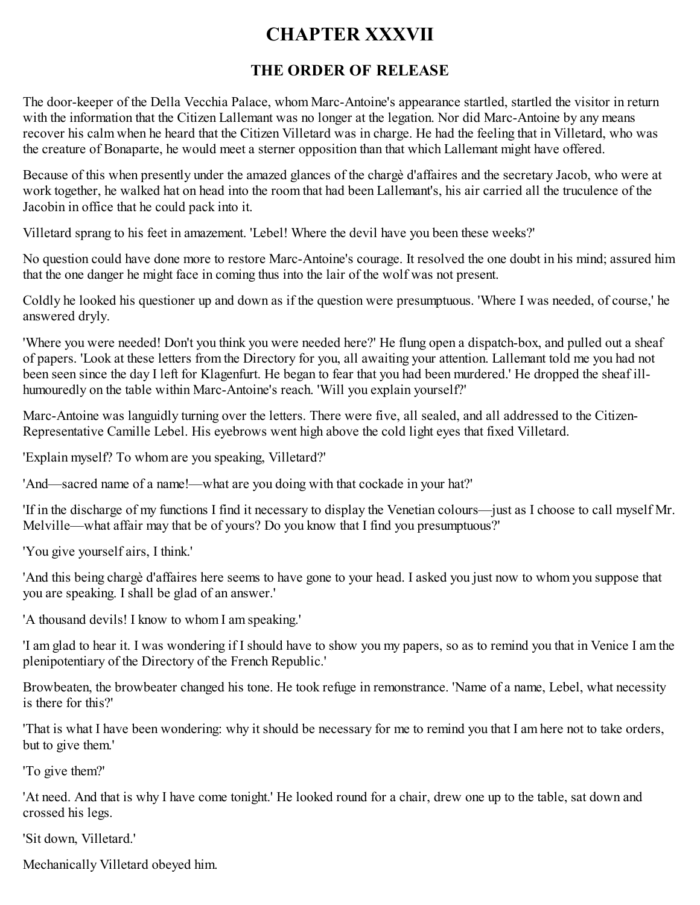## **CHAPTER XXXVII**

### **THE ORDER OF RELEASE**

The door-keeper of the Della Vecchia Palace, whom Marc-Antoine's appearance startled, startled the visitor in return with the information that the Citizen Lallemant was no longer at the legation. Nor did Marc-Antoine by any means recover his calm when he heard that the Citizen Villetard was in charge. He had the feeling that in Villetard, who was the creature of Bonaparte, he would meet a sterner opposition than that which Lallemant might have offered.

Because of this when presently under the amazed glances of the chargè d'affaires and the secretary Jacob, who were at work together, he walked hat on head into the room that had been Lallemant's, his air carried all the truculence of the Jacobin in office that he could pack into it.

Villetard sprang to his feet in amazement. 'Lebel! Where the devil have you been these weeks?'

No question could have done more to restore Marc-Antoine's courage. It resolved the one doubt in his mind; assured him that the one danger he might face in coming thus into the lair of the wolf was not present.

Coldly he looked his questioner up and down as if the question were presumptuous. 'Where I was needed, of course,' he answered dryly.

'Where you were needed! Don't you think you were needed here?' He flung open a dispatch-box, and pulled out a sheaf of papers. 'Look at these letters from the Directory for you, all awaiting your attention. Lallemant told me you had not been seen since the day I left for Klagenfurt. He began to fear that you had been murdered.' He dropped the sheaf illhumouredly on the table within Marc-Antoine's reach. 'Will you explain yourself?'

Marc-Antoine was languidly turning over the letters. There were five, all sealed, and all addressed to the Citizen-Representative Camille Lebel. His eyebrows went high above the cold light eyes that fixed Villetard.

'Explain myself? To whom are you speaking, Villetard?'

'And—sacred name of a name!—what are you doing with that cockade in your hat?'

'If in the discharge of my functions I find it necessary to display the Venetian colours—just as I choose to call myself Mr. Melville—what affair may that be of yours? Do you know that I find you presumptuous?'

'You give yourself airs, I think.'

'And this being chargè d'affaires here seems to have gone to your head. I asked you just now to whom you suppose that you are speaking. I shall be glad of an answer.'

'A thousand devils! I know to whom I am speaking.'

'I am glad to hear it. I was wondering if I should have to show you my papers, so as to remind you that in Venice I am the plenipotentiary of the Directory of the French Republic.'

Browbeaten, the browbeater changed his tone. He took refuge in remonstrance. 'Name of a name, Lebel, what necessity is there for this?'

'That is what I have been wondering: why it should be necessary for me to remind you that I am here not to take orders, but to give them.'

'To give them?'

'At need. And that is why I have come tonight.' He looked round for a chair, drew one up to the table, sat down and crossed his legs.

'Sit down, Villetard.'

Mechanically Villetard obeyed him.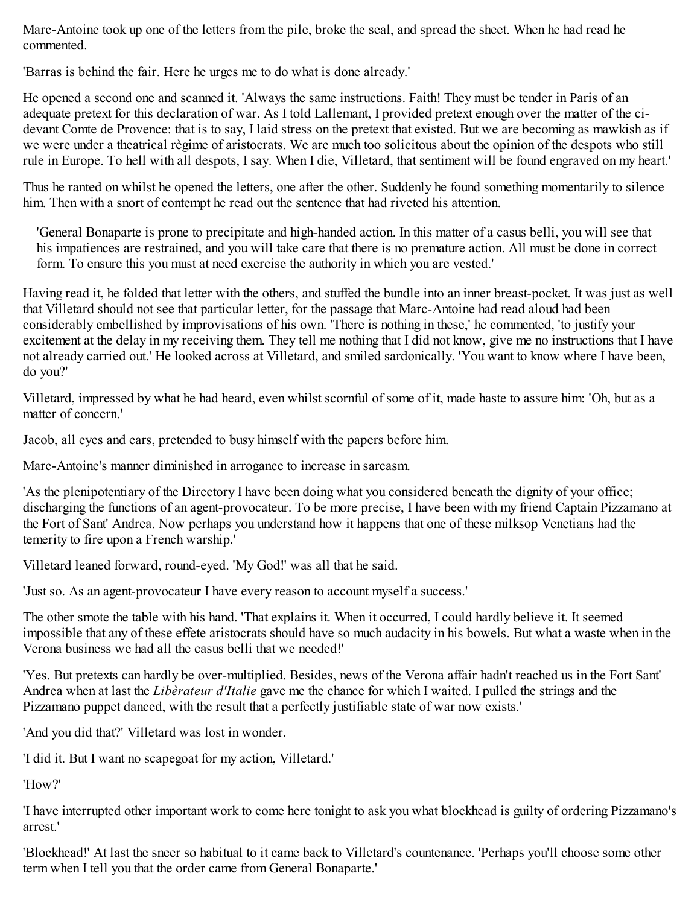Marc-Antoine took up one of the letters from the pile, broke the seal, and spread the sheet. When he had read he commented.

'Barras is behind the fair. Here he urges me to do what is done already.'

He opened a second one and scanned it. 'Always the same instructions. Faith! They must be tender in Paris of an adequate pretext for this declaration of war. As I told Lallemant, I provided pretext enough over the matter of the cidevant Comte de Provence: that is to say, I laid stress on the pretext that existed. But we are becoming as mawkish as if we were under a theatrical règime of aristocrats. We are much too solicitous about the opinion of the despots who still rule in Europe. To hell with all despots, I say. When I die, Villetard, that sentiment will be found engraved on my heart.'

Thus he ranted on whilst he opened the letters, one after the other. Suddenly he found something momentarily to silence him. Then with a snort of contempt he read out the sentence that had riveted his attention.

'General Bonaparte is prone to precipitate and high-handed action. In this matter of a casus belli, you will see that his impatiences are restrained, and you will take care that there is no premature action. All must be done in correct form. To ensure this you must at need exercise the authority in which you are vested.'

Having read it, he folded that letter with the others, and stuffed the bundle into an inner breast-pocket. It was just as well that Villetard should not see that particular letter, for the passage that Marc-Antoine had read aloud had been considerably embellished by improvisations of his own. 'There is nothing in these,' he commented, 'to justify your excitement at the delay in my receiving them. They tell me nothing that I did not know, give me no instructions that I have not already carried out.' He looked across at Villetard, and smiled sardonically. 'You want to know where I have been, do you?'

Villetard, impressed by what he had heard, even whilst scornful of some of it, made haste to assure him: 'Oh, but as a matter of concern'

Jacob, all eyes and ears, pretended to busy himself with the papers before him.

Marc-Antoine's manner diminished in arrogance to increase in sarcasm.

'As the plenipotentiary of the Directory I have been doing what you considered beneath the dignity of your office; discharging the functions of an agent-provocateur. To be more precise, I have been with my friend Captain Pizzamano at the Fort of Sant' Andrea. Now perhaps you understand how it happens that one of these milksop Venetians had the temerity to fire upon a French warship.'

Villetard leaned forward, round-eyed. 'My God!' was all that he said.

'Just so. As an agent-provocateur I have every reason to account myself a success.'

The other smote the table with his hand. 'That explains it. When it occurred, I could hardly believe it. It seemed impossible that any of these effete aristocrats should have so much audacity in his bowels. But what a waste when in the Verona business we had all the casus belli that we needed!'

'Yes. But pretexts can hardly be over-multiplied. Besides, news of the Verona affair hadn't reached us in the Fort Sant' Andrea when at last the *Libèrateur d'Italie* gave me the chance for which I waited. I pulled the strings and the Pizzamano puppet danced, with the result that a perfectly justifiable state of war now exists.'

'And you did that?' Villetard was lost in wonder.

'I did it. But I want no scapegoat for my action, Villetard.'

'How?'

'I have interrupted other important work to come here tonight to ask you what blockhead is guilty of ordering Pizzamano's arrest.'

'Blockhead!' At last the sneer so habitual to it came back to Villetard's countenance. 'Perhaps you'll choose some other term when I tell you that the order came from General Bonaparte.'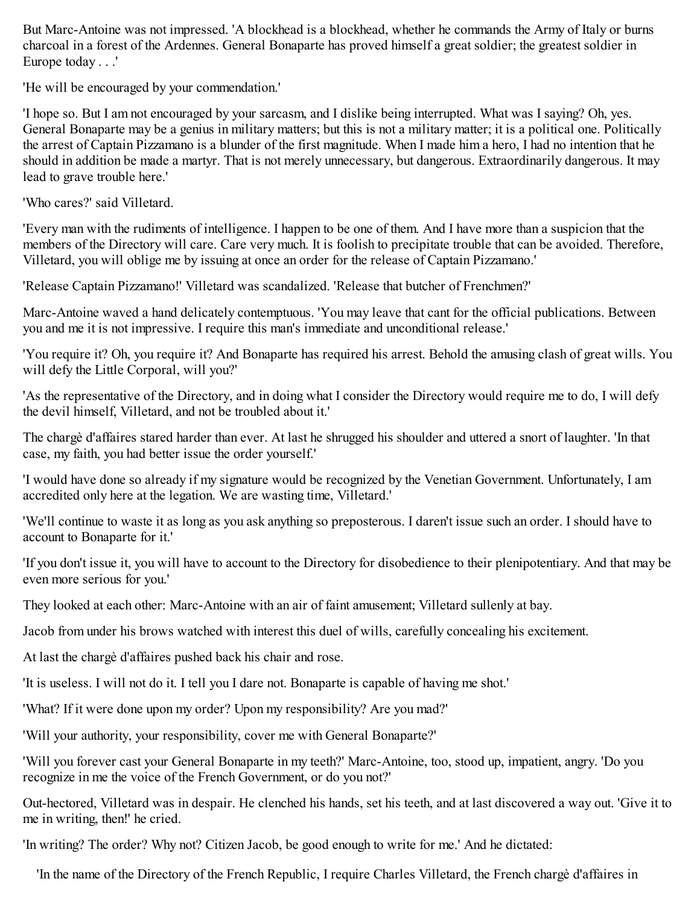But Marc-Antoine was not impressed. 'A blockhead is a blockhead, whether he commands the Army of Italy or burns charcoal in a forest of the Ardennes. General Bonaparte has proved himself a great soldier; the greatest soldier in Europe today . . .'

'He will be encouraged by your commendation.'

'I hope so. But I am not encouraged by your sarcasm, and I dislike being interrupted. What was I saying? Oh, yes. General Bonaparte may be a genius in military matters; but this is not a military matter; it is a political one. Politically the arrest of Captain Pizzamano is a blunder of the first magnitude. When I made him a hero, I had no intention that he should in addition be made a martyr. That is not merely unnecessary, but dangerous. Extraordinarily dangerous. It may lead to grave trouble here.'

'Who cares?' said Villetard.

'Every man with the rudiments of intelligence. I happen to be one of them. And I have more than a suspicion that the members of the Directory will care. Care very much. It is foolish to precipitate trouble that can be avoided. Therefore, Villetard, you will oblige me by issuing at once an order for the release of Captain Pizzamano.'

'Release Captain Pizzamano!' Villetard was scandalized. 'Release that butcher of Frenchmen?'

Marc-Antoine waved a hand delicately contemptuous. 'You may leave that cant for the official publications. Between you and me it is not impressive. I require this man's immediate and unconditional release.'

'You require it? Oh, you require it? And Bonaparte has required his arrest. Behold the amusing clash of great wills. You will defy the Little Corporal, will you?'

'As the representative of the Directory, and in doing what I consider the Directory would require me to do, I will defy the devil himself, Villetard, and not be troubled about it.'

The chargè d'affaires stared harder than ever. At last he shrugged his shoulder and uttered a snort of laughter. 'In that case, my faith, you had better issue the order yourself.'

'I would have done so already if my signature would be recognized by the Venetian Government. Unfortunately, I am accredited only here at the legation. We are wasting time, Villetard.'

'We'll continue to waste it as long as you ask anything so preposterous. I daren't issue such an order. I should have to account to Bonaparte for it.'

'If you don't issue it, you will have to account to the Directory for disobedience to their plenipotentiary. And that may be even more serious for you.'

They looked at each other: Marc-Antoine with an air of faint amusement; Villetard sullenly at bay.

Jacob from under his brows watched with interest this duel of wills, carefully concealing his excitement.

At last the chargè d'affaires pushed back his chair and rose.

'It is useless. I will not do it. I tell you I dare not. Bonaparte is capable of having me shot.'

'What? If it were done upon my order? Upon my responsibility? Are you mad?'

'Will your authority, your responsibility, cover me with General Bonaparte?'

'Will you forever cast your General Bonaparte in my teeth?' Marc-Antoine, too, stood up, impatient, angry. 'Do you recognize in me the voice of the French Government, or do you not?'

Out-hectored, Villetard was in despair. He clenched his hands, set his teeth, and at last discovered a way out. 'Give it to me in writing, then!' he cried.

'In writing? The order? Why not? Citizen Jacob, be good enough to write for me.' And he dictated:

'In the name of the Directory of the French Republic, I require Charles Villetard, the French chargè d'affaires in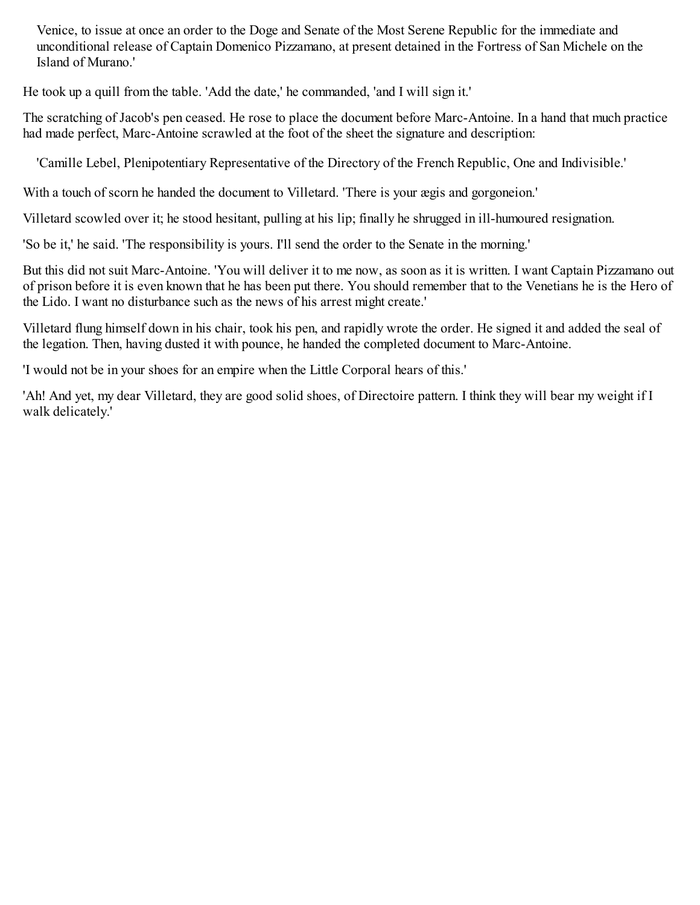Venice, to issue at once an order to the Doge and Senate of the Most Serene Republic for the immediate and unconditional release of Captain Domenico Pizzamano, at present detained in the Fortress of San Michele on the Island of Murano.'

He took up a quill from the table. 'Add the date,' he commanded, 'and I will sign it.'

The scratching of Jacob's pen ceased. He rose to place the document before Marc-Antoine. In a hand that much practice had made perfect, Marc-Antoine scrawled at the foot of the sheet the signature and description:

'Camille Lebel, Plenipotentiary Representative of the Directory of the French Republic, One and Indivisible.'

With a touch of scorn he handed the document to Villetard. 'There is your ægis and gorgoneion.'

Villetard scowled over it; he stood hesitant, pulling at his lip; finally he shrugged in ill-humoured resignation.

'So be it,' he said. 'The responsibility is yours. I'll send the order to the Senate in the morning.'

But this did not suit Marc-Antoine. 'You will deliver it to me now, as soon as it is written. I want Captain Pizzamano out of prison before it is even known that he has been put there. You should remember that to the Venetians he is the Hero of the Lido. I want no disturbance such as the news of his arrest might create.'

Villetard flung himself down in his chair, took his pen, and rapidly wrote the order. He signed it and added the seal of the legation. Then, having dusted it with pounce, he handed the completed document to Marc-Antoine.

'I would not be in your shoes for an empire when the Little Corporal hears of this.'

'Ah! And yet, my dear Villetard, they are good solid shoes, of Directoire pattern. I think they will bear my weight if I walk delicately.'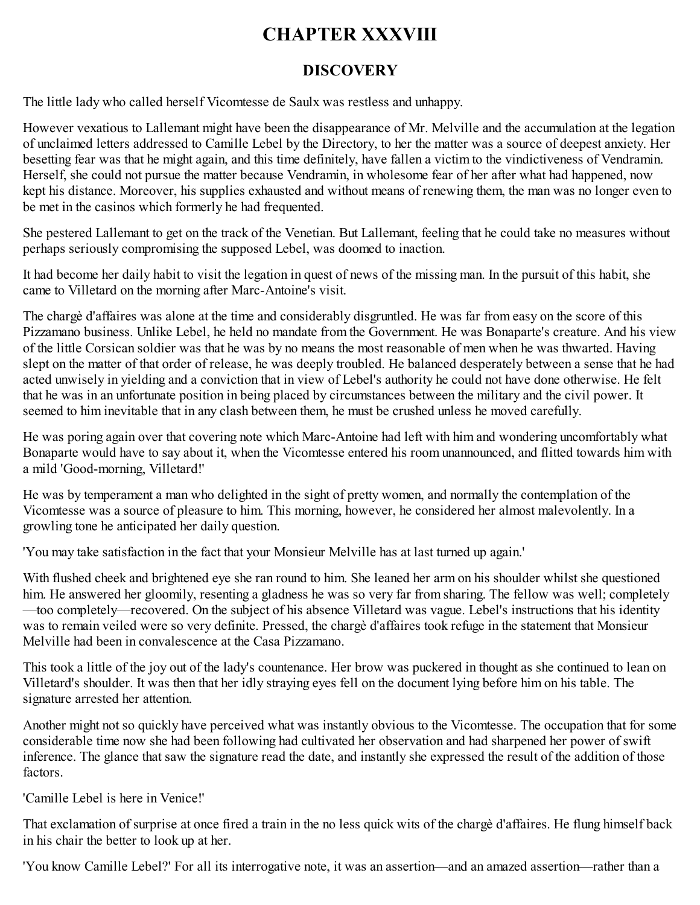# **CHAPTER XXXVIII**

#### **DISCOVERY**

The little lady who called herself Vicomtesse de Saulx was restless and unhappy.

However vexatious to Lallemant might have been the disappearance of Mr. Melville and the accumulation at the legation of unclaimed letters addressed to Camille Lebel by the Directory, to her the matter was a source of deepest anxiety. Her besetting fear was that he might again, and this time definitely, have fallen a victim to the vindictiveness of Vendramin. Herself, she could not pursue the matter because Vendramin, in wholesome fear of her after what had happened, now kept his distance. Moreover, his supplies exhausted and without means of renewing them, the man was no longer even to be met in the casinos which formerly he had frequented.

She pestered Lallemant to get on the track of the Venetian. But Lallemant, feeling that he could take no measures without perhaps seriously compromising the supposed Lebel, was doomed to inaction.

It had become her daily habit to visit the legation in quest of news of the missing man. In the pursuit of this habit, she came to Villetard on the morning after Marc-Antoine's visit.

The chargè d'affaires was alone at the time and considerably disgruntled. He was far from easy on the score of this Pizzamano business. Unlike Lebel, he held no mandate from the Government. He was Bonaparte's creature. And his view of the little Corsican soldier was that he was by no means the most reasonable of men when he was thwarted. Having slept on the matter of that order of release, he was deeply troubled. He balanced desperately between a sense that he had acted unwisely in yielding and a conviction that in view of Lebel's authority he could not have done otherwise. He felt that he was in an unfortunate position in being placed by circumstances between the military and the civil power. It seemed to him inevitable that in any clash between them, he must be crushed unless he moved carefully.

He was poring again over that covering note which Marc-Antoine had left with him and wondering uncomfortably what Bonaparte would have to say about it, when the Vicomtesse entered his room unannounced, and flitted towards him with a mild 'Good-morning, Villetard!'

He was by temperament a man who delighted in the sight of pretty women, and normally the contemplation of the Vicomtesse was a source of pleasure to him. This morning, however, he considered her almost malevolently. In a growling tone he anticipated her daily question.

'You may take satisfaction in the fact that your Monsieur Melville has at last turned up again.'

With flushed cheek and brightened eye she ran round to him. She leaned her arm on his shoulder whilst she questioned him. He answered her gloomily, resenting a gladness he was so very far from sharing. The fellow was well; completely —too completely—recovered. On the subject of his absence Villetard was vague. Lebel's instructions that his identity was to remain veiled were so very definite. Pressed, the chargè d'affaires took refuge in the statement that Monsieur Melville had been in convalescence at the Casa Pizzamano.

This took a little of the joy out of the lady's countenance. Her brow was puckered in thought as she continued to lean on Villetard's shoulder. It was then that her idly straying eyes fell on the document lying before him on his table. The signature arrested her attention.

Another might not so quickly have perceived what was instantly obvious to the Vicomtesse. The occupation that for some considerable time now she had been following had cultivated her observation and had sharpened her power of swift inference. The glance that saw the signature read the date, and instantly she expressed the result of the addition of those factors.

'Camille Lebel is here in Venice!'

That exclamation of surprise at once fired a train in the no less quick wits of the chargè d'affaires. He flung himself back in his chair the better to look up at her.

'You know Camille Lebel?' For all its interrogative note, it was an assertion—and an amazed assertion—rather than a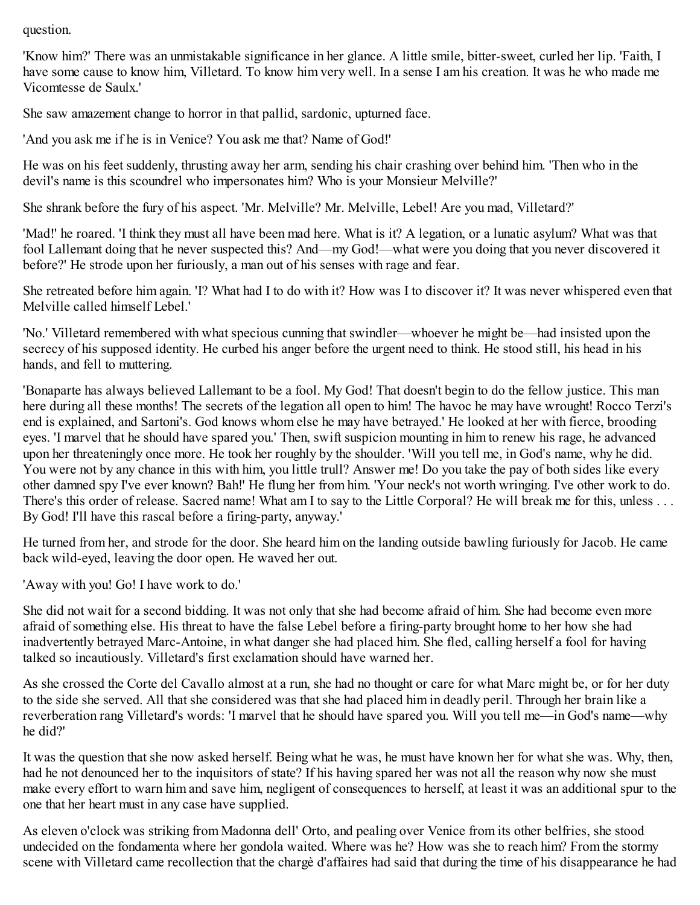question.

'Know him?' There was an unmistakable significance in her glance. A little smile, bitter-sweet, curled her lip. 'Faith, I have some cause to know him, Villetard. To know him very well. In a sense I am his creation. It was he who made me Vicomtesse de Saulx.'

She saw amazement change to horror in that pallid, sardonic, upturned face.

'And you ask me if he is in Venice? You ask me that? Name of God!'

He was on his feet suddenly, thrusting away her arm, sending his chair crashing over behind him. 'Then who in the devil's name is this scoundrel who impersonates him? Who is your Monsieur Melville?'

She shrank before the fury of his aspect. 'Mr. Melville? Mr. Melville, Lebel! Are you mad, Villetard?'

'Mad!' he roared. 'I think they must all have been mad here. What is it? A legation, or a lunatic asylum? What was that fool Lallemant doing that he never suspected this? And—my God!—what were you doing that you never discovered it before?' He strode upon her furiously, a man out of his senses with rage and fear.

She retreated before him again. 'I? What had I to do with it? How was I to discover it? It was never whispered even that Melville called himself Lebel.'

'No.' Villetard remembered with what specious cunning that swindler—whoever he might be—had insisted upon the secrecy of his supposed identity. He curbed his anger before the urgent need to think. He stood still, his head in his hands, and fell to muttering.

'Bonaparte has always believed Lallemant to be a fool. My God! That doesn't begin to do the fellow justice. This man here during all these months! The secrets of the legation all open to him! The havoc he may have wrought! Rocco Terzi's end is explained, and Sartoni's. God knows whom else he may have betrayed.' He looked at her with fierce, brooding eyes. 'I marvel that he should have spared you.' Then, swift suspicion mounting in him to renew his rage, he advanced upon her threateningly once more. He took her roughly by the shoulder. 'Will you tell me, in God's name, why he did. You were not by any chance in this with him, you little trull? Answer me! Do you take the pay of both sides like every other damned spy I've ever known? Bah!' He flung her from him. 'Your neck's not worth wringing. I've other work to do. There's this order of release. Sacred name! What am I to say to the Little Corporal? He will break me for this, unless ... By God! I'll have this rascal before a firing-party, anyway.'

He turned from her, and strode for the door. She heard him on the landing outside bawling furiously for Jacob. He came back wild-eyed, leaving the door open. He waved her out.

'Away with you! Go! I have work to do.'

She did not wait for a second bidding. It was not only that she had become afraid of him. She had become even more afraid of something else. His threat to have the false Lebel before a firing-party brought home to her how she had inadvertently betrayed Marc-Antoine, in what danger she had placed him. She fled, calling herself a fool for having talked so incautiously. Villetard's first exclamation should have warned her.

As she crossed the Corte del Cavallo almost at a run, she had no thought or care for what Marc might be, or for her duty to the side she served. All that she considered was that she had placed him in deadly peril. Through her brain like a reverberation rang Villetard's words: 'I marvel that he should have spared you. Will you tell me—in God's name—why he did?'

It was the question that she now asked herself. Being what he was, he must have known her for what she was. Why, then, had he not denounced her to the inquisitors of state? If his having spared her was not all the reason why now she must make every effort to warn him and save him, negligent of consequences to herself, at least it was an additional spur to the one that her heart must in any case have supplied.

As eleven o'clock was striking from Madonna dell' Orto, and pealing over Venice from its other belfries, she stood undecided on the fondamenta where her gondola waited. Where was he? How was she to reach him? From the stormy scene with Villetard came recollection that the chargè d'affaires had said that during the time of his disappearance he had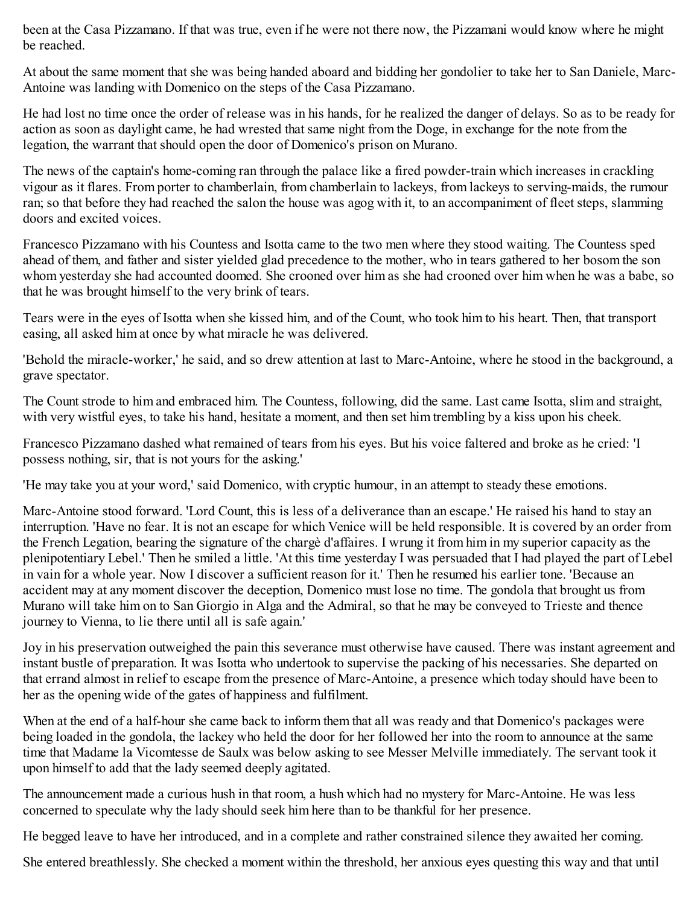been at the Casa Pizzamano. If that was true, even if he were not there now, the Pizzamani would know where he might be reached.

At about the same moment that she was being handed aboard and bidding her gondolier to take her to San Daniele, Marc-Antoine was landing with Domenico on the steps of the Casa Pizzamano.

He had lost no time once the order of release was in his hands, for he realized the danger of delays. So as to be ready for action as soon as daylight came, he had wrested that same night from the Doge, in exchange for the note from the legation, the warrant that should open the door of Domenico's prison on Murano.

The news of the captain's home-coming ran through the palace like a fired powder-train which increases in crackling vigour as it flares. From porter to chamberlain, from chamberlain to lackeys, from lackeys to serving-maids, the rumour ran; so that before they had reached the salon the house was agog with it, to an accompaniment of fleet steps, slamming doors and excited voices.

Francesco Pizzamano with his Countess and Isotta came to the two men where they stood waiting. The Countess sped ahead of them, and father and sister yielded glad precedence to the mother, who in tears gathered to her bosom the son whom yesterday she had accounted doomed. She crooned over him as she had crooned over him when he was a babe, so that he was brought himself to the very brink of tears.

Tears were in the eyes of Isotta when she kissed him, and of the Count, who took him to his heart. Then, that transport easing, all asked him at once by what miracle he was delivered.

'Behold the miracle-worker,' he said, and so drew attention at last to Marc-Antoine, where he stood in the background, a grave spectator.

The Count strode to him and embraced him. The Countess, following, did the same. Last came Isotta, slim and straight, with very wistful eyes, to take his hand, hesitate a moment, and then set him trembling by a kiss upon his cheek.

Francesco Pizzamano dashed what remained of tears from his eyes. But his voice faltered and broke as he cried: 'I possess nothing, sir, that is not yours for the asking.'

'He may take you at your word,' said Domenico, with cryptic humour, in an attempt to steady these emotions.

Marc-Antoine stood forward. 'Lord Count, this is less of a deliverance than an escape.' He raised his hand to stay an interruption. 'Have no fear. It is not an escape for which Venice will be held responsible. It is covered by an order from the French Legation, bearing the signature of the chargè d'affaires. I wrung it from him in my superior capacity as the plenipotentiary Lebel.' Then he smiled a little. 'At this time yesterday I was persuaded that I had played the part of Lebel in vain for a whole year. Now I discover a sufficient reason for it.' Then he resumed his earlier tone. 'Because an accident may at any moment discover the deception, Domenico must lose no time. The gondola that brought us from Murano will take him on to San Giorgio in Alga and the Admiral, so that he may be conveyed to Trieste and thence journey to Vienna, to lie there until all is safe again.'

Joy in his preservation outweighed the pain this severance must otherwise have caused. There was instant agreement and instant bustle of preparation. It was Isotta who undertook to supervise the packing of his necessaries. She departed on that errand almost in relief to escape from the presence of Marc-Antoine, a presence which today should have been to her as the opening wide of the gates of happiness and fulfilment.

When at the end of a half-hour she came back to inform them that all was ready and that Domenico's packages were being loaded in the gondola, the lackey who held the door for her followed her into the room to announce at the same time that Madame la Vicomtesse de Saulx was below asking to see Messer Melville immediately. The servant took it upon himself to add that the lady seemed deeply agitated.

The announcement made a curious hush in that room, a hush which had no mystery for Marc-Antoine. He was less concerned to speculate why the lady should seek him here than to be thankful for her presence.

He begged leave to have her introduced, and in a complete and rather constrained silence they awaited her coming.

She entered breathlessly. She checked a moment within the threshold, her anxious eyes questing this way and that until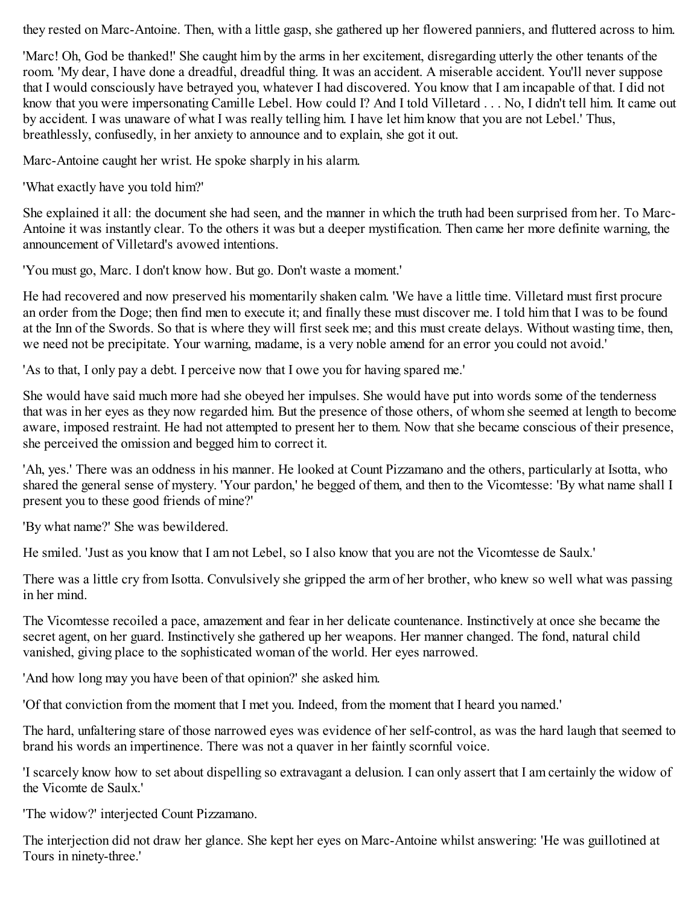they rested on Marc-Antoine. Then, with a little gasp, she gathered up her flowered panniers, and fluttered across to him.

'Marc! Oh, God be thanked!' She caught him by the arms in her excitement, disregarding utterly the other tenants of the room. 'My dear, I have done a dreadful, dreadful thing. It was an accident. A miserable accident. You'll never suppose that I would consciously have betrayed you, whatever I had discovered. You know that I am incapable of that. I did not know that you were impersonating Camille Lebel. How could I? And I told Villetard . . . No, I didn't tell him. It came out by accident. I was unaware of what I was really telling him. I have let him know that you are not Lebel.' Thus, breathlessly, confusedly, in her anxiety to announce and to explain, she got it out.

Marc-Antoine caught her wrist. He spoke sharply in his alarm.

'What exactly have you told him?'

She explained it all: the document she had seen, and the manner in which the truth had been surprised from her. To Marc-Antoine it was instantly clear. To the others it was but a deeper mystification. Then came her more definite warning, the announcement of Villetard's avowed intentions.

'You must go, Marc. I don't know how. But go. Don't waste a moment.'

He had recovered and now preserved his momentarily shaken calm. 'We have a little time. Villetard must first procure an order from the Doge; then find men to execute it; and finally these must discover me. I told him that I was to be found at the Inn of the Swords. So that is where they will first seek me; and this must create delays. Without wasting time, then, we need not be precipitate. Your warning, madame, is a very noble amend for an error you could not avoid.'

'As to that, I only pay a debt. I perceive now that I owe you for having spared me.'

She would have said much more had she obeyed her impulses. She would have put into words some of the tenderness that was in her eyes as they now regarded him. But the presence of those others, of whom she seemed at length to become aware, imposed restraint. He had not attempted to present her to them. Now that she became conscious of their presence, she perceived the omission and begged him to correct it.

'Ah, yes.' There was an oddness in his manner. He looked at Count Pizzamano and the others, particularly at Isotta, who shared the general sense of mystery. 'Your pardon,' he begged of them, and then to the Vicomtesse: 'By what name shall I present you to these good friends of mine?'

'By what name?' She was bewildered.

He smiled. 'Just as you know that I am not Lebel, so I also know that you are not the Vicomtesse de Saulx.'

There was a little cry from Isotta. Convulsively she gripped the arm of her brother, who knew so well what was passing in her mind.

The Vicomtesse recoiled a pace, amazement and fear in her delicate countenance. Instinctively at once she became the secret agent, on her guard. Instinctively she gathered up her weapons. Her manner changed. The fond, natural child vanished, giving place to the sophisticated woman of the world. Her eyes narrowed.

'And how long may you have been of that opinion?' she asked him.

'Of that conviction from the moment that I met you. Indeed, from the moment that I heard you named.'

The hard, unfaltering stare of those narrowed eyes was evidence of her self-control, as was the hard laugh that seemed to brand his words an impertinence. There was not a quaver in her faintly scornful voice.

'I scarcely know how to set about dispelling so extravagant a delusion. I can only assert that I am certainly the widow of the Vicomte de Saulx.'

'The widow?' interjected Count Pizzamano.

The interjection did not draw her glance. She kept her eyes on Marc-Antoine whilst answering: 'He was guillotined at Tours in ninety-three.'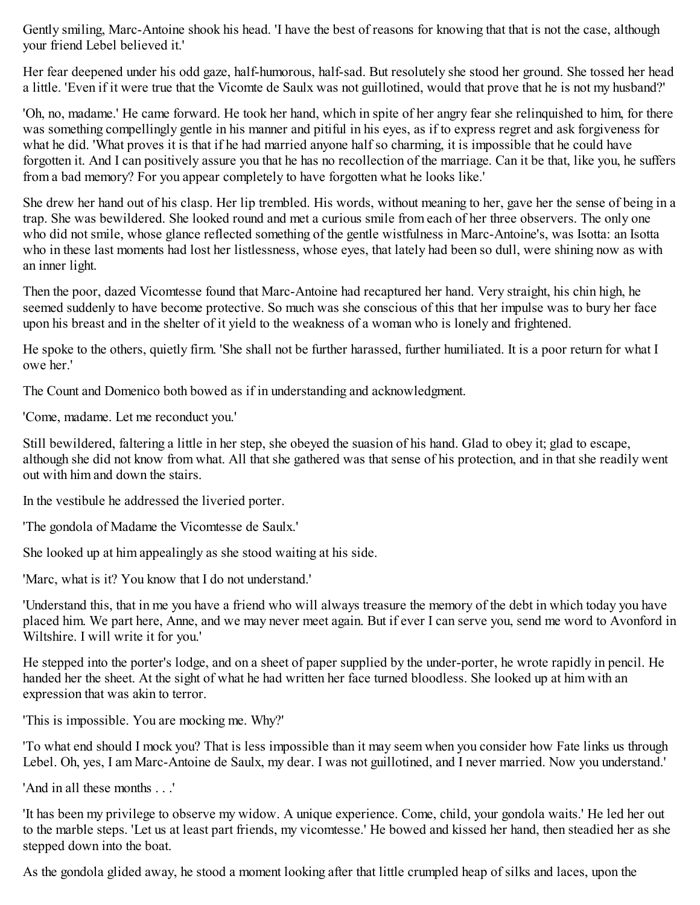Gently smiling, Marc-Antoine shook his head. 'I have the best of reasons for knowing that that is not the case, although your friend Lebel believed it.'

Her fear deepened under his odd gaze, half-humorous, half-sad. But resolutely she stood her ground. She tossed her head a little. 'Even if it were true that the Vicomte de Saulx was not guillotined, would that prove that he is not my husband?'

'Oh, no, madame.' He came forward. He took her hand, which in spite of her angry fear she relinquished to him, for there was something compellingly gentle in his manner and pitiful in his eyes, as if to express regret and ask forgiveness for what he did. 'What proves it is that if he had married anyone half so charming, it is impossible that he could have forgotten it. And I can positively assure you that he has no recollection of the marriage. Can it be that, like you, he suffers from a bad memory? For you appear completely to have forgotten what he looks like.'

She drew her hand out of his clasp. Her lip trembled. His words, without meaning to her, gave her the sense of being in a trap. She was bewildered. She looked round and met a curious smile from each of her three observers. The only one who did not smile, whose glance reflected something of the gentle wistfulness in Marc-Antoine's, was Isotta: an Isotta who in these last moments had lost her listlessness, whose eyes, that lately had been so dull, were shining now as with an inner light.

Then the poor, dazed Vicomtesse found that Marc-Antoine had recaptured her hand. Very straight, his chin high, he seemed suddenly to have become protective. So much was she conscious of this that her impulse was to bury her face upon his breast and in the shelter of it yield to the weakness of a woman who is lonely and frightened.

He spoke to the others, quietly firm. 'She shall not be further harassed, further humiliated. It is a poor return for what I owe her'

The Count and Domenico both bowed as if in understanding and acknowledgment.

'Come, madame. Let me reconduct you.'

Still bewildered, faltering a little in her step, she obeyed the suasion of his hand. Glad to obey it; glad to escape, although she did not know from what. All that she gathered was that sense of his protection, and in that she readily went out with him and down the stairs.

In the vestibule he addressed the liveried porter.

'The gondola of Madame the Vicomtesse de Saulx.'

She looked up at him appealingly as she stood waiting at his side.

'Marc, what is it? You know that I do not understand.'

'Understand this, that in me you have a friend who will always treasure the memory of the debt in which today you have placed him. We part here, Anne, and we may never meet again. But if ever I can serve you, send me word to Avonford in Wiltshire. I will write it for you.'

He stepped into the porter's lodge, and on a sheet of paper supplied by the under-porter, he wrote rapidly in pencil. He handed her the sheet. At the sight of what he had written her face turned bloodless. She looked up at him with an expression that was akin to terror.

'This is impossible. You are mocking me. Why?'

'To what end should I mock you? That is less impossible than it may seem when you consider how Fate links us through Lebel. Oh, yes, I am Marc-Antoine de Saulx, my dear. I was not guillotined, and I never married. Now you understand.'

'And in all these months . . .'

'It has been my privilege to observe my widow. A unique experience. Come, child, your gondola waits.' He led her out to the marble steps. 'Let us at least part friends, my vicomtesse.' He bowed and kissed her hand, then steadied her as she stepped down into the boat.

As the gondola glided away, he stood a moment looking after that little crumpled heap of silks and laces, upon the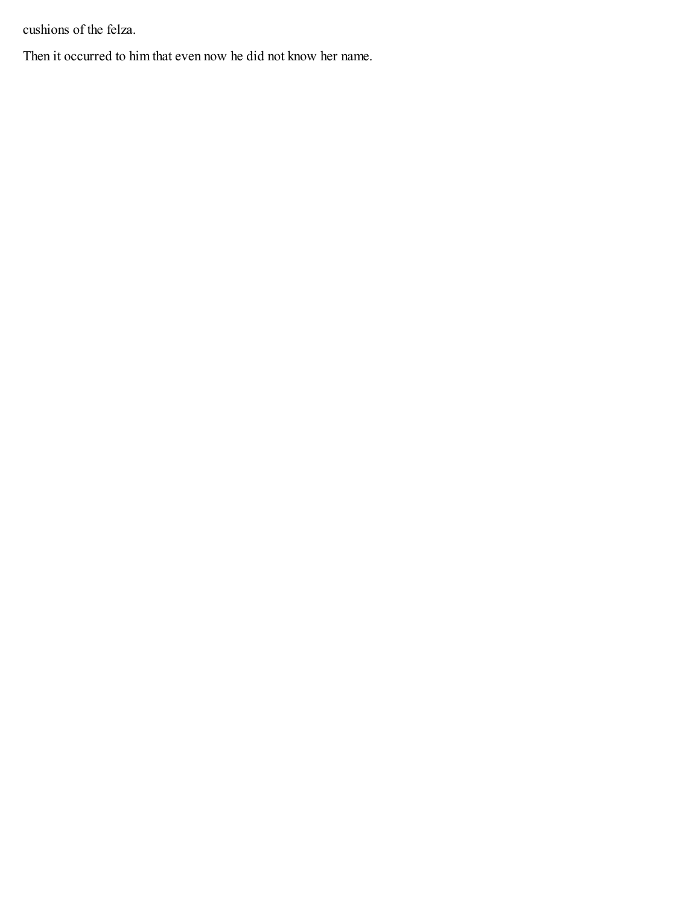cushions of the felza.

Then it occurred to him that even now he did not know her name.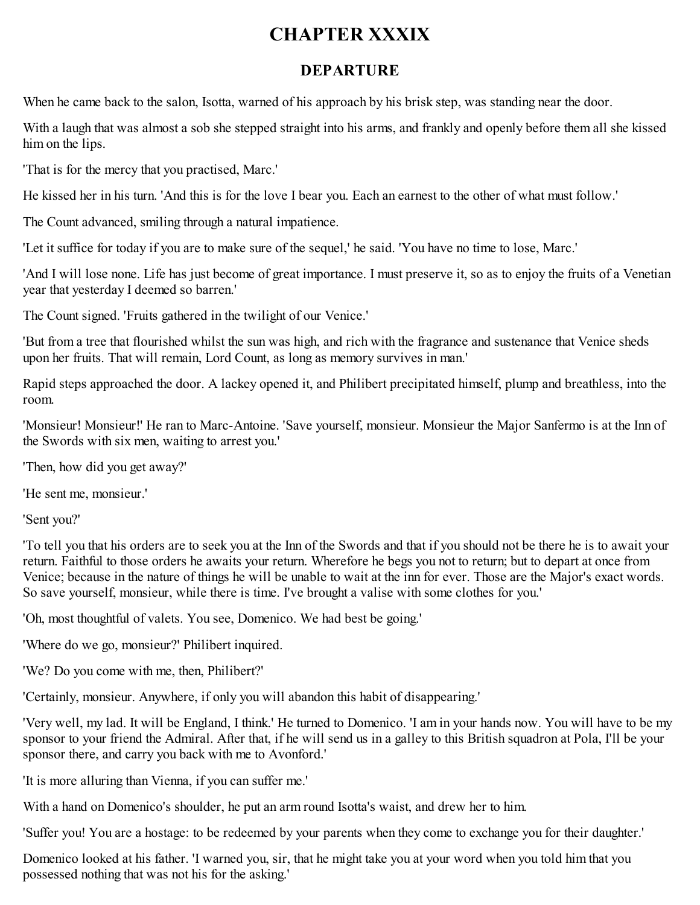## **CHAPTER XXXIX**

#### **DEPARTURE**

When he came back to the salon, Isotta, warned of his approach by his brisk step, was standing near the door.

With a laugh that was almost a sob she stepped straight into his arms, and frankly and openly before them all she kissed him on the lips.

'That is for the mercy that you practised, Marc.'

He kissed her in his turn. 'And this is for the love I bear you. Each an earnest to the other of what must follow.'

The Count advanced, smiling through a natural impatience.

'Let it suffice for today if you are to make sure of the sequel,' he said. 'You have no time to lose, Marc.'

'And I will lose none. Life has just become of great importance. I must preserve it, so as to enjoy the fruits of a Venetian year that yesterday I deemed so barren.'

The Count signed. 'Fruits gathered in the twilight of our Venice.'

'But from a tree that flourished whilst the sun was high, and rich with the fragrance and sustenance that Venice sheds upon her fruits. That will remain, Lord Count, as long as memory survives in man.'

Rapid steps approached the door. A lackey opened it, and Philibert precipitated himself, plump and breathless, into the room.

'Monsieur! Monsieur!' He ran to Marc-Antoine. 'Save yourself, monsieur. Monsieur the Major Sanfermo is at the Inn of the Swords with six men, waiting to arrest you.'

'Then, how did you get away?'

'He sent me, monsieur.'

'Sent you?'

'To tell you that his orders are to seek you at the Inn of the Swords and that if you should not be there he is to await your return. Faithful to those orders he awaits your return. Wherefore he begs you not to return; but to depart at once from Venice; because in the nature of things he will be unable to wait at the inn for ever. Those are the Major's exact words. So save yourself, monsieur, while there is time. I've brought a valise with some clothes for you.'

'Oh, most thoughtful of valets. You see, Domenico. We had best be going.'

'Where do we go, monsieur?' Philibert inquired.

'We? Do you come with me, then, Philibert?'

'Certainly, monsieur. Anywhere, if only you will abandon this habit of disappearing.'

'Very well, my lad. It will be England, I think.' He turned to Domenico. 'I am in your hands now. You will have to be my sponsor to your friend the Admiral. After that, if he will send us in a galley to this British squadron at Pola, I'll be your sponsor there, and carry you back with me to Avonford.'

'It is more alluring than Vienna, if you can suffer me.'

With a hand on Domenico's shoulder, he put an arm round Isotta's waist, and drew her to him.

'Suffer you! You are a hostage: to be redeemed by your parents when they come to exchange you for their daughter.'

Domenico looked at his father. 'I warned you, sir, that he might take you at your word when you told him that you possessed nothing that was not his for the asking.'